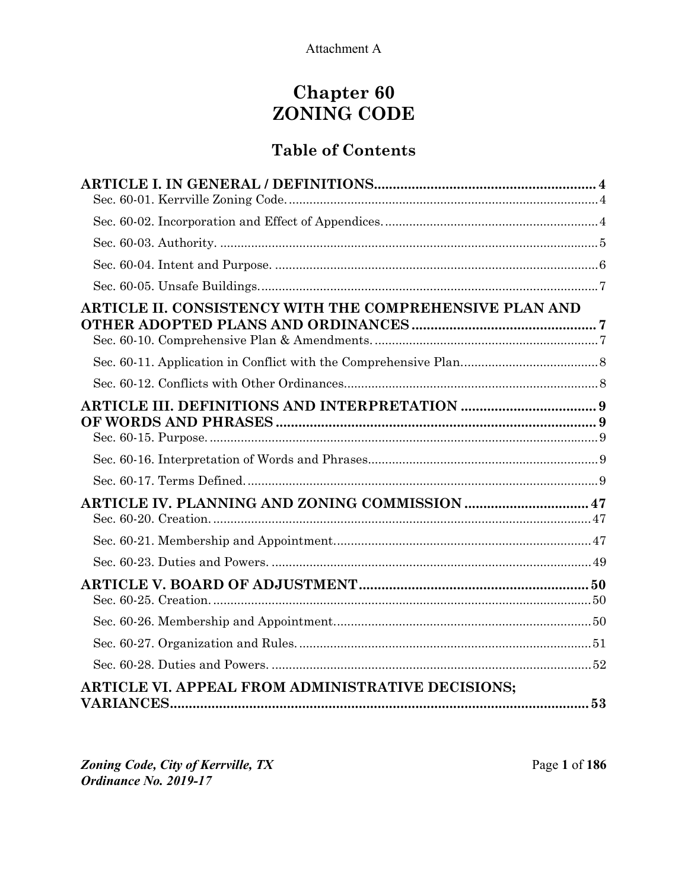# **Chapter 60 ZONING CODE**

## **Table of Contents**

| ARTICLE II. CONSISTENCY WITH THE COMPREHENSIVE PLAN AND  |  |
|----------------------------------------------------------|--|
|                                                          |  |
|                                                          |  |
|                                                          |  |
|                                                          |  |
|                                                          |  |
| ARTICLE IV. PLANNING AND ZONING COMMISSION  47           |  |
|                                                          |  |
|                                                          |  |
|                                                          |  |
|                                                          |  |
|                                                          |  |
|                                                          |  |
| <b>ARTICLE VI. APPEAL FROM ADMINISTRATIVE DECISIONS:</b> |  |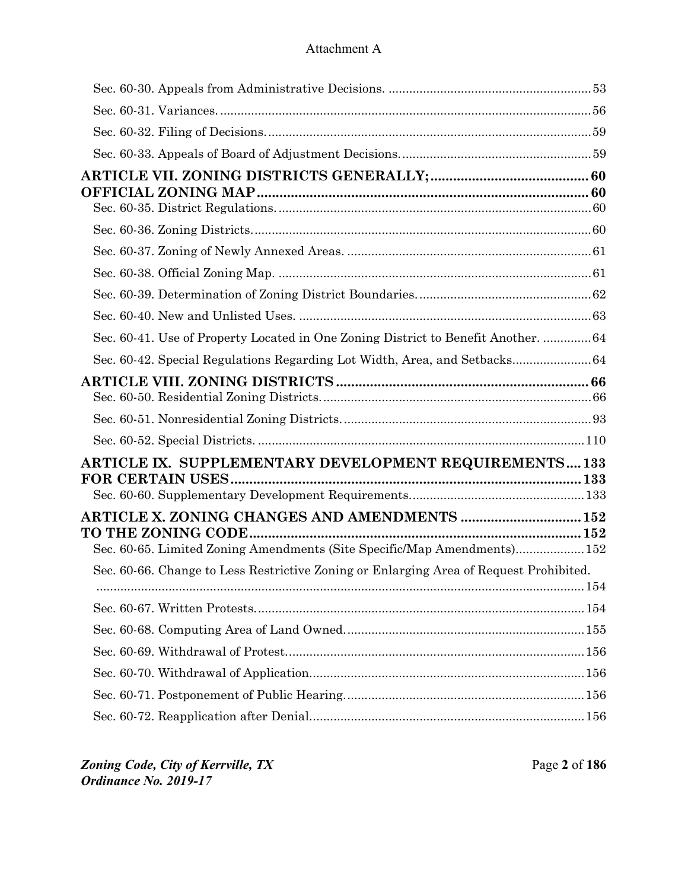| Sec. 60-41. Use of Property Located in One Zoning District to Benefit Another.  64     |  |
|----------------------------------------------------------------------------------------|--|
| Sec. 60-42. Special Regulations Regarding Lot Width, Area, and Setbacks 64             |  |
|                                                                                        |  |
|                                                                                        |  |
|                                                                                        |  |
|                                                                                        |  |
| ARTICLE IX. SUPPLEMENTARY DEVELOPMENT REQUIREMENTS133                                  |  |
|                                                                                        |  |
|                                                                                        |  |
| ARTICLE X. ZONING CHANGES AND AMENDMENTS  152                                          |  |
| Sec. 60-65. Limited Zoning Amendments (Site Specific/Map Amendments)152                |  |
| Sec. 60-66. Change to Less Restrictive Zoning or Enlarging Area of Request Prohibited. |  |
|                                                                                        |  |
|                                                                                        |  |
|                                                                                        |  |
|                                                                                        |  |
|                                                                                        |  |
|                                                                                        |  |
|                                                                                        |  |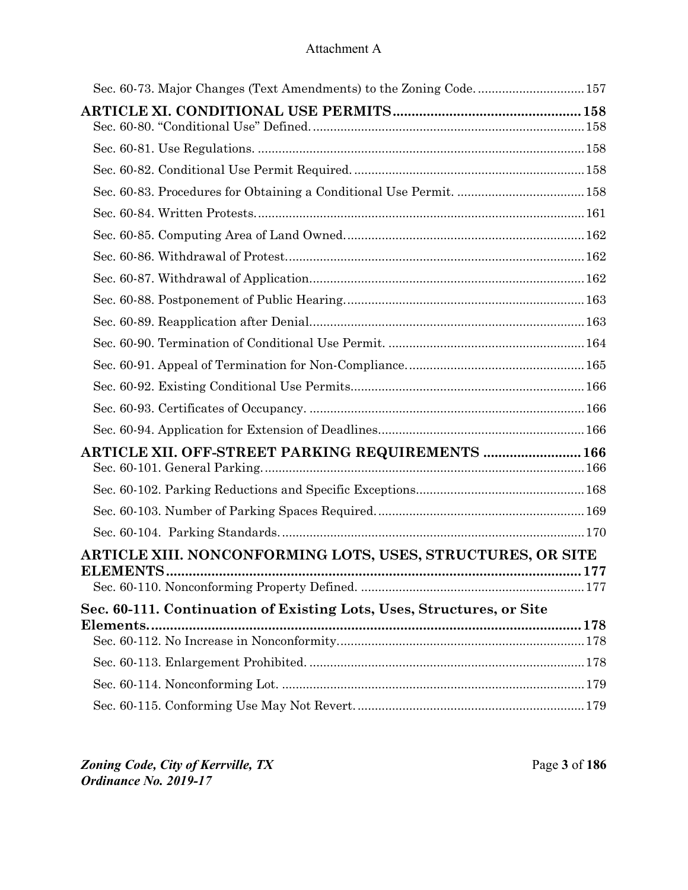| ARTICLE XII. OFF-STREET PARKING REQUIREMENTS  166                     |  |
|-----------------------------------------------------------------------|--|
|                                                                       |  |
|                                                                       |  |
|                                                                       |  |
|                                                                       |  |
| ARTICLE XIII. NONCONFORMING LOTS, USES, STRUCTURES, OR SITE           |  |
|                                                                       |  |
| Sec. 60-111. Continuation of Existing Lots, Uses, Structures, or Site |  |
|                                                                       |  |
|                                                                       |  |
|                                                                       |  |
|                                                                       |  |
|                                                                       |  |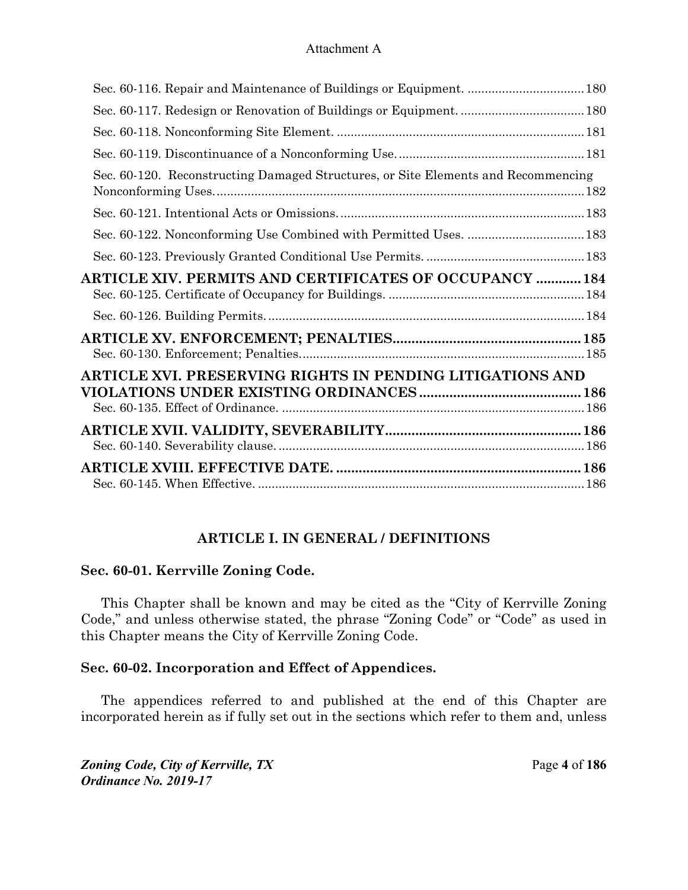| Sec. 60-120. Reconstructing Damaged Structures, or Site Elements and Recommencing |  |
|-----------------------------------------------------------------------------------|--|
|                                                                                   |  |
|                                                                                   |  |
|                                                                                   |  |
| <b>ARTICLE XIV. PERMITS AND CERTIFICATES OF OCCUPANCY  184</b>                    |  |
|                                                                                   |  |
|                                                                                   |  |
| ARTICLE XVI. PRESERVING RIGHTS IN PENDING LITIGATIONS AND                         |  |
|                                                                                   |  |
|                                                                                   |  |

## **ARTICLE I. IN GENERAL / DEFINITIONS**

#### **Sec. 60-01. Kerrville Zoning Code.**

This Chapter shall be known and may be cited as the "City of Kerrville Zoning Code," and unless otherwise stated, the phrase "Zoning Code" or "Code" as used in this Chapter means the City of Kerrville Zoning Code.

#### **Sec. 60-02. Incorporation and Effect of Appendices.**

The appendices referred to and published at the end of this Chapter are incorporated herein as if fully set out in the sections which refer to them and, unless

*Zoning Code, City of Kerrville, TX*Page **4** of **186**  *Ordinance No. 2019-17*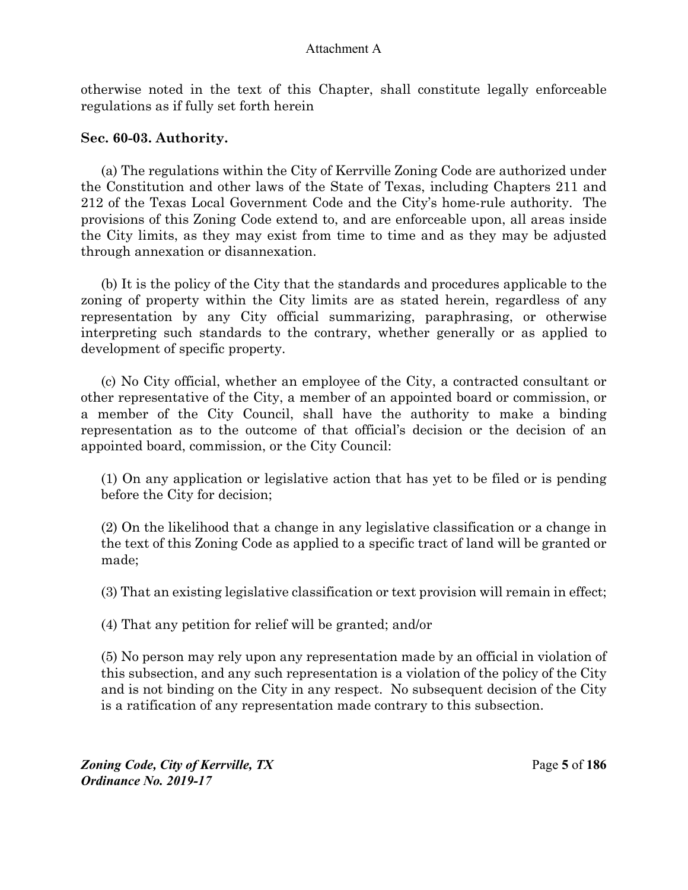otherwise noted in the text of this Chapter, shall constitute legally enforceable regulations as if fully set forth herein

## **Sec. 60-03. Authority.**

(a) The regulations within the City of Kerrville Zoning Code are authorized under the Constitution and other laws of the State of Texas, including Chapters 211 and 212 of the Texas Local Government Code and the City's home-rule authority. The provisions of this Zoning Code extend to, and are enforceable upon, all areas inside the City limits, as they may exist from time to time and as they may be adjusted through annexation or disannexation.

(b) It is the policy of the City that the standards and procedures applicable to the zoning of property within the City limits are as stated herein, regardless of any representation by any City official summarizing, paraphrasing, or otherwise interpreting such standards to the contrary, whether generally or as applied to development of specific property.

(c) No City official, whether an employee of the City, a contracted consultant or other representative of the City, a member of an appointed board or commission, or a member of the City Council, shall have the authority to make a binding representation as to the outcome of that official's decision or the decision of an appointed board, commission, or the City Council:

(1) On any application or legislative action that has yet to be filed or is pending before the City for decision;

(2) On the likelihood that a change in any legislative classification or a change in the text of this Zoning Code as applied to a specific tract of land will be granted or made;

(3) That an existing legislative classification or text provision will remain in effect;

(4) That any petition for relief will be granted; and/or

(5) No person may rely upon any representation made by an official in violation of this subsection, and any such representation is a violation of the policy of the City and is not binding on the City in any respect. No subsequent decision of the City is a ratification of any representation made contrary to this subsection.

*Zoning Code, City of Kerrville, TX*Page **5** of **186**  *Ordinance No. 2019-17*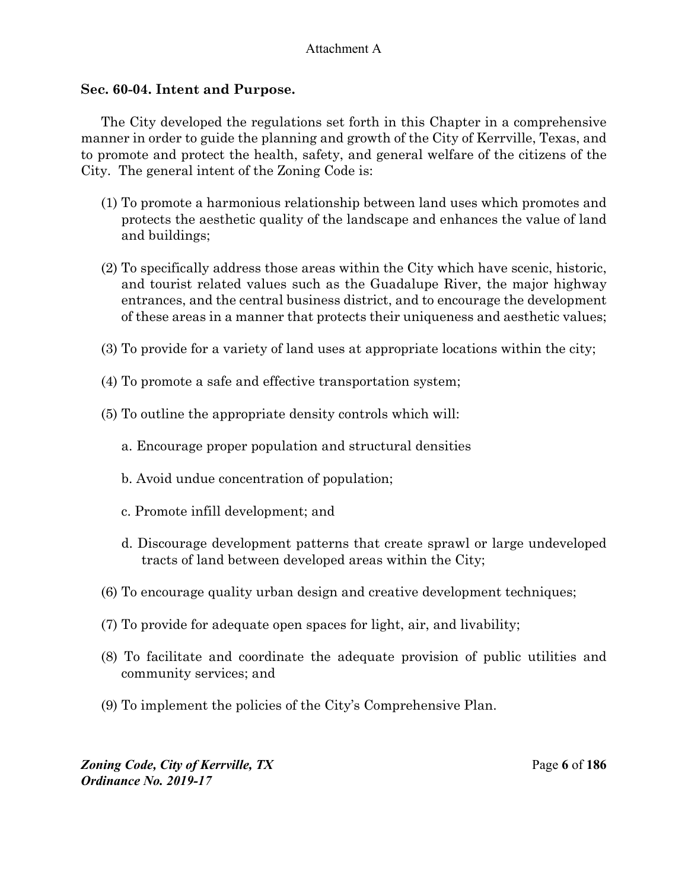#### **Sec. 60-04. Intent and Purpose.**

The City developed the regulations set forth in this Chapter in a comprehensive manner in order to guide the planning and growth of the City of Kerrville, Texas, and to promote and protect the health, safety, and general welfare of the citizens of the City. The general intent of the Zoning Code is:

- (1) To promote a harmonious relationship between land uses which promotes and protects the aesthetic quality of the landscape and enhances the value of land and buildings;
- (2) To specifically address those areas within the City which have scenic, historic, and tourist related values such as the Guadalupe River, the major highway entrances, and the central business district, and to encourage the development of these areas in a manner that protects their uniqueness and aesthetic values;
- (3) To provide for a variety of land uses at appropriate locations within the city;
- (4) To promote a safe and effective transportation system;
- (5) To outline the appropriate density controls which will:
	- a. Encourage proper population and structural densities
	- b. Avoid undue concentration of population;
	- c. Promote infill development; and
	- d. Discourage development patterns that create sprawl or large undeveloped tracts of land between developed areas within the City;
- (6) To encourage quality urban design and creative development techniques;
- (7) To provide for adequate open spaces for light, air, and livability;
- (8) To facilitate and coordinate the adequate provision of public utilities and community services; and
- (9) To implement the policies of the City's Comprehensive Plan.

*Zoning Code, City of Kerrville, TX*Page **6** of **186**  *Ordinance No. 2019-17*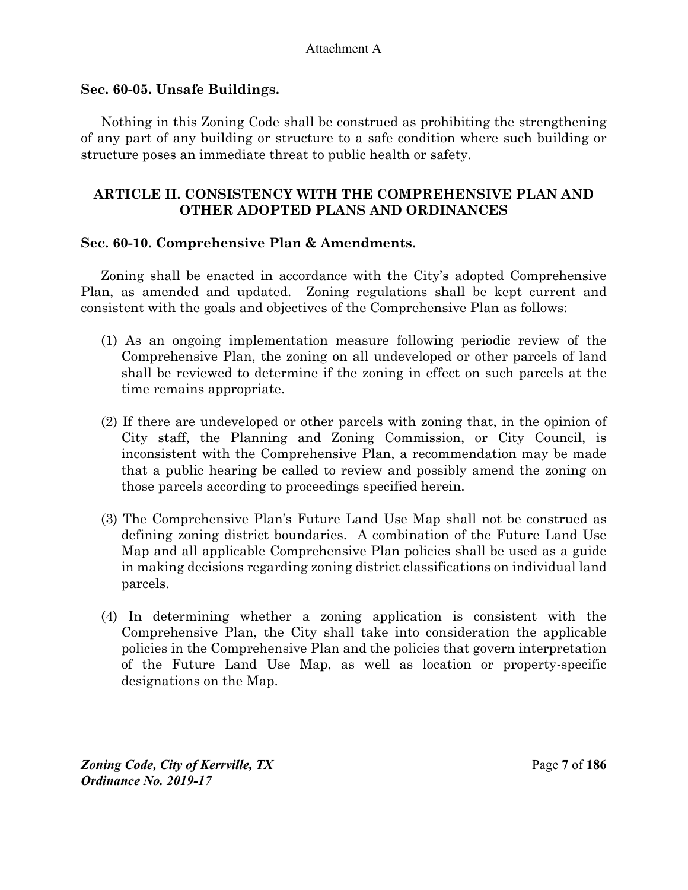#### **Sec. 60-05. Unsafe Buildings.**

Nothing in this Zoning Code shall be construed as prohibiting the strengthening of any part of any building or structure to a safe condition where such building or structure poses an immediate threat to public health or safety.

## **ARTICLE II. CONSISTENCY WITH THE COMPREHENSIVE PLAN AND OTHER ADOPTED PLANS AND ORDINANCES**

## **Sec. 60-10. Comprehensive Plan & Amendments.**

Zoning shall be enacted in accordance with the City's adopted Comprehensive Plan, as amended and updated. Zoning regulations shall be kept current and consistent with the goals and objectives of the Comprehensive Plan as follows:

- (1) As an ongoing implementation measure following periodic review of the Comprehensive Plan, the zoning on all undeveloped or other parcels of land shall be reviewed to determine if the zoning in effect on such parcels at the time remains appropriate.
- (2) If there are undeveloped or other parcels with zoning that, in the opinion of City staff, the Planning and Zoning Commission, or City Council, is inconsistent with the Comprehensive Plan, a recommendation may be made that a public hearing be called to review and possibly amend the zoning on those parcels according to proceedings specified herein.
- (3) The Comprehensive Plan's Future Land Use Map shall not be construed as defining zoning district boundaries. A combination of the Future Land Use Map and all applicable Comprehensive Plan policies shall be used as a guide in making decisions regarding zoning district classifications on individual land parcels.
- (4) In determining whether a zoning application is consistent with the Comprehensive Plan, the City shall take into consideration the applicable policies in the Comprehensive Plan and the policies that govern interpretation of the Future Land Use Map, as well as location or property-specific designations on the Map.

*Zoning Code, City of Kerrville, TX*Page **7** of **186**  *Ordinance No. 2019-17*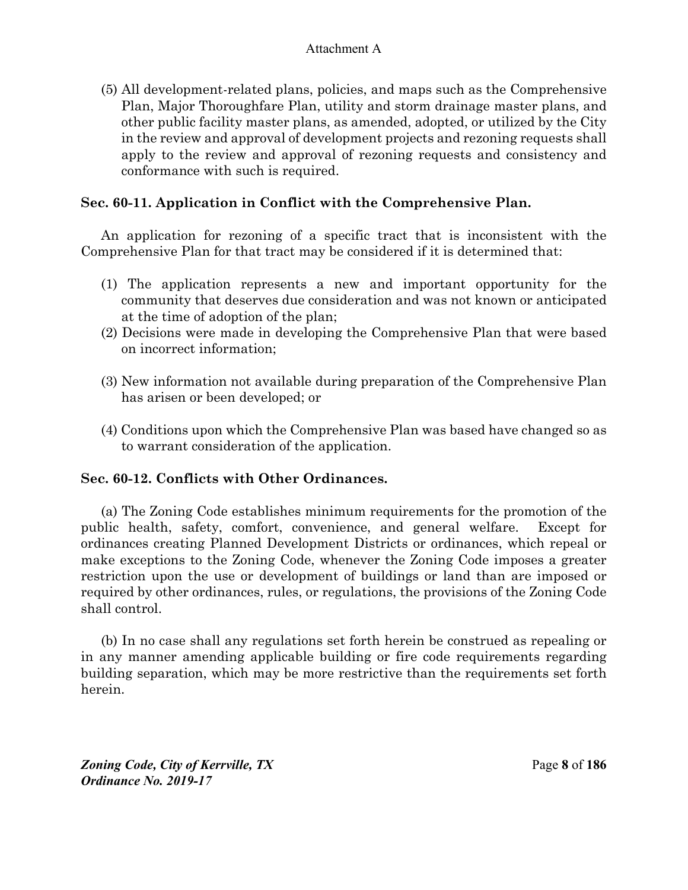(5) All development-related plans, policies, and maps such as the Comprehensive Plan, Major Thoroughfare Plan, utility and storm drainage master plans, and other public facility master plans, as amended, adopted, or utilized by the City in the review and approval of development projects and rezoning requests shall apply to the review and approval of rezoning requests and consistency and conformance with such is required.

## **Sec. 60-11. Application in Conflict with the Comprehensive Plan.**

An application for rezoning of a specific tract that is inconsistent with the Comprehensive Plan for that tract may be considered if it is determined that:

- (1) The application represents a new and important opportunity for the community that deserves due consideration and was not known or anticipated at the time of adoption of the plan;
- (2) Decisions were made in developing the Comprehensive Plan that were based on incorrect information;
- (3) New information not available during preparation of the Comprehensive Plan has arisen or been developed; or
- (4) Conditions upon which the Comprehensive Plan was based have changed so as to warrant consideration of the application.

## **Sec. 60-12. Conflicts with Other Ordinances.**

(a) The Zoning Code establishes minimum requirements for the promotion of the public health, safety, comfort, convenience, and general welfare. Except for ordinances creating Planned Development Districts or ordinances, which repeal or make exceptions to the Zoning Code, whenever the Zoning Code imposes a greater restriction upon the use or development of buildings or land than are imposed or required by other ordinances, rules, or regulations, the provisions of the Zoning Code shall control.

(b) In no case shall any regulations set forth herein be construed as repealing or in any manner amending applicable building or fire code requirements regarding building separation, which may be more restrictive than the requirements set forth herein.

*Zoning Code, City of Kerrville, TX*Page **8** of **186**  *Ordinance No. 2019-17*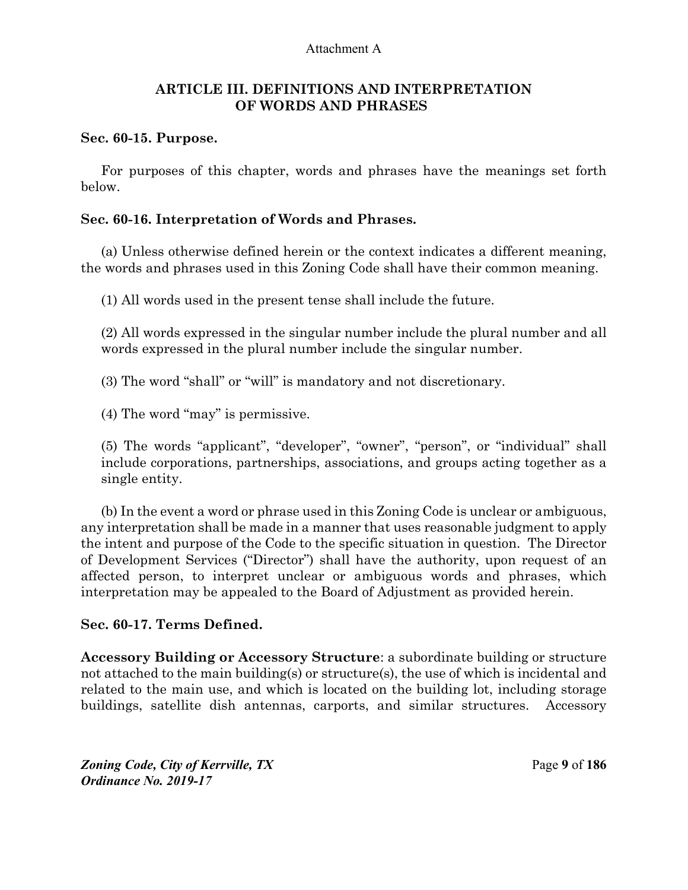#### **ARTICLE III. DEFINITIONS AND INTERPRETATION OF WORDS AND PHRASES**

#### **Sec. 60-15. Purpose.**

For purposes of this chapter, words and phrases have the meanings set forth below.

#### **Sec. 60-16. Interpretation of Words and Phrases.**

(a) Unless otherwise defined herein or the context indicates a different meaning, the words and phrases used in this Zoning Code shall have their common meaning.

(1) All words used in the present tense shall include the future.

(2) All words expressed in the singular number include the plural number and all words expressed in the plural number include the singular number.

(3) The word "shall" or "will" is mandatory and not discretionary.

(4) The word "may" is permissive.

(5) The words "applicant", "developer", "owner", "person", or "individual" shall include corporations, partnerships, associations, and groups acting together as a single entity.

(b) In the event a word or phrase used in this Zoning Code is unclear or ambiguous, any interpretation shall be made in a manner that uses reasonable judgment to apply the intent and purpose of the Code to the specific situation in question. The Director of Development Services ("Director") shall have the authority, upon request of an affected person, to interpret unclear or ambiguous words and phrases, which interpretation may be appealed to the Board of Adjustment as provided herein.

#### **Sec. 60-17. Terms Defined.**

**Accessory Building or Accessory Structure**: a subordinate building or structure not attached to the main building(s) or structure(s), the use of which is incidental and related to the main use, and which is located on the building lot, including storage buildings, satellite dish antennas, carports, and similar structures. Accessory

*Zoning Code, City of Kerrville, TX*Page **9** of **186**  *Ordinance No. 2019-17*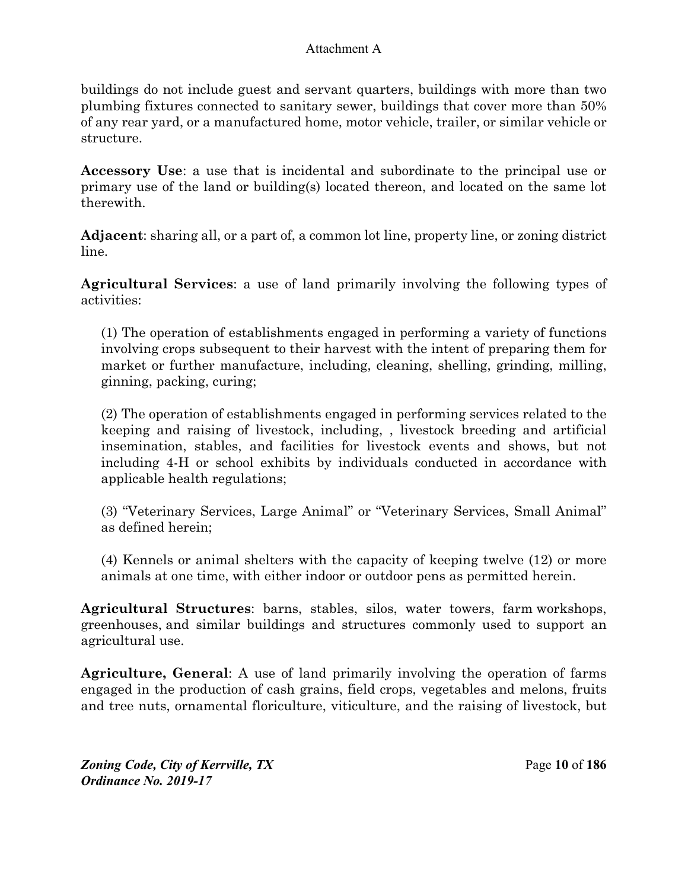buildings do not include guest and servant quarters, buildings with more than two plumbing fixtures connected to sanitary sewer, buildings that cover more than 50% of any rear yard, or a manufactured home, motor vehicle, trailer, or similar vehicle or structure.

**Accessory Use**: a use that is incidental and subordinate to the principal use or primary use of the land or building(s) located thereon, and located on the same lot therewith.

**Adjacent**: sharing all, or a part of, a common lot line, property line, or zoning district line.

**Agricultural Services**: a use of land primarily involving the following types of activities:

(1) The operation of establishments engaged in performing a variety of functions involving crops subsequent to their harvest with the intent of preparing them for market or further manufacture, including, cleaning, shelling, grinding, milling, ginning, packing, curing;

(2) The operation of establishments engaged in performing services related to the keeping and raising of livestock, including, , livestock breeding and artificial insemination, stables, and facilities for livestock events and shows, but not including 4-H or school exhibits by individuals conducted in accordance with applicable health regulations;

(3) "Veterinary Services, Large Animal" or "Veterinary Services, Small Animal" as defined herein;

(4) Kennels or animal shelters with the capacity of keeping twelve (12) or more animals at one time, with either indoor or outdoor pens as permitted herein.

**Agricultural Structures**: barns, stables, silos, water towers, farm workshops, greenhouses, and similar buildings and structures commonly used to support an agricultural use.

**Agriculture, General**: A use of land primarily involving the operation of farms engaged in the production of cash grains, field crops, vegetables and melons, fruits and tree nuts, ornamental floriculture, viticulture, and the raising of livestock, but

*Zoning Code, City of Kerrville, TX*Page **10** of **186**  *Ordinance No. 2019-17*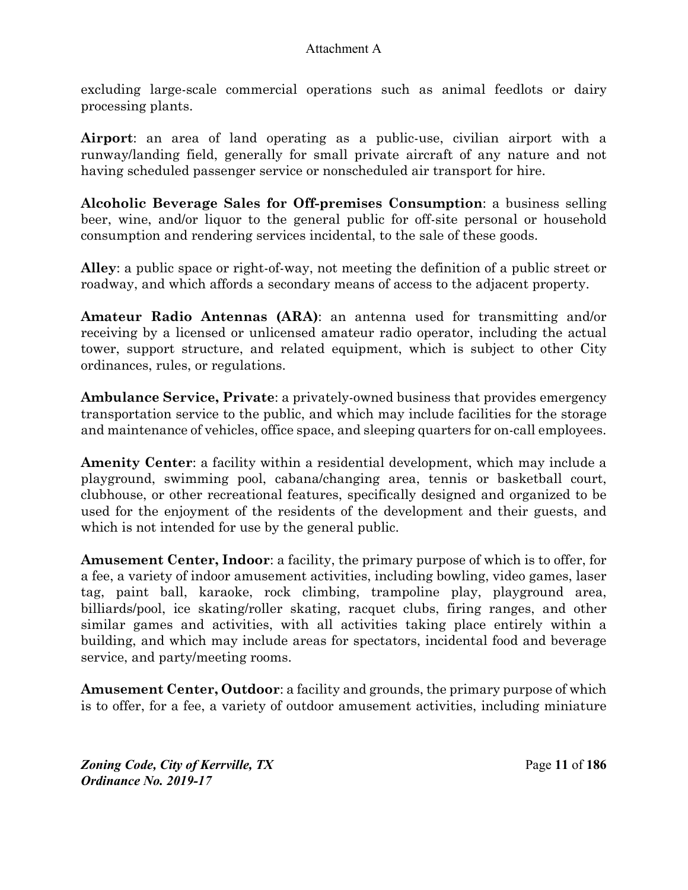excluding large-scale commercial operations such as animal feedlots or dairy processing plants.

**Airport**: an area of land operating as a public-use, civilian airport with a runway/landing field, generally for small private aircraft of any nature and not having scheduled passenger service or nonscheduled air transport for hire.

**Alcoholic Beverage Sales for Off-premises Consumption**: a business selling beer, wine, and/or liquor to the general public for off-site personal or household consumption and rendering services incidental, to the sale of these goods.

**Alley**: a public space or right-of-way, not meeting the definition of a public street or roadway, and which affords a secondary means of access to the adjacent property.

**Amateur Radio Antennas (ARA)**: an antenna used for transmitting and/or receiving by a licensed or unlicensed amateur radio operator, including the actual tower, support structure, and related equipment, which is subject to other City ordinances, rules, or regulations.

**Ambulance Service, Private**: a privately-owned business that provides emergency transportation service to the public, and which may include facilities for the storage and maintenance of vehicles, office space, and sleeping quarters for on-call employees.

**Amenity Center**: a facility within a residential development, which may include a playground, swimming pool, cabana/changing area, tennis or basketball court, clubhouse, or other recreational features, specifically designed and organized to be used for the enjoyment of the residents of the development and their guests, and which is not intended for use by the general public.

**Amusement Center, Indoor**: a facility, the primary purpose of which is to offer, for a fee, a variety of indoor amusement activities, including bowling, video games, laser tag, paint ball, karaoke, rock climbing, trampoline play, playground area, billiards/pool, ice skating/roller skating, racquet clubs, firing ranges, and other similar games and activities, with all activities taking place entirely within a building, and which may include areas for spectators, incidental food and beverage service, and party/meeting rooms.

**Amusement Center, Outdoor**: a facility and grounds, the primary purpose of which is to offer, for a fee, a variety of outdoor amusement activities, including miniature

*Zoning Code, City of Kerrville, TX*Page **11** of **186**  *Ordinance No. 2019-17*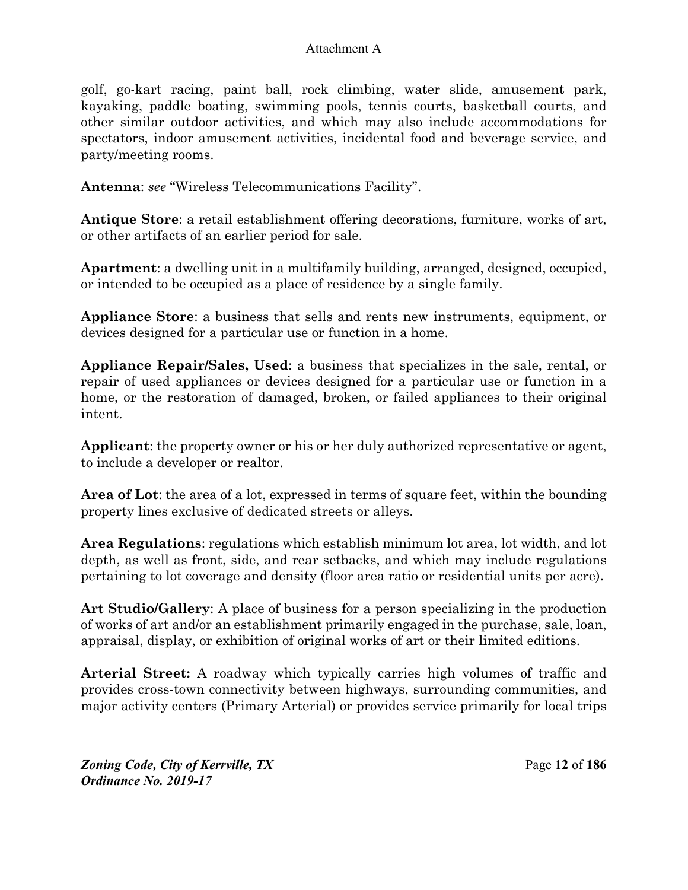golf, go-kart racing, paint ball, rock climbing, water slide, amusement park, kayaking, paddle boating, swimming pools, tennis courts, basketball courts, and other similar outdoor activities, and which may also include accommodations for spectators, indoor amusement activities, incidental food and beverage service, and party/meeting rooms.

**Antenna**: *see* "Wireless Telecommunications Facility".

**Antique Store**: a retail establishment offering decorations, furniture, works of art, or other artifacts of an earlier period for sale.

**Apartment**: a dwelling unit in a multifamily building, arranged, designed, occupied, or intended to be occupied as a place of residence by a single family.

**Appliance Store**: a business that sells and rents new instruments, equipment, or devices designed for a particular use or function in a home.

**Appliance Repair/Sales, Used**: a business that specializes in the sale, rental, or repair of used appliances or devices designed for a particular use or function in a home, or the restoration of damaged, broken, or failed appliances to their original intent.

**Applicant**: the property owner or his or her duly authorized representative or agent, to include a developer or realtor.

**Area of Lot**: the area of a lot, expressed in terms of square feet, within the bounding property lines exclusive of dedicated streets or alleys.

**Area Regulations**: regulations which establish minimum lot area, lot width, and lot depth, as well as front, side, and rear setbacks, and which may include regulations pertaining to lot coverage and density (floor area ratio or residential units per acre).

**Art Studio/Gallery**: A place of business for a person specializing in the production of works of art and/or an establishment primarily engaged in the purchase, sale, loan, appraisal, display, or exhibition of original works of art or their limited editions.

**Arterial Street:** A roadway which typically carries high volumes of traffic and provides cross-town connectivity between highways, surrounding communities, and major activity centers (Primary Arterial) or provides service primarily for local trips

*Zoning Code, City of Kerrville, TX*Page **12** of **186**  *Ordinance No. 2019-17*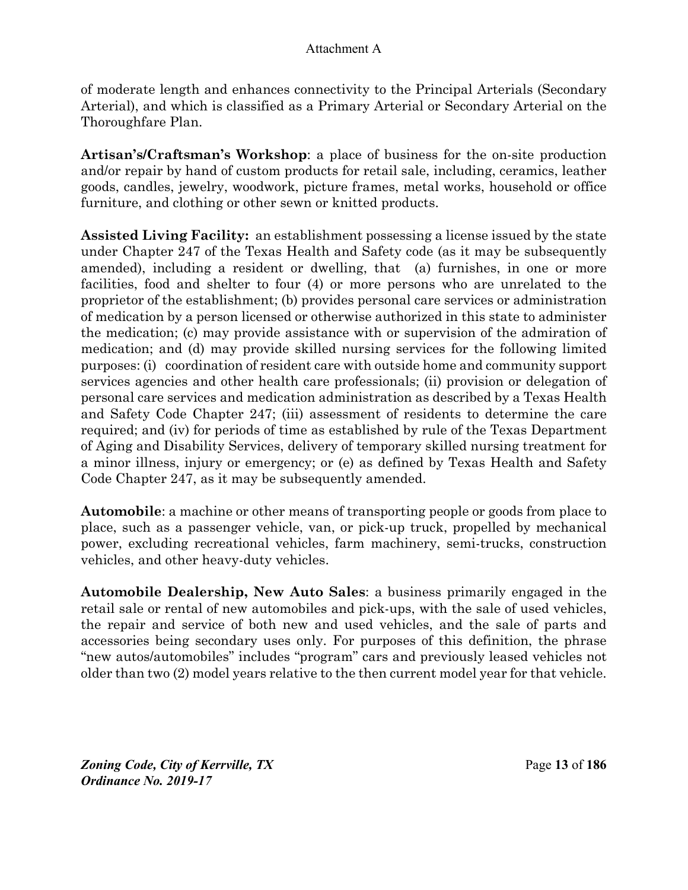of moderate length and enhances connectivity to the Principal Arterials (Secondary Arterial), and which is classified as a Primary Arterial or Secondary Arterial on the Thoroughfare Plan.

**Artisan's/Craftsman's Workshop**: a place of business for the on-site production and/or repair by hand of custom products for retail sale, including, ceramics, leather goods, candles, jewelry, woodwork, picture frames, metal works, household or office furniture, and clothing or other sewn or knitted products.

**Assisted Living Facility:** an establishment possessing a license issued by the state under Chapter 247 of the Texas Health and Safety code (as it may be subsequently amended), including a resident or dwelling, that (a) furnishes, in one or more facilities, food and shelter to four (4) or more persons who are unrelated to the proprietor of the establishment; (b) provides personal care services or administration of medication by a person licensed or otherwise authorized in this state to administer the medication; (c) may provide assistance with or supervision of the admiration of medication; and (d) may provide skilled nursing services for the following limited purposes: (i) coordination of resident care with outside home and community support services agencies and other health care professionals; (ii) provision or delegation of personal care services and medication administration as described by a Texas Health and Safety Code Chapter 247; (iii) assessment of residents to determine the care required; and (iv) for periods of time as established by rule of the Texas Department of Aging and Disability Services, delivery of temporary skilled nursing treatment for a minor illness, injury or emergency; or (e) as defined by Texas Health and Safety Code Chapter 247, as it may be subsequently amended.

**Automobile**: a machine or other means of transporting people or goods from place to place, such as a passenger vehicle, van, or pick-up truck, propelled by mechanical power, excluding recreational vehicles, farm machinery, semi-trucks, construction vehicles, and other heavy-duty vehicles.

**Automobile Dealership, New Auto Sales**: a business primarily engaged in the retail sale or rental of new automobiles and pick-ups, with the sale of used vehicles, the repair and service of both new and used vehicles, and the sale of parts and accessories being secondary uses only. For purposes of this definition, the phrase "new autos/automobiles" includes "program" cars and previously leased vehicles not older than two (2) model years relative to the then current model year for that vehicle.

*Zoning Code, City of Kerrville, TX*Page **13** of **186**  *Ordinance No. 2019-17*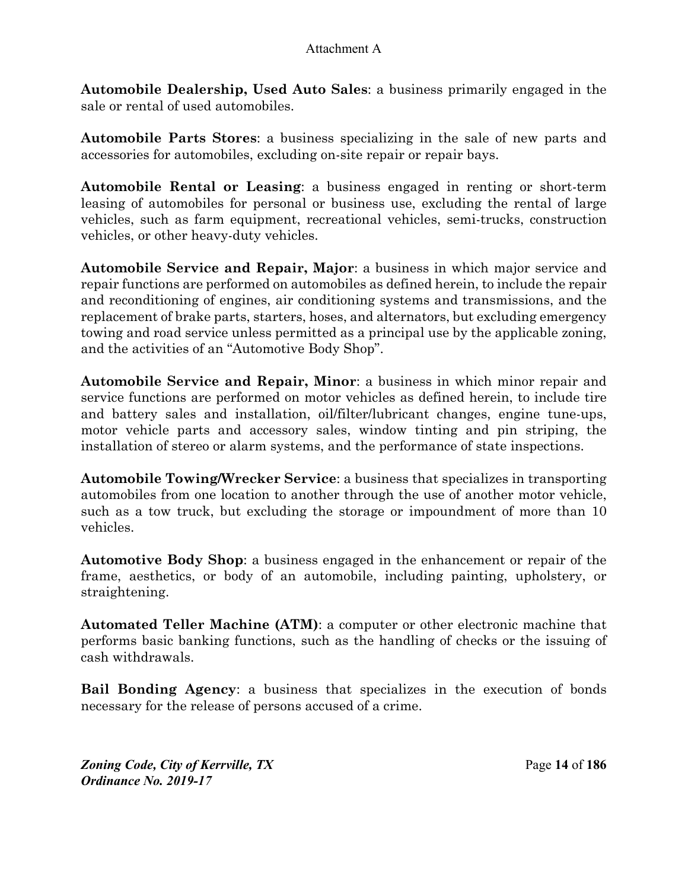**Automobile Dealership, Used Auto Sales**: a business primarily engaged in the sale or rental of used automobiles.

**Automobile Parts Stores**: a business specializing in the sale of new parts and accessories for automobiles, excluding on-site repair or repair bays.

**Automobile Rental or Leasing**: a business engaged in renting or short-term leasing of automobiles for personal or business use, excluding the rental of large vehicles, such as farm equipment, recreational vehicles, semi-trucks, construction vehicles, or other heavy-duty vehicles.

**Automobile Service and Repair, Major**: a business in which major service and repair functions are performed on automobiles as defined herein, to include the repair and reconditioning of engines, air conditioning systems and transmissions, and the replacement of brake parts, starters, hoses, and alternators, but excluding emergency towing and road service unless permitted as a principal use by the applicable zoning, and the activities of an "Automotive Body Shop".

**Automobile Service and Repair, Minor**: a business in which minor repair and service functions are performed on motor vehicles as defined herein, to include tire and battery sales and installation, oil/filter/lubricant changes, engine tune-ups, motor vehicle parts and accessory sales, window tinting and pin striping, the installation of stereo or alarm systems, and the performance of state inspections.

**Automobile Towing/Wrecker Service**: a business that specializes in transporting automobiles from one location to another through the use of another motor vehicle, such as a tow truck, but excluding the storage or impoundment of more than 10 vehicles.

**Automotive Body Shop**: a business engaged in the enhancement or repair of the frame, aesthetics, or body of an automobile, including painting, upholstery, or straightening.

**Automated Teller Machine (ATM)**: a computer or other electronic machine that performs basic banking functions, such as the handling of checks or the issuing of cash withdrawals.

**Bail Bonding Agency**: a business that specializes in the execution of bonds necessary for the release of persons accused of a crime.

*Zoning Code, City of Kerrville, TX*Page **14** of **186**  *Ordinance No. 2019-17*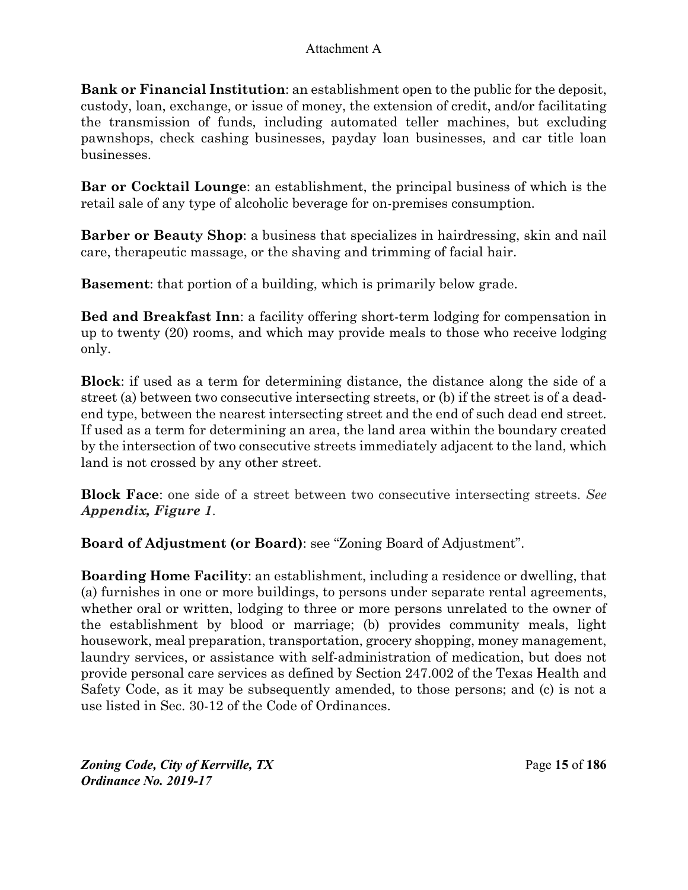**Bank or Financial Institution**: an establishment open to the public for the deposit, custody, loan, exchange, or issue of money, the extension of credit, and/or facilitating the transmission of funds, including automated teller machines, but excluding pawnshops, check cashing businesses, payday loan businesses, and car title loan businesses.

**Bar or Cocktail Lounge**: an establishment, the principal business of which is the retail sale of any type of alcoholic beverage for on-premises consumption.

**Barber or Beauty Shop**: a business that specializes in hairdressing, skin and nail care, therapeutic massage, or the shaving and trimming of facial hair.

**Basement**: that portion of a building, which is primarily below grade.

**Bed and Breakfast Inn**: a facility offering short-term lodging for compensation in up to twenty (20) rooms, and which may provide meals to those who receive lodging only.

**Block**: if used as a term for determining distance, the distance along the side of a street (a) between two consecutive intersecting streets, or (b) if the street is of a deadend type, between the nearest intersecting street and the end of such dead end street. If used as a term for determining an area, the land area within the boundary created by the intersection of two consecutive streets immediately adjacent to the land, which land is not crossed by any other street.

**Block Face**: one side of a street between two consecutive intersecting streets. *See Appendix, Figure 1*.

**Board of Adjustment (or Board)**: see "Zoning Board of Adjustment".

**Boarding Home Facility**: an establishment, including a residence or dwelling, that (a) furnishes in one or more buildings, to persons under separate rental agreements, whether oral or written, lodging to three or more persons unrelated to the owner of the establishment by blood or marriage; (b) provides community meals, light housework, meal preparation, transportation, grocery shopping, money management, laundry services, or assistance with self-administration of medication, but does not provide personal care services as defined by Section 247.002 of the Texas Health and Safety Code, as it may be subsequently amended, to those persons; and (c) is not a use listed in Sec. 30-12 of the Code of Ordinances.

*Zoning Code, City of Kerrville, TX*Page **15** of **186**  *Ordinance No. 2019-17*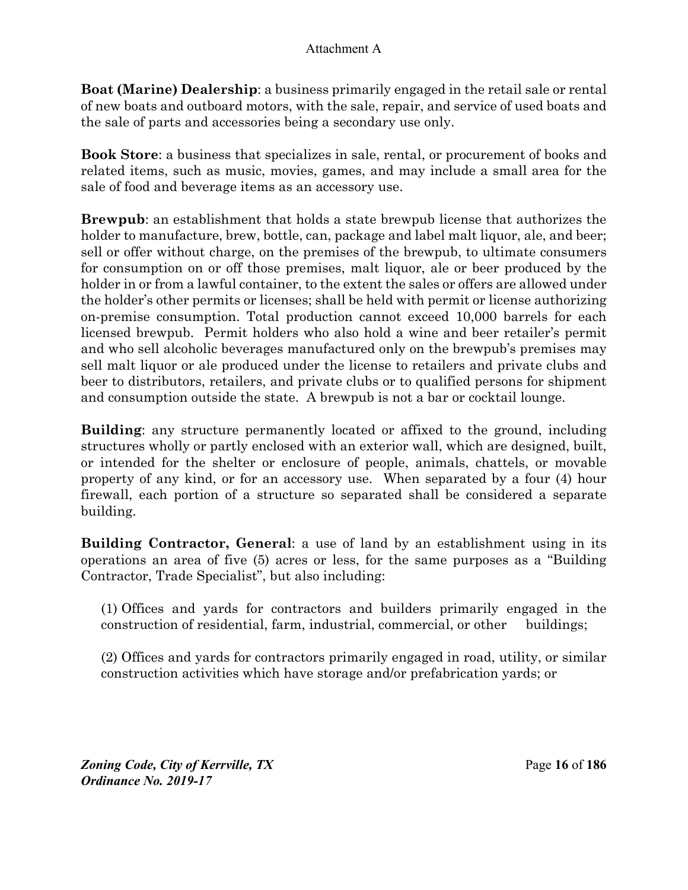**Boat (Marine) Dealership**: a business primarily engaged in the retail sale or rental of new boats and outboard motors, with the sale, repair, and service of used boats and the sale of parts and accessories being a secondary use only.

**Book Store**: a business that specializes in sale, rental, or procurement of books and related items, such as music, movies, games, and may include a small area for the sale of food and beverage items as an accessory use.

**Brewpub**: an establishment that holds a state brewpub license that authorizes the holder to manufacture, brew, bottle, can, package and label malt liquor, ale, and beer; sell or offer without charge, on the premises of the brewpub, to ultimate consumers for consumption on or off those premises, malt liquor, ale or beer produced by the holder in or from a lawful container, to the extent the sales or offers are allowed under the holder's other permits or licenses; shall be held with permit or license authorizing on-premise consumption. Total production cannot exceed 10,000 barrels for each licensed brewpub. Permit holders who also hold a wine and beer retailer's permit and who sell alcoholic beverages manufactured only on the brewpub's premises may sell malt liquor or ale produced under the license to retailers and private clubs and beer to distributors, retailers, and private clubs or to qualified persons for shipment and consumption outside the state. A brewpub is not a bar or cocktail lounge.

**Building**: any structure permanently located or affixed to the ground, including structures wholly or partly enclosed with an exterior wall, which are designed, built, or intended for the shelter or enclosure of people, animals, chattels, or movable property of any kind, or for an accessory use. When separated by a four (4) hour firewall, each portion of a structure so separated shall be considered a separate building.

**Building Contractor, General**: a use of land by an establishment using in its operations an area of five (5) acres or less, for the same purposes as a "Building Contractor, Trade Specialist", but also including:

(1) Offices and yards for contractors and builders primarily engaged in the construction of residential, farm, industrial, commercial, or other buildings;

(2) Offices and yards for contractors primarily engaged in road, utility, or similar construction activities which have storage and/or prefabrication yards; or

*Zoning Code, City of Kerrville, TX*Page **16** of **186**  *Ordinance No. 2019-17*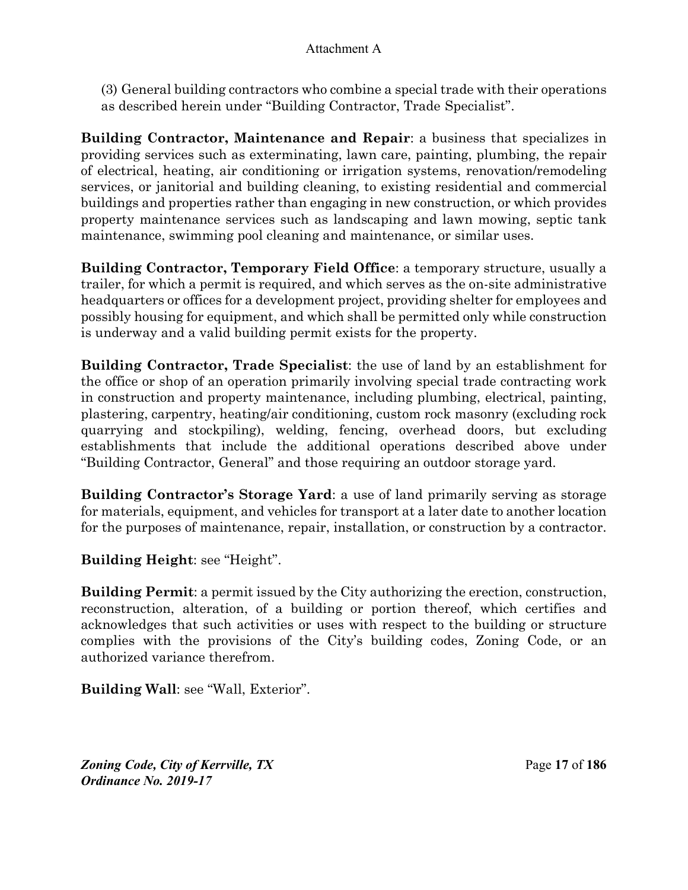(3) General building contractors who combine a special trade with their operations as described herein under "Building Contractor, Trade Specialist".

**Building Contractor, Maintenance and Repair**: a business that specializes in providing services such as exterminating, lawn care, painting, plumbing, the repair of electrical, heating, air conditioning or irrigation systems, renovation/remodeling services, or janitorial and building cleaning, to existing residential and commercial buildings and properties rather than engaging in new construction, or which provides property maintenance services such as landscaping and lawn mowing, septic tank maintenance, swimming pool cleaning and maintenance, or similar uses.

**Building Contractor, Temporary Field Office**: a temporary structure, usually a trailer, for which a permit is required, and which serves as the on-site administrative headquarters or offices for a development project, providing shelter for employees and possibly housing for equipment, and which shall be permitted only while construction is underway and a valid building permit exists for the property.

**Building Contractor, Trade Specialist**: the use of land by an establishment for the office or shop of an operation primarily involving special trade contracting work in construction and property maintenance, including plumbing, electrical, painting, plastering, carpentry, heating/air conditioning, custom rock masonry (excluding rock quarrying and stockpiling), welding, fencing, overhead doors, but excluding establishments that include the additional operations described above under "Building Contractor, General" and those requiring an outdoor storage yard.

**Building Contractor's Storage Yard**: a use of land primarily serving as storage for materials, equipment, and vehicles for transport at a later date to another location for the purposes of maintenance, repair, installation, or construction by a contractor.

**Building Height**: see "Height".

**Building Permit**: a permit issued by the City authorizing the erection, construction, reconstruction, alteration, of a building or portion thereof, which certifies and acknowledges that such activities or uses with respect to the building or structure complies with the provisions of the City's building codes, Zoning Code, or an authorized variance therefrom.

**Building Wall**: see "Wall, Exterior".

*Zoning Code, City of Kerrville, TX*Page **17** of **186**  *Ordinance No. 2019-17*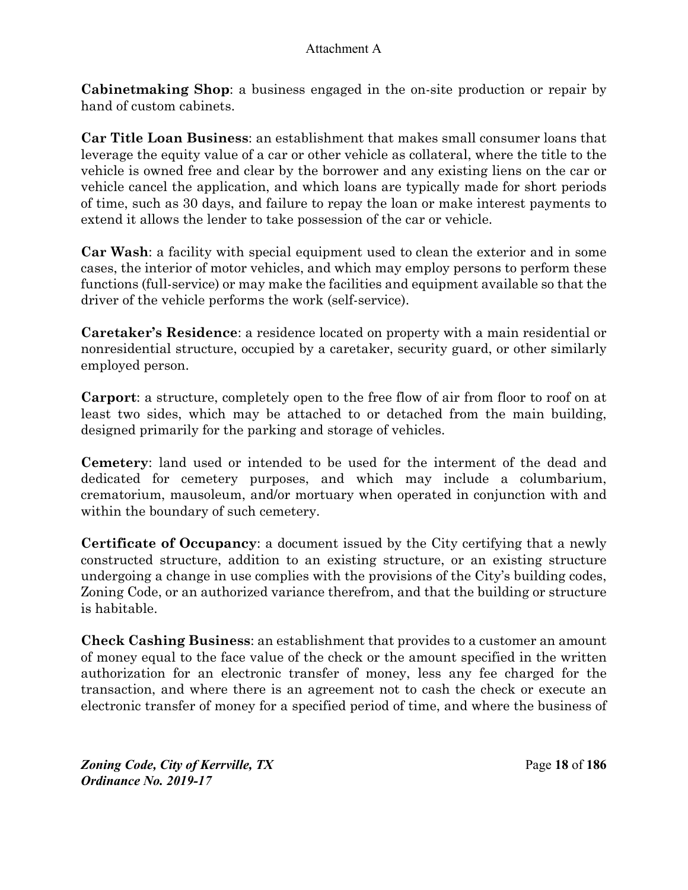**Cabinetmaking Shop**: a business engaged in the on-site production or repair by hand of custom cabinets.

**Car Title Loan Business**: an establishment that makes small consumer loans that leverage the equity value of a car or other vehicle as collateral, where the title to the vehicle is owned free and clear by the borrower and any existing liens on the car or vehicle cancel the application, and which loans are typically made for short periods of time, such as 30 days, and failure to repay the loan or make interest payments to extend it allows the lender to take possession of the car or vehicle.

**Car Wash**: a facility with special equipment used to clean the exterior and in some cases, the interior of motor vehicles, and which may employ persons to perform these functions (full-service) or may make the facilities and equipment available so that the driver of the vehicle performs the work (self-service).

**Caretaker's Residence**: a residence located on property with a main residential or nonresidential structure, occupied by a caretaker, security guard, or other similarly employed person.

**Carport**: a structure, completely open to the free flow of air from floor to roof on at least two sides, which may be attached to or detached from the main building, designed primarily for the parking and storage of vehicles.

**Cemetery**: land used or intended to be used for the interment of the dead and dedicated for cemetery purposes, and which may include a columbarium, crematorium, mausoleum, and/or mortuary when operated in conjunction with and within the boundary of such cemetery.

**Certificate of Occupancy**: a document issued by the City certifying that a newly constructed structure, addition to an existing structure, or an existing structure undergoing a change in use complies with the provisions of the City's building codes, Zoning Code, or an authorized variance therefrom, and that the building or structure is habitable.

**Check Cashing Business**: an establishment that provides to a customer an amount of money equal to the face value of the check or the amount specified in the written authorization for an electronic transfer of money, less any fee charged for the transaction, and where there is an agreement not to cash the check or execute an electronic transfer of money for a specified period of time, and where the business of

*Zoning Code, City of Kerrville, TX*Page **18** of **186**  *Ordinance No. 2019-17*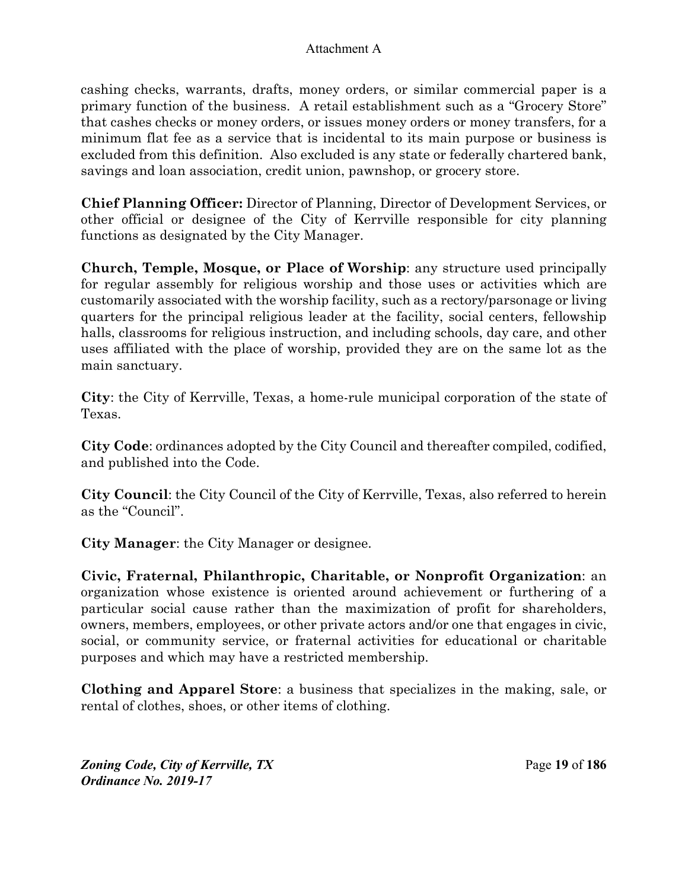cashing checks, warrants, drafts, money orders, or similar commercial paper is a primary function of the business. A retail establishment such as a "Grocery Store" that cashes checks or money orders, or issues money orders or money transfers, for a minimum flat fee as a service that is incidental to its main purpose or business is excluded from this definition. Also excluded is any state or federally chartered bank, savings and loan association, credit union, pawnshop, or grocery store.

**Chief Planning Officer:** Director of Planning, Director of Development Services, or other official or designee of the City of Kerrville responsible for city planning functions as designated by the City Manager.

**Church, Temple, Mosque, or Place of Worship**: any structure used principally for regular assembly for religious worship and those uses or activities which are customarily associated with the worship facility, such as a rectory/parsonage or living quarters for the principal religious leader at the facility, social centers, fellowship halls, classrooms for religious instruction, and including schools, day care, and other uses affiliated with the place of worship, provided they are on the same lot as the main sanctuary.

**City**: the City of Kerrville, Texas, a home-rule municipal corporation of the state of Texas.

**City Code**: ordinances adopted by the City Council and thereafter compiled, codified, and published into the Code.

**City Council**: the City Council of the City of Kerrville, Texas, also referred to herein as the "Council".

**City Manager**: the City Manager or designee.

**Civic, Fraternal, Philanthropic, Charitable, or Nonprofit Organization**: an organization whose existence is oriented around achievement or furthering of a particular social cause rather than the maximization of profit for shareholders, owners, members, employees, or other private actors and/or one that engages in civic, social, or community service, or fraternal activities for educational or charitable purposes and which may have a restricted membership.

**Clothing and Apparel Store**: a business that specializes in the making, sale, or rental of clothes, shoes, or other items of clothing.

*Zoning Code, City of Kerrville, TX*Page **19** of **186**  *Ordinance No. 2019-17*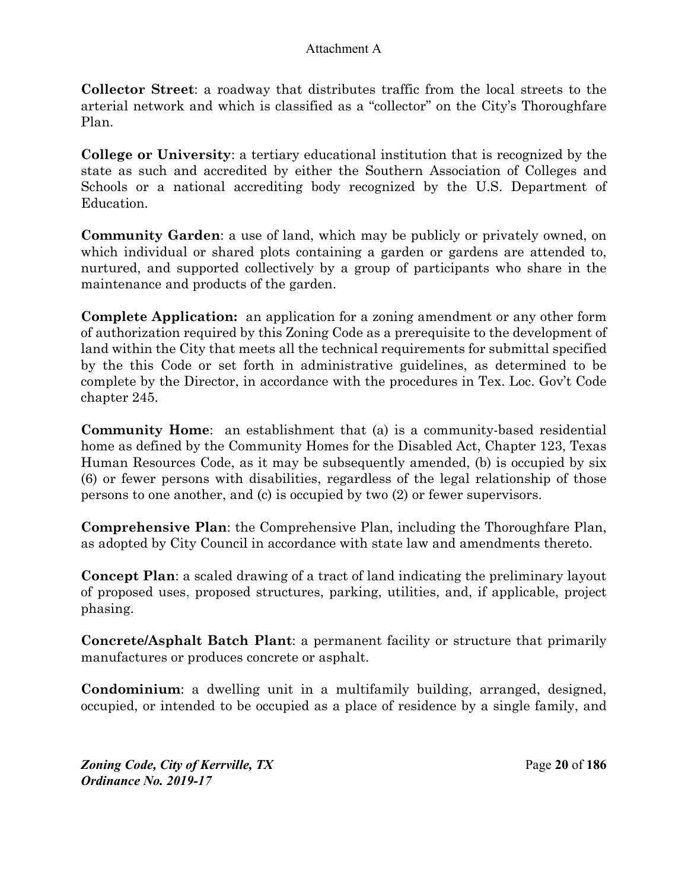**Collector Street**: a roadway that distributes traffic from the local streets to the arterial network and which is classified as a "collector" on the City's Thoroughfare Plan.

**College or University**: a tertiary educational institution that is recognized by the state as such and accredited by either the Southern Association of Colleges and Schools or a national accrediting body recognized by the U.S. Department of Education.

**Community Garden**: a use of land, which may be publicly or privately owned, on which individual or shared plots containing a garden or gardens are attended to, nurtured, and supported collectively by a group of participants who share in the maintenance and products of the garden.

**Complete Application:** an application for a zoning amendment or any other form of authorization required by this Zoning Code as a prerequisite to the development of land within the City that meets all the technical requirements for submittal specified by the this Code or set forth in administrative guidelines, as determined to be complete by the Director, in accordance with the procedures in Tex. Loc. Gov't Code chapter 245.

**Community Home**: an establishment that (a) is a community-based residential home as defined by the Community Homes for the Disabled Act, Chapter 123, Texas Human Resources Code, as it may be subsequently amended, (b) is occupied by six (6) or fewer persons with disabilities, regardless of the legal relationship of those persons to one another, and (c) is occupied by two (2) or fewer supervisors.

**Comprehensive Plan**: the Comprehensive Plan, including the Thoroughfare Plan, as adopted by City Council in accordance with state law and amendments thereto.

**Concept Plan**: a scaled drawing of a tract of land indicating the preliminary layout of proposed uses, proposed structures, parking, utilities, and, if applicable, project phasing.

**Concrete/Asphalt Batch Plant**: a permanent facility or structure that primarily manufactures or produces concrete or asphalt.

**Condominium**: a dwelling unit in a multifamily building, arranged, designed, occupied, or intended to be occupied as a place of residence by a single family, and

*Zoning Code, City of Kerrville, TX*Page **20** of **186**  *Ordinance No. 2019-17*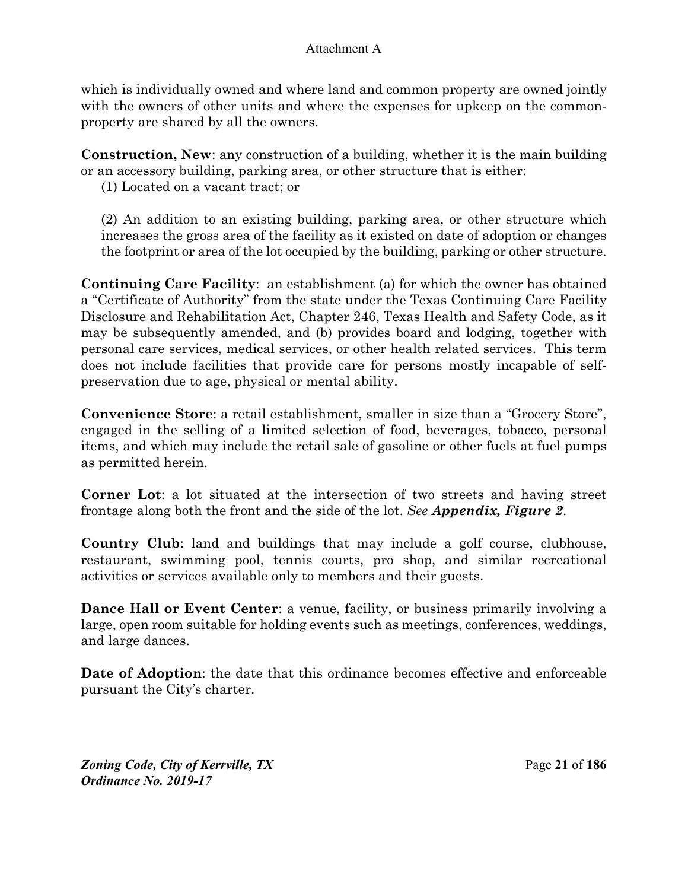which is individually owned and where land and common property are owned jointly with the owners of other units and where the expenses for upkeep on the commonproperty are shared by all the owners.

**Construction, New**: any construction of a building, whether it is the main building or an accessory building, parking area, or other structure that is either:

(1) Located on a vacant tract; or

(2) An addition to an existing building, parking area, or other structure which increases the gross area of the facility as it existed on date of adoption or changes the footprint or area of the lot occupied by the building, parking or other structure.

**Continuing Care Facility**: an establishment (a) for which the owner has obtained a "Certificate of Authority" from the state under the Texas Continuing Care Facility Disclosure and Rehabilitation Act, Chapter 246, Texas Health and Safety Code, as it may be subsequently amended, and (b) provides board and lodging, together with personal care services, medical services, or other health related services. This term does not include facilities that provide care for persons mostly incapable of selfpreservation due to age, physical or mental ability.

**Convenience Store**: a retail establishment, smaller in size than a "Grocery Store", engaged in the selling of a limited selection of food, beverages, tobacco, personal items, and which may include the retail sale of gasoline or other fuels at fuel pumps as permitted herein.

**Corner Lot**: a lot situated at the intersection of two streets and having street frontage along both the front and the side of the lot. *See Appendix, Figure 2*.

**Country Club**: land and buildings that may include a golf course, clubhouse, restaurant, swimming pool, tennis courts, pro shop, and similar recreational activities or services available only to members and their guests.

**Dance Hall or Event Center**: a venue, facility, or business primarily involving a large, open room suitable for holding events such as meetings, conferences, weddings, and large dances.

**Date of Adoption**: the date that this ordinance becomes effective and enforceable pursuant the City's charter.

*Zoning Code, City of Kerrville, TX*Page **21** of **186**  *Ordinance No. 2019-17*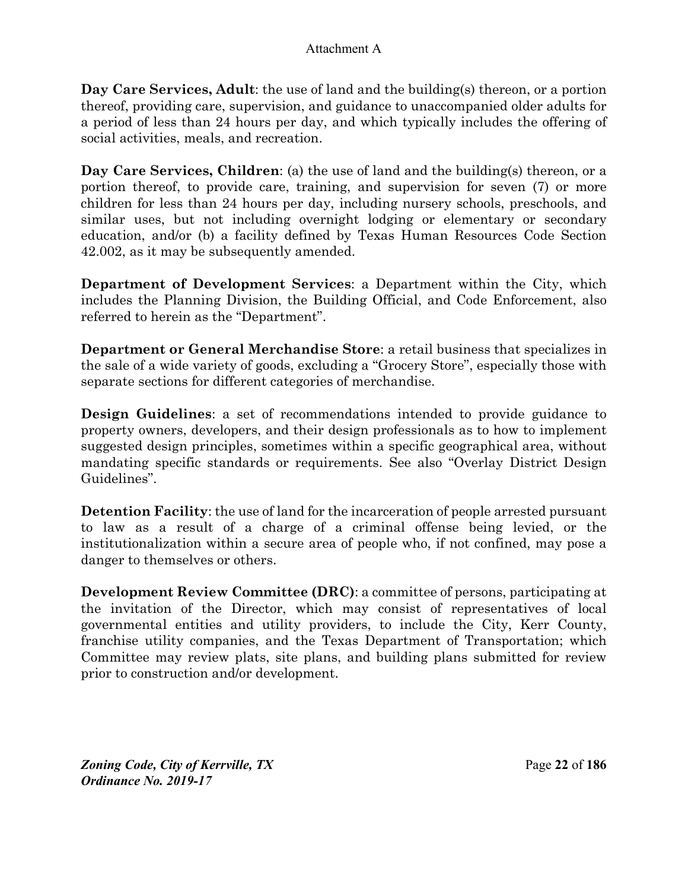**Day Care Services, Adult**: the use of land and the building(s) thereon, or a portion thereof, providing care, supervision, and guidance to unaccompanied older adults for a period of less than 24 hours per day, and which typically includes the offering of social activities, meals, and recreation.

**Day Care Services, Children**: (a) the use of land and the building(s) thereon, or a portion thereof, to provide care, training, and supervision for seven (7) or more children for less than 24 hours per day, including nursery schools, preschools, and similar uses, but not including overnight lodging or elementary or secondary education, and/or (b) a facility defined by Texas Human Resources Code Section 42.002, as it may be subsequently amended.

**Department of Development Services**: a Department within the City, which includes the Planning Division, the Building Official, and Code Enforcement, also referred to herein as the "Department".

**Department or General Merchandise Store**: a retail business that specializes in the sale of a wide variety of goods, excluding a "Grocery Store", especially those with separate sections for different categories of merchandise.

**Design Guidelines**: a set of recommendations intended to provide guidance to property owners, developers, and their design professionals as to how to implement suggested design principles, sometimes within a specific geographical area, without mandating specific standards or requirements. See also "Overlay District Design Guidelines".

**Detention Facility**: the use of land for the incarceration of people arrested pursuant to law as a result of a charge of a criminal offense being levied, or the institutionalization within a secure area of people who, if not confined, may pose a danger to themselves or others.

**Development Review Committee (DRC)**: a committee of persons, participating at the invitation of the Director, which may consist of representatives of local governmental entities and utility providers, to include the City, Kerr County, franchise utility companies, and the Texas Department of Transportation; which Committee may review plats, site plans, and building plans submitted for review prior to construction and/or development.

*Zoning Code, City of Kerrville, TX*Page **22** of **186**  *Ordinance No. 2019-17*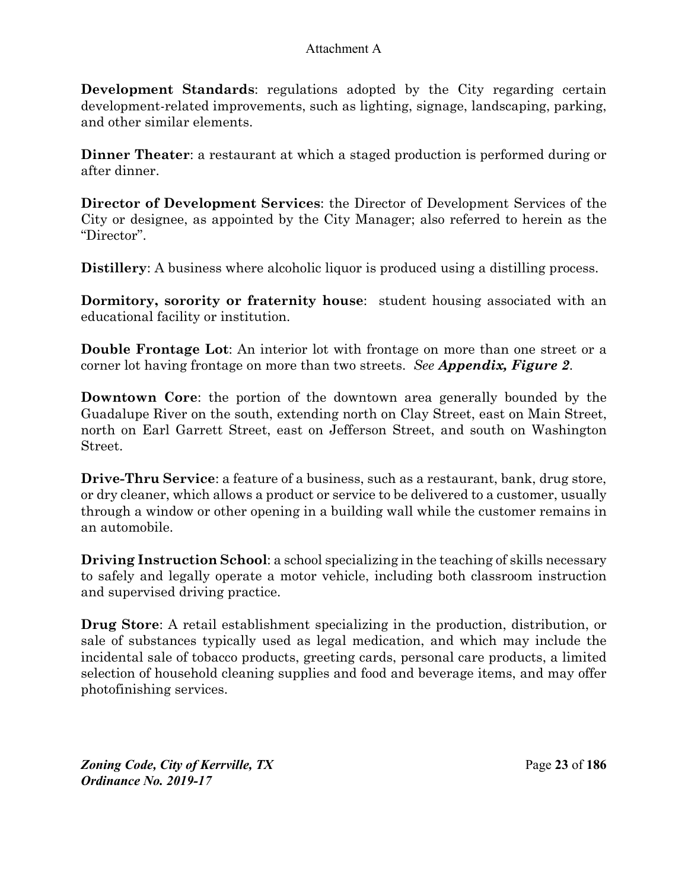**Development Standards:** regulations adopted by the City regarding certain development-related improvements, such as lighting, signage, landscaping, parking, and other similar elements.

**Dinner Theater**: a restaurant at which a staged production is performed during or after dinner.

**Director of Development Services**: the Director of Development Services of the City or designee, as appointed by the City Manager; also referred to herein as the "Director".

**Distillery:** A business where alcoholic liquor is produced using a distilling process.

**Dormitory, sorority or fraternity house**: student housing associated with an educational facility or institution.

**Double Frontage Lot**: An interior lot with frontage on more than one street or a corner lot having frontage on more than two streets. *See Appendix, Figure 2*.

**Downtown Core**: the portion of the downtown area generally bounded by the Guadalupe River on the south, extending north on Clay Street, east on Main Street, north on Earl Garrett Street, east on Jefferson Street, and south on Washington Street.

**Drive-Thru Service**: a feature of a business, such as a restaurant, bank, drug store, or dry cleaner, which allows a product or service to be delivered to a customer, usually through a window or other opening in a building wall while the customer remains in an automobile.

**Driving Instruction School:** a school specializing in the teaching of skills necessary to safely and legally operate a motor vehicle, including both classroom instruction and supervised driving practice.

**Drug Store**: A retail establishment specializing in the production, distribution, or sale of substances typically used as legal medication, and which may include the incidental sale of tobacco products, greeting cards, personal care products, a limited selection of household cleaning supplies and food and beverage items, and may offer photofinishing services.

*Zoning Code, City of Kerrville, TX*Page **23** of **186**  *Ordinance No. 2019-17*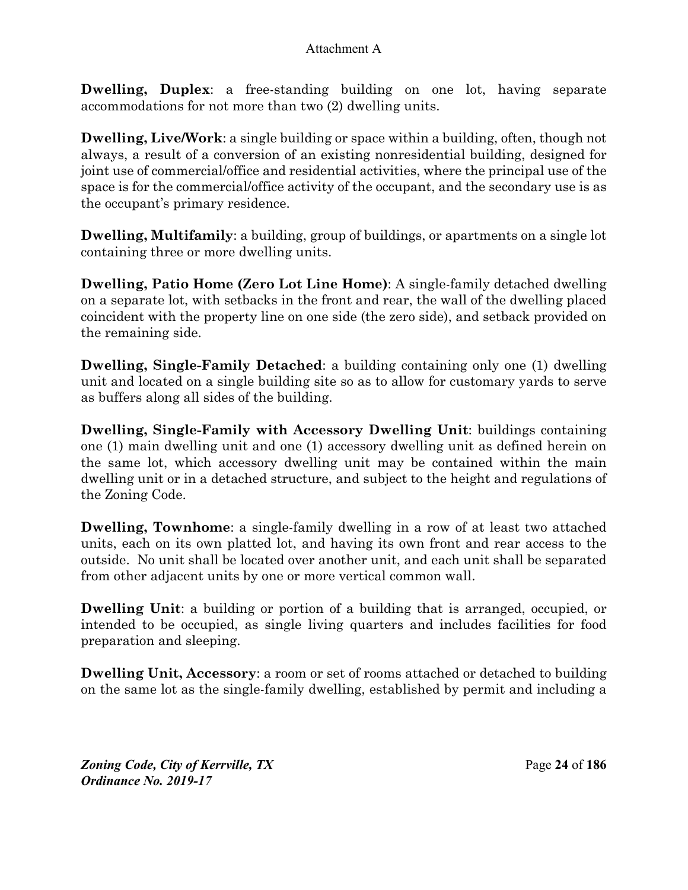**Dwelling, Duplex**: a free-standing building on one lot, having separate accommodations for not more than two (2) dwelling units.

**Dwelling, Live/Work**: a single building or space within a building, often, though not always, a result of a conversion of an existing nonresidential building, designed for joint use of commercial/office and residential activities, where the principal use of the space is for the commercial/office activity of the occupant, and the secondary use is as the occupant's primary residence.

**Dwelling, Multifamily**: a building, group of buildings, or apartments on a single lot containing three or more dwelling units.

**Dwelling, Patio Home (Zero Lot Line Home)**: A single-family detached dwelling on a separate lot, with setbacks in the front and rear, the wall of the dwelling placed coincident with the property line on one side (the zero side), and setback provided on the remaining side.

**Dwelling, Single-Family Detached:** a building containing only one (1) dwelling unit and located on a single building site so as to allow for customary yards to serve as buffers along all sides of the building.

**Dwelling, Single-Family with Accessory Dwelling Unit**: buildings containing one (1) main dwelling unit and one (1) accessory dwelling unit as defined herein on the same lot, which accessory dwelling unit may be contained within the main dwelling unit or in a detached structure, and subject to the height and regulations of the Zoning Code.

**Dwelling, Townhome**: a single-family dwelling in a row of at least two attached units, each on its own platted lot, and having its own front and rear access to the outside. No unit shall be located over another unit, and each unit shall be separated from other adjacent units by one or more vertical common wall.

**Dwelling Unit**: a building or portion of a building that is arranged, occupied, or intended to be occupied, as single living quarters and includes facilities for food preparation and sleeping.

**Dwelling Unit, Accessory**: a room or set of rooms attached or detached to building on the same lot as the single-family dwelling, established by permit and including a

*Zoning Code, City of Kerrville, TX*Page **24** of **186**  *Ordinance No. 2019-17*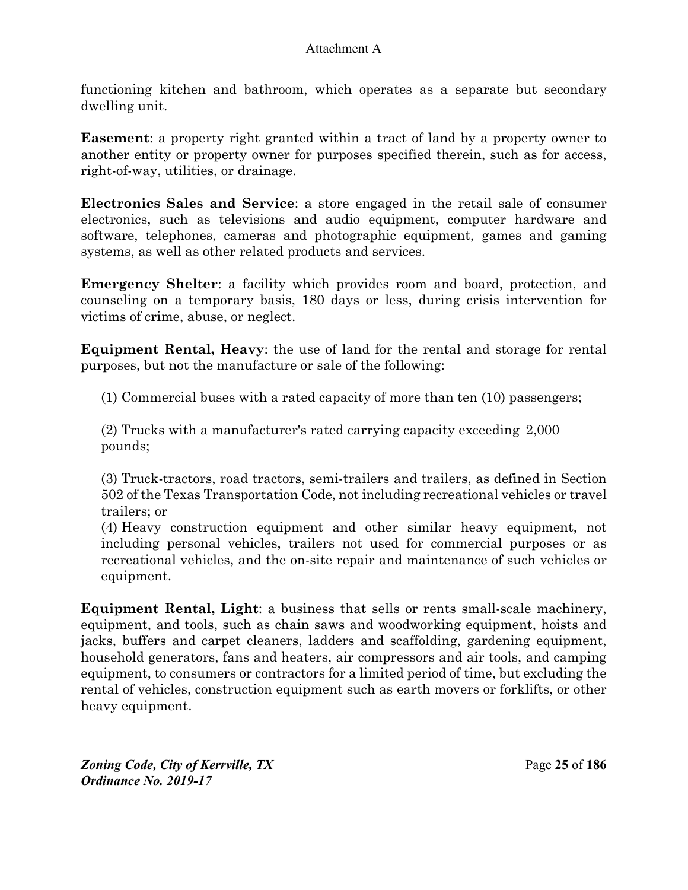functioning kitchen and bathroom, which operates as a separate but secondary dwelling unit.

**Easement**: a property right granted within a tract of land by a property owner to another entity or property owner for purposes specified therein, such as for access, right-of-way, utilities, or drainage.

**Electronics Sales and Service**: a store engaged in the retail sale of consumer electronics, such as televisions and audio equipment, computer hardware and software, telephones, cameras and photographic equipment, games and gaming systems, as well as other related products and services.

**Emergency Shelter**: a facility which provides room and board, protection, and counseling on a temporary basis, 180 days or less, during crisis intervention for victims of crime, abuse, or neglect.

**Equipment Rental, Heavy**: the use of land for the rental and storage for rental purposes, but not the manufacture or sale of the following:

(1) Commercial buses with a rated capacity of more than ten (10) passengers;

(2) Trucks with a manufacturer's rated carrying capacity exceeding 2,000 pounds;

(3) Truck-tractors, road tractors, semi-trailers and trailers, as defined in Section 502 of the Texas Transportation Code, not including recreational vehicles or travel trailers; or

(4) Heavy construction equipment and other similar heavy equipment, not including personal vehicles, trailers not used for commercial purposes or as recreational vehicles, and the on-site repair and maintenance of such vehicles or equipment.

**Equipment Rental, Light**: a business that sells or rents small-scale machinery, equipment, and tools, such as chain saws and woodworking equipment, hoists and jacks, buffers and carpet cleaners, ladders and scaffolding, gardening equipment, household generators, fans and heaters, air compressors and air tools, and camping equipment, to consumers or contractors for a limited period of time, but excluding the rental of vehicles, construction equipment such as earth movers or forklifts, or other heavy equipment.

*Zoning Code, City of Kerrville, TX*Page **25** of **186**  *Ordinance No. 2019-17*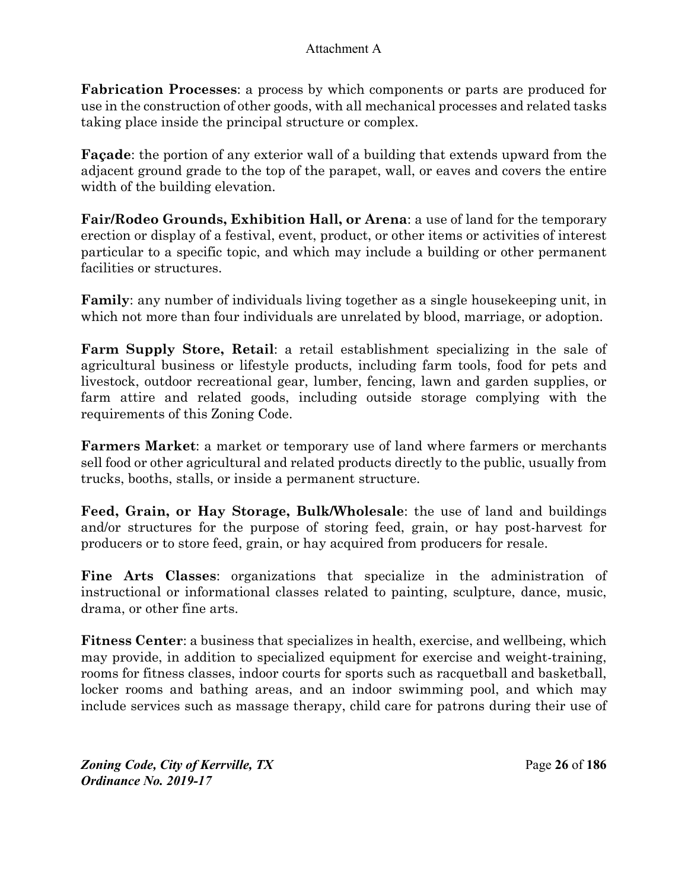**Fabrication Processes**: a process by which components or parts are produced for use in the construction of other goods, with all mechanical processes and related tasks taking place inside the principal structure or complex.

**Façade**: the portion of any exterior wall of a building that extends upward from the adjacent ground grade to the top of the parapet, wall, or eaves and covers the entire width of the building elevation.

**Fair/Rodeo Grounds, Exhibition Hall, or Arena**: a use of land for the temporary erection or display of a festival, event, product, or other items or activities of interest particular to a specific topic, and which may include a building or other permanent facilities or structures.

**Family**: any number of individuals living together as a single housekeeping unit, in which not more than four individuals are unrelated by blood, marriage, or adoption.

**Farm Supply Store, Retail**: a retail establishment specializing in the sale of agricultural business or lifestyle products, including farm tools, food for pets and livestock, outdoor recreational gear, lumber, fencing, lawn and garden supplies, or farm attire and related goods, including outside storage complying with the requirements of this Zoning Code.

**Farmers Market**: a market or temporary use of land where farmers or merchants sell food or other agricultural and related products directly to the public, usually from trucks, booths, stalls, or inside a permanent structure.

**Feed, Grain, or Hay Storage, Bulk/Wholesale**: the use of land and buildings and/or structures for the purpose of storing feed, grain, or hay post-harvest for producers or to store feed, grain, or hay acquired from producers for resale.

**Fine Arts Classes**: organizations that specialize in the administration of instructional or informational classes related to painting, sculpture, dance, music, drama, or other fine arts.

**Fitness Center**: a business that specializes in health, exercise, and wellbeing, which may provide, in addition to specialized equipment for exercise and weight-training, rooms for fitness classes, indoor courts for sports such as racquetball and basketball, locker rooms and bathing areas, and an indoor swimming pool, and which may include services such as massage therapy, child care for patrons during their use of

*Zoning Code, City of Kerrville, TX*Page **26** of **186**  *Ordinance No. 2019-17*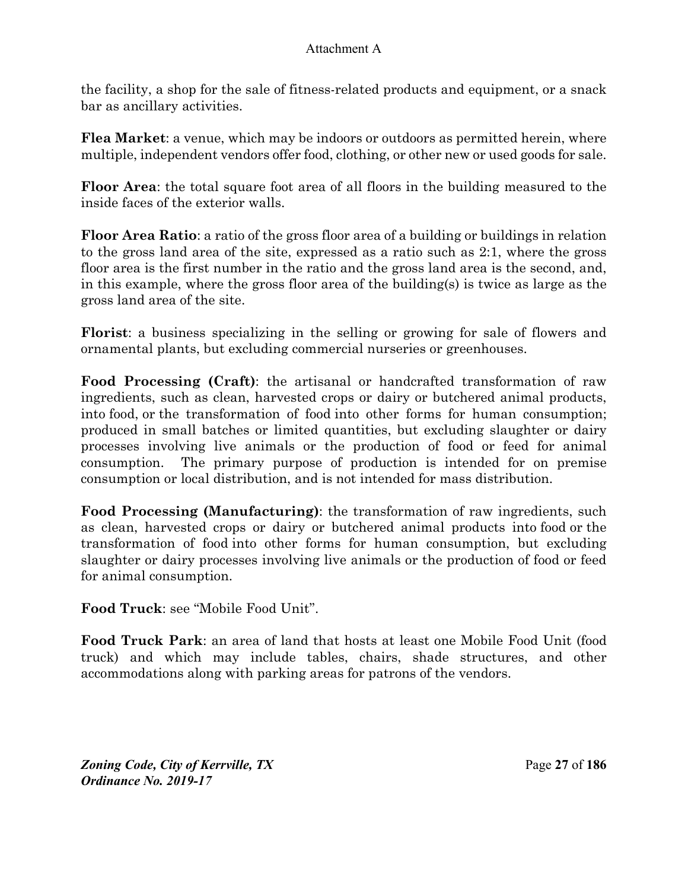the facility, a shop for the sale of fitness-related products and equipment, or a snack bar as ancillary activities.

**Flea Market**: a venue, which may be indoors or outdoors as permitted herein, where multiple, independent vendors offer food, clothing, or other new or used goods for sale.

**Floor Area**: the total square foot area of all floors in the building measured to the inside faces of the exterior walls.

**Floor Area Ratio**: a ratio of the gross floor area of a building or buildings in relation to the gross land area of the site, expressed as a ratio such as 2:1, where the gross floor area is the first number in the ratio and the gross land area is the second, and, in this example, where the gross floor area of the building(s) is twice as large as the gross land area of the site.

**Florist**: a business specializing in the selling or growing for sale of flowers and ornamental plants, but excluding commercial nurseries or greenhouses.

**Food Processing (Craft)**: the artisanal or handcrafted transformation of raw ingredients, such as clean, harvested crops or dairy or butchered animal products, into food, or the transformation of food into other forms for human consumption; produced in small batches or limited quantities, but excluding slaughter or dairy processes involving live animals or the production of food or feed for animal consumption. The primary purpose of production is intended for on premise consumption or local distribution, and is not intended for mass distribution.

**Food Processing (Manufacturing)**: the transformation of raw ingredients, such as clean, harvested crops or dairy or butchered animal products into food or the transformation of food into other forms for human consumption, but excluding slaughter or dairy processes involving live animals or the production of food or feed for animal consumption.

**Food Truck**: see "Mobile Food Unit".

**Food Truck Park**: an area of land that hosts at least one Mobile Food Unit (food truck) and which may include tables, chairs, shade structures, and other accommodations along with parking areas for patrons of the vendors.

*Zoning Code, City of Kerrville, TX*Page **27** of **186**  *Ordinance No. 2019-17*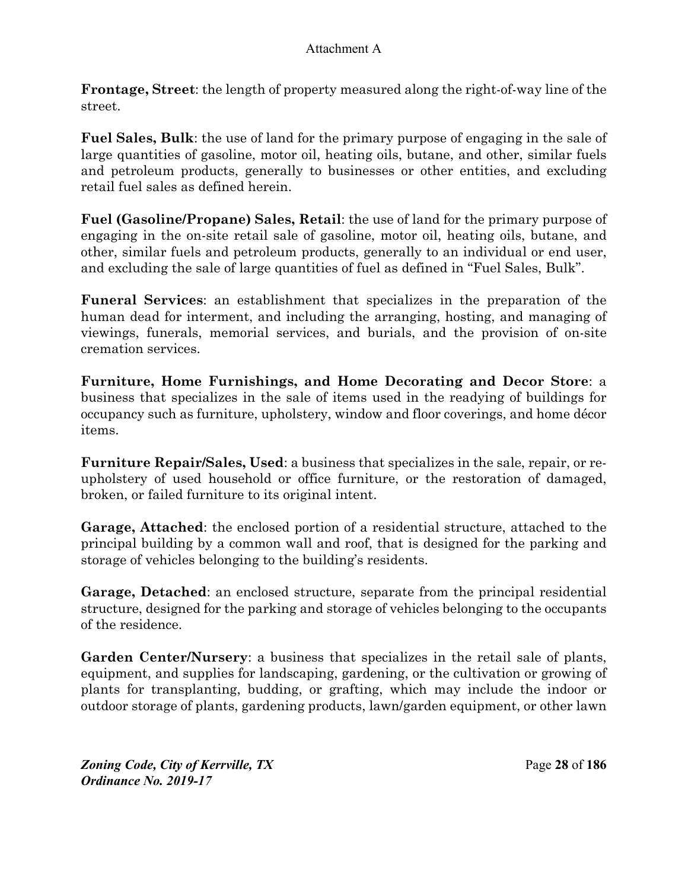**Frontage, Street**: the length of property measured along the right-of-way line of the street.

**Fuel Sales, Bulk**: the use of land for the primary purpose of engaging in the sale of large quantities of gasoline, motor oil, heating oils, butane, and other, similar fuels and petroleum products, generally to businesses or other entities, and excluding retail fuel sales as defined herein.

**Fuel (Gasoline/Propane) Sales, Retail**: the use of land for the primary purpose of engaging in the on-site retail sale of gasoline, motor oil, heating oils, butane, and other, similar fuels and petroleum products, generally to an individual or end user, and excluding the sale of large quantities of fuel as defined in "Fuel Sales, Bulk".

**Funeral Services**: an establishment that specializes in the preparation of the human dead for interment, and including the arranging, hosting, and managing of viewings, funerals, memorial services, and burials, and the provision of on-site cremation services.

**Furniture, Home Furnishings, and Home Decorating and Decor Store**: a business that specializes in the sale of items used in the readying of buildings for occupancy such as furniture, upholstery, window and floor coverings, and home décor items.

**Furniture Repair/Sales, Used**: a business that specializes in the sale, repair, or reupholstery of used household or office furniture, or the restoration of damaged, broken, or failed furniture to its original intent.

**Garage, Attached**: the enclosed portion of a residential structure, attached to the principal building by a common wall and roof, that is designed for the parking and storage of vehicles belonging to the building's residents.

**Garage, Detached**: an enclosed structure, separate from the principal residential structure, designed for the parking and storage of vehicles belonging to the occupants of the residence.

**Garden Center/Nursery**: a business that specializes in the retail sale of plants, equipment, and supplies for landscaping, gardening, or the cultivation or growing of plants for transplanting, budding, or grafting, which may include the indoor or outdoor storage of plants, gardening products, lawn/garden equipment, or other lawn

*Zoning Code, City of Kerrville, TX*Page **28** of **186**  *Ordinance No. 2019-17*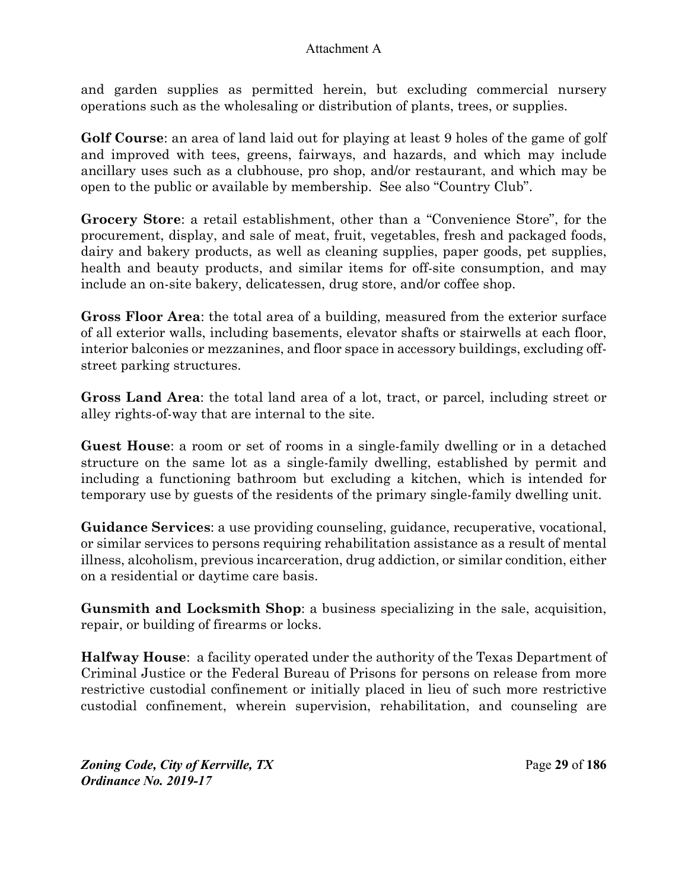and garden supplies as permitted herein, but excluding commercial nursery operations such as the wholesaling or distribution of plants, trees, or supplies.

**Golf Course**: an area of land laid out for playing at least 9 holes of the game of golf and improved with tees, greens, fairways, and hazards, and which may include ancillary uses such as a clubhouse, pro shop, and/or restaurant, and which may be open to the public or available by membership. See also "Country Club".

**Grocery Store**: a retail establishment, other than a "Convenience Store", for the procurement, display, and sale of meat, fruit, vegetables, fresh and packaged foods, dairy and bakery products, as well as cleaning supplies, paper goods, pet supplies, health and beauty products, and similar items for off-site consumption, and may include an on-site bakery, delicatessen, drug store, and/or coffee shop.

**Gross Floor Area**: the total area of a building, measured from the exterior surface of all exterior walls, including basements, elevator shafts or stairwells at each floor, interior balconies or mezzanines, and floor space in accessory buildings, excluding offstreet parking structures.

**Gross Land Area**: the total land area of a lot, tract, or parcel, including street or alley rights-of-way that are internal to the site.

**Guest House**: a room or set of rooms in a single-family dwelling or in a detached structure on the same lot as a single-family dwelling, established by permit and including a functioning bathroom but excluding a kitchen, which is intended for temporary use by guests of the residents of the primary single-family dwelling unit.

**Guidance Services**: a use providing counseling, guidance, recuperative, vocational, or similar services to persons requiring rehabilitation assistance as a result of mental illness, alcoholism, previous incarceration, drug addiction, or similar condition, either on a residential or daytime care basis.

**Gunsmith and Locksmith Shop**: a business specializing in the sale, acquisition, repair, or building of firearms or locks.

**Halfway House**: a facility operated under the authority of the Texas Department of Criminal Justice or the Federal Bureau of Prisons for persons on release from more restrictive custodial confinement or initially placed in lieu of such more restrictive custodial confinement, wherein supervision, rehabilitation, and counseling are

*Zoning Code, City of Kerrville, TX*Page **29** of **186**  *Ordinance No. 2019-17*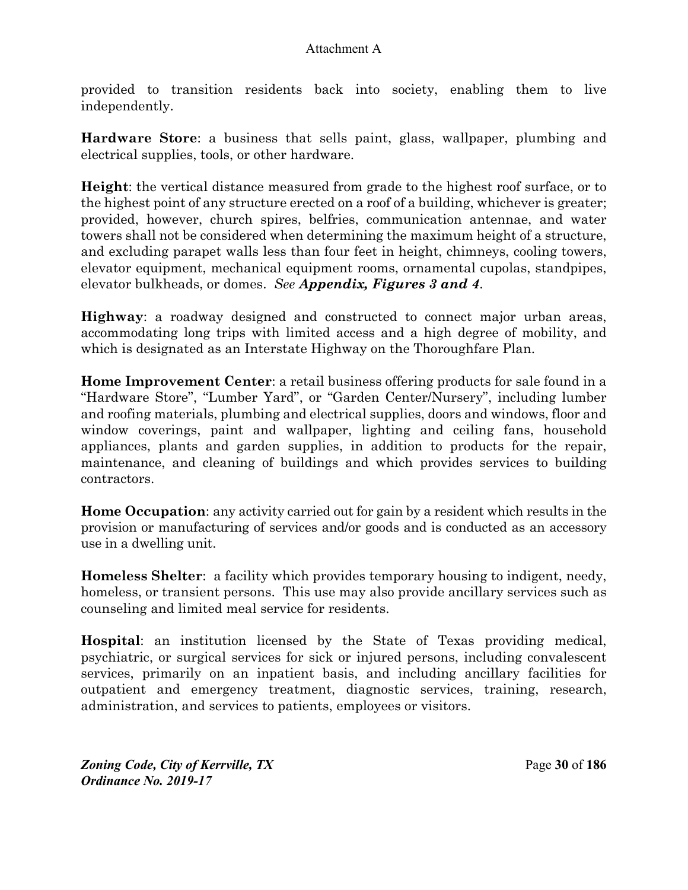provided to transition residents back into society, enabling them to live independently.

**Hardware Store**: a business that sells paint, glass, wallpaper, plumbing and electrical supplies, tools, or other hardware.

**Height**: the vertical distance measured from grade to the highest roof surface, or to the highest point of any structure erected on a roof of a building, whichever is greater; provided, however, church spires, belfries, communication antennae, and water towers shall not be considered when determining the maximum height of a structure, and excluding parapet walls less than four feet in height, chimneys, cooling towers, elevator equipment, mechanical equipment rooms, ornamental cupolas, standpipes, elevator bulkheads, or domes. *See Appendix, Figures 3 and 4*.

**Highway**: a roadway designed and constructed to connect major urban areas, accommodating long trips with limited access and a high degree of mobility, and which is designated as an Interstate Highway on the Thoroughfare Plan.

**Home Improvement Center**: a retail business offering products for sale found in a "Hardware Store", "Lumber Yard", or "Garden Center/Nursery", including lumber and roofing materials, plumbing and electrical supplies, doors and windows, floor and window coverings, paint and wallpaper, lighting and ceiling fans, household appliances, plants and garden supplies, in addition to products for the repair, maintenance, and cleaning of buildings and which provides services to building contractors.

**Home Occupation**: any activity carried out for gain by a resident which results in the provision or manufacturing of services and/or goods and is conducted as an accessory use in a dwelling unit.

**Homeless Shelter**: a facility which provides temporary housing to indigent, needy, homeless, or transient persons. This use may also provide ancillary services such as counseling and limited meal service for residents.

**Hospital**: an institution licensed by the State of Texas providing medical, psychiatric, or surgical services for sick or injured persons, including convalescent services, primarily on an inpatient basis, and including ancillary facilities for outpatient and emergency treatment, diagnostic services, training, research, administration, and services to patients, employees or visitors.

*Zoning Code, City of Kerrville, TX*Page **30** of **186**  *Ordinance No. 2019-17*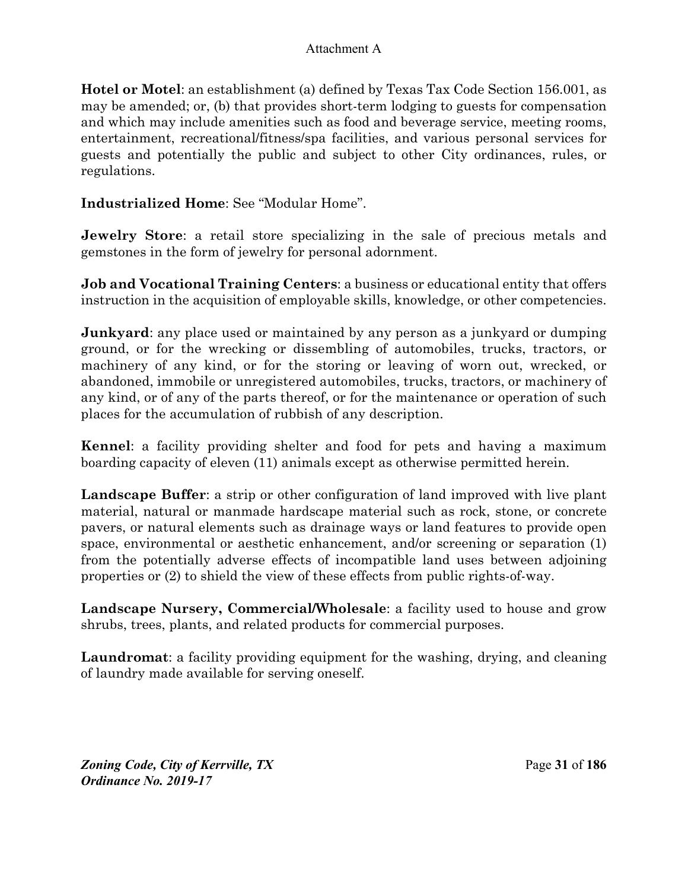**Hotel or Motel**: an establishment (a) defined by Texas Tax Code Section 156.001, as may be amended; or, (b) that provides short-term lodging to guests for compensation and which may include amenities such as food and beverage service, meeting rooms, entertainment, recreational/fitness/spa facilities, and various personal services for guests and potentially the public and subject to other City ordinances, rules, or regulations.

**Industrialized Home**: See "Modular Home".

**Jewelry Store**: a retail store specializing in the sale of precious metals and gemstones in the form of jewelry for personal adornment.

**Job and Vocational Training Centers**: a business or educational entity that offers instruction in the acquisition of employable skills, knowledge, or other competencies.

**Junkyard**: any place used or maintained by any person as a junkyard or dumping ground, or for the wrecking or dissembling of automobiles, trucks, tractors, or machinery of any kind, or for the storing or leaving of worn out, wrecked, or abandoned, immobile or unregistered automobiles, trucks, tractors, or machinery of any kind, or of any of the parts thereof, or for the maintenance or operation of such places for the accumulation of rubbish of any description.

**Kennel**: a facility providing shelter and food for pets and having a maximum boarding capacity of eleven (11) animals except as otherwise permitted herein.

**Landscape Buffer**: a strip or other configuration of land improved with live plant material, natural or manmade hardscape material such as rock, stone, or concrete pavers, or natural elements such as drainage ways or land features to provide open space, environmental or aesthetic enhancement, and/or screening or separation (1) from the potentially adverse effects of incompatible land uses between adjoining properties or (2) to shield the view of these effects from public rights-of-way.

**Landscape Nursery, Commercial/Wholesale**: a facility used to house and grow shrubs, trees, plants, and related products for commercial purposes.

**Laundromat**: a facility providing equipment for the washing, drying, and cleaning of laundry made available for serving oneself.

*Zoning Code, City of Kerrville, TX*Page **31** of **186**  *Ordinance No. 2019-17*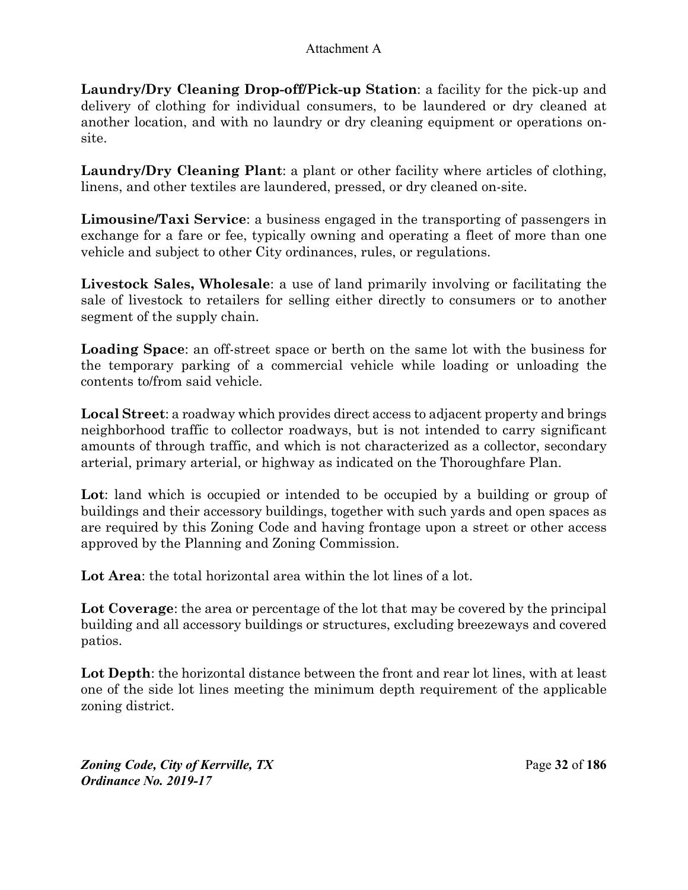**Laundry/Dry Cleaning Drop-off/Pick-up Station**: a facility for the pick-up and delivery of clothing for individual consumers, to be laundered or dry cleaned at another location, and with no laundry or dry cleaning equipment or operations onsite.

**Laundry/Dry Cleaning Plant**: a plant or other facility where articles of clothing, linens, and other textiles are laundered, pressed, or dry cleaned on-site.

**Limousine/Taxi Service**: a business engaged in the transporting of passengers in exchange for a fare or fee, typically owning and operating a fleet of more than one vehicle and subject to other City ordinances, rules, or regulations.

**Livestock Sales, Wholesale**: a use of land primarily involving or facilitating the sale of livestock to retailers for selling either directly to consumers or to another segment of the supply chain.

**Loading Space**: an off-street space or berth on the same lot with the business for the temporary parking of a commercial vehicle while loading or unloading the contents to/from said vehicle.

**Local Street**: a roadway which provides direct access to adjacent property and brings neighborhood traffic to collector roadways, but is not intended to carry significant amounts of through traffic, and which is not characterized as a collector, secondary arterial, primary arterial, or highway as indicated on the Thoroughfare Plan.

Lot: land which is occupied or intended to be occupied by a building or group of buildings and their accessory buildings, together with such yards and open spaces as are required by this Zoning Code and having frontage upon a street or other access approved by the Planning and Zoning Commission.

Lot Area: the total horizontal area within the lot lines of a lot.

**Lot Coverage**: the area or percentage of the lot that may be covered by the principal building and all accessory buildings or structures, excluding breezeways and covered patios.

Lot Depth: the horizontal distance between the front and rear lot lines, with at least one of the side lot lines meeting the minimum depth requirement of the applicable zoning district.

*Zoning Code, City of Kerrville, TX*Page **32** of **186**  *Ordinance No. 2019-17*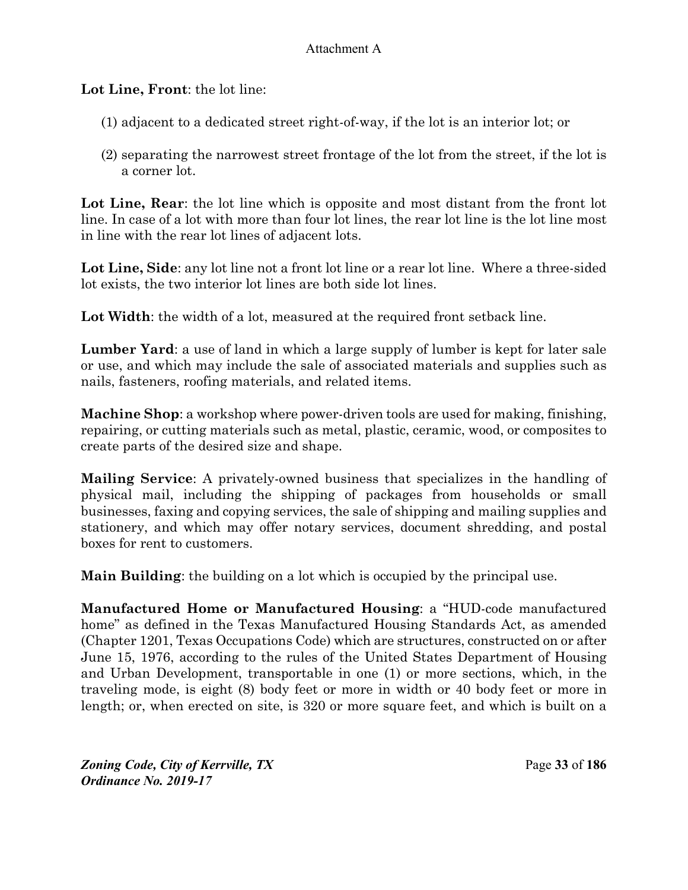**Lot Line, Front**: the lot line:

- (1) adjacent to a dedicated street right-of-way, if the lot is an interior lot; or
- (2) separating the narrowest street frontage of the lot from the street, if the lot is a corner lot.

**Lot Line, Rear**: the lot line which is opposite and most distant from the front lot line. In case of a lot with more than four lot lines, the rear lot line is the lot line most in line with the rear lot lines of adjacent lots.

**Lot Line, Side**: any lot line not a front lot line or a rear lot line. Where a three-sided lot exists, the two interior lot lines are both side lot lines.

Lot Width: the width of a lot, measured at the required front setback line.

**Lumber Yard**: a use of land in which a large supply of lumber is kept for later sale or use, and which may include the sale of associated materials and supplies such as nails, fasteners, roofing materials, and related items.

**Machine Shop**: a workshop where power-driven tools are used for making, finishing, repairing, or cutting materials such as metal, plastic, ceramic, wood, or composites to create parts of the desired size and shape.

**Mailing Service**: A privately-owned business that specializes in the handling of physical mail, including the shipping of packages from households or small businesses, faxing and copying services, the sale of shipping and mailing supplies and stationery, and which may offer notary services, document shredding, and postal boxes for rent to customers.

**Main Building**: the building on a lot which is occupied by the principal use.

**Manufactured Home or Manufactured Housing**: a "HUD-code manufactured home" as defined in the Texas Manufactured Housing Standards Act, as amended (Chapter 1201, Texas Occupations Code) which are structures, constructed on or after June 15, 1976, according to the rules of the United States Department of Housing and Urban Development, transportable in one (1) or more sections, which, in the traveling mode, is eight (8) body feet or more in width or 40 body feet or more in length; or, when erected on site, is 320 or more square feet, and which is built on a

*Zoning Code, City of Kerrville, TX*Page **33** of **186**  *Ordinance No. 2019-17*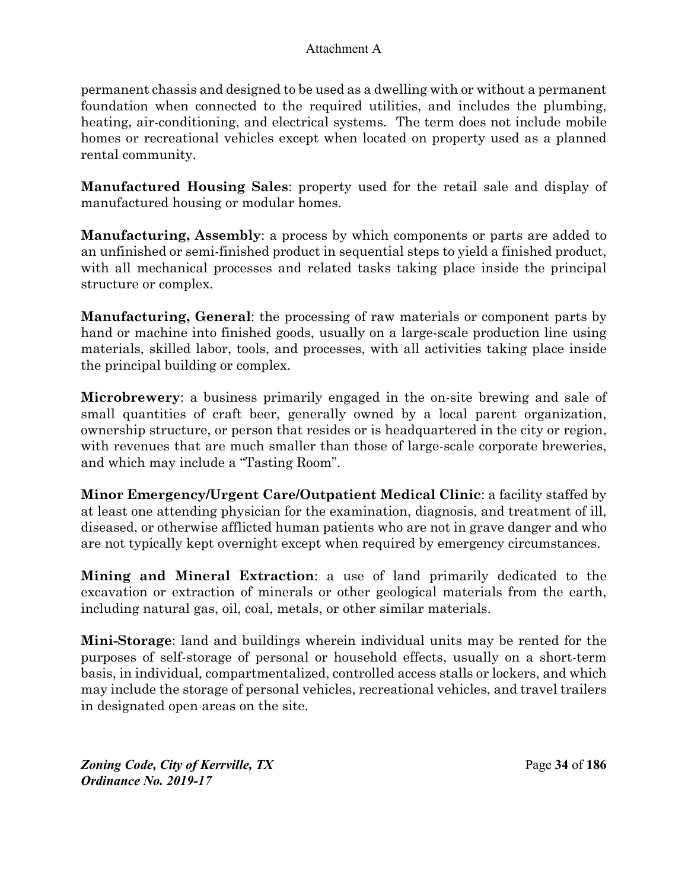permanent chassis and designed to be used as a dwelling with or without a permanent foundation when connected to the required utilities, and includes the plumbing, heating, air-conditioning, and electrical systems. The term does not include mobile homes or recreational vehicles except when located on property used as a planned rental community.

**Manufactured Housing Sales**: property used for the retail sale and display of manufactured housing or modular homes.

**Manufacturing, Assembly**: a process by which components or parts are added to an unfinished or semi-finished product in sequential steps to yield a finished product, with all mechanical processes and related tasks taking place inside the principal structure or complex.

**Manufacturing, General**: the processing of raw materials or component parts by hand or machine into finished goods, usually on a large-scale production line using materials, skilled labor, tools, and processes, with all activities taking place inside the principal building or complex.

**Microbrewery**: a business primarily engaged in the on-site brewing and sale of small quantities of craft beer, generally owned by a local parent organization, ownership structure, or person that resides or is headquartered in the city or region, with revenues that are much smaller than those of large-scale corporate breweries, and which may include a "Tasting Room".

**Minor Emergency/Urgent Care/Outpatient Medical Clinic**: a facility staffed by at least one attending physician for the examination, diagnosis, and treatment of ill, diseased, or otherwise afflicted human patients who are not in grave danger and who are not typically kept overnight except when required by emergency circumstances.

**Mining and Mineral Extraction**: a use of land primarily dedicated to the excavation or extraction of minerals or other geological materials from the earth, including natural gas, oil, coal, metals, or other similar materials.

**Mini-Storage**: land and buildings wherein individual units may be rented for the purposes of self-storage of personal or household effects, usually on a short-term basis, in individual, compartmentalized, controlled access stalls or lockers, and which may include the storage of personal vehicles, recreational vehicles, and travel trailers in designated open areas on the site.

*Zoning Code, City of Kerrville, TX*Page **34** of **186**  *Ordinance No. 2019-17*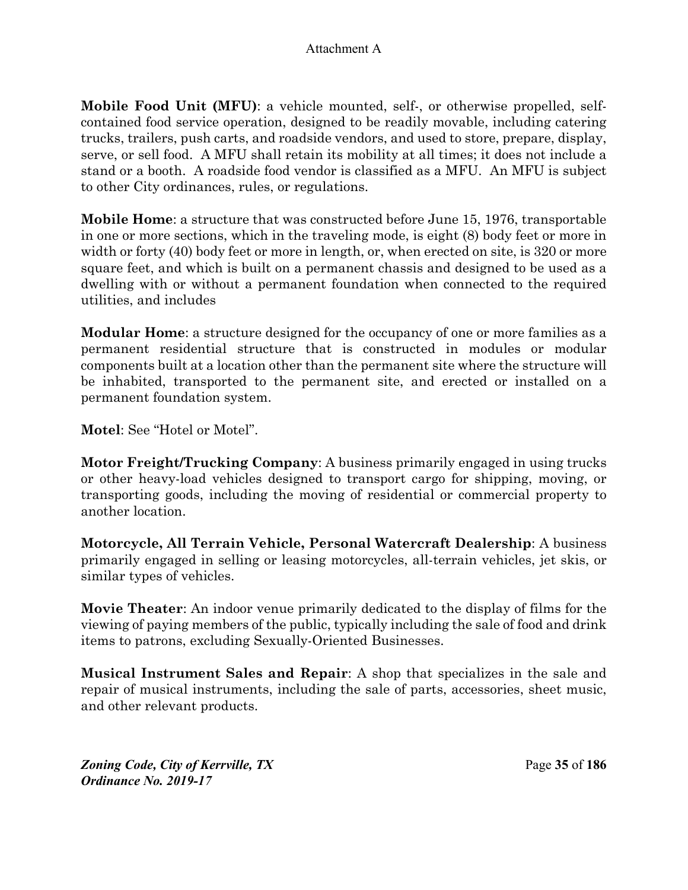**Mobile Food Unit (MFU)**: a vehicle mounted, self-, or otherwise propelled, selfcontained food service operation, designed to be readily movable, including catering trucks, trailers, push carts, and roadside vendors, and used to store, prepare, display, serve, or sell food. A MFU shall retain its mobility at all times; it does not include a stand or a booth. A roadside food vendor is classified as a MFU. An MFU is subject to other City ordinances, rules, or regulations.

**Mobile Home**: a structure that was constructed before June 15, 1976, transportable in one or more sections, which in the traveling mode, is eight (8) body feet or more in width or forty (40) body feet or more in length, or, when erected on site, is 320 or more square feet, and which is built on a permanent chassis and designed to be used as a dwelling with or without a permanent foundation when connected to the required utilities, and includes

**Modular Home**: a structure designed for the occupancy of one or more families as a permanent residential structure that is constructed in modules or modular components built at a location other than the permanent site where the structure will be inhabited, transported to the permanent site, and erected or installed on a permanent foundation system.

**Motel**: See "Hotel or Motel".

**Motor Freight/Trucking Company**: A business primarily engaged in using trucks or other heavy-load vehicles designed to transport cargo for shipping, moving, or transporting goods, including the moving of residential or commercial property to another location.

**Motorcycle, All Terrain Vehicle, Personal Watercraft Dealership**: A business primarily engaged in selling or leasing motorcycles, all-terrain vehicles, jet skis, or similar types of vehicles.

**Movie Theater**: An indoor venue primarily dedicated to the display of films for the viewing of paying members of the public, typically including the sale of food and drink items to patrons, excluding Sexually-Oriented Businesses.

**Musical Instrument Sales and Repair**: A shop that specializes in the sale and repair of musical instruments, including the sale of parts, accessories, sheet music, and other relevant products.

*Zoning Code, City of Kerrville, TX*Page **35** of **186**  *Ordinance No. 2019-17*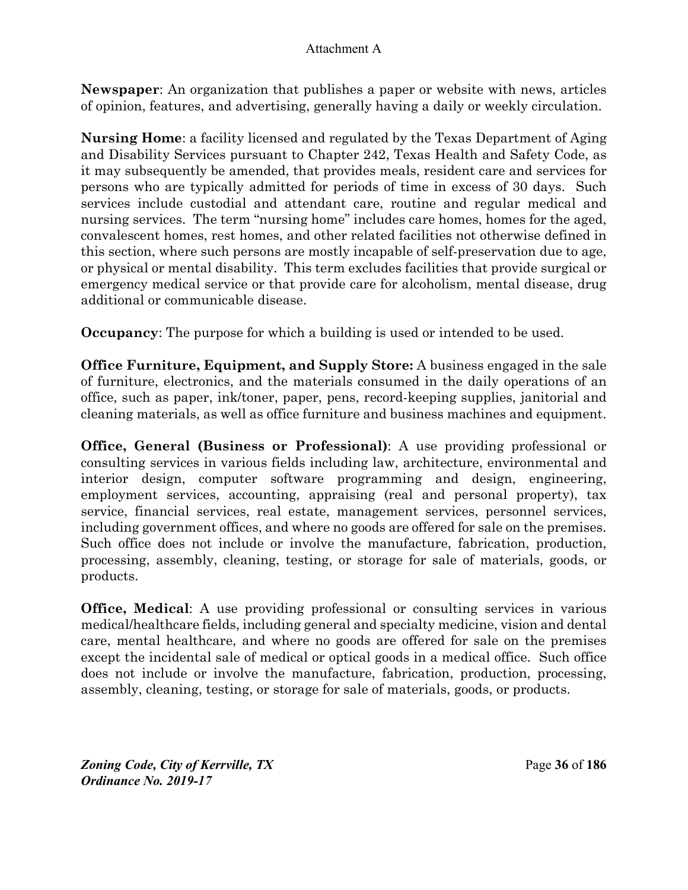**Newspaper**: An organization that publishes a paper or website with news, articles of opinion, features, and advertising, generally having a daily or weekly circulation.

**Nursing Home**: a facility licensed and regulated by the Texas Department of Aging and Disability Services pursuant to Chapter 242, Texas Health and Safety Code, as it may subsequently be amended, that provides meals, resident care and services for persons who are typically admitted for periods of time in excess of 30 days. Such services include custodial and attendant care, routine and regular medical and nursing services. The term "nursing home" includes care homes, homes for the aged, convalescent homes, rest homes, and other related facilities not otherwise defined in this section, where such persons are mostly incapable of self-preservation due to age, or physical or mental disability. This term excludes facilities that provide surgical or emergency medical service or that provide care for alcoholism, mental disease, drug additional or communicable disease.

**Occupancy:** The purpose for which a building is used or intended to be used.

**Office Furniture, Equipment, and Supply Store:** A business engaged in the sale of furniture, electronics, and the materials consumed in the daily operations of an office, such as paper, ink/toner, paper, pens, record-keeping supplies, janitorial and cleaning materials, as well as office furniture and business machines and equipment.

**Office, General (Business or Professional)**: A use providing professional or consulting services in various fields including law, architecture, environmental and interior design, computer software programming and design, engineering, employment services, accounting, appraising (real and personal property), tax service, financial services, real estate, management services, personnel services, including government offices, and where no goods are offered for sale on the premises. Such office does not include or involve the manufacture, fabrication, production, processing, assembly, cleaning, testing, or storage for sale of materials, goods, or products.

**Office, Medical**: A use providing professional or consulting services in various medical/healthcare fields, including general and specialty medicine, vision and dental care, mental healthcare, and where no goods are offered for sale on the premises except the incidental sale of medical or optical goods in a medical office. Such office does not include or involve the manufacture, fabrication, production, processing, assembly, cleaning, testing, or storage for sale of materials, goods, or products.

*Zoning Code, City of Kerrville, TX*Page **36** of **186**  *Ordinance No. 2019-17*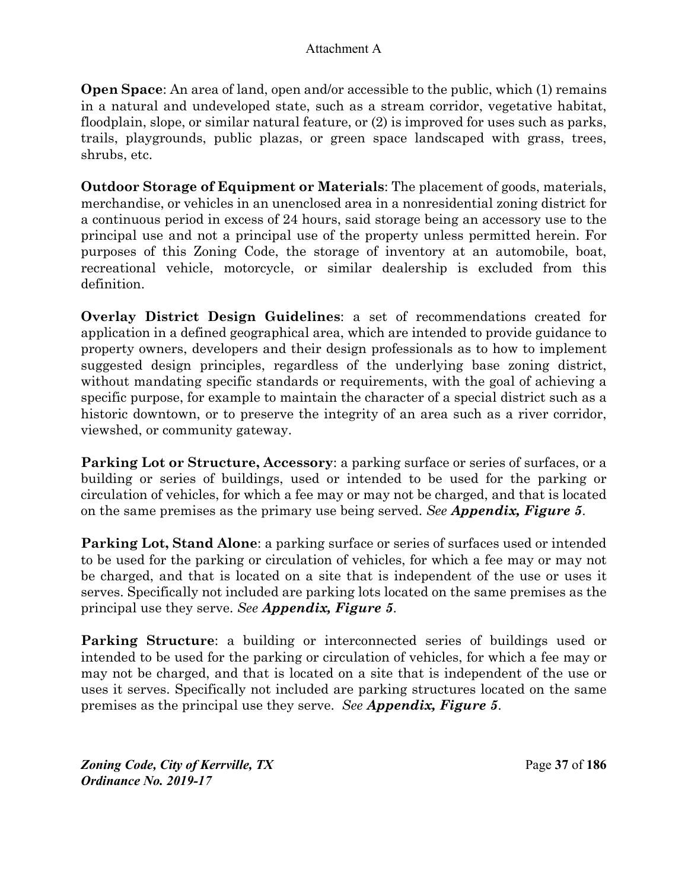**Open Space:** An area of land, open and/or accessible to the public, which (1) remains in a natural and undeveloped state, such as a stream corridor, vegetative habitat, floodplain, slope, or similar natural feature, or (2) is improved for uses such as parks, trails, playgrounds, public plazas, or green space landscaped with grass, trees, shrubs, etc.

**Outdoor Storage of Equipment or Materials**: The placement of goods, materials, merchandise, or vehicles in an unenclosed area in a nonresidential zoning district for a continuous period in excess of 24 hours, said storage being an accessory use to the principal use and not a principal use of the property unless permitted herein. For purposes of this Zoning Code, the storage of inventory at an automobile, boat, recreational vehicle, motorcycle, or similar dealership is excluded from this definition.

**Overlay District Design Guidelines**: a set of recommendations created for application in a defined geographical area, which are intended to provide guidance to property owners, developers and their design professionals as to how to implement suggested design principles, regardless of the underlying base zoning district, without mandating specific standards or requirements, with the goal of achieving a specific purpose, for example to maintain the character of a special district such as a historic downtown, or to preserve the integrity of an area such as a river corridor, viewshed, or community gateway.

**Parking Lot or Structure, Accessory**: a parking surface or series of surfaces, or a building or series of buildings, used or intended to be used for the parking or circulation of vehicles, for which a fee may or may not be charged, and that is located on the same premises as the primary use being served. *See Appendix, Figure 5*.

**Parking Lot, Stand Alone**: a parking surface or series of surfaces used or intended to be used for the parking or circulation of vehicles, for which a fee may or may not be charged, and that is located on a site that is independent of the use or uses it serves. Specifically not included are parking lots located on the same premises as the principal use they serve. *See Appendix, Figure 5*.

**Parking Structure**: a building or interconnected series of buildings used or intended to be used for the parking or circulation of vehicles, for which a fee may or may not be charged, and that is located on a site that is independent of the use or uses it serves. Specifically not included are parking structures located on the same premises as the principal use they serve. *See Appendix, Figure 5*.

*Zoning Code, City of Kerrville, TX*Page **37** of **186**  *Ordinance No. 2019-17*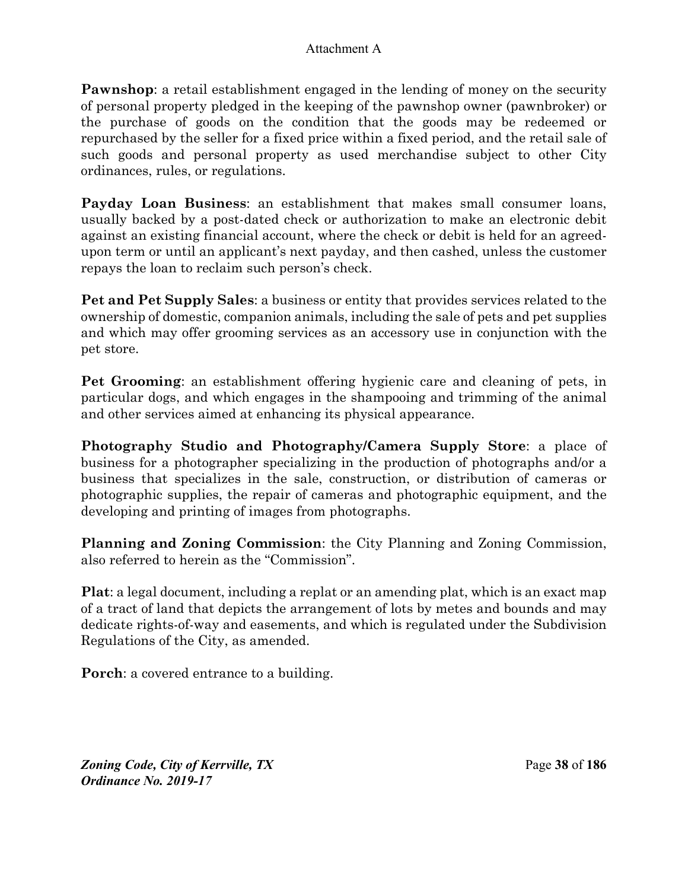**Pawnshop**: a retail establishment engaged in the lending of money on the security of personal property pledged in the keeping of the pawnshop owner (pawnbroker) or the purchase of goods on the condition that the goods may be redeemed or repurchased by the seller for a fixed price within a fixed period, and the retail sale of such goods and personal property as used merchandise subject to other City ordinances, rules, or regulations.

**Payday Loan Business**: an establishment that makes small consumer loans, usually backed by a post-dated check or authorization to make an electronic debit against an existing financial account, where the check or debit is held for an agreedupon term or until an applicant's next payday, and then cashed, unless the customer repays the loan to reclaim such person's check.

**Pet and Pet Supply Sales**: a business or entity that provides services related to the ownership of domestic, companion animals, including the sale of pets and pet supplies and which may offer grooming services as an accessory use in conjunction with the pet store.

**Pet Grooming**: an establishment offering hygienic care and cleaning of pets, in particular dogs, and which engages in the shampooing and trimming of the animal and other services aimed at enhancing its physical appearance.

**Photography Studio and Photography/Camera Supply Store**: a place of business for a photographer specializing in the production of photographs and/or a business that specializes in the sale, construction, or distribution of cameras or photographic supplies, the repair of cameras and photographic equipment, and the developing and printing of images from photographs.

**Planning and Zoning Commission**: the City Planning and Zoning Commission, also referred to herein as the "Commission".

**Plat**: a legal document, including a replat or an amending plat, which is an exact map of a tract of land that depicts the arrangement of lots by metes and bounds and may dedicate rights-of-way and easements, and which is regulated under the Subdivision Regulations of the City, as amended.

**Porch**: a covered entrance to a building.

*Zoning Code, City of Kerrville, TX*Page **38** of **186**  *Ordinance No. 2019-17*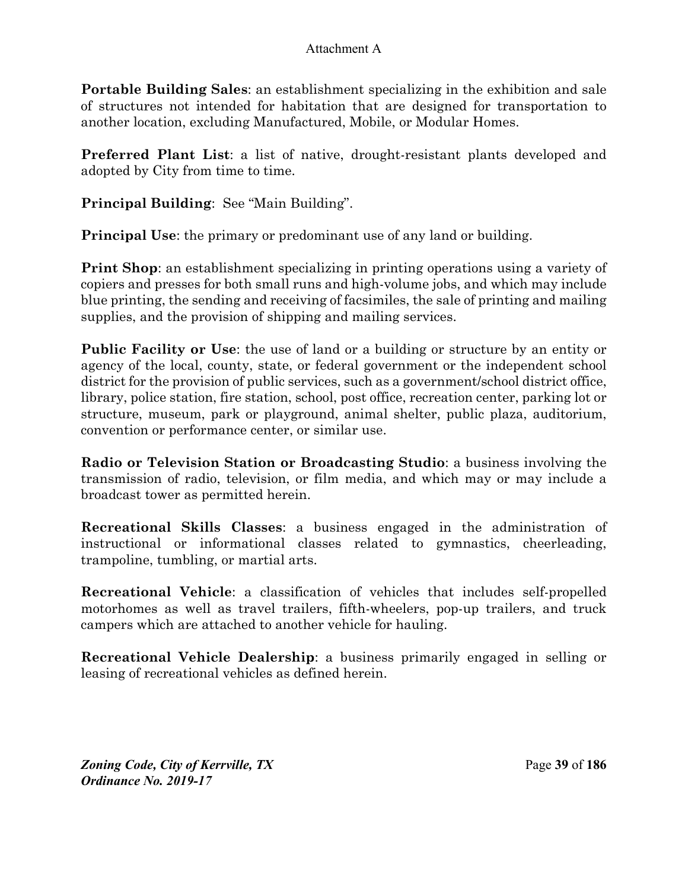**Portable Building Sales**: an establishment specializing in the exhibition and sale of structures not intended for habitation that are designed for transportation to another location, excluding Manufactured, Mobile, or Modular Homes.

**Preferred Plant List**: a list of native, drought-resistant plants developed and adopted by City from time to time.

**Principal Building**: See "Main Building".

**Principal Use**: the primary or predominant use of any land or building.

**Print Shop**: an establishment specializing in printing operations using a variety of copiers and presses for both small runs and high-volume jobs, and which may include blue printing, the sending and receiving of facsimiles, the sale of printing and mailing supplies, and the provision of shipping and mailing services.

**Public Facility or Use**: the use of land or a building or structure by an entity or agency of the local, county, state, or federal government or the independent school district for the provision of public services, such as a government/school district office, library, police station, fire station, school, post office, recreation center, parking lot or structure, museum, park or playground, animal shelter, public plaza, auditorium, convention or performance center, or similar use.

**Radio or Television Station or Broadcasting Studio**: a business involving the transmission of radio, television, or film media, and which may or may include a broadcast tower as permitted herein.

**Recreational Skills Classes**: a business engaged in the administration of instructional or informational classes related to gymnastics, cheerleading, trampoline, tumbling, or martial arts.

**Recreational Vehicle**: a classification of vehicles that includes self-propelled motorhomes as well as travel trailers, fifth-wheelers, pop-up trailers, and truck campers which are attached to another vehicle for hauling.

**Recreational Vehicle Dealership**: a business primarily engaged in selling or leasing of recreational vehicles as defined herein.

*Zoning Code, City of Kerrville, TX*Page **39** of **186**  *Ordinance No. 2019-17*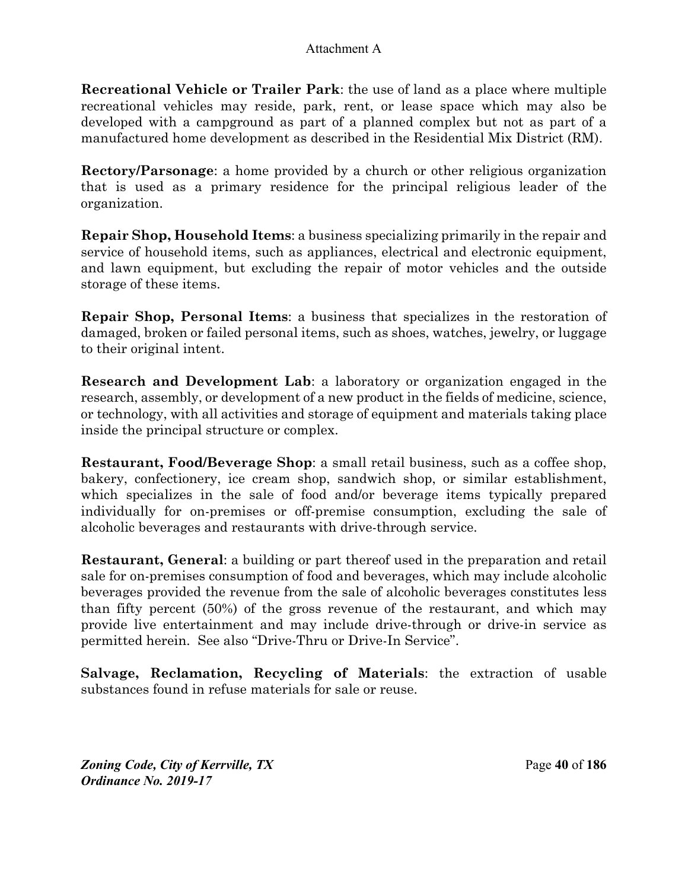**Recreational Vehicle or Trailer Park**: the use of land as a place where multiple recreational vehicles may reside, park, rent, or lease space which may also be developed with a campground as part of a planned complex but not as part of a manufactured home development as described in the Residential Mix District (RM).

**Rectory/Parsonage**: a home provided by a church or other religious organization that is used as a primary residence for the principal religious leader of the organization.

**Repair Shop, Household Items**: a business specializing primarily in the repair and service of household items, such as appliances, electrical and electronic equipment, and lawn equipment, but excluding the repair of motor vehicles and the outside storage of these items.

**Repair Shop, Personal Items**: a business that specializes in the restoration of damaged, broken or failed personal items, such as shoes, watches, jewelry, or luggage to their original intent.

**Research and Development Lab**: a laboratory or organization engaged in the research, assembly, or development of a new product in the fields of medicine, science, or technology, with all activities and storage of equipment and materials taking place inside the principal structure or complex.

**Restaurant, Food/Beverage Shop**: a small retail business, such as a coffee shop, bakery, confectionery, ice cream shop, sandwich shop, or similar establishment, which specializes in the sale of food and/or beverage items typically prepared individually for on-premises or off-premise consumption, excluding the sale of alcoholic beverages and restaurants with drive-through service.

**Restaurant, General**: a building or part thereof used in the preparation and retail sale for on-premises consumption of food and beverages, which may include alcoholic beverages provided the revenue from the sale of alcoholic beverages constitutes less than fifty percent (50%) of the gross revenue of the restaurant, and which may provide live entertainment and may include drive-through or drive-in service as permitted herein. See also "Drive-Thru or Drive-In Service".

**Salvage, Reclamation, Recycling of Materials**: the extraction of usable substances found in refuse materials for sale or reuse.

*Zoning Code, City of Kerrville, TX*Page **40** of **186**  *Ordinance No. 2019-17*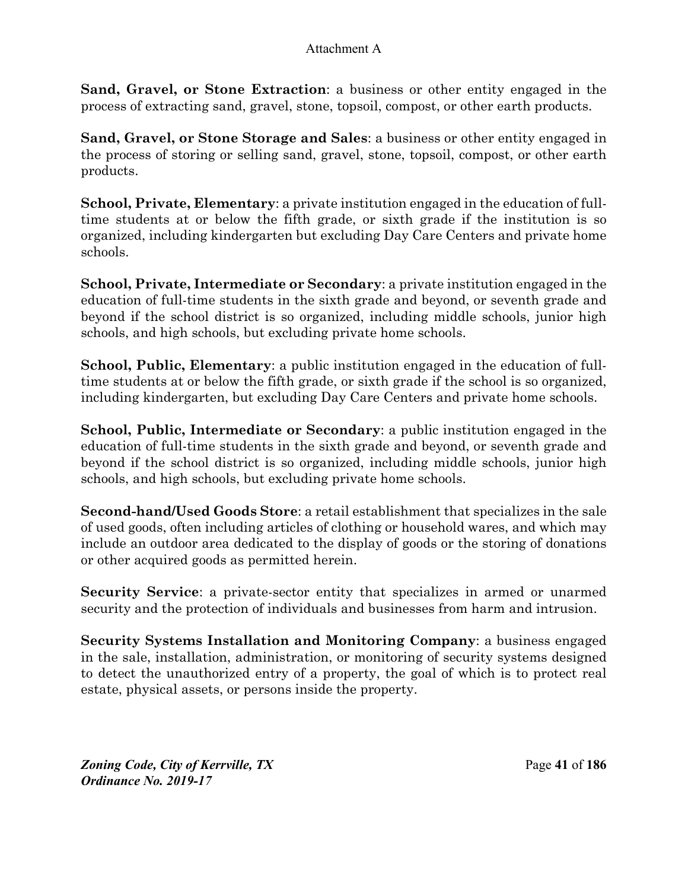**Sand, Gravel, or Stone Extraction**: a business or other entity engaged in the process of extracting sand, gravel, stone, topsoil, compost, or other earth products.

**Sand, Gravel, or Stone Storage and Sales**: a business or other entity engaged in the process of storing or selling sand, gravel, stone, topsoil, compost, or other earth products.

**School, Private, Elementary**: a private institution engaged in the education of fulltime students at or below the fifth grade, or sixth grade if the institution is so organized, including kindergarten but excluding Day Care Centers and private home schools.

**School, Private, Intermediate or Secondary**: a private institution engaged in the education of full-time students in the sixth grade and beyond, or seventh grade and beyond if the school district is so organized, including middle schools, junior high schools, and high schools, but excluding private home schools.

**School, Public, Elementary**: a public institution engaged in the education of fulltime students at or below the fifth grade, or sixth grade if the school is so organized, including kindergarten, but excluding Day Care Centers and private home schools.

**School, Public, Intermediate or Secondary**: a public institution engaged in the education of full-time students in the sixth grade and beyond, or seventh grade and beyond if the school district is so organized, including middle schools, junior high schools, and high schools, but excluding private home schools.

**Second-hand/Used Goods Store**: a retail establishment that specializes in the sale of used goods, often including articles of clothing or household wares, and which may include an outdoor area dedicated to the display of goods or the storing of donations or other acquired goods as permitted herein.

**Security Service**: a private-sector entity that specializes in armed or unarmed security and the protection of individuals and businesses from harm and intrusion.

**Security Systems Installation and Monitoring Company**: a business engaged in the sale, installation, administration, or monitoring of security systems designed to detect the unauthorized entry of a property, the goal of which is to protect real estate, physical assets, or persons inside the property.

*Zoning Code, City of Kerrville, TX*Page **41** of **186**  *Ordinance No. 2019-17*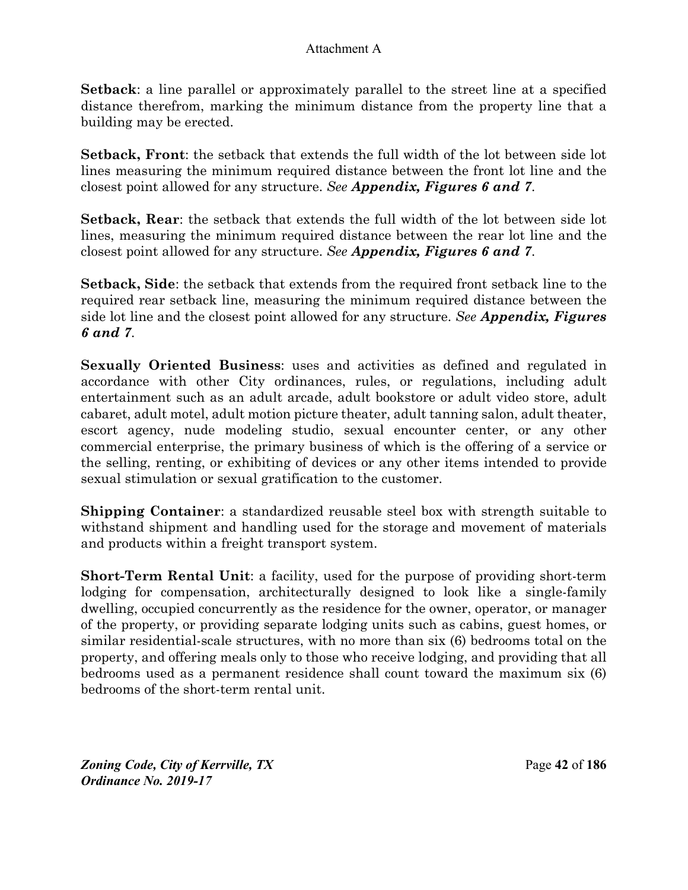**Setback**: a line parallel or approximately parallel to the street line at a specified distance therefrom, marking the minimum distance from the property line that a building may be erected.

**Setback, Front**: the setback that extends the full width of the lot between side lot lines measuring the minimum required distance between the front lot line and the closest point allowed for any structure. *See Appendix, Figures 6 and 7*.

**Setback, Rear**: the setback that extends the full width of the lot between side lot lines, measuring the minimum required distance between the rear lot line and the closest point allowed for any structure. *See Appendix, Figures 6 and 7*.

**Setback, Side**: the setback that extends from the required front setback line to the required rear setback line, measuring the minimum required distance between the side lot line and the closest point allowed for any structure. *See Appendix, Figures 6 and 7*.

**Sexually Oriented Business**: uses and activities as defined and regulated in accordance with other City ordinances, rules, or regulations, including adult entertainment such as an adult arcade, adult bookstore or adult video store, adult cabaret, adult motel, adult motion picture theater, adult tanning salon, adult theater, escort agency, nude modeling studio, sexual encounter center, or any other commercial enterprise, the primary business of which is the offering of a service or the selling, renting, or exhibiting of devices or any other items intended to provide sexual stimulation or sexual gratification to the customer.

**Shipping Container**: a standardized reusable steel box with strength suitable to withstand shipment and handling used for the storage and movement of materials and products within a freight transport system.

**Short-Term Rental Unit**: a facility, used for the purpose of providing short-term lodging for compensation, architecturally designed to look like a single-family dwelling, occupied concurrently as the residence for the owner, operator, or manager of the property, or providing separate lodging units such as cabins, guest homes, or similar residential-scale structures, with no more than six (6) bedrooms total on the property, and offering meals only to those who receive lodging, and providing that all bedrooms used as a permanent residence shall count toward the maximum six (6) bedrooms of the short-term rental unit.

*Zoning Code, City of Kerrville, TX*Page **42** of **186**  *Ordinance No. 2019-17*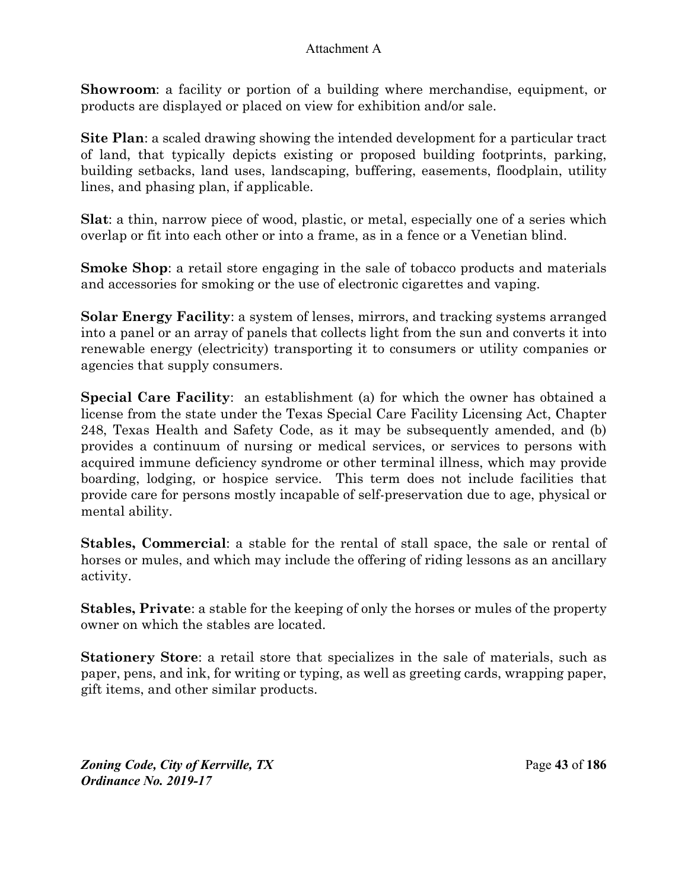**Showroom**: a facility or portion of a building where merchandise, equipment, or products are displayed or placed on view for exhibition and/or sale.

**Site Plan**: a scaled drawing showing the intended development for a particular tract of land, that typically depicts existing or proposed building footprints, parking, building setbacks, land uses, landscaping, buffering, easements, floodplain, utility lines, and phasing plan, if applicable.

**Slat**: a thin, narrow piece of wood, plastic, or metal, especially one of a series which overlap or fit into each other or into a frame, as in a fence or a Venetian blind.

**Smoke Shop**: a retail store engaging in the sale of tobacco products and materials and accessories for smoking or the use of electronic cigarettes and vaping.

**Solar Energy Facility**: a system of lenses, mirrors, and tracking systems arranged into a panel or an array of panels that collects light from the sun and converts it into renewable energy (electricity) transporting it to consumers or utility companies or agencies that supply consumers.

**Special Care Facility**: an establishment (a) for which the owner has obtained a license from the state under the Texas Special Care Facility Licensing Act, Chapter 248, Texas Health and Safety Code, as it may be subsequently amended, and (b) provides a continuum of nursing or medical services, or services to persons with acquired immune deficiency syndrome or other terminal illness, which may provide boarding, lodging, or hospice service. This term does not include facilities that provide care for persons mostly incapable of self-preservation due to age, physical or mental ability.

**Stables, Commercial**: a stable for the rental of stall space, the sale or rental of horses or mules, and which may include the offering of riding lessons as an ancillary activity.

**Stables, Private**: a stable for the keeping of only the horses or mules of the property owner on which the stables are located.

**Stationery Store**: a retail store that specializes in the sale of materials, such as paper, pens, and ink, for writing or typing, as well as greeting cards, wrapping paper, gift items, and other similar products.

*Zoning Code, City of Kerrville, TX*Page **43** of **186**  *Ordinance No. 2019-17*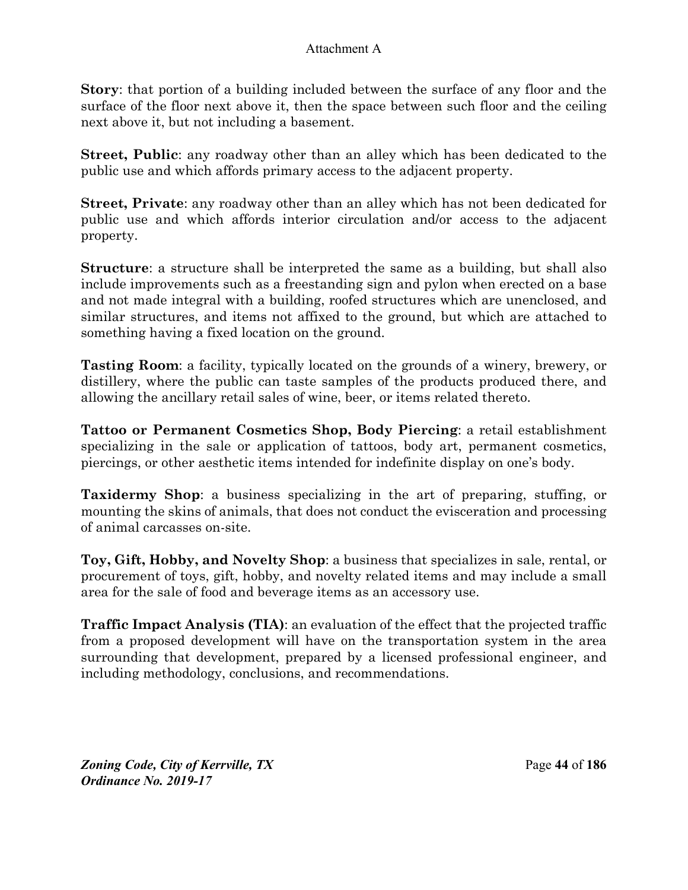**Story**: that portion of a building included between the surface of any floor and the surface of the floor next above it, then the space between such floor and the ceiling next above it, but not including a basement.

**Street, Public**: any roadway other than an alley which has been dedicated to the public use and which affords primary access to the adjacent property.

**Street, Private**: any roadway other than an alley which has not been dedicated for public use and which affords interior circulation and/or access to the adjacent property.

**Structure**: a structure shall be interpreted the same as a building, but shall also include improvements such as a freestanding sign and pylon when erected on a base and not made integral with a building, roofed structures which are unenclosed, and similar structures, and items not affixed to the ground, but which are attached to something having a fixed location on the ground.

**Tasting Room**: a facility, typically located on the grounds of a winery, brewery, or distillery, where the public can taste samples of the products produced there, and allowing the ancillary retail sales of wine, beer, or items related thereto.

**Tattoo or Permanent Cosmetics Shop, Body Piercing**: a retail establishment specializing in the sale or application of tattoos, body art, permanent cosmetics, piercings, or other aesthetic items intended for indefinite display on one's body.

**Taxidermy Shop**: a business specializing in the art of preparing, stuffing, or mounting the skins of animals, that does not conduct the evisceration and processing of animal carcasses on-site.

**Toy, Gift, Hobby, and Novelty Shop**: a business that specializes in sale, rental, or procurement of toys, gift, hobby, and novelty related items and may include a small area for the sale of food and beverage items as an accessory use.

**Traffic Impact Analysis (TIA)**: an evaluation of the effect that the projected traffic from a proposed development will have on the transportation system in the area surrounding that development, prepared by a licensed professional engineer, and including methodology, conclusions, and recommendations.

*Zoning Code, City of Kerrville, TX*Page **44** of **186**  *Ordinance No. 2019-17*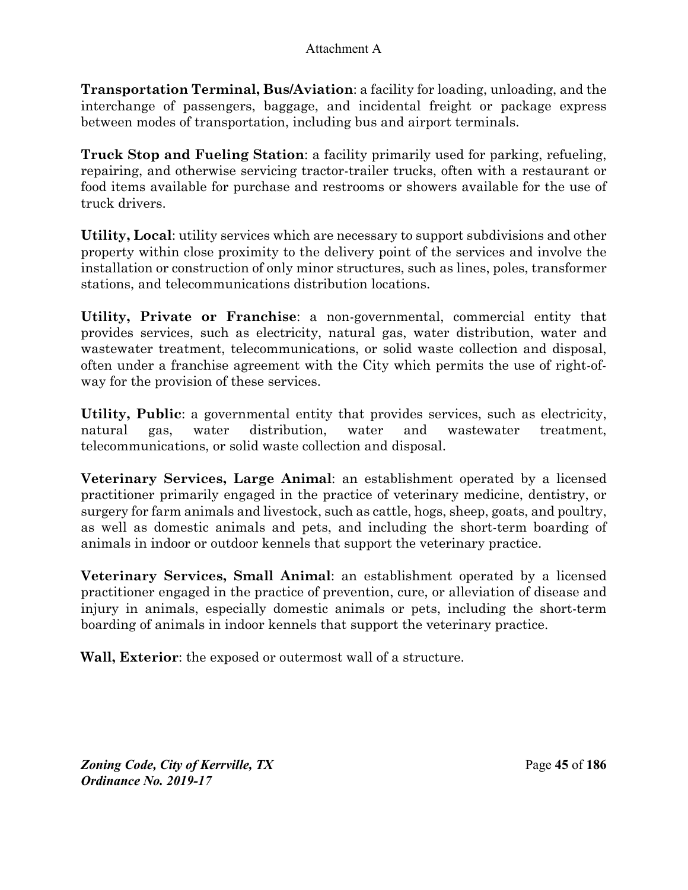**Transportation Terminal, Bus/Aviation**: a facility for loading, unloading, and the interchange of passengers, baggage, and incidental freight or package express between modes of transportation, including bus and airport terminals.

**Truck Stop and Fueling Station**: a facility primarily used for parking, refueling, repairing, and otherwise servicing tractor-trailer trucks, often with a restaurant or food items available for purchase and restrooms or showers available for the use of truck drivers.

**Utility, Local**: utility services which are necessary to support subdivisions and other property within close proximity to the delivery point of the services and involve the installation or construction of only minor structures, such as lines, poles, transformer stations, and telecommunications distribution locations.

**Utility, Private or Franchise**: a non-governmental, commercial entity that provides services, such as electricity, natural gas, water distribution, water and wastewater treatment, telecommunications, or solid waste collection and disposal, often under a franchise agreement with the City which permits the use of right-ofway for the provision of these services.

**Utility, Public**: a governmental entity that provides services, such as electricity, natural gas, water distribution, water and wastewater treatment, telecommunications, or solid waste collection and disposal.

**Veterinary Services, Large Animal**: an establishment operated by a licensed practitioner primarily engaged in the practice of veterinary medicine, dentistry, or surgery for farm animals and livestock, such as cattle, hogs, sheep, goats, and poultry, as well as domestic animals and pets, and including the short-term boarding of animals in indoor or outdoor kennels that support the veterinary practice.

**Veterinary Services, Small Animal**: an establishment operated by a licensed practitioner engaged in the practice of prevention, cure, or alleviation of disease and injury in animals, especially domestic animals or pets, including the short-term boarding of animals in indoor kennels that support the veterinary practice.

**Wall, Exterior**: the exposed or outermost wall of a structure.

*Zoning Code, City of Kerrville, TX*Page **45** of **186**  *Ordinance No. 2019-17*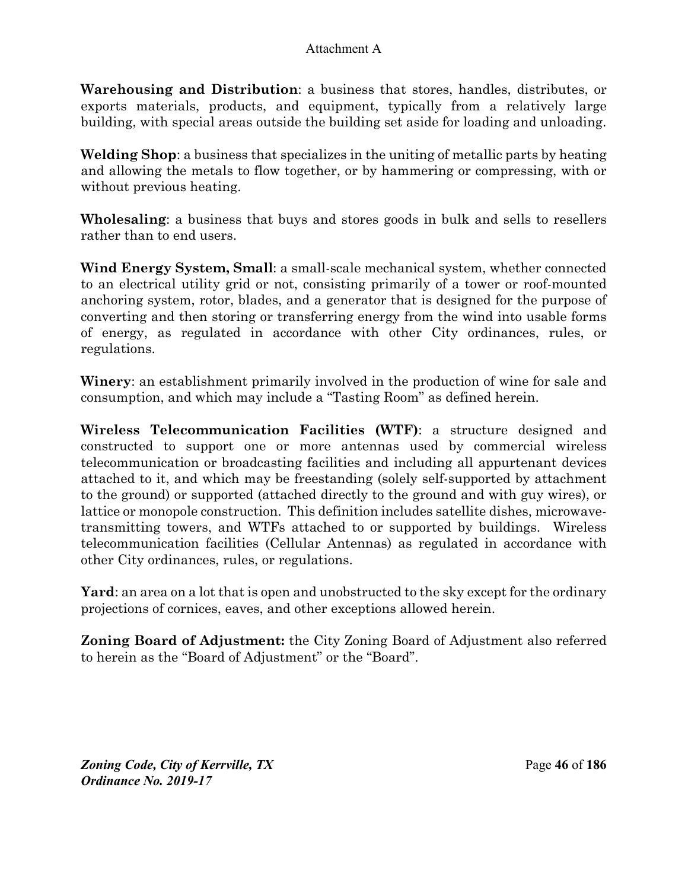**Warehousing and Distribution**: a business that stores, handles, distributes, or exports materials, products, and equipment, typically from a relatively large building, with special areas outside the building set aside for loading and unloading.

**Welding Shop**: a business that specializes in the uniting of metallic parts by heating and allowing the metals to flow together, or by hammering or compressing, with or without previous heating.

**Wholesaling**: a business that buys and stores goods in bulk and sells to resellers rather than to end users.

**Wind Energy System, Small**: a small-scale mechanical system, whether connected to an electrical utility grid or not, consisting primarily of a tower or roof-mounted anchoring system, rotor, blades, and a generator that is designed for the purpose of converting and then storing or transferring energy from the wind into usable forms of energy, as regulated in accordance with other City ordinances, rules, or regulations.

**Winery**: an establishment primarily involved in the production of wine for sale and consumption, and which may include a "Tasting Room" as defined herein.

**Wireless Telecommunication Facilities (WTF)**: a structure designed and constructed to support one or more antennas used by commercial wireless telecommunication or broadcasting facilities and including all appurtenant devices attached to it, and which may be freestanding (solely self-supported by attachment to the ground) or supported (attached directly to the ground and with guy wires), or lattice or monopole construction. This definition includes satellite dishes, microwavetransmitting towers, and WTFs attached to or supported by buildings. Wireless telecommunication facilities (Cellular Antennas) as regulated in accordance with other City ordinances, rules, or regulations.

**Yard**: an area on a lot that is open and unobstructed to the sky except for the ordinary projections of cornices, eaves, and other exceptions allowed herein.

**Zoning Board of Adjustment:** the City Zoning Board of Adjustment also referred to herein as the "Board of Adjustment" or the "Board".

*Zoning Code, City of Kerrville, TX*Page **46** of **186**  *Ordinance No. 2019-17*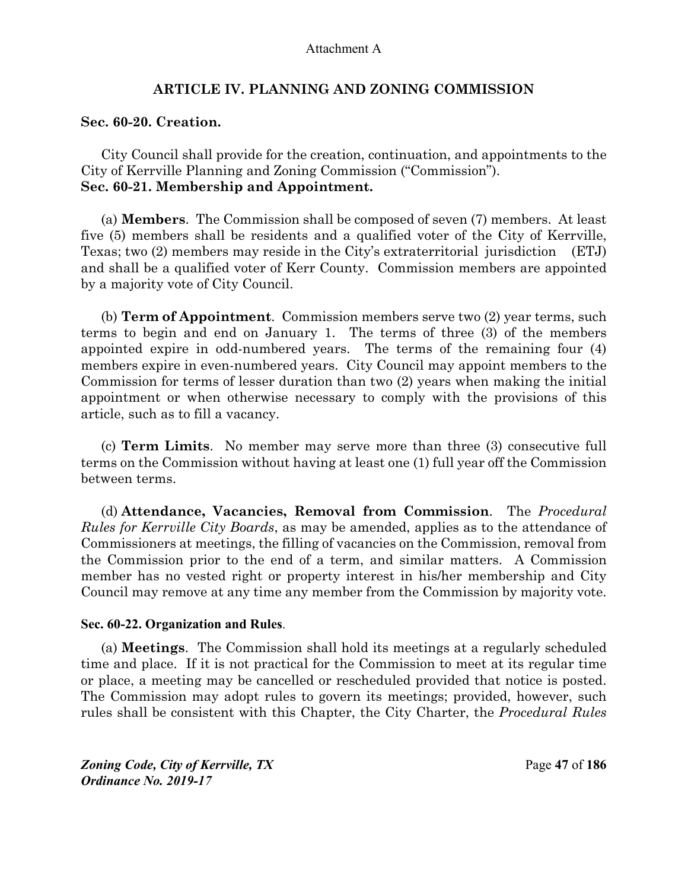#### **ARTICLE IV. PLANNING AND ZONING COMMISSION**

#### **Sec. 60-20. Creation.**

City Council shall provide for the creation, continuation, and appointments to the City of Kerrville Planning and Zoning Commission ("Commission"). **Sec. 60-21. Membership and Appointment.** 

(a) **Members**. The Commission shall be composed of seven (7) members. At least five (5) members shall be residents and a qualified voter of the City of Kerrville, Texas; two (2) members may reside in the City's extraterritorial jurisdiction (ETJ) and shall be a qualified voter of Kerr County. Commission members are appointed by a majority vote of City Council.

(b) **Term of Appointment**. Commission members serve two (2) year terms, such terms to begin and end on January 1. The terms of three (3) of the members appointed expire in odd-numbered years. The terms of the remaining four (4) members expire in even-numbered years. City Council may appoint members to the Commission for terms of lesser duration than two (2) years when making the initial appointment or when otherwise necessary to comply with the provisions of this article, such as to fill a vacancy.

(c) **Term Limits**. No member may serve more than three (3) consecutive full terms on the Commission without having at least one (1) full year off the Commission between terms.

(d) **Attendance, Vacancies, Removal from Commission**. The *Procedural Rules for Kerrville City Boards*, as may be amended, applies as to the attendance of Commissioners at meetings, the filling of vacancies on the Commission, removal from the Commission prior to the end of a term, and similar matters. A Commission member has no vested right or property interest in his/her membership and City Council may remove at any time any member from the Commission by majority vote.

#### **Sec. 60-22. Organization and Rules**.

(a) **Meetings**. The Commission shall hold its meetings at a regularly scheduled time and place. If it is not practical for the Commission to meet at its regular time or place, a meeting may be cancelled or rescheduled provided that notice is posted. The Commission may adopt rules to govern its meetings; provided, however, such rules shall be consistent with this Chapter, the City Charter, the *Procedural Rules* 

*Zoning Code, City of Kerrville, TX*Page **47** of **186**  *Ordinance No. 2019-17*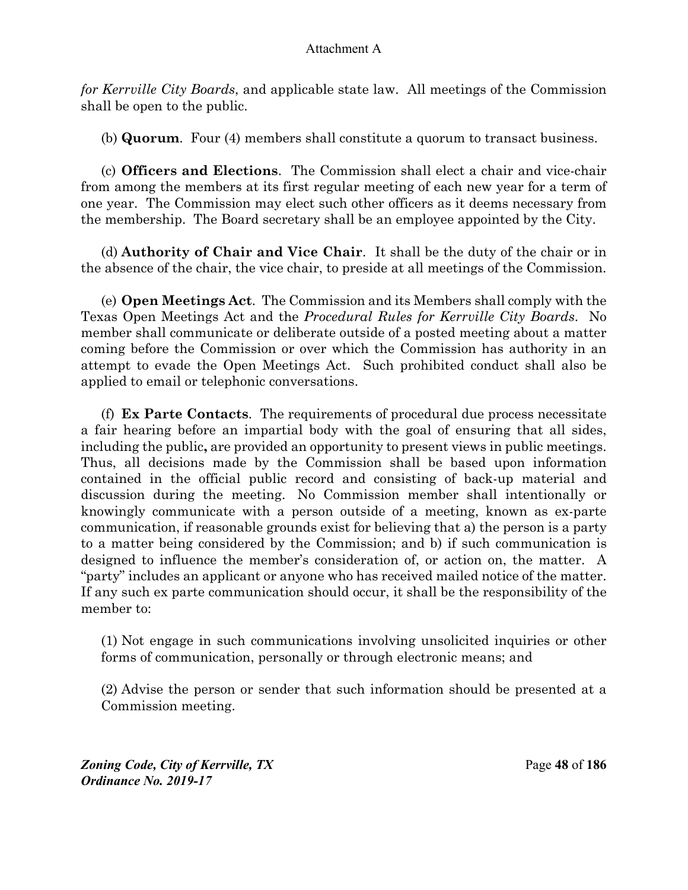*for Kerrville City Boards*, and applicable state law. All meetings of the Commission shall be open to the public.

(b) **Quorum**. Four (4) members shall constitute a quorum to transact business.

(c) **Officers and Elections**. The Commission shall elect a chair and vice-chair from among the members at its first regular meeting of each new year for a term of one year. The Commission may elect such other officers as it deems necessary from the membership. The Board secretary shall be an employee appointed by the City.

(d) **Authority of Chair and Vice Chair**. It shall be the duty of the chair or in the absence of the chair, the vice chair, to preside at all meetings of the Commission.

(e) **Open Meetings Act**. The Commission and its Members shall comply with the Texas Open Meetings Act and the *Procedural Rules for Kerrville City Boards*. No member shall communicate or deliberate outside of a posted meeting about a matter coming before the Commission or over which the Commission has authority in an attempt to evade the Open Meetings Act. Such prohibited conduct shall also be applied to email or telephonic conversations.

(f) **Ex Parte Contacts**.The requirements of procedural due process necessitate a fair hearing before an impartial body with the goal of ensuring that all sides, including the public**,** are provided an opportunity to present views in public meetings. Thus, all decisions made by the Commission shall be based upon information contained in the official public record and consisting of back-up material and discussion during the meeting. No Commission member shall intentionally or knowingly communicate with a person outside of a meeting, known as ex-parte communication, if reasonable grounds exist for believing that a) the person is a party to a matter being considered by the Commission; and b) if such communication is designed to influence the member's consideration of, or action on, the matter. A "party" includes an applicant or anyone who has received mailed notice of the matter. If any such ex parte communication should occur, it shall be the responsibility of the member to:

(1) Not engage in such communications involving unsolicited inquiries or other forms of communication, personally or through electronic means; and

(2) Advise the person or sender that such information should be presented at a Commission meeting.

*Zoning Code, City of Kerrville, TX*Page **48** of **186**  *Ordinance No. 2019-17*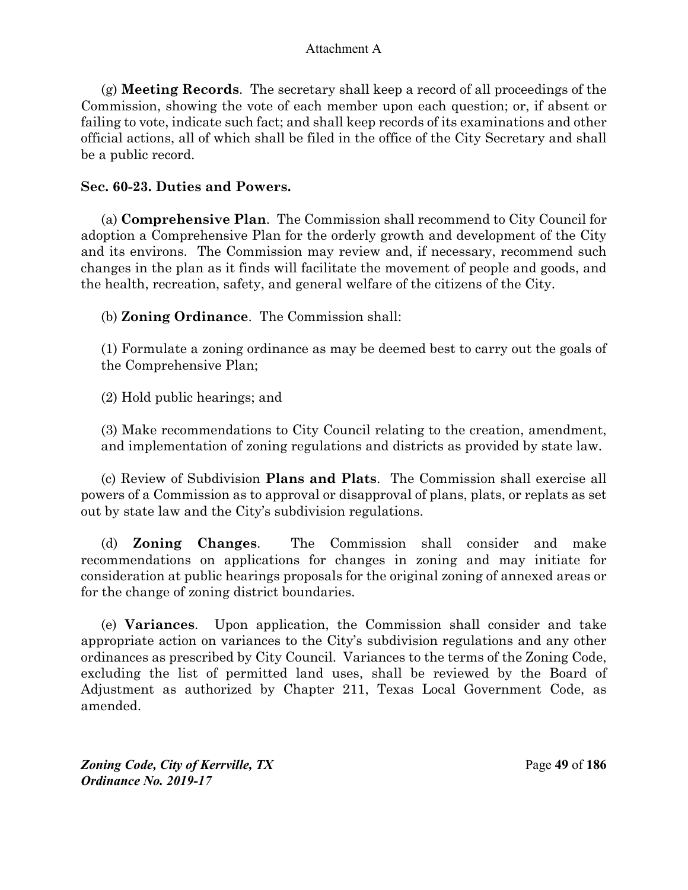(g) **Meeting Records**. The secretary shall keep a record of all proceedings of the Commission, showing the vote of each member upon each question; or, if absent or failing to vote, indicate such fact; and shall keep records of its examinations and other official actions, all of which shall be filed in the office of the City Secretary and shall be a public record.

## **Sec. 60-23. Duties and Powers.**

(a) **Comprehensive Plan**. The Commission shall recommend to City Council for adoption a Comprehensive Plan for the orderly growth and development of the City and its environs. The Commission may review and, if necessary, recommend such changes in the plan as it finds will facilitate the movement of people and goods, and the health, recreation, safety, and general welfare of the citizens of the City.

(b) **Zoning Ordinance**. The Commission shall:

(1) Formulate a zoning ordinance as may be deemed best to carry out the goals of the Comprehensive Plan;

(2) Hold public hearings; and

(3) Make recommendations to City Council relating to the creation, amendment, and implementation of zoning regulations and districts as provided by state law.

(c) Review of Subdivision **Plans and Plats**. The Commission shall exercise all powers of a Commission as to approval or disapproval of plans, plats, or replats as set out by state law and the City's subdivision regulations.

(d) **Zoning Changes**. The Commission shall consider and make recommendations on applications for changes in zoning and may initiate for consideration at public hearings proposals for the original zoning of annexed areas or for the change of zoning district boundaries.

(e) **Variances**. Upon application, the Commission shall consider and take appropriate action on variances to the City's subdivision regulations and any other ordinances as prescribed by City Council. Variances to the terms of the Zoning Code, excluding the list of permitted land uses, shall be reviewed by the Board of Adjustment as authorized by Chapter 211, Texas Local Government Code, as amended.

*Zoning Code, City of Kerrville, TX*Page **49** of **186**  *Ordinance No. 2019-17*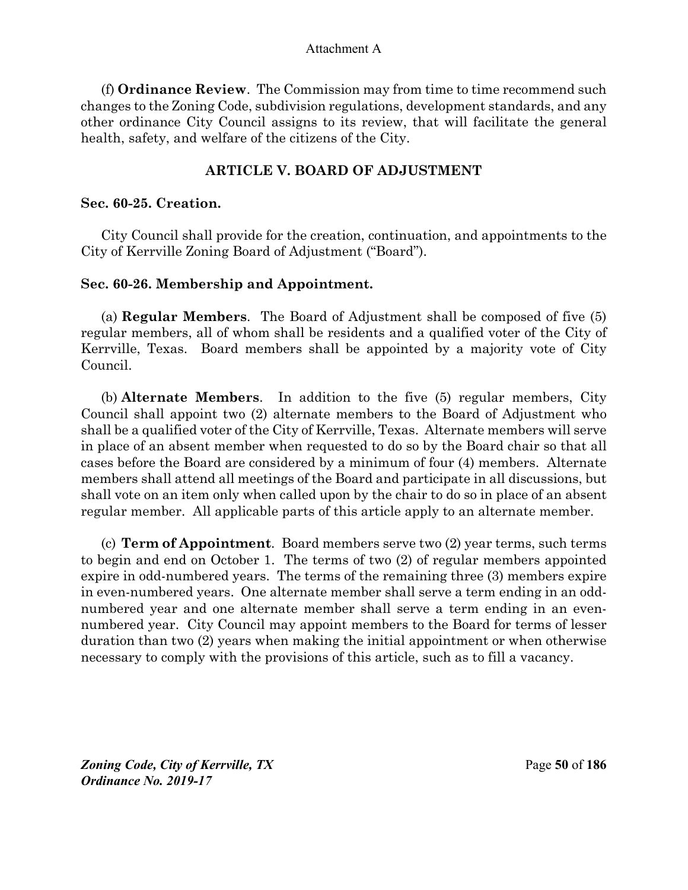(f) **Ordinance Review**. The Commission may from time to time recommend such changes to the Zoning Code, subdivision regulations, development standards, and any other ordinance City Council assigns to its review, that will facilitate the general health, safety, and welfare of the citizens of the City.

## **ARTICLE V. BOARD OF ADJUSTMENT**

## **Sec. 60-25. Creation.**

City Council shall provide for the creation, continuation, and appointments to the City of Kerrville Zoning Board of Adjustment ("Board").

# **Sec. 60-26. Membership and Appointment.**

(a) **Regular Members**. The Board of Adjustment shall be composed of five (5) regular members, all of whom shall be residents and a qualified voter of the City of Kerrville, Texas. Board members shall be appointed by a majority vote of City Council.

(b) **Alternate Members**.In addition to the five (5) regular members, City Council shall appoint two (2) alternate members to the Board of Adjustment who shall be a qualified voter of the City of Kerrville, Texas. Alternate members will serve in place of an absent member when requested to do so by the Board chair so that all cases before the Board are considered by a minimum of four (4) members. Alternate members shall attend all meetings of the Board and participate in all discussions, but shall vote on an item only when called upon by the chair to do so in place of an absent regular member. All applicable parts of this article apply to an alternate member.

(c) **Term of Appointment**. Board members serve two (2) year terms, such terms to begin and end on October 1. The terms of two (2) of regular members appointed expire in odd-numbered years. The terms of the remaining three (3) members expire in even-numbered years. One alternate member shall serve a term ending in an oddnumbered year and one alternate member shall serve a term ending in an evennumbered year. City Council may appoint members to the Board for terms of lesser duration than two (2) years when making the initial appointment or when otherwise necessary to comply with the provisions of this article, such as to fill a vacancy.

*Zoning Code, City of Kerrville, TX*Page **50** of **186**  *Ordinance No. 2019-17*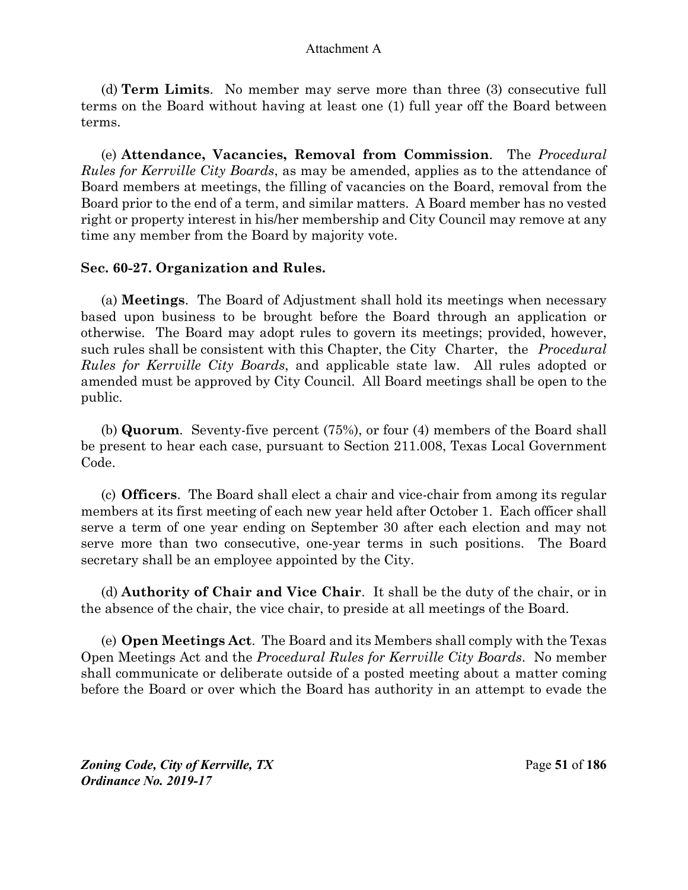(d) **Term Limits**. No member may serve more than three (3) consecutive full terms on the Board without having at least one (1) full year off the Board between terms.

(e) **Attendance, Vacancies, Removal from Commission**. The *Procedural Rules for Kerrville City Boards*, as may be amended, applies as to the attendance of Board members at meetings, the filling of vacancies on the Board, removal from the Board prior to the end of a term, and similar matters. A Board member has no vested right or property interest in his/her membership and City Council may remove at any time any member from the Board by majority vote.

## **Sec. 60-27. Organization and Rules.**

(a) **Meetings**. The Board of Adjustment shall hold its meetings when necessary based upon business to be brought before the Board through an application or otherwise. The Board may adopt rules to govern its meetings; provided, however, such rules shall be consistent with this Chapter, the City Charter, the *Procedural Rules for Kerrville City Boards*, and applicable state law. All rules adopted or amended must be approved by City Council. All Board meetings shall be open to the public.

(b) **Quorum**. Seventy-five percent (75%), or four (4) members of the Board shall be present to hear each case, pursuant to Section 211.008, Texas Local Government Code.

(c) **Officers**. The Board shall elect a chair and vice-chair from among its regular members at its first meeting of each new year held after October 1. Each officer shall serve a term of one year ending on September 30 after each election and may not serve more than two consecutive, one-year terms in such positions. The Board secretary shall be an employee appointed by the City.

(d) **Authority of Chair and Vice Chair**. It shall be the duty of the chair, or in the absence of the chair, the vice chair, to preside at all meetings of the Board.

(e) **Open Meetings Act**. The Board and its Members shall comply with the Texas Open Meetings Act and the *Procedural Rules for Kerrville City Boards*. No member shall communicate or deliberate outside of a posted meeting about a matter coming before the Board or over which the Board has authority in an attempt to evade the

*Zoning Code, City of Kerrville, TX*Page **51** of **186**  *Ordinance No. 2019-17*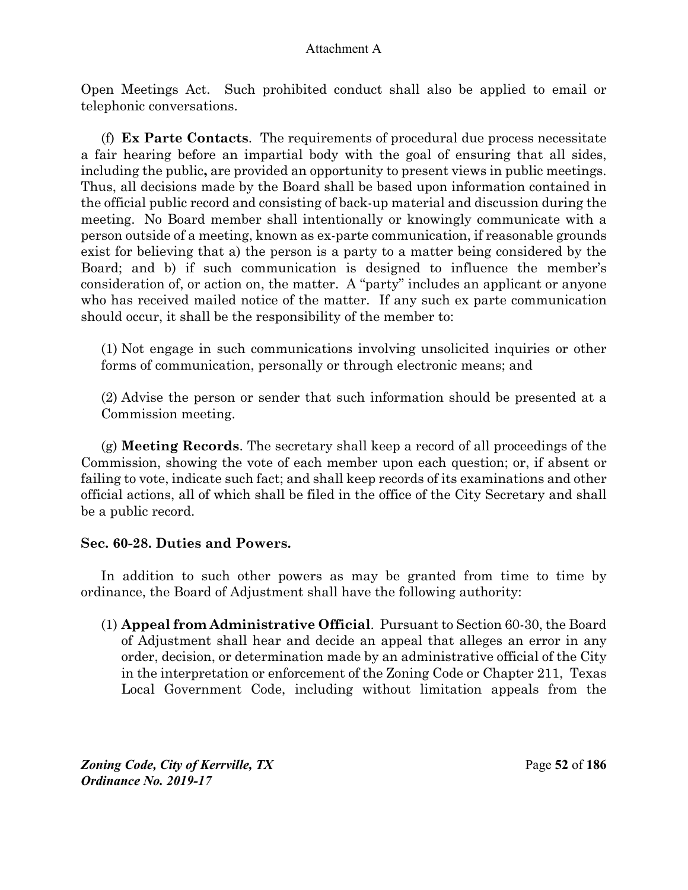Open Meetings Act. Such prohibited conduct shall also be applied to email or telephonic conversations.

(f) **Ex Parte Contacts**.The requirements of procedural due process necessitate a fair hearing before an impartial body with the goal of ensuring that all sides, including the public**,** are provided an opportunity to present views in public meetings. Thus, all decisions made by the Board shall be based upon information contained in the official public record and consisting of back-up material and discussion during the meeting. No Board member shall intentionally or knowingly communicate with a person outside of a meeting, known as ex-parte communication, if reasonable grounds exist for believing that a) the person is a party to a matter being considered by the Board; and b) if such communication is designed to influence the member's consideration of, or action on, the matter. A "party" includes an applicant or anyone who has received mailed notice of the matter. If any such ex parte communication should occur, it shall be the responsibility of the member to:

(1) Not engage in such communications involving unsolicited inquiries or other forms of communication, personally or through electronic means; and

(2) Advise the person or sender that such information should be presented at a Commission meeting.

(g) **Meeting Records**. The secretary shall keep a record of all proceedings of the Commission, showing the vote of each member upon each question; or, if absent or failing to vote, indicate such fact; and shall keep records of its examinations and other official actions, all of which shall be filed in the office of the City Secretary and shall be a public record.

## **Sec. 60-28. Duties and Powers.**

In addition to such other powers as may be granted from time to time by ordinance, the Board of Adjustment shall have the following authority:

(1) **Appeal from Administrative Official**. Pursuant to Section 60-30, the Board of Adjustment shall hear and decide an appeal that alleges an error in any order, decision, or determination made by an administrative official of the City in the interpretation or enforcement of the Zoning Code or Chapter 211, Texas Local Government Code, including without limitation appeals from the

*Zoning Code, City of Kerrville, TX*Page **52** of **186**  *Ordinance No. 2019-17*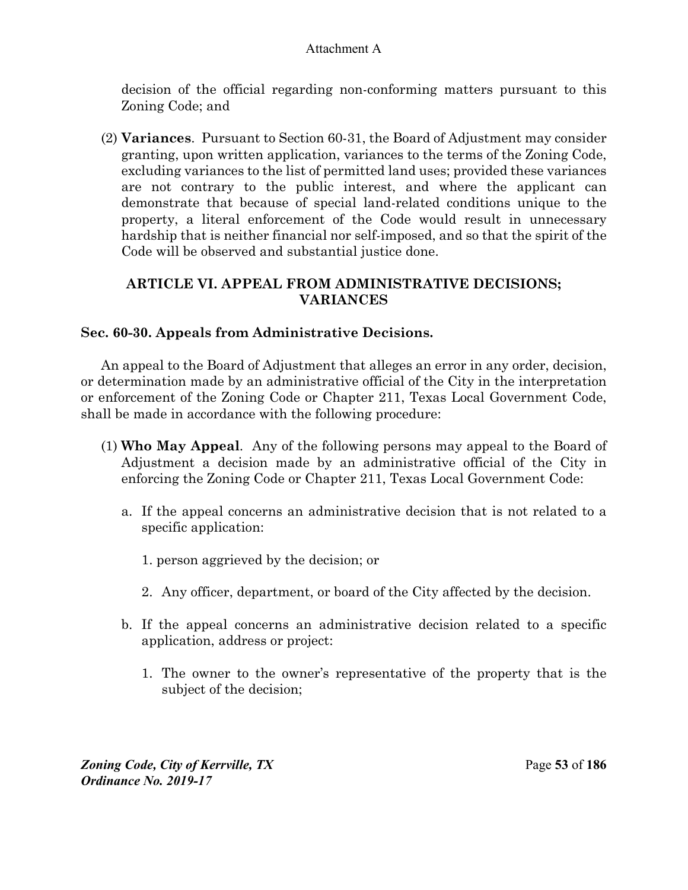decision of the official regarding non-conforming matters pursuant to this Zoning Code; and

(2) **Variances**. Pursuant to Section 60-31, the Board of Adjustment may consider granting, upon written application, variances to the terms of the Zoning Code, excluding variances to the list of permitted land uses; provided these variances are not contrary to the public interest, and where the applicant can demonstrate that because of special land-related conditions unique to the property, a literal enforcement of the Code would result in unnecessary hardship that is neither financial nor self-imposed, and so that the spirit of the Code will be observed and substantial justice done.

# **ARTICLE VI. APPEAL FROM ADMINISTRATIVE DECISIONS; VARIANCES**

# **Sec. 60-30. Appeals from Administrative Decisions.**

An appeal to the Board of Adjustment that alleges an error in any order, decision, or determination made by an administrative official of the City in the interpretation or enforcement of the Zoning Code or Chapter 211, Texas Local Government Code, shall be made in accordance with the following procedure:

- (1) **Who May Appeal**. Any of the following persons may appeal to the Board of Adjustment a decision made by an administrative official of the City in enforcing the Zoning Code or Chapter 211, Texas Local Government Code:
	- a. If the appeal concerns an administrative decision that is not related to a specific application:
		- 1. person aggrieved by the decision; or
		- 2. Any officer, department, or board of the City affected by the decision.
	- b. If the appeal concerns an administrative decision related to a specific application, address or project:
		- 1. The owner to the owner's representative of the property that is the subject of the decision;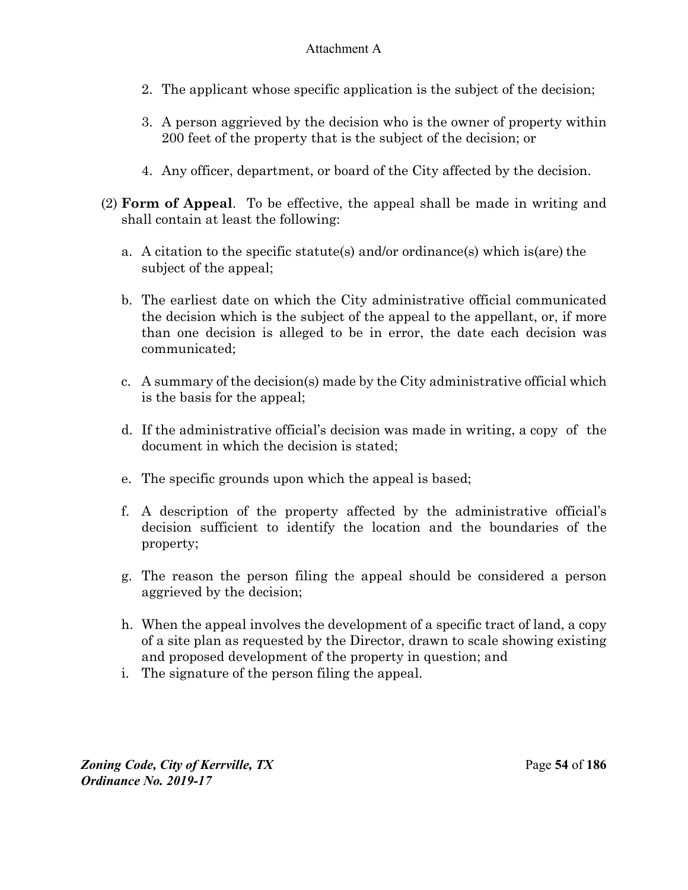- 2. The applicant whose specific application is the subject of the decision;
- 3. A person aggrieved by the decision who is the owner of property within 200 feet of the property that is the subject of the decision; or
- 4. Any officer, department, or board of the City affected by the decision.
- (2) **Form of Appeal**. To be effective, the appeal shall be made in writing and shall contain at least the following:
	- a. A citation to the specific statute(s) and/or ordinance(s) which is(are) the subject of the appeal;
	- b. The earliest date on which the City administrative official communicated the decision which is the subject of the appeal to the appellant, or, if more than one decision is alleged to be in error, the date each decision was communicated;
	- c. A summary of the decision(s) made by the City administrative official which is the basis for the appeal;
	- d. If the administrative official's decision was made in writing, a copy of the document in which the decision is stated;
	- e. The specific grounds upon which the appeal is based;
	- f. A description of the property affected by the administrative official's decision sufficient to identify the location and the boundaries of the property;
	- g. The reason the person filing the appeal should be considered a person aggrieved by the decision;
	- h. When the appeal involves the development of a specific tract of land, a copy of a site plan as requested by the Director, drawn to scale showing existing and proposed development of the property in question; and
	- i. The signature of the person filing the appeal.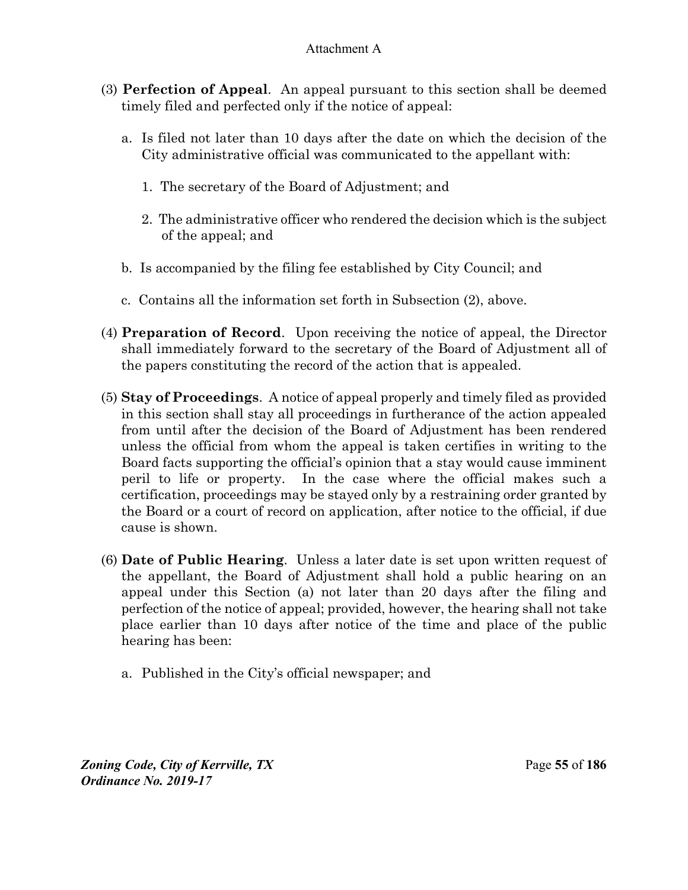- (3) **Perfection of Appeal**. An appeal pursuant to this section shall be deemed timely filed and perfected only if the notice of appeal:
	- a. Is filed not later than 10 days after the date on which the decision of the City administrative official was communicated to the appellant with:
		- 1. The secretary of the Board of Adjustment; and
		- 2. The administrative officer who rendered the decision which is the subject of the appeal; and
	- b. Is accompanied by the filing fee established by City Council; and
	- c. Contains all the information set forth in Subsection (2), above.
- (4) **Preparation of Record**. Upon receiving the notice of appeal, the Director shall immediately forward to the secretary of the Board of Adjustment all of the papers constituting the record of the action that is appealed.
- (5) **Stay of Proceedings**. A notice of appeal properly and timely filed as provided in this section shall stay all proceedings in furtherance of the action appealed from until after the decision of the Board of Adjustment has been rendered unless the official from whom the appeal is taken certifies in writing to the Board facts supporting the official's opinion that a stay would cause imminent peril to life or property. In the case where the official makes such a certification, proceedings may be stayed only by a restraining order granted by the Board or a court of record on application, after notice to the official, if due cause is shown.
- (6) **Date of Public Hearing**. Unless a later date is set upon written request of the appellant, the Board of Adjustment shall hold a public hearing on an appeal under this Section (a) not later than 20 days after the filing and perfection of the notice of appeal; provided, however, the hearing shall not take place earlier than 10 days after notice of the time and place of the public hearing has been:
	- a. Published in the City's official newspaper; and

*Zoning Code, City of Kerrville, TX*Page **55** of **186**  *Ordinance No. 2019-17*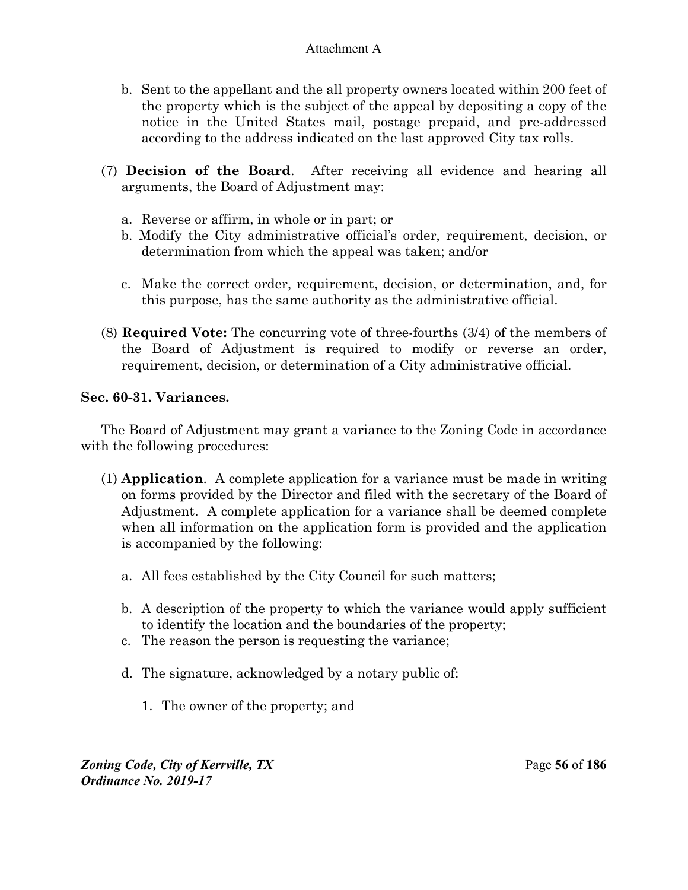- b. Sent to the appellant and the all property owners located within 200 feet of the property which is the subject of the appeal by depositing a copy of the notice in the United States mail, postage prepaid, and pre-addressed according to the address indicated on the last approved City tax rolls.
- (7) **Decision of the Board**. After receiving all evidence and hearing all arguments, the Board of Adjustment may:
	- a. Reverse or affirm, in whole or in part; or
	- b. Modify the City administrative official's order, requirement, decision, or determination from which the appeal was taken; and/or
	- c. Make the correct order, requirement, decision, or determination, and, for this purpose, has the same authority as the administrative official.
- (8) **Required Vote:** The concurring vote of three-fourths (3/4) of the members of the Board of Adjustment is required to modify or reverse an order, requirement, decision, or determination of a City administrative official.

# **Sec. 60-31. Variances.**

The Board of Adjustment may grant a variance to the Zoning Code in accordance with the following procedures:

- (1) **Application**. A complete application for a variance must be made in writing on forms provided by the Director and filed with the secretary of the Board of Adjustment. A complete application for a variance shall be deemed complete when all information on the application form is provided and the application is accompanied by the following:
	- a. All fees established by the City Council for such matters;
	- b. A description of the property to which the variance would apply sufficient to identify the location and the boundaries of the property;
	- c. The reason the person is requesting the variance;
	- d. The signature, acknowledged by a notary public of:
		- 1. The owner of the property; and

*Zoning Code, City of Kerrville, TX*Page **56** of **186**  *Ordinance No. 2019-17*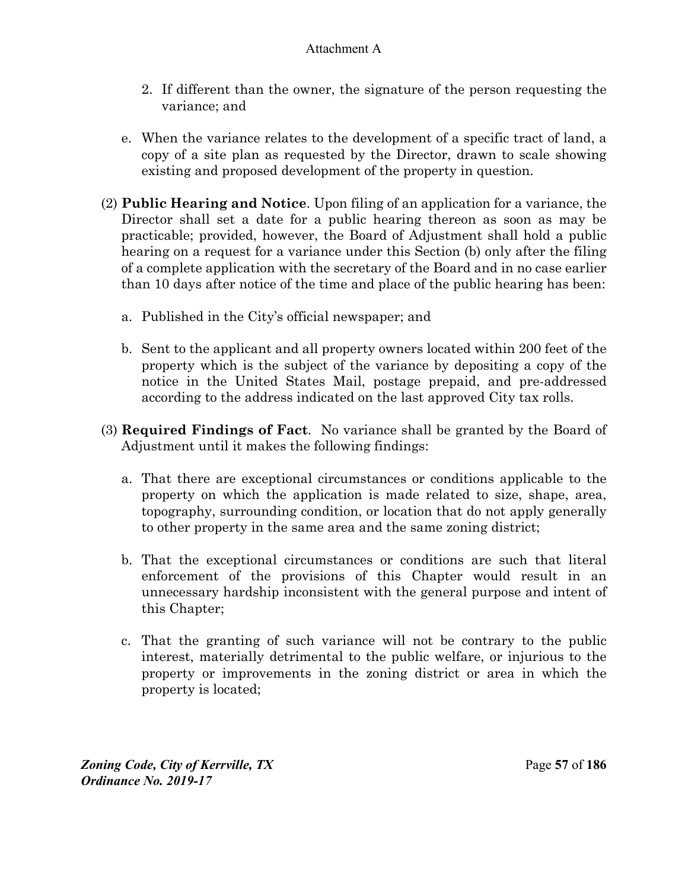- 2. If different than the owner, the signature of the person requesting the variance; and
- e. When the variance relates to the development of a specific tract of land, a copy of a site plan as requested by the Director, drawn to scale showing existing and proposed development of the property in question.
- (2) **Public Hearing and Notice**. Upon filing of an application for a variance, the Director shall set a date for a public hearing thereon as soon as may be practicable; provided, however, the Board of Adjustment shall hold a public hearing on a request for a variance under this Section (b) only after the filing of a complete application with the secretary of the Board and in no case earlier than 10 days after notice of the time and place of the public hearing has been:
	- a. Published in the City's official newspaper; and
	- b. Sent to the applicant and all property owners located within 200 feet of the property which is the subject of the variance by depositing a copy of the notice in the United States Mail, postage prepaid, and pre-addressed according to the address indicated on the last approved City tax rolls.
- (3) **Required Findings of Fact**. No variance shall be granted by the Board of Adjustment until it makes the following findings:
	- a. That there are exceptional circumstances or conditions applicable to the property on which the application is made related to size, shape, area, topography, surrounding condition, or location that do not apply generally to other property in the same area and the same zoning district;
	- b. That the exceptional circumstances or conditions are such that literal enforcement of the provisions of this Chapter would result in an unnecessary hardship inconsistent with the general purpose and intent of this Chapter;
	- c. That the granting of such variance will not be contrary to the public interest, materially detrimental to the public welfare, or injurious to the property or improvements in the zoning district or area in which the property is located;

*Zoning Code, City of Kerrville, TX*Page **57** of **186**  *Ordinance No. 2019-17*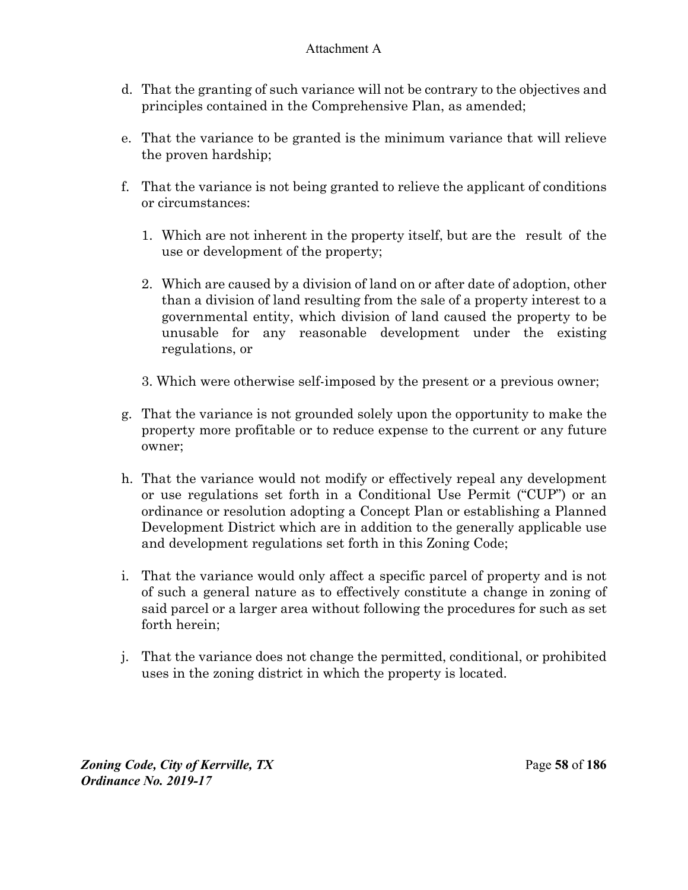- d. That the granting of such variance will not be contrary to the objectives and principles contained in the Comprehensive Plan, as amended;
- e. That the variance to be granted is the minimum variance that will relieve the proven hardship;
- f. That the variance is not being granted to relieve the applicant of conditions or circumstances:
	- 1. Which are not inherent in the property itself, but are the result of the use or development of the property;
	- 2. Which are caused by a division of land on or after date of adoption, other than a division of land resulting from the sale of a property interest to a governmental entity, which division of land caused the property to be unusable for any reasonable development under the existing regulations, or
	- 3. Which were otherwise self-imposed by the present or a previous owner;
- g. That the variance is not grounded solely upon the opportunity to make the property more profitable or to reduce expense to the current or any future owner;
- h. That the variance would not modify or effectively repeal any development or use regulations set forth in a Conditional Use Permit ("CUP") or an ordinance or resolution adopting a Concept Plan or establishing a Planned Development District which are in addition to the generally applicable use and development regulations set forth in this Zoning Code;
- i. That the variance would only affect a specific parcel of property and is not of such a general nature as to effectively constitute a change in zoning of said parcel or a larger area without following the procedures for such as set forth herein;
- j. That the variance does not change the permitted, conditional, or prohibited uses in the zoning district in which the property is located.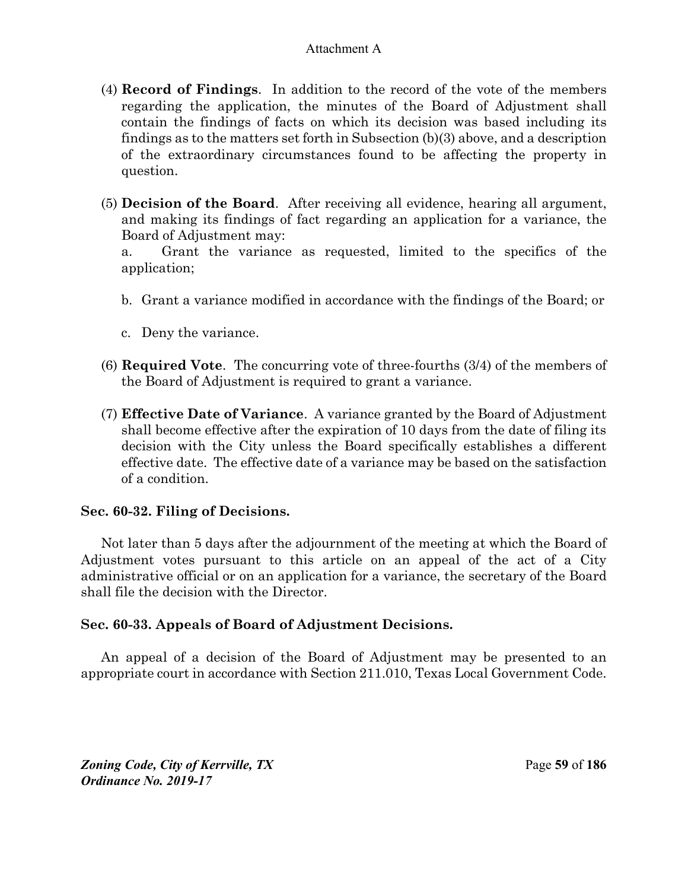- (4) **Record of Findings**. In addition to the record of the vote of the members regarding the application, the minutes of the Board of Adjustment shall contain the findings of facts on which its decision was based including its findings as to the matters set forth in Subsection (b)(3) above, and a description of the extraordinary circumstances found to be affecting the property in question.
- (5) **Decision of the Board**. After receiving all evidence, hearing all argument, and making its findings of fact regarding an application for a variance, the Board of Adjustment may:

 a. Grant the variance as requested, limited to the specifics of the application;

- b. Grant a variance modified in accordance with the findings of the Board; or
- c. Deny the variance.
- (6) **Required Vote**. The concurring vote of three-fourths (3/4) of the members of the Board of Adjustment is required to grant a variance.
- (7) **Effective Date of Variance**. A variance granted by the Board of Adjustment shall become effective after the expiration of 10 days from the date of filing its decision with the City unless the Board specifically establishes a different effective date. The effective date of a variance may be based on the satisfaction of a condition.

## **Sec. 60-32. Filing of Decisions.**

Not later than 5 days after the adjournment of the meeting at which the Board of Adjustment votes pursuant to this article on an appeal of the act of a City administrative official or on an application for a variance, the secretary of the Board shall file the decision with the Director.

## **Sec. 60-33. Appeals of Board of Adjustment Decisions.**

An appeal of a decision of the Board of Adjustment may be presented to an appropriate court in accordance with Section 211.010, Texas Local Government Code.

*Zoning Code, City of Kerrville, TX*Page **59** of **186**  *Ordinance No. 2019-17*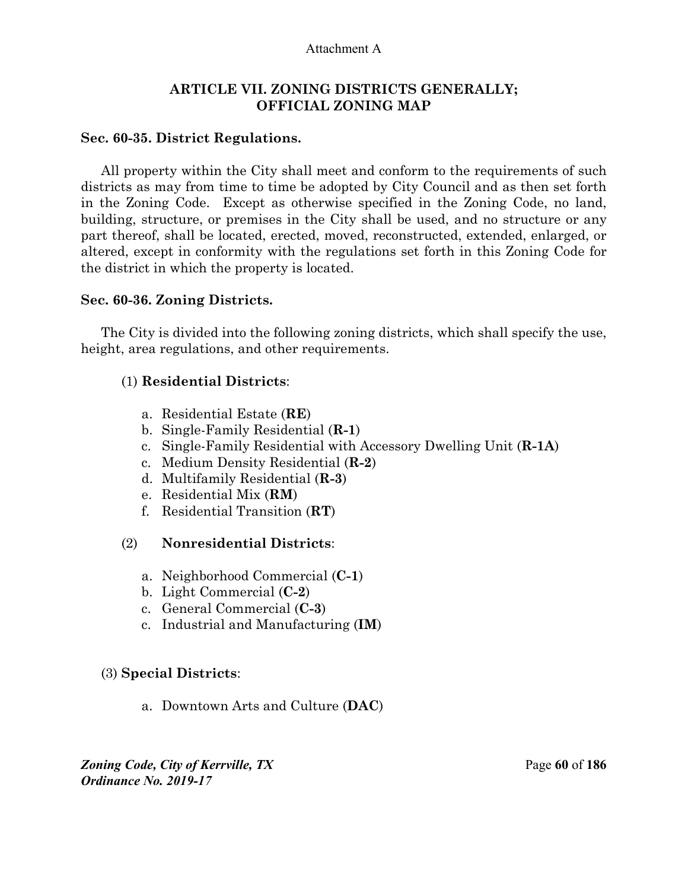### **ARTICLE VII. ZONING DISTRICTS GENERALLY; OFFICIAL ZONING MAP**

#### **Sec. 60-35. District Regulations.**

All property within the City shall meet and conform to the requirements of such districts as may from time to time be adopted by City Council and as then set forth in the Zoning Code. Except as otherwise specified in the Zoning Code, no land, building, structure, or premises in the City shall be used, and no structure or any part thereof, shall be located, erected, moved, reconstructed, extended, enlarged, or altered, except in conformity with the regulations set forth in this Zoning Code for the district in which the property is located.

#### **Sec. 60-36. Zoning Districts.**

The City is divided into the following zoning districts, which shall specify the use, height, area regulations, and other requirements.

#### (1) **Residential Districts**:

- a. Residential Estate (**RE**)
- b. Single-Family Residential (**R-1**)
- c. Single-Family Residential with Accessory Dwelling Unit (**R-1A**)
- c. Medium Density Residential (**R-2**)
- d. Multifamily Residential (**R-3**)
- e. Residential Mix (**RM**)
- f. Residential Transition (**RT**)

#### (2) **Nonresidential Districts**:

- a. Neighborhood Commercial (**C-1**)
- b. Light Commercial (**C-2**)
- c. General Commercial (**C-3**)
- c. Industrial and Manufacturing (**IM**)

#### (3) **Special Districts**:

a. Downtown Arts and Culture (**DAC**)

*Zoning Code, City of Kerrville, TX*Page **60** of **186**  *Ordinance No. 2019-17*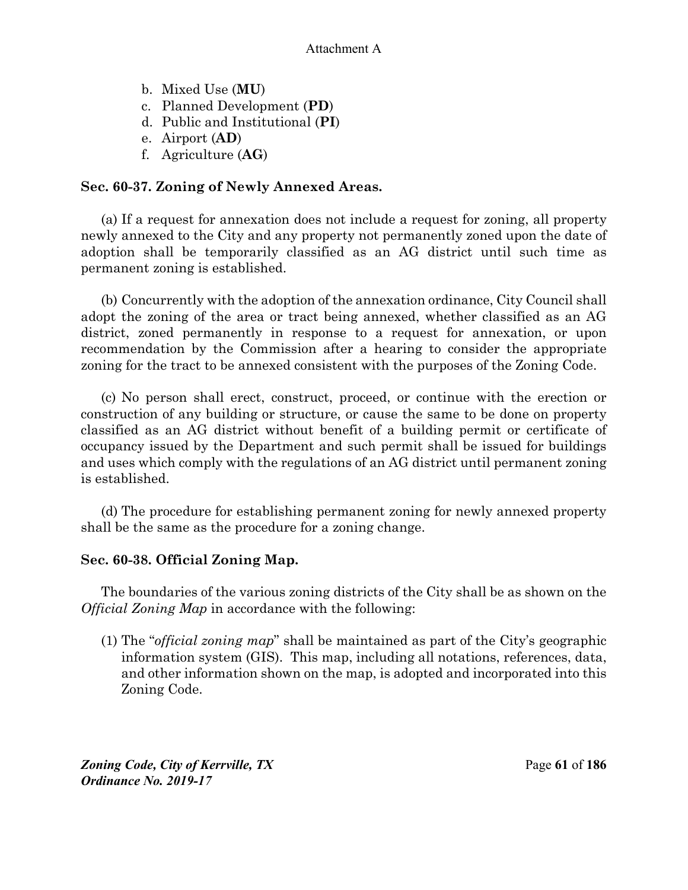- b. Mixed Use (**MU**)
- c. Planned Development (**PD**)
- d. Public and Institutional (**PI**)
- e. Airport (**AD**)
- f. Agriculture (**AG**)

# **Sec. 60-37. Zoning of Newly Annexed Areas.**

(a) If a request for annexation does not include a request for zoning, all property newly annexed to the City and any property not permanently zoned upon the date of adoption shall be temporarily classified as an AG district until such time as permanent zoning is established.

(b) Concurrently with the adoption of the annexation ordinance, City Council shall adopt the zoning of the area or tract being annexed, whether classified as an AG district, zoned permanently in response to a request for annexation, or upon recommendation by the Commission after a hearing to consider the appropriate zoning for the tract to be annexed consistent with the purposes of the Zoning Code.

(c) No person shall erect, construct, proceed, or continue with the erection or construction of any building or structure, or cause the same to be done on property classified as an AG district without benefit of a building permit or certificate of occupancy issued by the Department and such permit shall be issued for buildings and uses which comply with the regulations of an AG district until permanent zoning is established.

(d) The procedure for establishing permanent zoning for newly annexed property shall be the same as the procedure for a zoning change.

# **Sec. 60-38. Official Zoning Map.**

The boundaries of the various zoning districts of the City shall be as shown on the *Official Zoning Map* in accordance with the following:

(1) The "*official zoning map*" shall be maintained as part of the City's geographic information system (GIS). This map, including all notations, references, data, and other information shown on the map, is adopted and incorporated into this Zoning Code.

*Zoning Code, City of Kerrville, TX*Page **61** of **186**  *Ordinance No. 2019-17*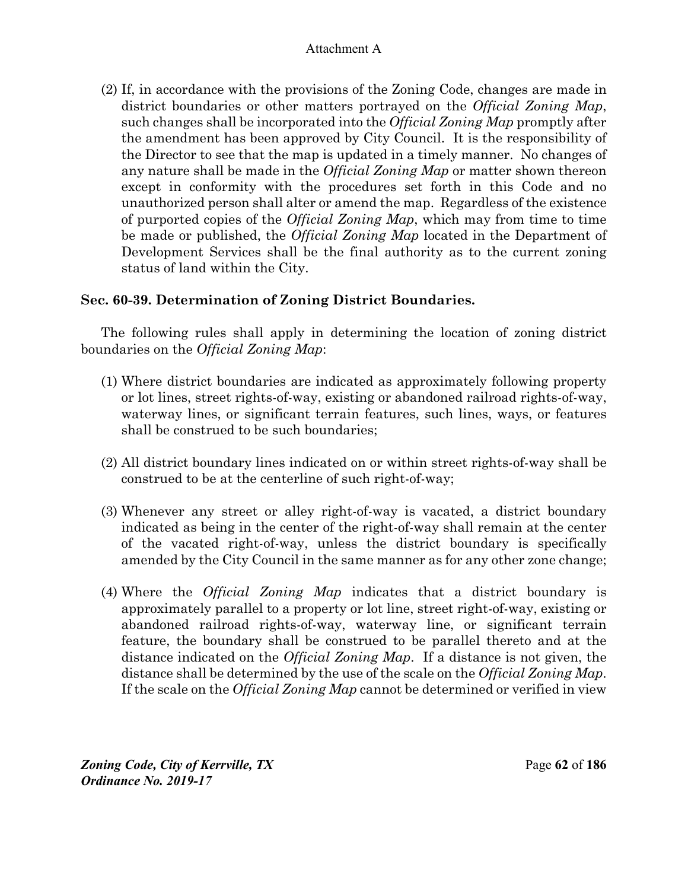(2) If, in accordance with the provisions of the Zoning Code, changes are made in district boundaries or other matters portrayed on the *Official Zoning Map*, such changes shall be incorporated into the *Official Zoning Map* promptly after the amendment has been approved by City Council. It is the responsibility of the Director to see that the map is updated in a timely manner. No changes of any nature shall be made in the *Official Zoning Map* or matter shown thereon except in conformity with the procedures set forth in this Code and no unauthorized person shall alter or amend the map. Regardless of the existence of purported copies of the *Official Zoning Map*, which may from time to time be made or published, the *Official Zoning Map* located in the Department of Development Services shall be the final authority as to the current zoning status of land within the City.

# **Sec. 60-39. Determination of Zoning District Boundaries.**

The following rules shall apply in determining the location of zoning district boundaries on the *Official Zoning Map*:

- (1) Where district boundaries are indicated as approximately following property or lot lines, street rights-of-way, existing or abandoned railroad rights-of-way, waterway lines, or significant terrain features, such lines, ways, or features shall be construed to be such boundaries;
- (2) All district boundary lines indicated on or within street rights-of-way shall be construed to be at the centerline of such right-of-way;
- (3) Whenever any street or alley right-of-way is vacated, a district boundary indicated as being in the center of the right-of-way shall remain at the center of the vacated right-of-way, unless the district boundary is specifically amended by the City Council in the same manner as for any other zone change;
- (4) Where the *Official Zoning Map* indicates that a district boundary is approximately parallel to a property or lot line, street right-of-way, existing or abandoned railroad rights-of-way, waterway line, or significant terrain feature, the boundary shall be construed to be parallel thereto and at the distance indicated on the *Official Zoning Map*. If a distance is not given, the distance shall be determined by the use of the scale on the *Official Zoning Map*. If the scale on the *Official Zoning Map* cannot be determined or verified in view

*Zoning Code, City of Kerrville, TX*Page **62** of **186**  *Ordinance No. 2019-17*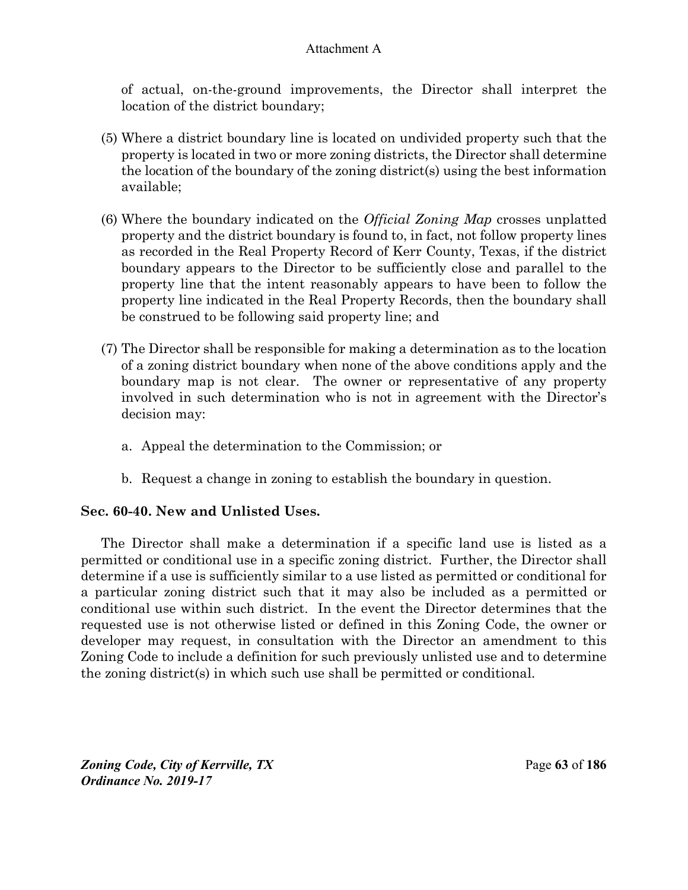of actual, on-the-ground improvements, the Director shall interpret the location of the district boundary;

- (5) Where a district boundary line is located on undivided property such that the property is located in two or more zoning districts, the Director shall determine the location of the boundary of the zoning district(s) using the best information available;
- (6) Where the boundary indicated on the *Official Zoning Map* crosses unplatted property and the district boundary is found to, in fact, not follow property lines as recorded in the Real Property Record of Kerr County, Texas, if the district boundary appears to the Director to be sufficiently close and parallel to the property line that the intent reasonably appears to have been to follow the property line indicated in the Real Property Records, then the boundary shall be construed to be following said property line; and
- (7) The Director shall be responsible for making a determination as to the location of a zoning district boundary when none of the above conditions apply and the boundary map is not clear. The owner or representative of any property involved in such determination who is not in agreement with the Director's decision may:
	- a. Appeal the determination to the Commission; or
	- b. Request a change in zoning to establish the boundary in question.

# **Sec. 60-40. New and Unlisted Uses.**

The Director shall make a determination if a specific land use is listed as a permitted or conditional use in a specific zoning district. Further, the Director shall determine if a use is sufficiently similar to a use listed as permitted or conditional for a particular zoning district such that it may also be included as a permitted or conditional use within such district. In the event the Director determines that the requested use is not otherwise listed or defined in this Zoning Code, the owner or developer may request, in consultation with the Director an amendment to this Zoning Code to include a definition for such previously unlisted use and to determine the zoning district(s) in which such use shall be permitted or conditional.

*Zoning Code, City of Kerrville, TX*Page **63** of **186**  *Ordinance No. 2019-17*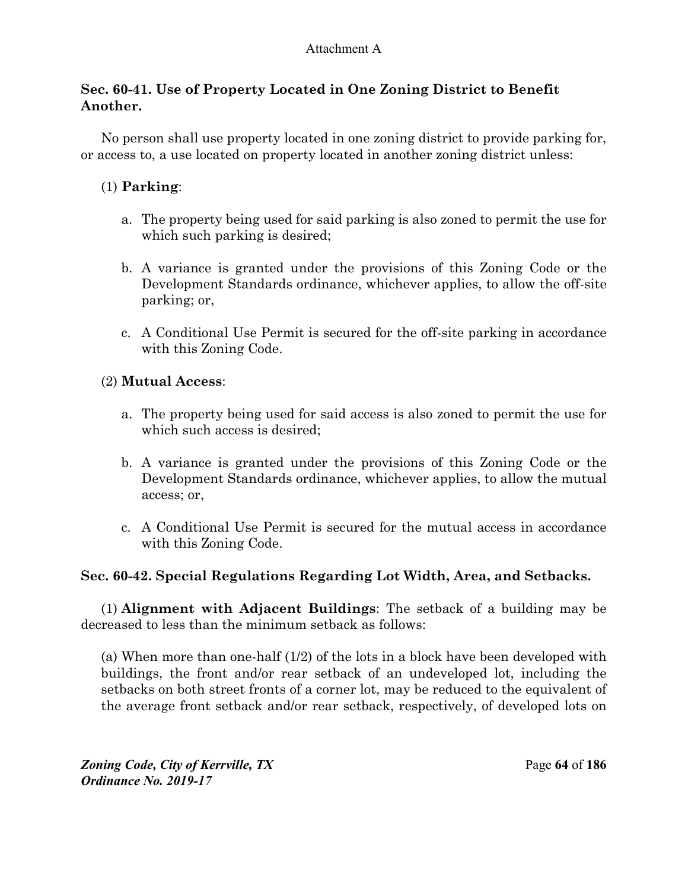# **Sec. 60-41. Use of Property Located in One Zoning District to Benefit Another.**

No person shall use property located in one zoning district to provide parking for, or access to, a use located on property located in another zoning district unless:

# (1) **Parking**:

- a. The property being used for said parking is also zoned to permit the use for which such parking is desired;
- b. A variance is granted under the provisions of this Zoning Code or the Development Standards ordinance, whichever applies, to allow the off-site parking; or,
- c. A Conditional Use Permit is secured for the off-site parking in accordance with this Zoning Code.

# (2) **Mutual Access**:

- a. The property being used for said access is also zoned to permit the use for which such access is desired;
- b. A variance is granted under the provisions of this Zoning Code or the Development Standards ordinance, whichever applies, to allow the mutual access; or,
- c. A Conditional Use Permit is secured for the mutual access in accordance with this Zoning Code.

# **Sec. 60-42. Special Regulations Regarding Lot Width, Area, and Setbacks.**

(1) **Alignment with Adjacent Buildings**: The setback of a building may be decreased to less than the minimum setback as follows:

(a) When more than one-half (1/2) of the lots in a block have been developed with buildings, the front and/or rear setback of an undeveloped lot, including the setbacks on both street fronts of a corner lot, may be reduced to the equivalent of the average front setback and/or rear setback, respectively, of developed lots on

*Zoning Code, City of Kerrville, TX*Page **64** of **186**  *Ordinance No. 2019-17*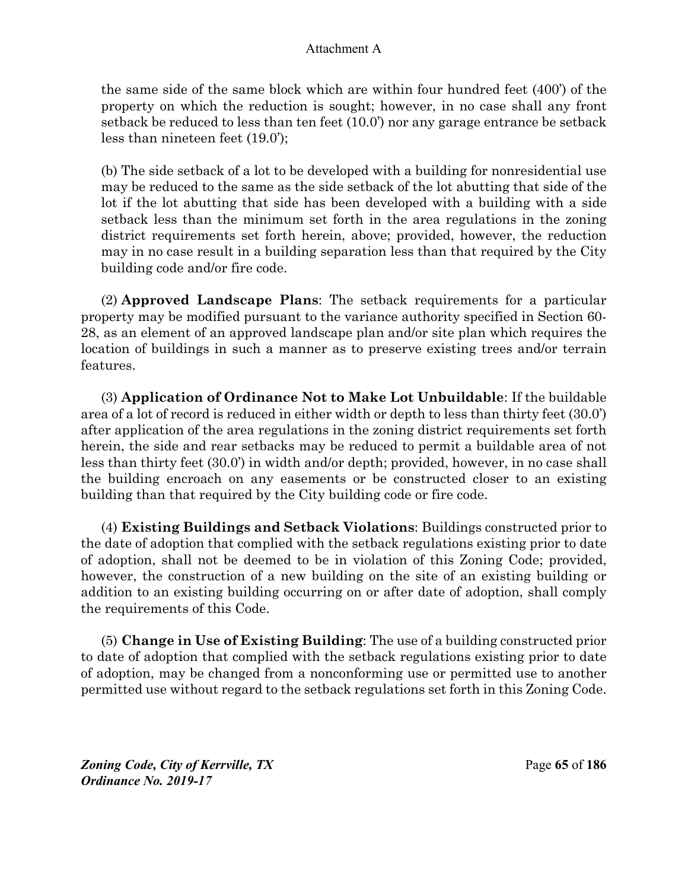the same side of the same block which are within four hundred feet (400') of the property on which the reduction is sought; however, in no case shall any front setback be reduced to less than ten feet (10.0') nor any garage entrance be setback less than nineteen feet (19.0');

(b) The side setback of a lot to be developed with a building for nonresidential use may be reduced to the same as the side setback of the lot abutting that side of the lot if the lot abutting that side has been developed with a building with a side setback less than the minimum set forth in the area regulations in the zoning district requirements set forth herein, above; provided, however, the reduction may in no case result in a building separation less than that required by the City building code and/or fire code.

(2) **Approved Landscape Plans**: The setback requirements for a particular property may be modified pursuant to the variance authority specified in Section 60- 28, as an element of an approved landscape plan and/or site plan which requires the location of buildings in such a manner as to preserve existing trees and/or terrain features.

(3) **Application of Ordinance Not to Make Lot Unbuildable**: If the buildable area of a lot of record is reduced in either width or depth to less than thirty feet (30.0') after application of the area regulations in the zoning district requirements set forth herein, the side and rear setbacks may be reduced to permit a buildable area of not less than thirty feet (30.0') in width and/or depth; provided, however, in no case shall the building encroach on any easements or be constructed closer to an existing building than that required by the City building code or fire code.

(4) **Existing Buildings and Setback Violations**: Buildings constructed prior to the date of adoption that complied with the setback regulations existing prior to date of adoption, shall not be deemed to be in violation of this Zoning Code; provided, however, the construction of a new building on the site of an existing building or addition to an existing building occurring on or after date of adoption, shall comply the requirements of this Code.

(5) **Change in Use of Existing Building**: The use of a building constructed prior to date of adoption that complied with the setback regulations existing prior to date of adoption, may be changed from a nonconforming use or permitted use to another permitted use without regard to the setback regulations set forth in this Zoning Code.

*Zoning Code, City of Kerrville, TX*Page **65** of **186**  *Ordinance No. 2019-17*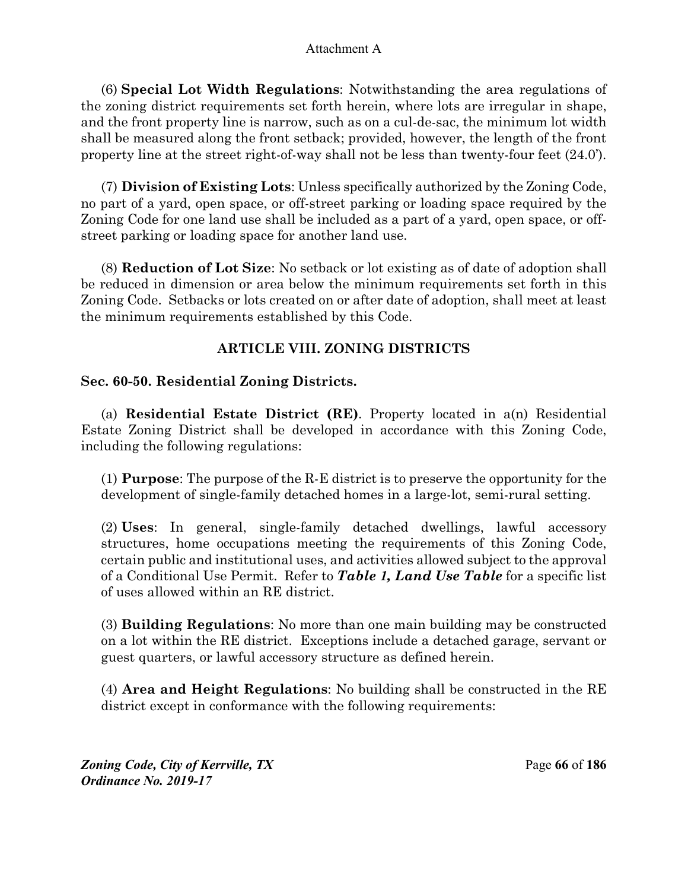(6) **Special Lot Width Regulations**: Notwithstanding the area regulations of the zoning district requirements set forth herein, where lots are irregular in shape, and the front property line is narrow, such as on a cul-de-sac, the minimum lot width shall be measured along the front setback; provided, however, the length of the front property line at the street right-of-way shall not be less than twenty-four feet (24.0').

(7) **Division of Existing Lots**: Unless specifically authorized by the Zoning Code, no part of a yard, open space, or off-street parking or loading space required by the Zoning Code for one land use shall be included as a part of a yard, open space, or offstreet parking or loading space for another land use.

(8) **Reduction of Lot Size**: No setback or lot existing as of date of adoption shall be reduced in dimension or area below the minimum requirements set forth in this Zoning Code. Setbacks or lots created on or after date of adoption, shall meet at least the minimum requirements established by this Code.

# **ARTICLE VIII. ZONING DISTRICTS**

# **Sec. 60-50. Residential Zoning Districts.**

(a) **Residential Estate District (RE)**. Property located in a(n) Residential Estate Zoning District shall be developed in accordance with this Zoning Code, including the following regulations:

(1) **Purpose**: The purpose of the R-E district is to preserve the opportunity for the development of single-family detached homes in a large-lot, semi-rural setting.

(2) **Uses**: In general, single-family detached dwellings, lawful accessory structures, home occupations meeting the requirements of this Zoning Code, certain public and institutional uses, and activities allowed subject to the approval of a Conditional Use Permit. Refer to *Table 1, Land Use Table* for a specific list of uses allowed within an RE district.

(3) **Building Regulations**: No more than one main building may be constructed on a lot within the RE district. Exceptions include a detached garage, servant or guest quarters, or lawful accessory structure as defined herein.

(4) **Area and Height Regulations**: No building shall be constructed in the RE district except in conformance with the following requirements:

*Zoning Code, City of Kerrville, TX*Page **66** of **186**  *Ordinance No. 2019-17*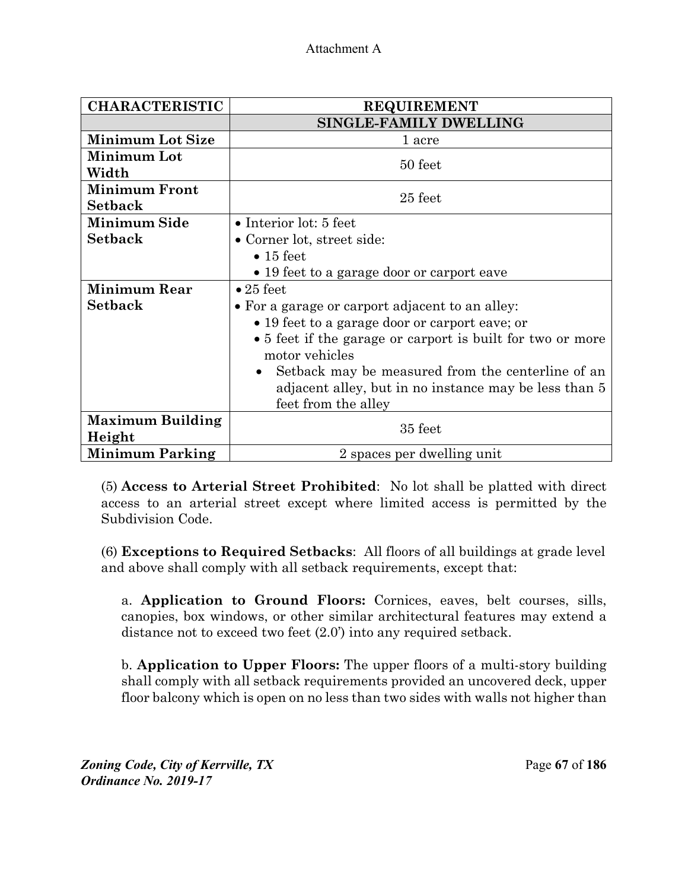| <b>CHARACTERISTIC</b>   | <b>REQUIREMENT</b>                                         |  |
|-------------------------|------------------------------------------------------------|--|
|                         | <b>SINGLE-FAMILY DWELLING</b>                              |  |
| <b>Minimum Lot Size</b> | 1 acre                                                     |  |
| Minimum Lot             | 50 feet                                                    |  |
| Width                   |                                                            |  |
| <b>Minimum Front</b>    | 25 feet                                                    |  |
| <b>Setback</b>          |                                                            |  |
| <b>Minimum Side</b>     | $\bullet$ Interior lot: 5 feet                             |  |
| <b>Setback</b>          | • Corner lot, street side:                                 |  |
|                         | $\bullet$ 15 feet                                          |  |
|                         | • 19 feet to a garage door or carport eave                 |  |
| <b>Minimum Rear</b>     | $\bullet$ 25 feet                                          |  |
| <b>Setback</b>          | • For a garage or carport adjacent to an alley:            |  |
|                         | • 19 feet to a garage door or carport eave; or             |  |
|                         | • 5 feet if the garage or carport is built for two or more |  |
|                         | motor vehicles                                             |  |
|                         | Setback may be measured from the centerline of an          |  |
|                         | adjacent alley, but in no instance may be less than 5      |  |
|                         | feet from the alley                                        |  |
| <b>Maximum Building</b> | 35 feet                                                    |  |
| Height                  |                                                            |  |
| <b>Minimum Parking</b>  | 2 spaces per dwelling unit                                 |  |

(5) **Access to Arterial Street Prohibited**: No lot shall be platted with direct access to an arterial street except where limited access is permitted by the Subdivision Code.

(6) **Exceptions to Required Setbacks**:All floors of all buildings at grade level and above shall comply with all setback requirements, except that:

a. **Application to Ground Floors:** Cornices, eaves, belt courses, sills, canopies, box windows, or other similar architectural features may extend a distance not to exceed two feet (2.0') into any required setback.

b. **Application to Upper Floors:** The upper floors of a multi-story building shall comply with all setback requirements provided an uncovered deck, upper floor balcony which is open on no less than two sides with walls not higher than

*Zoning Code, City of Kerrville, TX*Page **67** of **186**  *Ordinance No. 2019-17*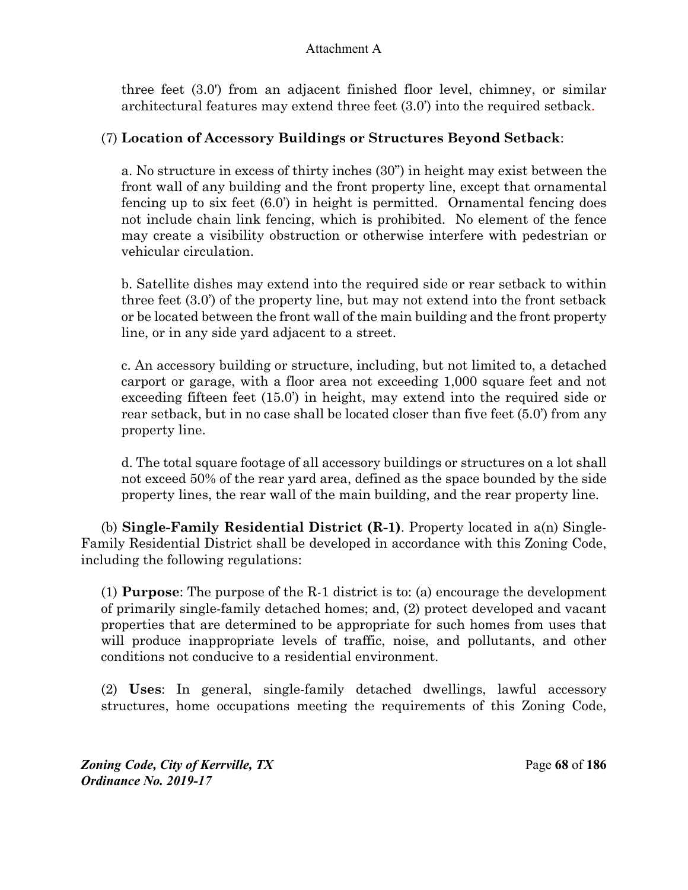three feet (3.0') from an adjacent finished floor level, chimney, or similar architectural features may extend three feet (3.0') into the required setback.

# (7) **Location of Accessory Buildings or Structures Beyond Setback**:

a. No structure in excess of thirty inches (30") in height may exist between the front wall of any building and the front property line, except that ornamental fencing up to six feet (6.0') in height is permitted. Ornamental fencing does not include chain link fencing, which is prohibited. No element of the fence may create a visibility obstruction or otherwise interfere with pedestrian or vehicular circulation.

b. Satellite dishes may extend into the required side or rear setback to within three feet (3.0') of the property line, but may not extend into the front setback or be located between the front wall of the main building and the front property line, or in any side yard adjacent to a street.

c. An accessory building or structure, including, but not limited to, a detached carport or garage, with a floor area not exceeding 1,000 square feet and not exceeding fifteen feet (15.0') in height, may extend into the required side or rear setback, but in no case shall be located closer than five feet (5.0') from any property line.

d. The total square footage of all accessory buildings or structures on a lot shall not exceed 50% of the rear yard area, defined as the space bounded by the side property lines, the rear wall of the main building, and the rear property line.

(b) **Single-Family Residential District (R-1)**. Property located in a(n) Single-Family Residential District shall be developed in accordance with this Zoning Code, including the following regulations:

(1) **Purpose**: The purpose of the R-1 district is to: (a) encourage the development of primarily single-family detached homes; and, (2) protect developed and vacant properties that are determined to be appropriate for such homes from uses that will produce inappropriate levels of traffic, noise, and pollutants, and other conditions not conducive to a residential environment.

(2) **Uses**: In general, single-family detached dwellings, lawful accessory structures, home occupations meeting the requirements of this Zoning Code,

*Zoning Code, City of Kerrville, TX*Page **68** of **186**  *Ordinance No. 2019-17*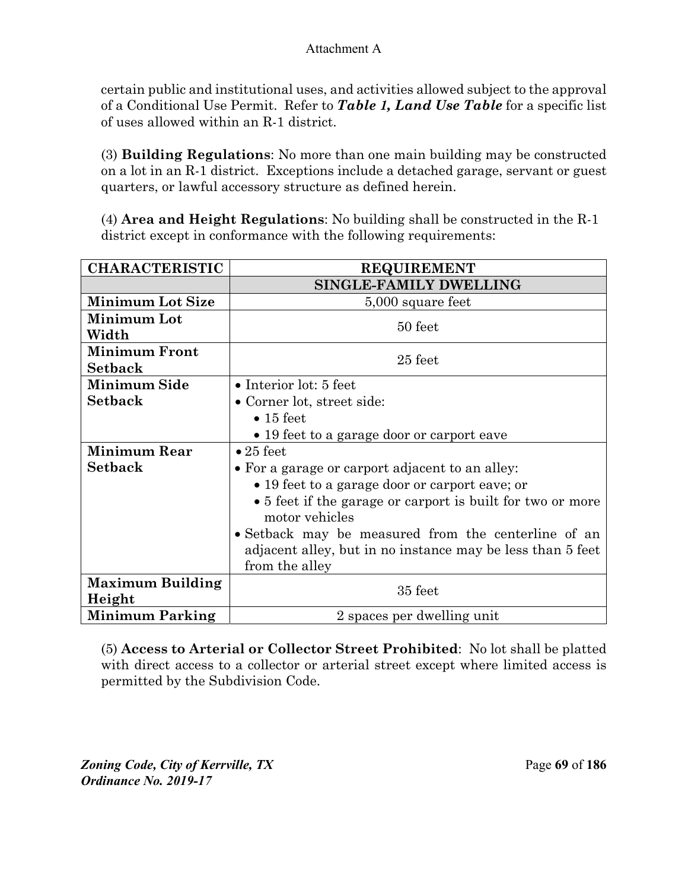certain public and institutional uses, and activities allowed subject to the approval of a Conditional Use Permit. Refer to *Table 1, Land Use Table* for a specific list of uses allowed within an R-1 district.

(3) **Building Regulations**: No more than one main building may be constructed on a lot in an R-1 district. Exceptions include a detached garage, servant or guest quarters, or lawful accessory structure as defined herein.

(4) **Area and Height Regulations**: No building shall be constructed in the R-1 district except in conformance with the following requirements:

| <b>CHARACTERISTIC</b>   | <b>REQUIREMENT</b>                                                           |  |  |
|-------------------------|------------------------------------------------------------------------------|--|--|
|                         | <b>SINGLE-FAMILY DWELLING</b>                                                |  |  |
| <b>Minimum Lot Size</b> | 5,000 square feet                                                            |  |  |
| Minimum Lot             | 50 feet                                                                      |  |  |
| Width                   |                                                                              |  |  |
| <b>Minimum Front</b>    | 25 feet                                                                      |  |  |
| <b>Setback</b>          |                                                                              |  |  |
| <b>Minimum Side</b>     | $\bullet$ Interior lot: 5 feet                                               |  |  |
| <b>Setback</b>          | • Corner lot, street side:                                                   |  |  |
|                         | $\bullet$ 15 feet                                                            |  |  |
|                         | • 19 feet to a garage door or carport eave                                   |  |  |
| <b>Minimum Rear</b>     | $\bullet$ 25 feet                                                            |  |  |
| <b>Setback</b>          | • For a garage or carport adjacent to an alley:                              |  |  |
|                         | • 19 feet to a garage door or carport eave; or                               |  |  |
|                         | • 5 feet if the garage or carport is built for two or more<br>motor vehicles |  |  |
|                         | • Setback may be measured from the centerline of an                          |  |  |
|                         | adjacent alley, but in no instance may be less than 5 feet                   |  |  |
|                         | from the alley                                                               |  |  |
| <b>Maximum Building</b> | 35 feet                                                                      |  |  |
| Height                  |                                                                              |  |  |
| <b>Minimum Parking</b>  | 2 spaces per dwelling unit                                                   |  |  |

(5) **Access to Arterial or Collector Street Prohibited**: No lot shall be platted with direct access to a collector or arterial street except where limited access is permitted by the Subdivision Code.

*Zoning Code, City of Kerrville, TX*Page **69** of **186**  *Ordinance No. 2019-17*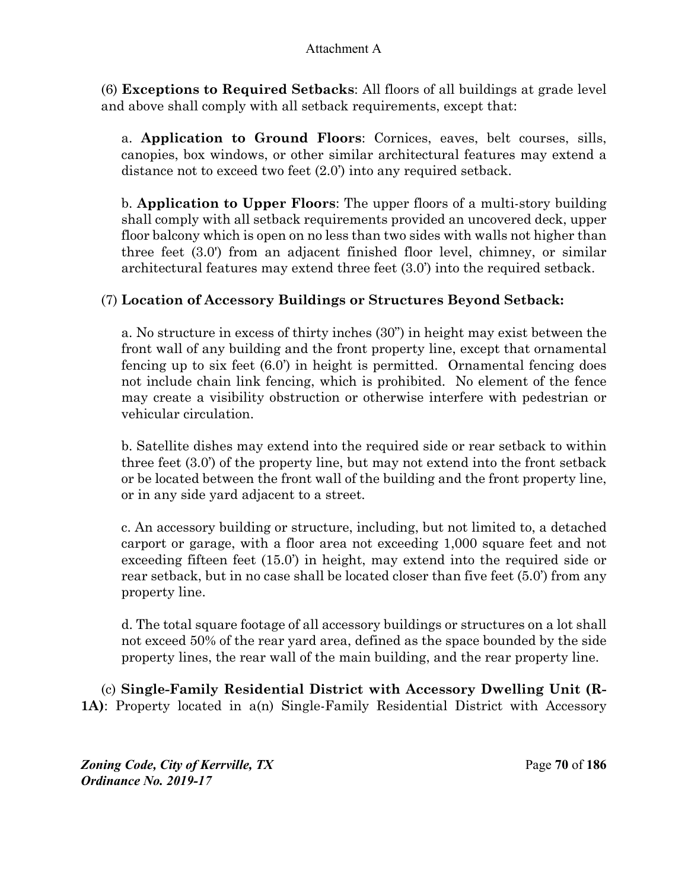(6) **Exceptions to Required Setbacks**: All floors of all buildings at grade level and above shall comply with all setback requirements, except that:

a. **Application to Ground Floors**: Cornices, eaves, belt courses, sills, canopies, box windows, or other similar architectural features may extend a distance not to exceed two feet (2.0') into any required setback.

b. **Application to Upper Floors**: The upper floors of a multi-story building shall comply with all setback requirements provided an uncovered deck, upper floor balcony which is open on no less than two sides with walls not higher than three feet (3.0') from an adjacent finished floor level, chimney, or similar architectural features may extend three feet (3.0') into the required setback.

# (7) **Location of Accessory Buildings or Structures Beyond Setback:**

a. No structure in excess of thirty inches (30") in height may exist between the front wall of any building and the front property line, except that ornamental fencing up to six feet (6.0') in height is permitted. Ornamental fencing does not include chain link fencing, which is prohibited. No element of the fence may create a visibility obstruction or otherwise interfere with pedestrian or vehicular circulation.

b. Satellite dishes may extend into the required side or rear setback to within three feet (3.0') of the property line, but may not extend into the front setback or be located between the front wall of the building and the front property line, or in any side yard adjacent to a street.

c. An accessory building or structure, including, but not limited to, a detached carport or garage, with a floor area not exceeding 1,000 square feet and not exceeding fifteen feet (15.0') in height, may extend into the required side or rear setback, but in no case shall be located closer than five feet (5.0') from any property line.

d. The total square footage of all accessory buildings or structures on a lot shall not exceed 50% of the rear yard area, defined as the space bounded by the side property lines, the rear wall of the main building, and the rear property line.

(c) **Single-Family Residential District with Accessory Dwelling Unit (R-1A)**: Property located in a(n) Single-Family Residential District with Accessory

*Zoning Code, City of Kerrville, TX*Page **70** of **186**  *Ordinance No. 2019-17*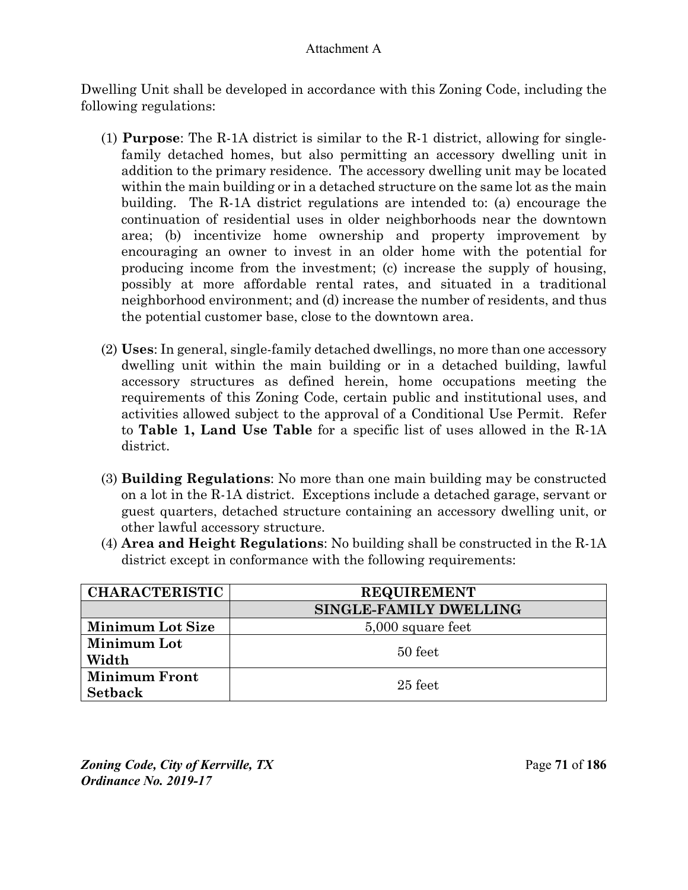Dwelling Unit shall be developed in accordance with this Zoning Code, including the following regulations:

- (1) **Purpose**: The R-1A district is similar to the R-1 district, allowing for singlefamily detached homes, but also permitting an accessory dwelling unit in addition to the primary residence. The accessory dwelling unit may be located within the main building or in a detached structure on the same lot as the main building. The R-1A district regulations are intended to: (a) encourage the continuation of residential uses in older neighborhoods near the downtown area; (b) incentivize home ownership and property improvement by encouraging an owner to invest in an older home with the potential for producing income from the investment; (c) increase the supply of housing, possibly at more affordable rental rates, and situated in a traditional neighborhood environment; and (d) increase the number of residents, and thus the potential customer base, close to the downtown area.
- (2) **Uses**: In general, single-family detached dwellings, no more than one accessory dwelling unit within the main building or in a detached building, lawful accessory structures as defined herein, home occupations meeting the requirements of this Zoning Code, certain public and institutional uses, and activities allowed subject to the approval of a Conditional Use Permit. Refer to **Table 1, Land Use Table** for a specific list of uses allowed in the R-1A district.
- (3) **Building Regulations**: No more than one main building may be constructed on a lot in the R-1A district. Exceptions include a detached garage, servant or guest quarters, detached structure containing an accessory dwelling unit, or other lawful accessory structure.
- (4) **Area and Height Regulations**: No building shall be constructed in the R-1A district except in conformance with the following requirements:

| <b>CHARACTERISTIC</b>   | <b>REQUIREMENT</b>     |  |
|-------------------------|------------------------|--|
|                         | SINGLE-FAMILY DWELLING |  |
| <b>Minimum Lot Size</b> | 5,000 square feet      |  |
| Minimum Lot             | 50 feet                |  |
| Width                   |                        |  |
| <b>Minimum Front</b>    | $25$ feet              |  |
| <b>Setback</b>          |                        |  |

*Zoning Code, City of Kerrville, TX*Page **71** of **186**  *Ordinance No. 2019-17*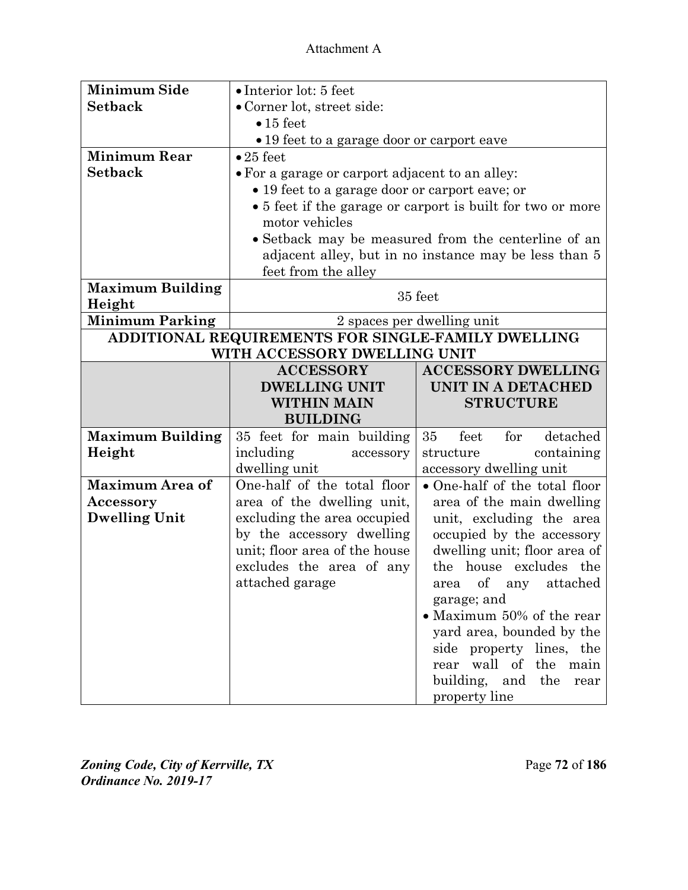| <b>Minimum Side</b>     | • Interior lot: 5 feet                                     |                               |  |
|-------------------------|------------------------------------------------------------|-------------------------------|--|
| <b>Setback</b>          | • Corner lot, street side:                                 |                               |  |
|                         | $\bullet$ 15 feet                                          |                               |  |
|                         | • 19 feet to a garage door or carport eave                 |                               |  |
| <b>Minimum Rear</b>     | $\bullet$ 25 feet                                          |                               |  |
| <b>Setback</b>          | • For a garage or carport adjacent to an alley:            |                               |  |
|                         | • 19 feet to a garage door or carport eave; or             |                               |  |
|                         | • 5 feet if the garage or carport is built for two or more |                               |  |
|                         | motor vehicles                                             |                               |  |
|                         | • Setback may be measured from the centerline of an        |                               |  |
|                         | adjacent alley, but in no instance may be less than 5      |                               |  |
|                         | feet from the alley                                        |                               |  |
| <b>Maximum Building</b> |                                                            |                               |  |
| Height                  | 35 feet                                                    |                               |  |
| <b>Minimum Parking</b>  | 2 spaces per dwelling unit                                 |                               |  |
|                         | ADDITIONAL REQUIREMENTS FOR SINGLE-FAMILY DWELLING         |                               |  |
|                         | WITH ACCESSORY DWELLING UNIT                               |                               |  |
|                         | <b>ACCESSORY</b>                                           | <b>ACCESSORY DWELLING</b>     |  |
|                         | <b>DWELLING UNIT</b>                                       | UNIT IN A DETACHED            |  |
|                         |                                                            |                               |  |
|                         | <b>WITHIN MAIN</b>                                         | <b>STRUCTURE</b>              |  |
|                         | <b>BUILDING</b>                                            |                               |  |
| <b>Maximum Building</b> | 35 feet for main building                                  | 35<br>feet<br>for<br>detached |  |
| Height                  | including<br>accessory                                     | containing<br>structure       |  |
|                         | dwelling unit                                              | accessory dwelling unit       |  |
| <b>Maximum Area of</b>  | One-half of the total floor                                | • One-half of the total floor |  |
| Accessory               | area of the dwelling unit,                                 | area of the main dwelling     |  |
| <b>Dwelling Unit</b>    | excluding the area occupied                                | unit, excluding the area      |  |
|                         | by the accessory dwelling                                  | occupied by the accessory     |  |
|                         | unit; floor area of the house                              | dwelling unit; floor area of  |  |
|                         | excludes the area of any                                   | the house excludes the        |  |
|                         | attached garage                                            | area of any attached          |  |
|                         |                                                            | garage; and                   |  |
|                         |                                                            | • Maximum 50% of the rear     |  |
|                         |                                                            | yard area, bounded by the     |  |
|                         |                                                            | side property lines, the      |  |
|                         |                                                            | rear wall of the main         |  |
|                         |                                                            | building, and the<br>rear     |  |

*Zoning Code, City of Kerrville, TX*Page **72** of **186**  *Ordinance No. 2019-17*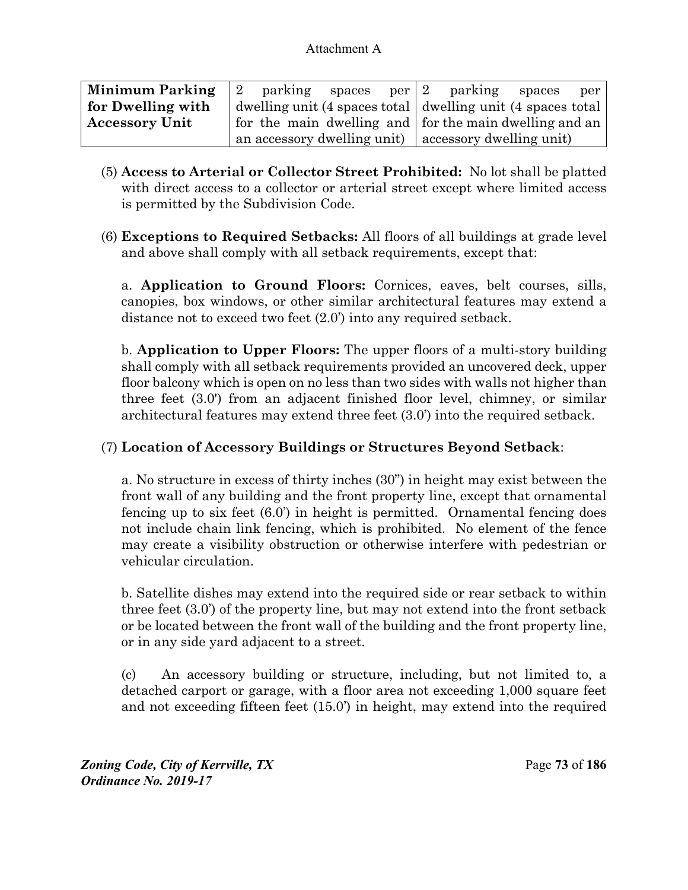| <b>Minimum Parking</b> | parking<br>12                                               | spaces |  | $per 2$ parking | spaces | per |
|------------------------|-------------------------------------------------------------|--------|--|-----------------|--------|-----|
| for Dwelling with      | dwelling unit (4 spaces total dwelling unit (4 spaces total |        |  |                 |        |     |
| <b>Accessory Unit</b>  | for the main dwelling and for the main dwelling and an      |        |  |                 |        |     |
|                        | an accessory dwelling unit) accessory dwelling unit)        |        |  |                 |        |     |

- (5) **Access to Arterial or Collector Street Prohibited:** No lot shall be platted with direct access to a collector or arterial street except where limited access is permitted by the Subdivision Code.
- (6) **Exceptions to Required Setbacks:** All floors of all buildings at grade level and above shall comply with all setback requirements, except that:

a. **Application to Ground Floors:** Cornices, eaves, belt courses, sills, canopies, box windows, or other similar architectural features may extend a distance not to exceed two feet (2.0') into any required setback.

b. **Application to Upper Floors:** The upper floors of a multi-story building shall comply with all setback requirements provided an uncovered deck, upper floor balcony which is open on no less than two sides with walls not higher than three feet (3.0') from an adjacent finished floor level, chimney, or similar architectural features may extend three feet (3.0') into the required setback.

# (7) **Location of Accessory Buildings or Structures Beyond Setback**:

a. No structure in excess of thirty inches (30") in height may exist between the front wall of any building and the front property line, except that ornamental fencing up to six feet (6.0') in height is permitted. Ornamental fencing does not include chain link fencing, which is prohibited. No element of the fence may create a visibility obstruction or otherwise interfere with pedestrian or vehicular circulation.

b. Satellite dishes may extend into the required side or rear setback to within three feet (3.0') of the property line, but may not extend into the front setback or be located between the front wall of the building and the front property line, or in any side yard adjacent to a street.

(c) An accessory building or structure, including, but not limited to, a detached carport or garage, with a floor area not exceeding 1,000 square feet and not exceeding fifteen feet (15.0') in height, may extend into the required

*Zoning Code, City of Kerrville, TX*Page **73** of **186**  *Ordinance No. 2019-17*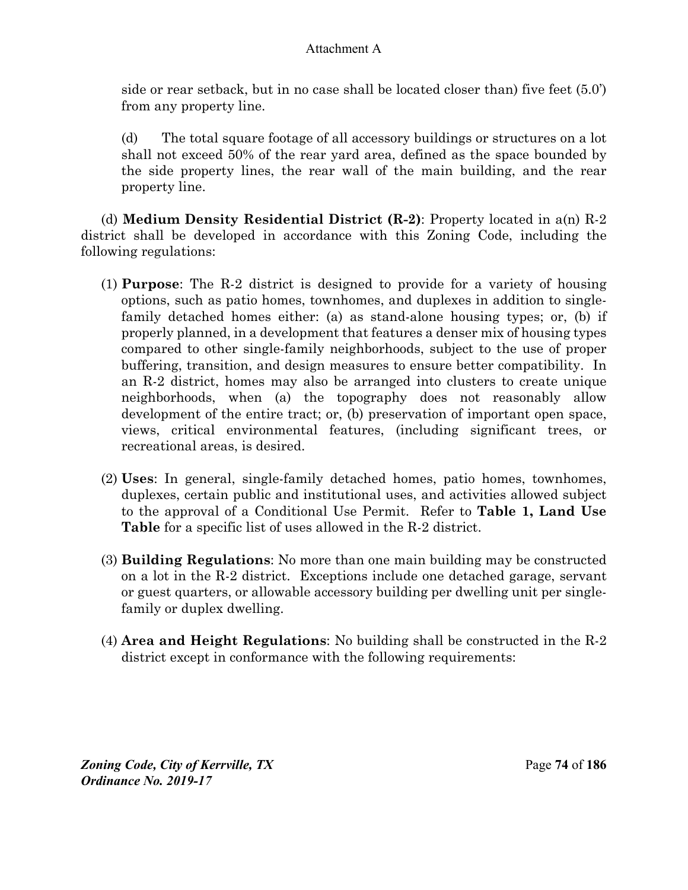side or rear setback, but in no case shall be located closer than) five feet (5.0') from any property line.

(d) The total square footage of all accessory buildings or structures on a lot shall not exceed 50% of the rear yard area, defined as the space bounded by the side property lines, the rear wall of the main building, and the rear property line.

(d) **Medium Density Residential District (R-2)**: Property located in a(n) R-2 district shall be developed in accordance with this Zoning Code, including the following regulations:

- (1) **Purpose**: The R-2 district is designed to provide for a variety of housing options, such as patio homes, townhomes, and duplexes in addition to singlefamily detached homes either: (a) as stand-alone housing types; or, (b) if properly planned, in a development that features a denser mix of housing types compared to other single-family neighborhoods, subject to the use of proper buffering, transition, and design measures to ensure better compatibility. In an R-2 district, homes may also be arranged into clusters to create unique neighborhoods, when (a) the topography does not reasonably allow development of the entire tract; or, (b) preservation of important open space, views, critical environmental features, (including significant trees, or recreational areas, is desired.
- (2) **Uses**: In general, single-family detached homes, patio homes, townhomes, duplexes, certain public and institutional uses, and activities allowed subject to the approval of a Conditional Use Permit. Refer to **Table 1, Land Use Table** for a specific list of uses allowed in the R-2 district.
- (3) **Building Regulations**: No more than one main building may be constructed on a lot in the R-2 district. Exceptions include one detached garage, servant or guest quarters, or allowable accessory building per dwelling unit per singlefamily or duplex dwelling.
- (4) **Area and Height Regulations**: No building shall be constructed in the R-2 district except in conformance with the following requirements: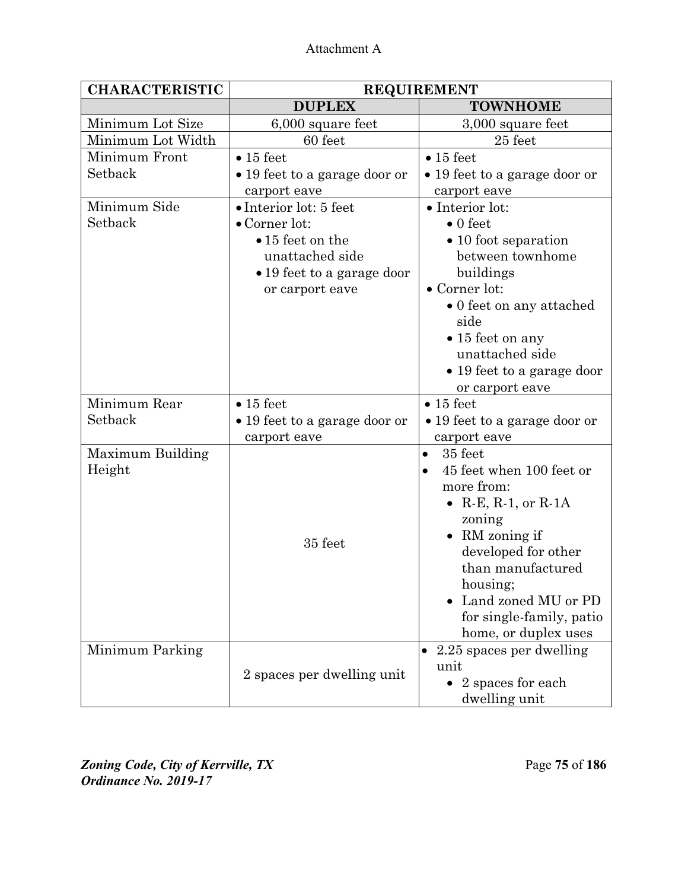| <b>CHARACTERISTIC</b> | <b>REQUIREMENT</b>            |                               |  |
|-----------------------|-------------------------------|-------------------------------|--|
|                       | <b>DUPLEX</b>                 | <b>TOWNHOME</b>               |  |
| Minimum Lot Size      | 6,000 square feet             | 3,000 square feet             |  |
| Minimum Lot Width     | 60 feet                       | $25$ feet                     |  |
| Minimum Front         | $\bullet$ 15 feet             | $\bullet$ 15 feet             |  |
| Setback               | • 19 feet to a garage door or | • 19 feet to a garage door or |  |
|                       | carport eave                  | carport eave                  |  |
| Minimum Side          | • Interior lot: 5 feet        | • Interior lot:               |  |
| Setback               | $\bullet$ Corner lot:         | $\bullet$ 0 feet              |  |
|                       | $\bullet$ 15 feet on the      | • 10 foot separation          |  |
|                       | unattached side               | between townhome              |  |
|                       | • 19 feet to a garage door    | buildings                     |  |
|                       | or carport eave               | • Corner lot:                 |  |
|                       |                               | • 0 feet on any attached      |  |
|                       |                               | side                          |  |
|                       |                               | $\bullet$ 15 feet on any      |  |
|                       |                               | unattached side               |  |
|                       |                               | • 19 feet to a garage door    |  |
|                       |                               | or carport eave               |  |
| Minimum Rear          | $\bullet$ 15 feet             | $\bullet$ 15 feet             |  |
| Setback               | • 19 feet to a garage door or | • 19 feet to a garage door or |  |
|                       | carport eave                  | carport eave                  |  |
| Maximum Building      |                               | 35 feet<br>$\bullet$          |  |
| Height                |                               | 45 feet when 100 feet or      |  |
|                       |                               | more from:                    |  |
|                       |                               | • R-E, R-1, or R-1A           |  |
|                       |                               | zoning                        |  |
|                       | 35 feet                       | • RM zoning if                |  |
|                       |                               | developed for other           |  |
|                       |                               | than manufactured             |  |
|                       |                               | housing;                      |  |
|                       |                               | Land zoned MU or PD           |  |
|                       |                               | for single-family, patio      |  |
|                       |                               | home, or duplex uses          |  |
| Minimum Parking       |                               | 2.25 spaces per dwelling      |  |
|                       | 2 spaces per dwelling unit    | unit                          |  |
|                       |                               | 2 spaces for each             |  |
|                       |                               | dwelling unit                 |  |

*Zoning Code, City of Kerrville, TX*Page **75** of **186**  *Ordinance No. 2019-17*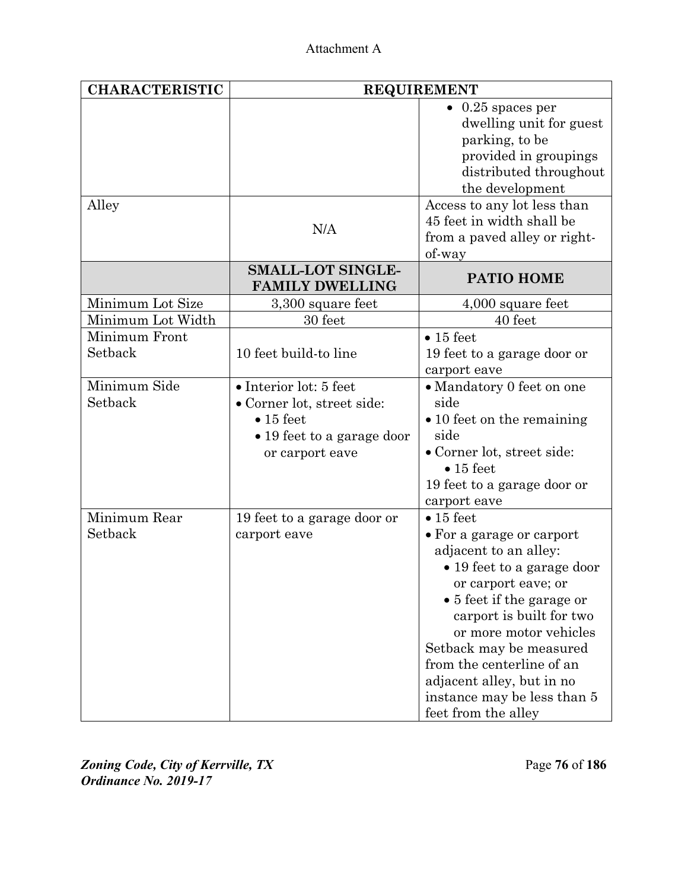| <b>CHARACTERISTIC</b> | <b>REQUIREMENT</b>          |                                    |  |
|-----------------------|-----------------------------|------------------------------------|--|
|                       |                             | $0.25$ spaces per                  |  |
|                       |                             | dwelling unit for guest            |  |
|                       |                             | parking, to be                     |  |
|                       |                             | provided in groupings              |  |
|                       |                             | distributed throughout             |  |
|                       |                             | the development                    |  |
| Alley                 |                             | Access to any lot less than        |  |
|                       |                             | 45 feet in width shall be          |  |
|                       | N/A                         | from a paved alley or right-       |  |
|                       |                             | of-way                             |  |
|                       | <b>SMALL-LOT SINGLE-</b>    |                                    |  |
|                       | <b>FAMILY DWELLING</b>      | PATIO HOME                         |  |
| Minimum Lot Size      | 3,300 square feet           | 4,000 square feet                  |  |
| Minimum Lot Width     | 30 feet                     | 40 feet                            |  |
| Minimum Front         |                             | $\bullet$ 15 feet                  |  |
| Setback               | 10 feet build-to line       | 19 feet to a garage door or        |  |
|                       |                             | carport eave                       |  |
| Minimum Side          | • Interior lot: 5 feet      | • Mandatory 0 feet on one          |  |
| Setback               | · Corner lot, street side:  | side                               |  |
|                       | $\bullet$ 15 feet           | $\bullet$ 10 feet on the remaining |  |
|                       | • 19 feet to a garage door  | side                               |  |
|                       | or carport eave             | • Corner lot, street side:         |  |
|                       |                             | $\bullet$ 15 feet                  |  |
|                       |                             | 19 feet to a garage door or        |  |
|                       |                             | carport eave                       |  |
| Minimum Rear          | 19 feet to a garage door or | $\bullet$ 15 feet                  |  |
| Setback               | carport eave                | • For a garage or carport          |  |
|                       |                             | adjacent to an alley:              |  |
|                       |                             | • 19 feet to a garage door         |  |
|                       |                             | or carport eave; or                |  |
|                       |                             | • 5 feet if the garage or          |  |
|                       |                             | carport is built for two           |  |
|                       |                             | or more motor vehicles             |  |
|                       |                             | Setback may be measured            |  |
|                       |                             | from the centerline of an          |  |
|                       |                             | adjacent alley, but in no          |  |
|                       |                             | instance may be less than 5        |  |
|                       |                             | feet from the alley                |  |

*Zoning Code, City of Kerrville, TX*Page **76** of **186**  *Ordinance No. 2019-17*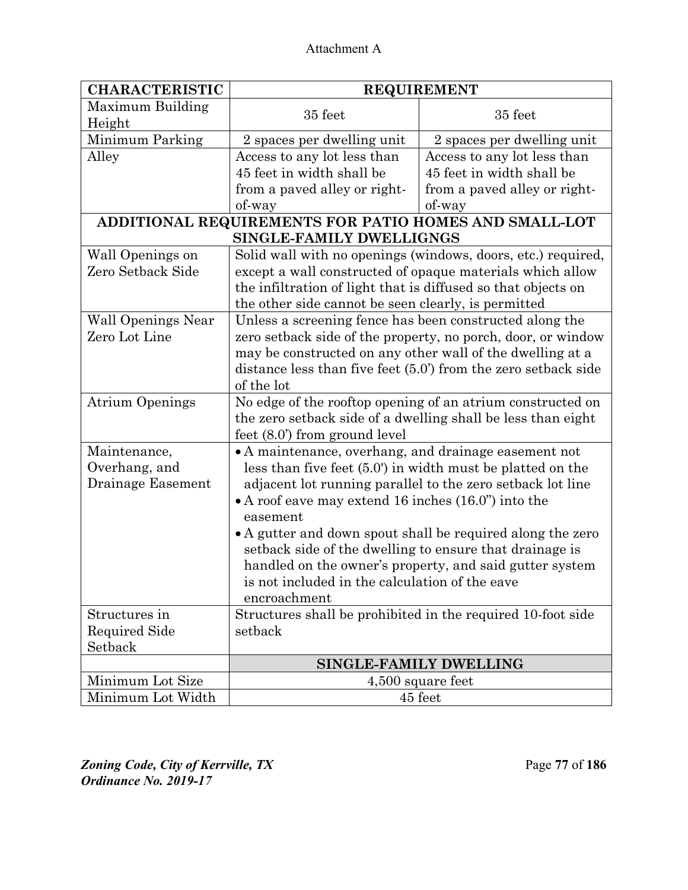| <b>CHARACTERISTIC</b>     | <b>REQUIREMENT</b>                                              |                                                              |  |
|---------------------------|-----------------------------------------------------------------|--------------------------------------------------------------|--|
| Maximum Building          | 35 feet                                                         | 35 feet                                                      |  |
| Height                    |                                                                 |                                                              |  |
| Minimum Parking           | 2 spaces per dwelling unit                                      | 2 spaces per dwelling unit                                   |  |
| Alley                     | Access to any lot less than                                     | Access to any lot less than                                  |  |
|                           | 45 feet in width shall be                                       | 45 feet in width shall be                                    |  |
|                           | from a paved alley or right-                                    | from a paved alley or right-                                 |  |
|                           | of-way                                                          | of-way                                                       |  |
|                           | ADDITIONAL REQUIREMENTS FOR PATIO HOMES AND SMALL-LOT           |                                                              |  |
|                           | SINGLE-FAMILY DWELLIGNGS                                        |                                                              |  |
| Wall Openings on          | Solid wall with no openings (windows, doors, etc.) required,    |                                                              |  |
| Zero Setback Side         | except a wall constructed of opaque materials which allow       |                                                              |  |
|                           | the infiltration of light that is diffused so that objects on   |                                                              |  |
|                           | the other side cannot be seen clearly, is permitted             |                                                              |  |
| <b>Wall Openings Near</b> | Unless a screening fence has been constructed along the         |                                                              |  |
| Zero Lot Line             |                                                                 | zero setback side of the property, no porch, door, or window |  |
|                           | may be constructed on any other wall of the dwelling at a       |                                                              |  |
|                           | distance less than five feet $(5.0)$ from the zero setback side |                                                              |  |
|                           | of the lot                                                      |                                                              |  |
| <b>Atrium Openings</b>    | No edge of the rooftop opening of an atrium constructed on      |                                                              |  |
|                           | the zero setback side of a dwelling shall be less than eight    |                                                              |  |
|                           | feet $(8.0)$ from ground level                                  |                                                              |  |
| Maintenance,              | • A maintenance, overhang, and drainage easement not            |                                                              |  |
| Overhang, and             | less than five feet $(5.0)$ in width must be platted on the     |                                                              |  |
| Drainage Easement         | adjacent lot running parallel to the zero setback lot line      |                                                              |  |
|                           | $\bullet$ A roof eave may extend 16 inches (16.0") into the     |                                                              |  |
|                           | easement                                                        |                                                              |  |
|                           | • A gutter and down spout shall be required along the zero      |                                                              |  |
|                           | setback side of the dwelling to ensure that drainage is         |                                                              |  |
|                           |                                                                 | handled on the owner's property, and said gutter system      |  |
|                           | is not included in the calculation of the eave                  |                                                              |  |
|                           | encroachment                                                    |                                                              |  |
| Structures in             | Structures shall be prohibited in the required 10-foot side     |                                                              |  |
| <b>Required Side</b>      | setback                                                         |                                                              |  |
| Setback                   |                                                                 |                                                              |  |
|                           | SINGLE-FAMILY DWELLING                                          |                                                              |  |
| Minimum Lot Size          | 4,500 square feet                                               |                                                              |  |
| Minimum Lot Width         | 45 feet                                                         |                                                              |  |

*Zoning Code, City of Kerrville, TX*Page **77** of **186**  *Ordinance No. 2019-17*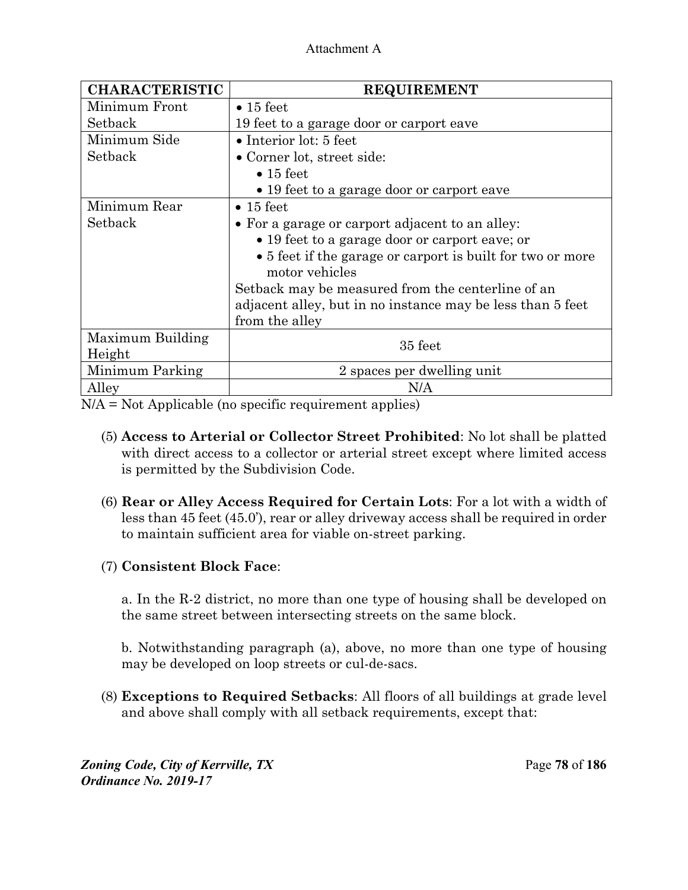| <b>CHARACTERISTIC</b> | <b>REQUIREMENT</b>                                                                                                                                                                                                                     |  |
|-----------------------|----------------------------------------------------------------------------------------------------------------------------------------------------------------------------------------------------------------------------------------|--|
| Minimum Front         | $\bullet$ 15 feet                                                                                                                                                                                                                      |  |
| Setback               | 19 feet to a garage door or carport eave                                                                                                                                                                                               |  |
| Minimum Side          | $\bullet$ Interior lot: 5 feet                                                                                                                                                                                                         |  |
| Setback               | • Corner lot, street side:                                                                                                                                                                                                             |  |
|                       | $\bullet$ 15 feet                                                                                                                                                                                                                      |  |
|                       | • 19 feet to a garage door or carport eave                                                                                                                                                                                             |  |
| Minimum Rear          | $\bullet$ 15 feet                                                                                                                                                                                                                      |  |
| Setback               | • For a garage or carport adjacent to an alley:<br>• 19 feet to a garage door or carport eave; or<br>• 5 feet if the garage or carport is built for two or more<br>motor vehicles<br>Setback may be measured from the centerline of an |  |
|                       |                                                                                                                                                                                                                                        |  |
|                       |                                                                                                                                                                                                                                        |  |
|                       |                                                                                                                                                                                                                                        |  |
|                       | adjacent alley, but in no instance may be less than 5 feet                                                                                                                                                                             |  |
|                       | from the alley                                                                                                                                                                                                                         |  |
| Maximum Building      | 35 feet                                                                                                                                                                                                                                |  |
| Height                |                                                                                                                                                                                                                                        |  |
| Minimum Parking       | 2 spaces per dwelling unit                                                                                                                                                                                                             |  |
| Alley                 | N/A                                                                                                                                                                                                                                    |  |

N/A = Not Applicable (no specific requirement applies)

- (5) **Access to Arterial or Collector Street Prohibited**: No lot shall be platted with direct access to a collector or arterial street except where limited access is permitted by the Subdivision Code.
- (6) **Rear or Alley Access Required for Certain Lots**: For a lot with a width of less than 45 feet (45.0'), rear or alley driveway access shall be required in order to maintain sufficient area for viable on-street parking.

# (7) **Consistent Block Face**:

a. In the R-2 district, no more than one type of housing shall be developed on the same street between intersecting streets on the same block.

b. Notwithstanding paragraph (a), above, no more than one type of housing may be developed on loop streets or cul-de-sacs.

(8) **Exceptions to Required Setbacks**: All floors of all buildings at grade level and above shall comply with all setback requirements, except that:

*Zoning Code, City of Kerrville, TX*Page **78** of **186**  *Ordinance No. 2019-17*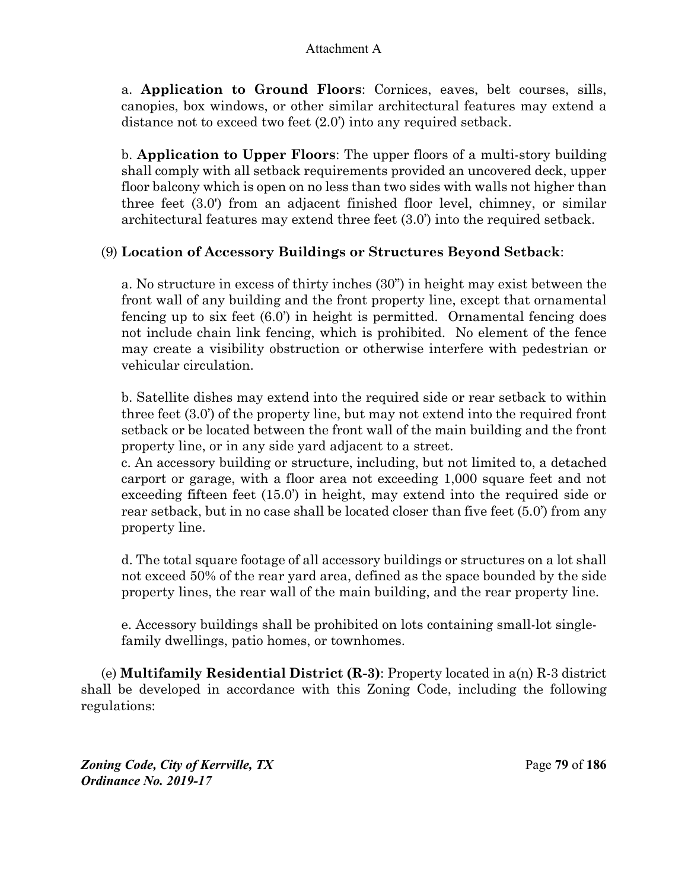a. **Application to Ground Floors**: Cornices, eaves, belt courses, sills, canopies, box windows, or other similar architectural features may extend a distance not to exceed two feet (2.0') into any required setback.

b. **Application to Upper Floors**: The upper floors of a multi-story building shall comply with all setback requirements provided an uncovered deck, upper floor balcony which is open on no less than two sides with walls not higher than three feet (3.0') from an adjacent finished floor level, chimney, or similar architectural features may extend three feet (3.0') into the required setback.

### (9) **Location of Accessory Buildings or Structures Beyond Setback**:

a. No structure in excess of thirty inches (30") in height may exist between the front wall of any building and the front property line, except that ornamental fencing up to six feet (6.0') in height is permitted. Ornamental fencing does not include chain link fencing, which is prohibited. No element of the fence may create a visibility obstruction or otherwise interfere with pedestrian or vehicular circulation.

b. Satellite dishes may extend into the required side or rear setback to within three feet (3.0') of the property line, but may not extend into the required front setback or be located between the front wall of the main building and the front property line, or in any side yard adjacent to a street.

c. An accessory building or structure, including, but not limited to, a detached carport or garage, with a floor area not exceeding 1,000 square feet and not exceeding fifteen feet (15.0') in height, may extend into the required side or rear setback, but in no case shall be located closer than five feet (5.0') from any property line.

d. The total square footage of all accessory buildings or structures on a lot shall not exceed 50% of the rear yard area, defined as the space bounded by the side property lines, the rear wall of the main building, and the rear property line.

e. Accessory buildings shall be prohibited on lots containing small-lot singlefamily dwellings, patio homes, or townhomes.

(e) **Multifamily Residential District (R-3)**: Property located in a(n) R-3 district shall be developed in accordance with this Zoning Code, including the following regulations:

*Zoning Code, City of Kerrville, TX*Page **79** of **186**  *Ordinance No. 2019-17*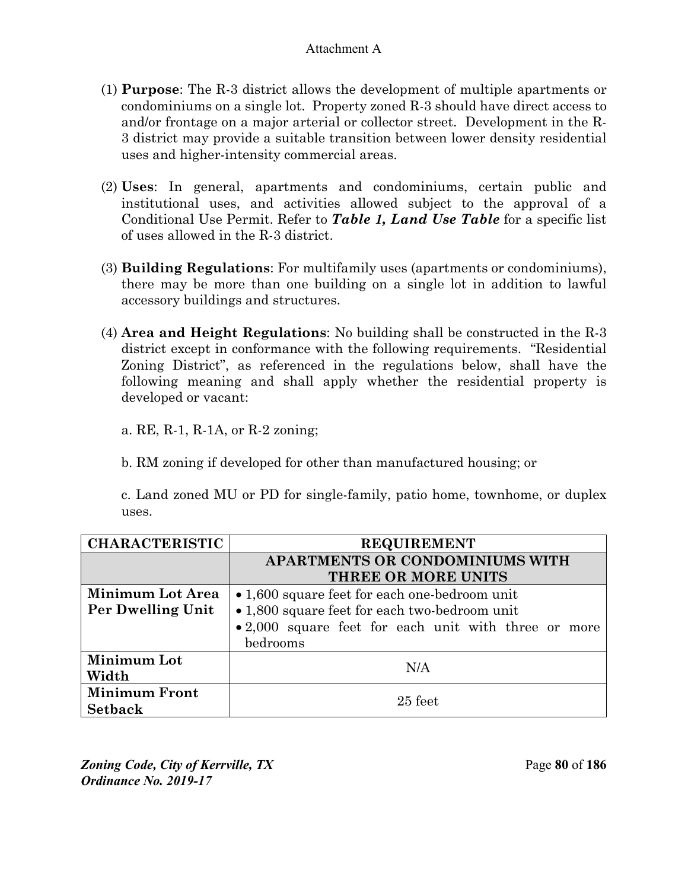- (1) **Purpose**: The R-3 district allows the development of multiple apartments or condominiums on a single lot. Property zoned R-3 should have direct access to and/or frontage on a major arterial or collector street. Development in the R-3 district may provide a suitable transition between lower density residential uses and higher-intensity commercial areas.
- (2) **Uses**: In general, apartments and condominiums, certain public and institutional uses, and activities allowed subject to the approval of a Conditional Use Permit. Refer to *Table 1, Land Use Table* for a specific list of uses allowed in the R-3 district.
- (3) **Building Regulations**: For multifamily uses (apartments or condominiums), there may be more than one building on a single lot in addition to lawful accessory buildings and structures.
- (4) **Area and Height Regulations**: No building shall be constructed in the R-3 district except in conformance with the following requirements. "Residential Zoning District", as referenced in the regulations below, shall have the following meaning and shall apply whether the residential property is developed or vacant:

a. RE, R-1, R-1A, or R-2 zoning;

b. RM zoning if developed for other than manufactured housing; or

c. Land zoned MU or PD for single-family, patio home, townhome, or duplex uses.

| <b>CHARACTERISTIC</b>   | <b>REQUIREMENT</b>                                   |  |  |
|-------------------------|------------------------------------------------------|--|--|
|                         | APARTMENTS OR CONDOMINIUMS WITH                      |  |  |
|                         | THREE OR MORE UNITS                                  |  |  |
| <b>Minimum Lot Area</b> | • 1,600 square feet for each one-bedroom unit        |  |  |
| Per Dwelling Unit       | • 1,800 square feet for each two-bedroom unit        |  |  |
|                         | • 2,000 square feet for each unit with three or more |  |  |
|                         | bedrooms                                             |  |  |
| Minimum Lot             | N/A                                                  |  |  |
| Width                   |                                                      |  |  |
| <b>Minimum Front</b>    | $25$ feet                                            |  |  |
| <b>Setback</b>          |                                                      |  |  |

*Zoning Code, City of Kerrville, TX*Page **80** of **186**  *Ordinance No. 2019-17*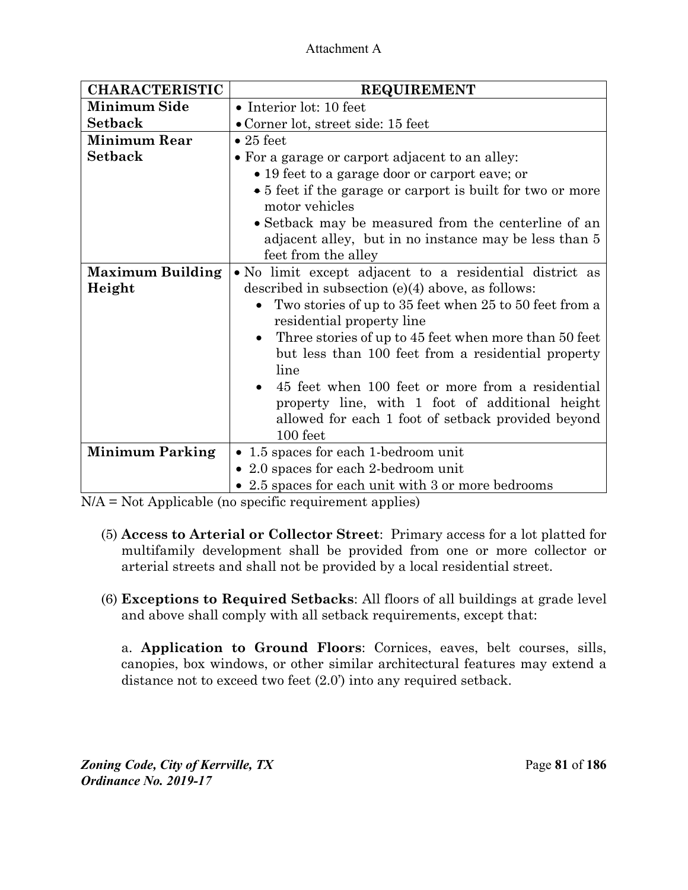| <b>CHARACTERISTIC</b>   | <b>REQUIREMENT</b>                                                                                                                  |  |  |
|-------------------------|-------------------------------------------------------------------------------------------------------------------------------------|--|--|
| <b>Minimum Side</b>     | • Interior lot: 10 feet                                                                                                             |  |  |
| <b>Setback</b>          | • Corner lot, street side: 15 feet                                                                                                  |  |  |
| <b>Minimum Rear</b>     | $\bullet$ 25 feet                                                                                                                   |  |  |
| <b>Setback</b>          | • For a garage or carport adjacent to an alley:                                                                                     |  |  |
|                         | • 19 feet to a garage door or carport eave; or                                                                                      |  |  |
|                         | • 5 feet if the garage or carport is built for two or more<br>motor vehicles                                                        |  |  |
|                         | • Setback may be measured from the centerline of an<br>adjacent alley, but in no instance may be less than 5<br>feet from the alley |  |  |
| <b>Maximum Building</b> | • No limit except adjacent to a residential district as                                                                             |  |  |
| Height                  | described in subsection $(e)(4)$ above, as follows:                                                                                 |  |  |
|                         | Two stories of up to 35 feet when 25 to 50 feet from a                                                                              |  |  |
|                         | residential property line                                                                                                           |  |  |
|                         | Three stories of up to 45 feet when more than 50 feet<br>$\bullet$<br>but less than 100 feet from a residential property<br>line    |  |  |
|                         | 45 feet when 100 feet or more from a residential                                                                                    |  |  |
|                         | property line, with 1 foot of additional height                                                                                     |  |  |
|                         | allowed for each 1 foot of setback provided beyond                                                                                  |  |  |
|                         | 100 feet                                                                                                                            |  |  |
| <b>Minimum Parking</b>  | • 1.5 spaces for each 1-bedroom unit                                                                                                |  |  |
|                         | • 2.0 spaces for each 2-bedroom unit                                                                                                |  |  |
|                         | • 2.5 spaces for each unit with 3 or more bedrooms                                                                                  |  |  |

N/A = Not Applicable (no specific requirement applies)

- (5) **Access to Arterial or Collector Street**: Primary access for a lot platted for multifamily development shall be provided from one or more collector or arterial streets and shall not be provided by a local residential street.
- (6) **Exceptions to Required Setbacks**: All floors of all buildings at grade level and above shall comply with all setback requirements, except that:

a. **Application to Ground Floors**: Cornices, eaves, belt courses, sills, canopies, box windows, or other similar architectural features may extend a distance not to exceed two feet (2.0') into any required setback.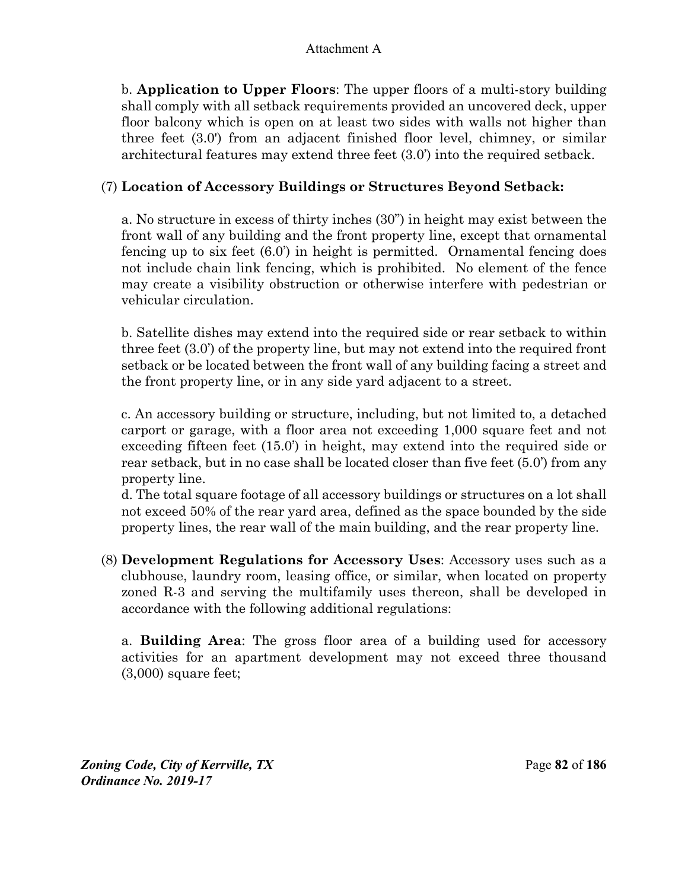b. **Application to Upper Floors**: The upper floors of a multi-story building shall comply with all setback requirements provided an uncovered deck, upper floor balcony which is open on at least two sides with walls not higher than three feet (3.0') from an adjacent finished floor level, chimney, or similar architectural features may extend three feet (3.0') into the required setback.

## (7) **Location of Accessory Buildings or Structures Beyond Setback:**

a. No structure in excess of thirty inches (30") in height may exist between the front wall of any building and the front property line, except that ornamental fencing up to six feet (6.0') in height is permitted. Ornamental fencing does not include chain link fencing, which is prohibited. No element of the fence may create a visibility obstruction or otherwise interfere with pedestrian or vehicular circulation.

b. Satellite dishes may extend into the required side or rear setback to within three feet (3.0') of the property line, but may not extend into the required front setback or be located between the front wall of any building facing a street and the front property line, or in any side yard adjacent to a street.

c. An accessory building or structure, including, but not limited to, a detached carport or garage, with a floor area not exceeding 1,000 square feet and not exceeding fifteen feet (15.0') in height, may extend into the required side or rear setback, but in no case shall be located closer than five feet (5.0') from any property line.

d. The total square footage of all accessory buildings or structures on a lot shall not exceed 50% of the rear yard area, defined as the space bounded by the side property lines, the rear wall of the main building, and the rear property line.

(8) **Development Regulations for Accessory Uses**: Accessory uses such as a clubhouse, laundry room, leasing office, or similar, when located on property zoned R-3 and serving the multifamily uses thereon, shall be developed in accordance with the following additional regulations:

a. **Building Area**: The gross floor area of a building used for accessory activities for an apartment development may not exceed three thousand (3,000) square feet;

*Zoning Code, City of Kerrville, TX*Page **82** of **186**  *Ordinance No. 2019-17*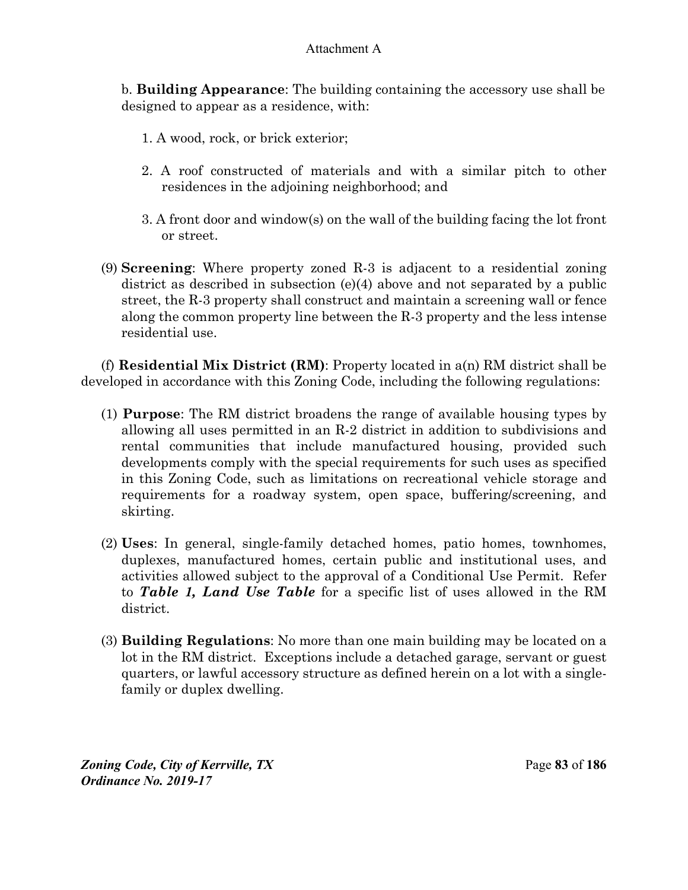b. **Building Appearance**: The building containing the accessory use shall be designed to appear as a residence, with:

- 1. A wood, rock, or brick exterior;
- 2. A roof constructed of materials and with a similar pitch to other residences in the adjoining neighborhood; and
- 3. A front door and window(s) on the wall of the building facing the lot front or street.
- (9) **Screening**: Where property zoned R-3 is adjacent to a residential zoning district as described in subsection (e)(4) above and not separated by a public street, the R-3 property shall construct and maintain a screening wall or fence along the common property line between the R-3 property and the less intense residential use.

(f) **Residential Mix District (RM)**: Property located in a(n) RM district shall be developed in accordance with this Zoning Code, including the following regulations:

- (1) **Purpose**: The RM district broadens the range of available housing types by allowing all uses permitted in an R-2 district in addition to subdivisions and rental communities that include manufactured housing, provided such developments comply with the special requirements for such uses as specified in this Zoning Code, such as limitations on recreational vehicle storage and requirements for a roadway system, open space, buffering/screening, and skirting.
- (2) **Uses**: In general, single-family detached homes, patio homes, townhomes, duplexes, manufactured homes, certain public and institutional uses, and activities allowed subject to the approval of a Conditional Use Permit. Refer to *Table 1, Land Use Table* for a specific list of uses allowed in the RM district.
- (3) **Building Regulations**: No more than one main building may be located on a lot in the RM district. Exceptions include a detached garage, servant or guest quarters, or lawful accessory structure as defined herein on a lot with a singlefamily or duplex dwelling.

*Zoning Code, City of Kerrville, TX*Page **83** of **186**  *Ordinance No. 2019-17*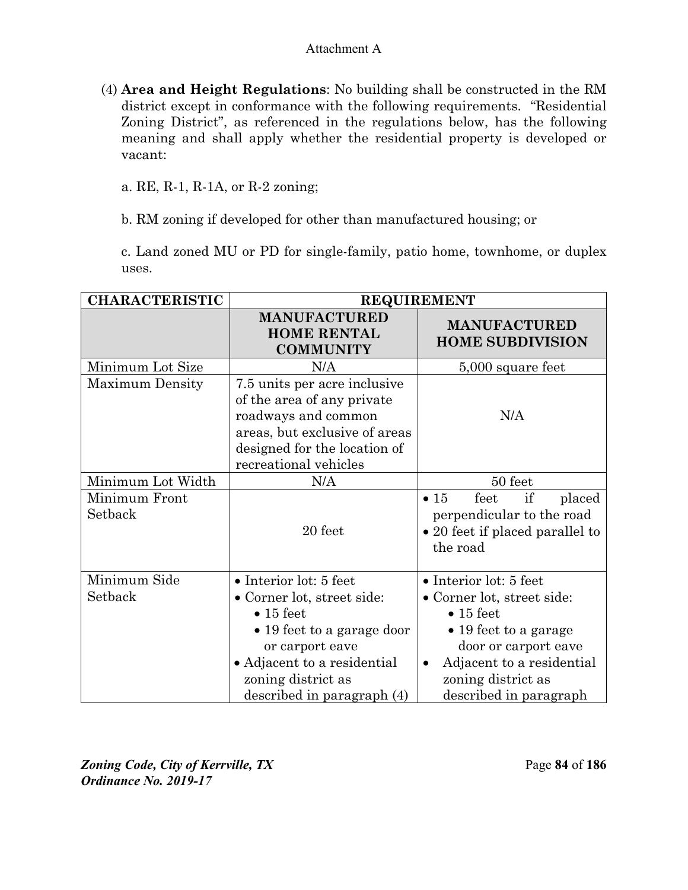(4) **Area and Height Regulations**: No building shall be constructed in the RM district except in conformance with the following requirements. "Residential Zoning District", as referenced in the regulations below, has the following meaning and shall apply whether the residential property is developed or vacant:

a. RE, R-1, R-1A, or R-2 zoning;

b. RM zoning if developed for other than manufactured housing; or

c. Land zoned MU or PD for single-family, patio home, townhome, or duplex uses.

| <b>CHARACTERISTIC</b>    | <b>REQUIREMENT</b>                                                                                                                                                                                            |                                                                                                                                                                                                                              |  |
|--------------------------|---------------------------------------------------------------------------------------------------------------------------------------------------------------------------------------------------------------|------------------------------------------------------------------------------------------------------------------------------------------------------------------------------------------------------------------------------|--|
|                          | <b>MANUFACTURED</b><br><b>HOME RENTAL</b><br><b>COMMUNITY</b>                                                                                                                                                 | <b>MANUFACTURED</b><br><b>HOME SUBDIVISION</b>                                                                                                                                                                               |  |
| Minimum Lot Size         | N/A                                                                                                                                                                                                           | 5,000 square feet                                                                                                                                                                                                            |  |
| <b>Maximum Density</b>   | 7.5 units per acre inclusive<br>of the area of any private<br>roadways and common<br>areas, but exclusive of areas<br>designed for the location of<br>recreational vehicles                                   | N/A                                                                                                                                                                                                                          |  |
| Minimum Lot Width        | N/A                                                                                                                                                                                                           | 50 feet                                                                                                                                                                                                                      |  |
| Minimum Front<br>Setback | 20 feet                                                                                                                                                                                                       | $\bullet$ 15<br>if<br>feet<br>placed<br>perpendicular to the road<br>• 20 feet if placed parallel to<br>the road                                                                                                             |  |
| Minimum Side<br>Setback  | • Interior lot: 5 feet<br>• Corner lot, street side:<br>$\bullet$ 15 feet<br>• 19 feet to a garage door<br>or carport eave<br>• Adjacent to a residential<br>zoning district as<br>described in paragraph (4) | • Interior lot: 5 feet<br>• Corner lot, street side:<br>$\bullet$ 15 feet<br>$\bullet$ 19 feet to a garage<br>door or carport eave<br>Adjacent to a residential<br>$\bullet$<br>zoning district as<br>described in paragraph |  |

*Zoning Code, City of Kerrville, TX*Page **84** of **186**  *Ordinance No. 2019-17*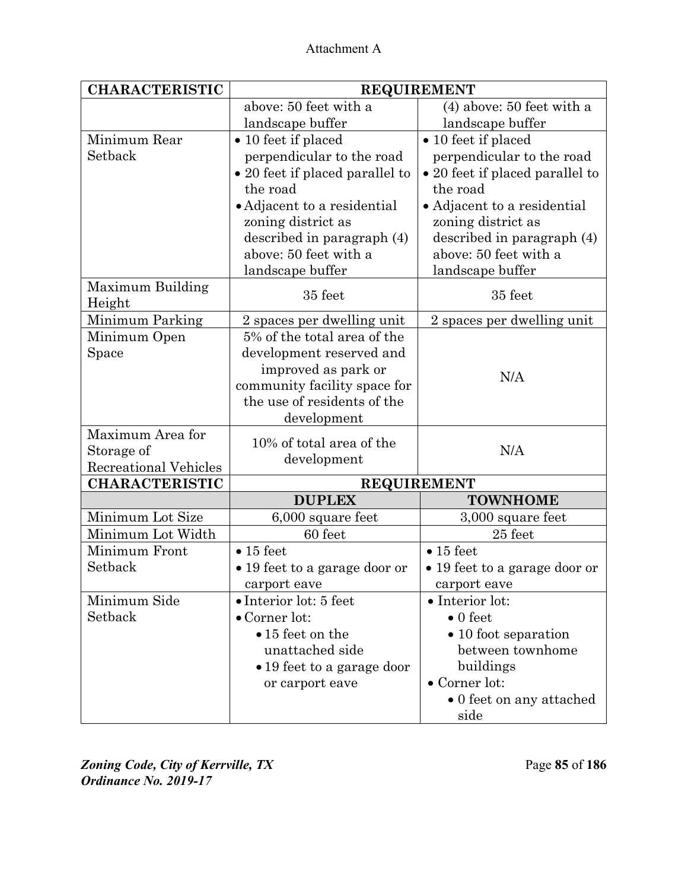| <b>CHARACTERISTIC</b>        | <b>REQUIREMENT</b>              |                                 |  |
|------------------------------|---------------------------------|---------------------------------|--|
|                              | above: 50 feet with a           | $(4)$ above: 50 feet with a     |  |
|                              | landscape buffer                | landscape buffer                |  |
| Minimum Rear                 | $\bullet$ 10 feet if placed     | $\bullet$ 10 feet if placed     |  |
| Setback                      | perpendicular to the road       | perpendicular to the road       |  |
|                              | • 20 feet if placed parallel to | • 20 feet if placed parallel to |  |
|                              | the road                        | the road                        |  |
|                              | • Adjacent to a residential     | • Adjacent to a residential     |  |
|                              | zoning district as              | zoning district as              |  |
|                              | described in paragraph (4)      | described in paragraph (4)      |  |
|                              | above: 50 feet with a           | above: 50 feet with a           |  |
|                              | landscape buffer                | landscape buffer                |  |
| Maximum Building             |                                 |                                 |  |
| Height                       | 35 feet                         | 35 feet                         |  |
| Minimum Parking              | 2 spaces per dwelling unit      | 2 spaces per dwelling unit      |  |
| Minimum Open                 | 5% of the total area of the     |                                 |  |
| Space                        | development reserved and        |                                 |  |
|                              | improved as park or             | N/A                             |  |
|                              | community facility space for    |                                 |  |
|                              | the use of residents of the     |                                 |  |
|                              | development                     |                                 |  |
| Maximum Area for             | 10% of total area of the        |                                 |  |
| Storage of                   | development                     | N/A                             |  |
| <b>Recreational Vehicles</b> |                                 |                                 |  |
| <b>CHARACTERISTIC</b>        |                                 | <b>REQUIREMENT</b>              |  |
|                              | <b>DUPLEX</b>                   | <b>TOWNHOME</b>                 |  |
| Minimum Lot Size             | 6,000 square feet               | 3,000 square feet               |  |
| Minimum Lot Width            | 60 feet                         | 25 feet                         |  |
| Minimum Front                | $\bullet$ 15 feet               | $\bullet$ 15 feet               |  |
| Setback                      | • 19 feet to a garage door or   | • 19 feet to a garage door or   |  |
|                              | carport eave                    | carport eave                    |  |
| Minimum Side                 | $\bullet$ Interior lot: 5 feet  | $\bullet$ Interior lot:         |  |
| Setback                      | $\bullet$ Corner lot:           | $\bullet$ 0 feet                |  |
|                              | $\bullet$ 15 feet on the        | $\bullet$ 10 foot separation    |  |
|                              | unattached side                 | between townhome                |  |
|                              | • 19 feet to a garage door      | buildings                       |  |
|                              | or carport eave                 | $\bullet$ Corner lot:           |  |
|                              |                                 | • 0 feet on any attached        |  |
|                              |                                 | side                            |  |

*Zoning Code, City of Kerrville, TX*Page **85** of **186**  *Ordinance No. 2019-17*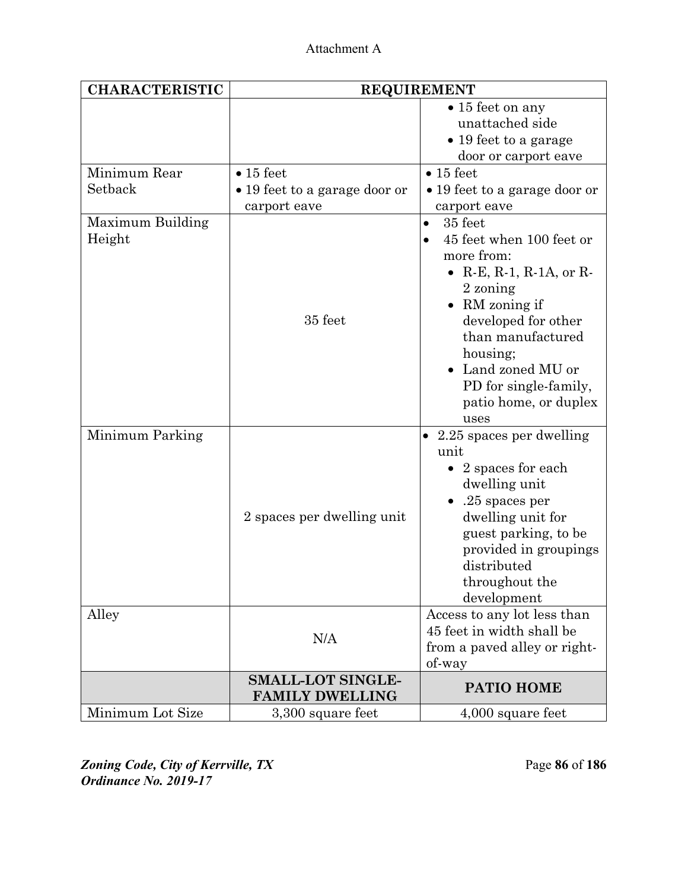| <b>CHARACTERISTIC</b>      | <b>REQUIREMENT</b>                                 |                                                                                                                                                                                                                                                                                     |  |
|----------------------------|----------------------------------------------------|-------------------------------------------------------------------------------------------------------------------------------------------------------------------------------------------------------------------------------------------------------------------------------------|--|
|                            |                                                    | $\bullet$ 15 feet on any<br>unattached side<br>$\bullet$ 19 feet to a garage<br>door or carport eave                                                                                                                                                                                |  |
| Minimum Rear               | $\bullet$ 15 feet                                  | $\bullet$ 15 feet                                                                                                                                                                                                                                                                   |  |
| Setback                    | • 19 feet to a garage door or<br>carport eave      | • 19 feet to a garage door or<br>carport eave                                                                                                                                                                                                                                       |  |
| Maximum Building<br>Height | 35 feet                                            | 35 feet<br>$\bullet$<br>45 feet when 100 feet or<br>more from:<br>• $R-E$ , $R-1$ , $R-1A$ , or $R-$<br>2 zoning<br>RM zoning if<br>$\bullet$<br>developed for other<br>than manufactured<br>housing;<br>Land zoned MU or<br>PD for single-family,<br>patio home, or duplex<br>uses |  |
| Minimum Parking            | 2 spaces per dwelling unit                         | $\bullet$ 2.25 spaces per dwelling<br>unit<br>$\bullet$ 2 spaces for each<br>dwelling unit<br>$.25$ spaces per<br>dwelling unit for<br>guest parking, to be<br>provided in groupings<br>distributed<br>throughout the<br>development                                                |  |
| Alley                      | N/A                                                | Access to any lot less than<br>45 feet in width shall be<br>from a paved alley or right-<br>of-way                                                                                                                                                                                  |  |
|                            | <b>SMALL-LOT SINGLE-</b><br><b>FAMILY DWELLING</b> | PATIO HOME                                                                                                                                                                                                                                                                          |  |
| Minimum Lot Size           | 3,300 square feet                                  | $4,000$ square feet                                                                                                                                                                                                                                                                 |  |

*Zoning Code, City of Kerrville, TX*Page **86** of **186**  *Ordinance No. 2019-17*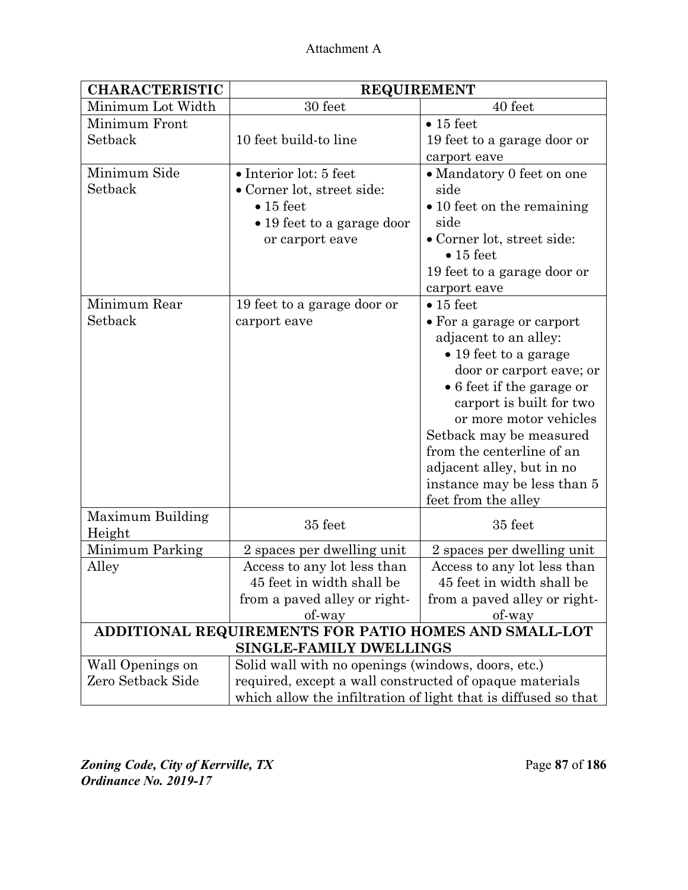| <b>CHARACTERISTIC</b>                                                     | <b>REQUIREMENT</b>                                             |                                                 |  |
|---------------------------------------------------------------------------|----------------------------------------------------------------|-------------------------------------------------|--|
| Minimum Lot Width                                                         | 30 feet                                                        | 40 feet                                         |  |
| Minimum Front                                                             |                                                                | $\bullet$ 15 feet                               |  |
| Setback                                                                   | 10 feet build-to line                                          | 19 feet to a garage door or                     |  |
|                                                                           |                                                                | carport eave                                    |  |
| Minimum Side                                                              | • Interior lot: 5 feet                                         | • Mandatory 0 feet on one                       |  |
| Setback                                                                   | • Corner lot, street side:                                     | side                                            |  |
|                                                                           | $\bullet$ 15 feet                                              | $\bullet$ 10 feet on the remaining              |  |
|                                                                           | • 19 feet to a garage door                                     | side                                            |  |
|                                                                           | or carport eave                                                | • Corner lot, street side:<br>$\bullet$ 15 feet |  |
|                                                                           |                                                                | 19 feet to a garage door or                     |  |
|                                                                           |                                                                | carport eave                                    |  |
| Minimum Rear                                                              | 19 feet to a garage door or                                    | $\bullet$ 15 feet                               |  |
| Setback                                                                   | carport eave                                                   | • For a garage or carport                       |  |
|                                                                           |                                                                | adjacent to an alley:                           |  |
|                                                                           |                                                                | $\bullet$ 19 feet to a garage                   |  |
|                                                                           |                                                                | door or carport eave; or                        |  |
|                                                                           |                                                                | • 6 feet if the garage or                       |  |
|                                                                           |                                                                | carport is built for two                        |  |
|                                                                           |                                                                | or more motor vehicles                          |  |
|                                                                           |                                                                | Setback may be measured                         |  |
|                                                                           |                                                                | from the centerline of an                       |  |
|                                                                           |                                                                | adjacent alley, but in no                       |  |
|                                                                           |                                                                | instance may be less than 5                     |  |
|                                                                           |                                                                | feet from the alley                             |  |
| Maximum Building                                                          | 35 feet                                                        | 35 feet                                         |  |
| Height                                                                    |                                                                |                                                 |  |
| Minimum Parking                                                           | 2 spaces per dwelling unit                                     | 2 spaces per dwelling unit                      |  |
| Alley                                                                     | Access to any lot less than                                    | Access to any lot less than                     |  |
|                                                                           | 45 feet in width shall be                                      | 45 feet in width shall be                       |  |
|                                                                           | from a paved alley or right-                                   | from a paved alley or right-                    |  |
| of-way<br>of-way<br>ADDITIONAL REQUIREMENTS FOR PATIO HOMES AND SMALL-LOT |                                                                |                                                 |  |
| SINGLE-FAMILY DWELLINGS                                                   |                                                                |                                                 |  |
| Wall Openings on                                                          | Solid wall with no openings (windows, doors, etc.)             |                                                 |  |
| Zero Setback Side                                                         | required, except a wall constructed of opaque materials        |                                                 |  |
|                                                                           | which allow the infiltration of light that is diffused so that |                                                 |  |

*Zoning Code, City of Kerrville, TX*Page **87** of **186**  *Ordinance No. 2019-17*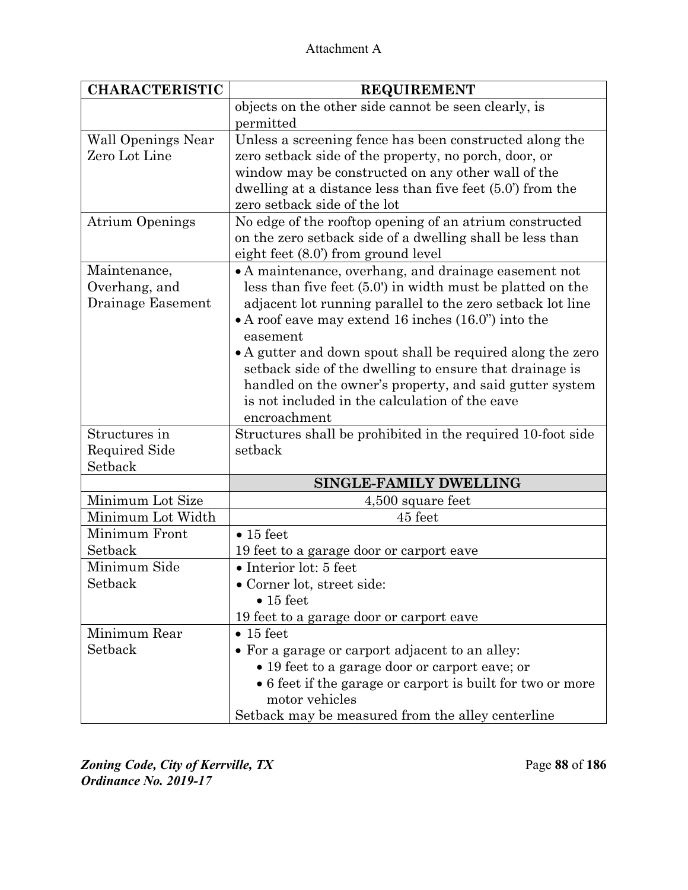| <b>CHARACTERISTIC</b>                              | <b>REQUIREMENT</b>                                                                                                                                                                                                                                                                                                                                                                                                                                                                                         |
|----------------------------------------------------|------------------------------------------------------------------------------------------------------------------------------------------------------------------------------------------------------------------------------------------------------------------------------------------------------------------------------------------------------------------------------------------------------------------------------------------------------------------------------------------------------------|
|                                                    | objects on the other side cannot be seen clearly, is                                                                                                                                                                                                                                                                                                                                                                                                                                                       |
|                                                    | permitted                                                                                                                                                                                                                                                                                                                                                                                                                                                                                                  |
| <b>Wall Openings Near</b><br>Zero Lot Line         | Unless a screening fence has been constructed along the<br>zero setback side of the property, no porch, door, or<br>window may be constructed on any other wall of the<br>dwelling at a distance less than five feet $(5.0)$ from the<br>zero setback side of the lot                                                                                                                                                                                                                                      |
| <b>Atrium Openings</b>                             | No edge of the rooftop opening of an atrium constructed<br>on the zero setback side of a dwelling shall be less than<br>eight feet (8.0') from ground level                                                                                                                                                                                                                                                                                                                                                |
| Maintenance,<br>Overhang, and<br>Drainage Easement | • A maintenance, overhang, and drainage easement not<br>less than five feet (5.0') in width must be platted on the<br>adjacent lot running parallel to the zero setback lot line<br>• A roof eave may extend 16 inches $(16.0)$ into the<br>easement<br>• A gutter and down spout shall be required along the zero<br>setback side of the dwelling to ensure that drainage is<br>handled on the owner's property, and said gutter system<br>is not included in the calculation of the eave<br>encroachment |
| Structures in<br>Required Side<br>Setback          | Structures shall be prohibited in the required 10-foot side<br>setback                                                                                                                                                                                                                                                                                                                                                                                                                                     |
|                                                    | <b>SINGLE-FAMILY DWELLING</b>                                                                                                                                                                                                                                                                                                                                                                                                                                                                              |
| Minimum Lot Size                                   | $4,500$ square feet                                                                                                                                                                                                                                                                                                                                                                                                                                                                                        |
| Minimum Lot Width                                  | 45 feet                                                                                                                                                                                                                                                                                                                                                                                                                                                                                                    |
| Minimum Front                                      | $\bullet$ 15 feet                                                                                                                                                                                                                                                                                                                                                                                                                                                                                          |
| Setback                                            | 19 feet to a garage door or carport eave                                                                                                                                                                                                                                                                                                                                                                                                                                                                   |
| Minimum Side                                       | • Interior lot: 5 feet                                                                                                                                                                                                                                                                                                                                                                                                                                                                                     |
| Setback                                            | • Corner lot, street side:                                                                                                                                                                                                                                                                                                                                                                                                                                                                                 |
|                                                    | $\bullet$ 15 feet                                                                                                                                                                                                                                                                                                                                                                                                                                                                                          |
|                                                    | 19 feet to a garage door or carport eave                                                                                                                                                                                                                                                                                                                                                                                                                                                                   |
| Minimum Rear                                       | $\bullet$ 15 feet                                                                                                                                                                                                                                                                                                                                                                                                                                                                                          |
| Setback                                            | • For a garage or carport adjacent to an alley:                                                                                                                                                                                                                                                                                                                                                                                                                                                            |
|                                                    | • 19 feet to a garage door or carport eave; or<br>• 6 feet if the garage or carport is built for two or more<br>motor vehicles<br>Setback may be measured from the alley centerline                                                                                                                                                                                                                                                                                                                        |

*Zoning Code, City of Kerrville, TX*Page **88** of **186**  *Ordinance No. 2019-17*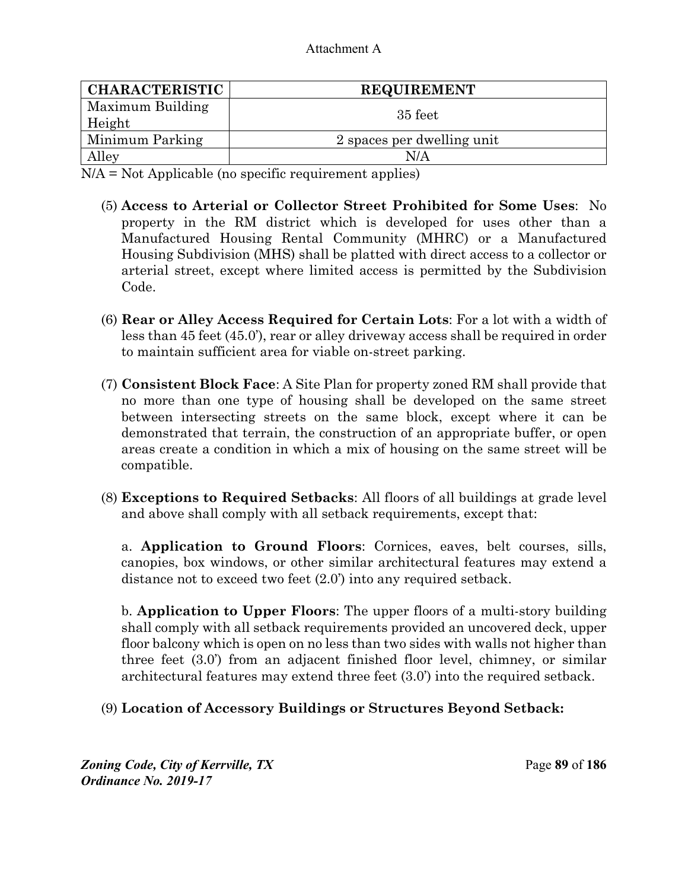| <b>CHARACTERISTIC</b>      | <b>REQUIREMENT</b>         |
|----------------------------|----------------------------|
| Maximum Building<br>Height | 35 feet                    |
| Minimum Parking            | 2 spaces per dwelling unit |
| Alley                      | N/A                        |

N/A = Not Applicable (no specific requirement applies)

- (5) **Access to Arterial or Collector Street Prohibited for Some Uses**: No property in the RM district which is developed for uses other than a Manufactured Housing Rental Community (MHRC) or a Manufactured Housing Subdivision (MHS) shall be platted with direct access to a collector or arterial street, except where limited access is permitted by the Subdivision Code.
- (6) **Rear or Alley Access Required for Certain Lots**: For a lot with a width of less than 45 feet (45.0'), rear or alley driveway access shall be required in order to maintain sufficient area for viable on-street parking.
- (7) **Consistent Block Face**: A Site Plan for property zoned RM shall provide that no more than one type of housing shall be developed on the same street between intersecting streets on the same block, except where it can be demonstrated that terrain, the construction of an appropriate buffer, or open areas create a condition in which a mix of housing on the same street will be compatible.
- (8) **Exceptions to Required Setbacks**: All floors of all buildings at grade level and above shall comply with all setback requirements, except that:

a. **Application to Ground Floors**: Cornices, eaves, belt courses, sills, canopies, box windows, or other similar architectural features may extend a distance not to exceed two feet (2.0') into any required setback.

b. **Application to Upper Floors**: The upper floors of a multi-story building shall comply with all setback requirements provided an uncovered deck, upper floor balcony which is open on no less than two sides with walls not higher than three feet (3.0') from an adjacent finished floor level, chimney, or similar architectural features may extend three feet (3.0') into the required setback.

### (9) **Location of Accessory Buildings or Structures Beyond Setback:**

*Zoning Code, City of Kerrville, TX*Page **89** of **186**  *Ordinance No. 2019-17*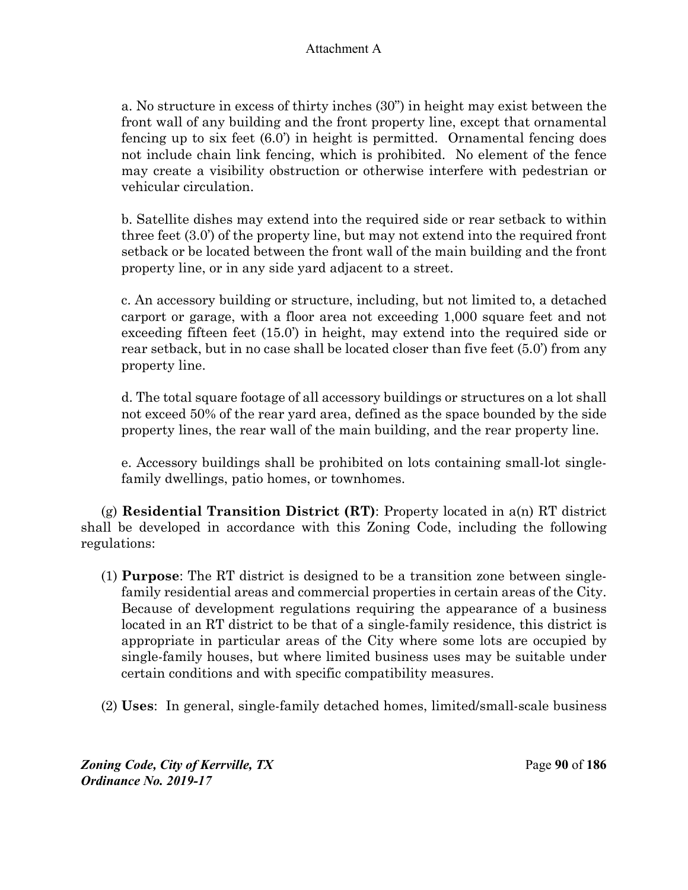a. No structure in excess of thirty inches (30") in height may exist between the front wall of any building and the front property line, except that ornamental fencing up to six feet (6.0') in height is permitted. Ornamental fencing does not include chain link fencing, which is prohibited. No element of the fence may create a visibility obstruction or otherwise interfere with pedestrian or vehicular circulation.

b. Satellite dishes may extend into the required side or rear setback to within three feet (3.0') of the property line, but may not extend into the required front setback or be located between the front wall of the main building and the front property line, or in any side yard adjacent to a street.

c. An accessory building or structure, including, but not limited to, a detached carport or garage, with a floor area not exceeding 1,000 square feet and not exceeding fifteen feet (15.0') in height, may extend into the required side or rear setback, but in no case shall be located closer than five feet (5.0') from any property line.

d. The total square footage of all accessory buildings or structures on a lot shall not exceed 50% of the rear yard area, defined as the space bounded by the side property lines, the rear wall of the main building, and the rear property line.

e. Accessory buildings shall be prohibited on lots containing small-lot singlefamily dwellings, patio homes, or townhomes.

(g) **Residential Transition District (RT)**: Property located in a(n) RT district shall be developed in accordance with this Zoning Code, including the following regulations:

- (1) **Purpose**: The RT district is designed to be a transition zone between singlefamily residential areas and commercial properties in certain areas of the City. Because of development regulations requiring the appearance of a business located in an RT district to be that of a single-family residence, this district is appropriate in particular areas of the City where some lots are occupied by single-family houses, but where limited business uses may be suitable under certain conditions and with specific compatibility measures.
- (2) **Uses**: In general, single-family detached homes, limited/small-scale business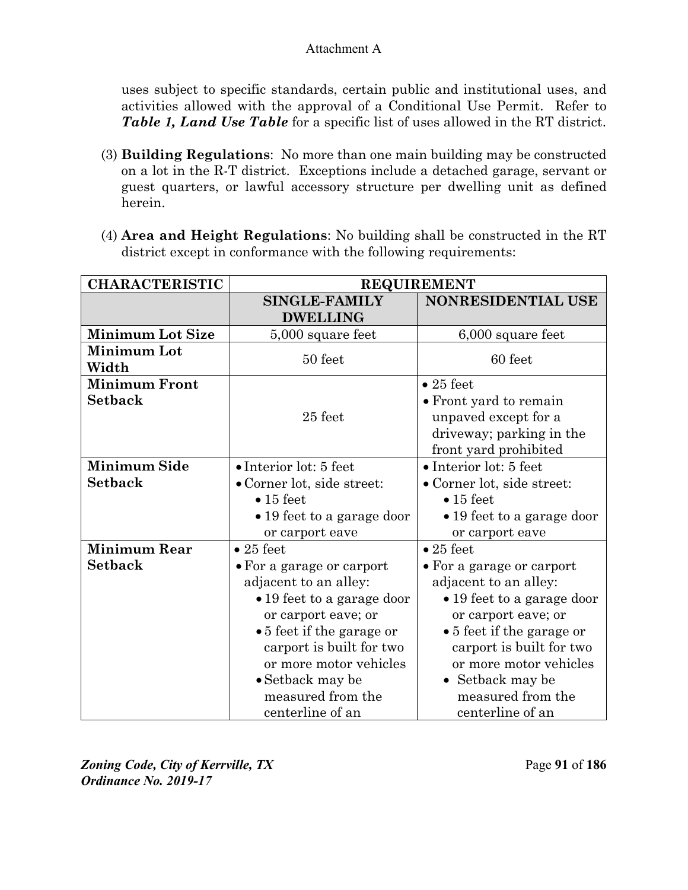uses subject to specific standards, certain public and institutional uses, and activities allowed with the approval of a Conditional Use Permit. Refer to *Table 1, Land Use Table* for a specific list of uses allowed in the RT district.

- (3) **Building Regulations**: No more than one main building may be constructed on a lot in the R-T district. Exceptions include a detached garage, servant or guest quarters, or lawful accessory structure per dwelling unit as defined herein.
- (4) **Area and Height Regulations**: No building shall be constructed in the RT district except in conformance with the following requirements:

| <b>CHARACTERISTIC</b>                  | <b>REQUIREMENT</b>                                                                                                                                                                                                                                                                   |                                                                                                                                                                                                                                                                              |
|----------------------------------------|--------------------------------------------------------------------------------------------------------------------------------------------------------------------------------------------------------------------------------------------------------------------------------------|------------------------------------------------------------------------------------------------------------------------------------------------------------------------------------------------------------------------------------------------------------------------------|
|                                        | <b>SINGLE-FAMILY</b><br><b>DWELLING</b>                                                                                                                                                                                                                                              | NONRESIDENTIAL USE                                                                                                                                                                                                                                                           |
| <b>Minimum Lot Size</b>                | 5,000 square feet                                                                                                                                                                                                                                                                    | 6,000 square feet                                                                                                                                                                                                                                                            |
| <b>Minimum Lot</b><br>Width            | 50 feet                                                                                                                                                                                                                                                                              | 60 feet                                                                                                                                                                                                                                                                      |
| <b>Minimum Front</b><br><b>Setback</b> | 25 feet                                                                                                                                                                                                                                                                              | $\bullet$ 25 feet<br>• Front yard to remain<br>unpaved except for a<br>driveway; parking in the<br>front yard prohibited                                                                                                                                                     |
| <b>Minimum Side</b><br><b>Setback</b>  | $\bullet$ Interior lot: 5 feet<br>• Corner lot, side street:<br>$\bullet$ 15 feet<br>• 19 feet to a garage door<br>or carport eave                                                                                                                                                   | $\bullet$ Interior lot: 5 feet<br>• Corner lot, side street:<br>$\bullet$ 15 feet<br>• 19 feet to a garage door<br>or carport eave                                                                                                                                           |
| <b>Minimum Rear</b><br><b>Setback</b>  | $\bullet$ 25 feet<br>• For a garage or carport<br>adjacent to an alley:<br>• 19 feet to a garage door<br>or carport eave; or<br>$\bullet$ 5 feet if the garage or<br>carport is built for two<br>or more motor vehicles<br>• Setback may be<br>measured from the<br>centerline of an | $\bullet$ 25 feet<br>• For a garage or carport<br>adjacent to an alley:<br>• 19 feet to a garage door<br>or carport eave; or<br>• 5 feet if the garage or<br>carport is built for two<br>or more motor vehicles<br>• Setback may be<br>measured from the<br>centerline of an |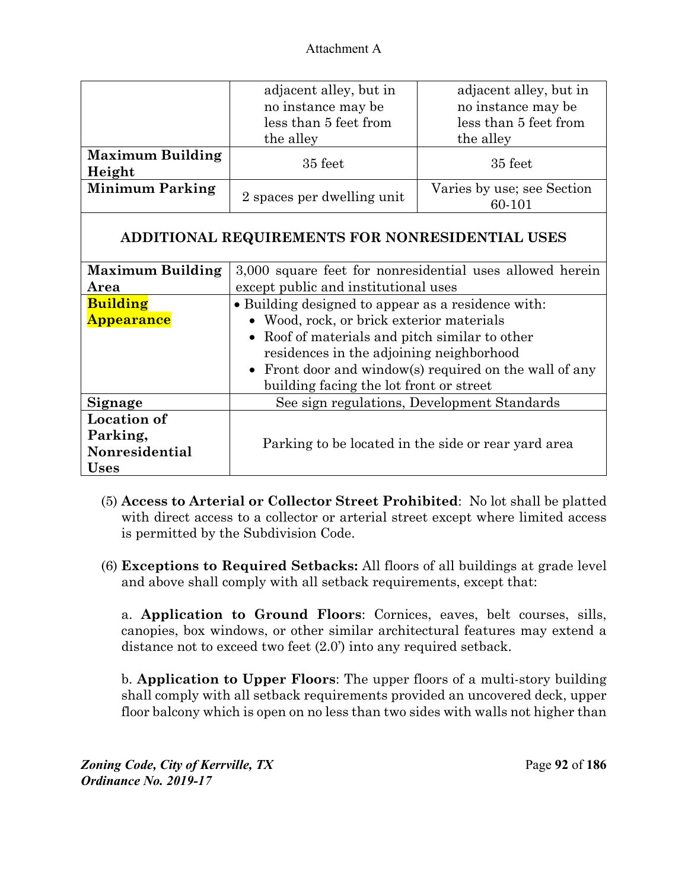|                                   | adjacent alley, but in<br>no instance may be<br>less than 5 feet from<br>the alley | adjacent alley, but in<br>no instance may be<br>less than 5 feet from<br>the alley |
|-----------------------------------|------------------------------------------------------------------------------------|------------------------------------------------------------------------------------|
| <b>Maximum Building</b><br>Height | 35 feet                                                                            | 35 feet                                                                            |
| <b>Minimum Parking</b>            | 2 spaces per dwelling unit                                                         | Varies by use; see Section<br>60-101                                               |

# **ADDITIONAL REQUIREMENTS FOR NONRESIDENTIAL USES**

| <b>Maximum Building</b> | 3,000 square feet for nonresidential uses allowed herein |  |
|-------------------------|----------------------------------------------------------|--|
| Area                    | except public and institutional uses                     |  |
| <b>Building</b>         | • Building designed to appear as a residence with:       |  |
| <b>Appearance</b>       | • Wood, rock, or brick exterior materials                |  |
|                         | • Roof of materials and pitch similar to other           |  |
|                         | residences in the adjoining neighborhood                 |  |
|                         | • Front door and window(s) required on the wall of any   |  |
|                         | building facing the lot front or street                  |  |
| Signage                 | See sign regulations, Development Standards              |  |
| <b>Location of</b>      |                                                          |  |
| Parking,                |                                                          |  |
| Nonresidential          | Parking to be located in the side or rear yard area      |  |
| <b>Uses</b>             |                                                          |  |

- (5) **Access to Arterial or Collector Street Prohibited**: No lot shall be platted with direct access to a collector or arterial street except where limited access is permitted by the Subdivision Code.
- (6) **Exceptions to Required Setbacks:** All floors of all buildings at grade level and above shall comply with all setback requirements, except that:

a. **Application to Ground Floors**: Cornices, eaves, belt courses, sills, canopies, box windows, or other similar architectural features may extend a distance not to exceed two feet (2.0') into any required setback.

b. **Application to Upper Floors**: The upper floors of a multi-story building shall comply with all setback requirements provided an uncovered deck, upper floor balcony which is open on no less than two sides with walls not higher than

*Zoning Code, City of Kerrville, TX*Page **92** of **186**  *Ordinance No. 2019-17*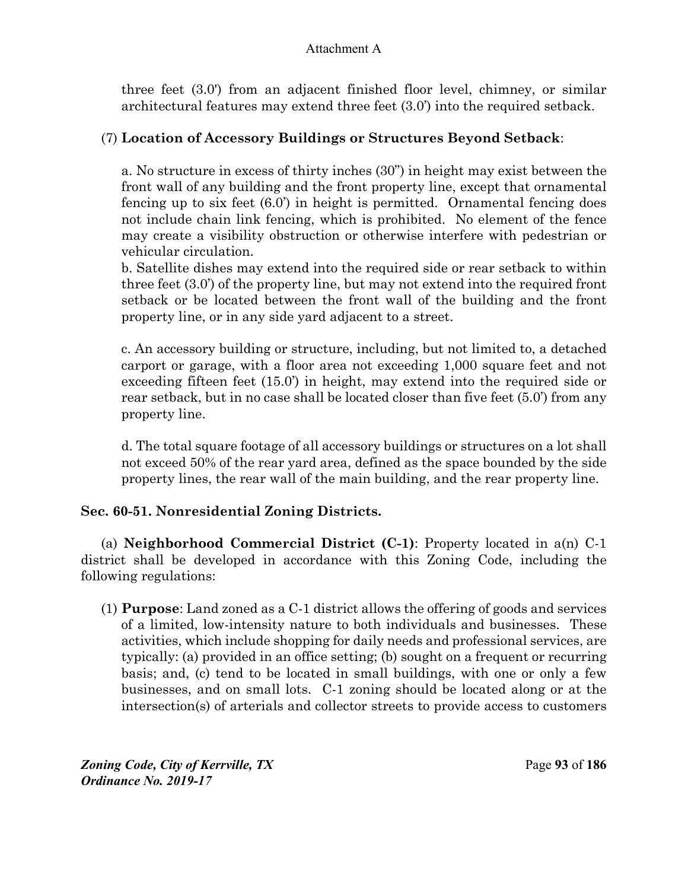three feet (3.0') from an adjacent finished floor level, chimney, or similar architectural features may extend three feet (3.0') into the required setback.

### (7) **Location of Accessory Buildings or Structures Beyond Setback**:

a. No structure in excess of thirty inches (30") in height may exist between the front wall of any building and the front property line, except that ornamental fencing up to six feet (6.0') in height is permitted. Ornamental fencing does not include chain link fencing, which is prohibited. No element of the fence may create a visibility obstruction or otherwise interfere with pedestrian or vehicular circulation.

b. Satellite dishes may extend into the required side or rear setback to within three feet (3.0') of the property line, but may not extend into the required front setback or be located between the front wall of the building and the front property line, or in any side yard adjacent to a street.

c. An accessory building or structure, including, but not limited to, a detached carport or garage, with a floor area not exceeding 1,000 square feet and not exceeding fifteen feet (15.0') in height, may extend into the required side or rear setback, but in no case shall be located closer than five feet (5.0') from any property line.

d. The total square footage of all accessory buildings or structures on a lot shall not exceed 50% of the rear yard area, defined as the space bounded by the side property lines, the rear wall of the main building, and the rear property line.

### **Sec. 60-51. Nonresidential Zoning Districts.**

(a) **Neighborhood Commercial District (C-1)**: Property located in a(n) C-1 district shall be developed in accordance with this Zoning Code, including the following regulations:

(1) **Purpose**: Land zoned as a C-1 district allows the offering of goods and services of a limited, low-intensity nature to both individuals and businesses. These activities, which include shopping for daily needs and professional services, are typically: (a) provided in an office setting; (b) sought on a frequent or recurring basis; and, (c) tend to be located in small buildings, with one or only a few businesses, and on small lots. C-1 zoning should be located along or at the intersection(s) of arterials and collector streets to provide access to customers

*Zoning Code, City of Kerrville, TX*Page **93** of **186**  *Ordinance No. 2019-17*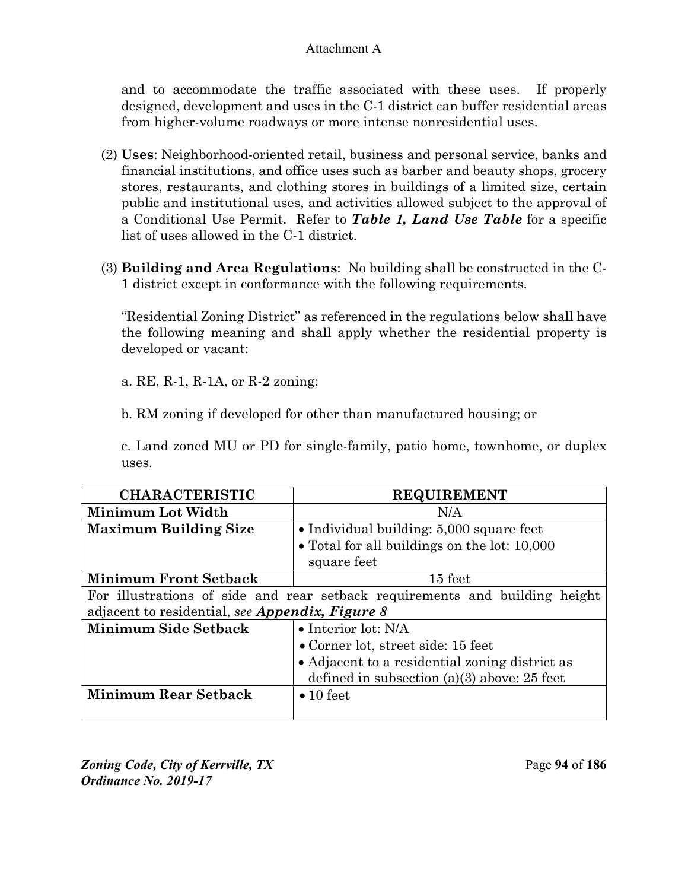and to accommodate the traffic associated with these uses. If properly designed, development and uses in the C-1 district can buffer residential areas from higher-volume roadways or more intense nonresidential uses.

- (2) **Uses**: Neighborhood-oriented retail, business and personal service, banks and financial institutions, and office uses such as barber and beauty shops, grocery stores, restaurants, and clothing stores in buildings of a limited size, certain public and institutional uses, and activities allowed subject to the approval of a Conditional Use Permit. Refer to *Table 1, Land Use Table* for a specific list of uses allowed in the C-1 district.
- (3) **Building and Area Regulations**: No building shall be constructed in the C-1 district except in conformance with the following requirements.

"Residential Zoning District" as referenced in the regulations below shall have the following meaning and shall apply whether the residential property is developed or vacant:

a. RE, R-1, R-1A, or R-2 zoning;

b. RM zoning if developed for other than manufactured housing; or

c. Land zoned MU or PD for single-family, patio home, townhome, or duplex uses.

| <b>CHARACTERISTIC</b>                                                       | <b>REQUIREMENT</b>                             |
|-----------------------------------------------------------------------------|------------------------------------------------|
| Minimum Lot Width                                                           | N/A                                            |
| <b>Maximum Building Size</b>                                                | • Individual building: 5,000 square feet       |
|                                                                             | • Total for all buildings on the lot: 10,000   |
|                                                                             | square feet                                    |
| <b>Minimum Front Setback</b>                                                | 15 feet                                        |
| For illustrations of side and rear setback requirements and building height |                                                |
| adjacent to residential, see Appendix, Figure 8                             |                                                |
| <b>Minimum Side Setback</b>                                                 | $\bullet$ Interior lot: N/A                    |
|                                                                             | $\bullet$ Corner lot, street side: 15 feet     |
|                                                                             | • Adjacent to a residential zoning district as |
|                                                                             | defined in subsection $(a)(3)$ above: 25 feet  |
| <b>Minimum Rear Setback</b>                                                 | $\bullet$ 10 feet                              |
|                                                                             |                                                |

*Zoning Code, City of Kerrville, TX*Page **94** of **186**  *Ordinance No. 2019-17*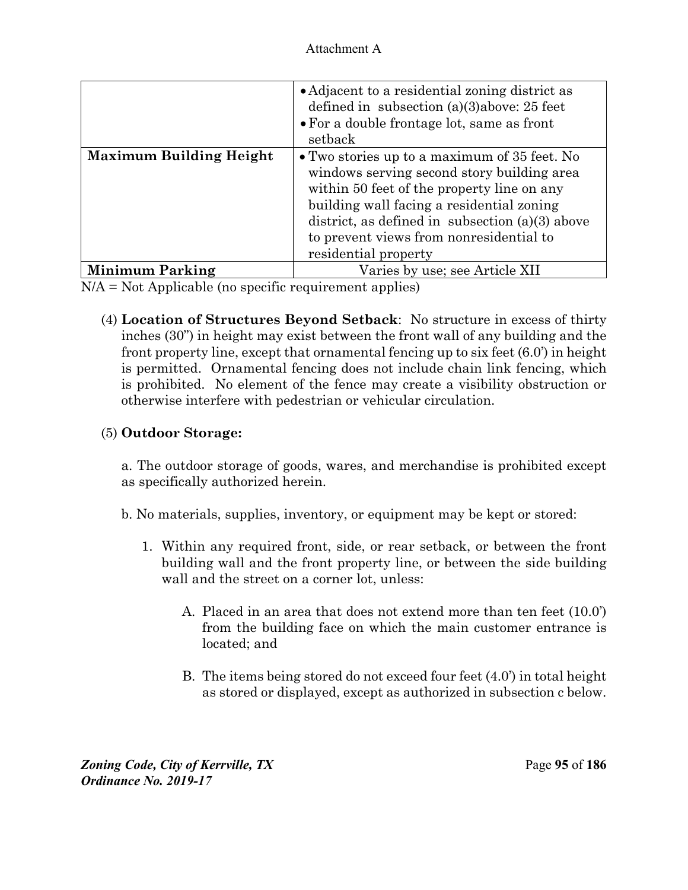|                                | • Adjacent to a residential zoning district as<br>defined in subsection $(a)(3)$ above: 25 feet<br>$\bullet$ For a double frontage lot, same as front<br>setback                                                                                                                                              |
|--------------------------------|---------------------------------------------------------------------------------------------------------------------------------------------------------------------------------------------------------------------------------------------------------------------------------------------------------------|
| <b>Maximum Building Height</b> | • Two stories up to a maximum of 35 feet. No<br>windows serving second story building area<br>within 50 feet of the property line on any<br>building wall facing a residential zoning<br>district, as defined in subsection $(a)(3)$ above<br>to prevent views from nonresidential to<br>residential property |
| <b>Minimum Parking</b>         | Varies by use; see Article XII                                                                                                                                                                                                                                                                                |

N/A = Not Applicable (no specific requirement applies)

(4) **Location of Structures Beyond Setback**: No structure in excess of thirty inches (30") in height may exist between the front wall of any building and the front property line, except that ornamental fencing up to six feet (6.0') in height is permitted. Ornamental fencing does not include chain link fencing, which is prohibited. No element of the fence may create a visibility obstruction or otherwise interfere with pedestrian or vehicular circulation.

# (5) **Outdoor Storage:**

a. The outdoor storage of goods, wares, and merchandise is prohibited except as specifically authorized herein.

- b. No materials, supplies, inventory, or equipment may be kept or stored:
	- 1. Within any required front, side, or rear setback, or between the front building wall and the front property line, or between the side building wall and the street on a corner lot, unless:
		- A. Placed in an area that does not extend more than ten feet (10.0') from the building face on which the main customer entrance is located; and
		- B. The items being stored do not exceed four feet (4.0') in total height as stored or displayed, except as authorized in subsection c below.

*Zoning Code, City of Kerrville, TX*Page **95** of **186**  *Ordinance No. 2019-17*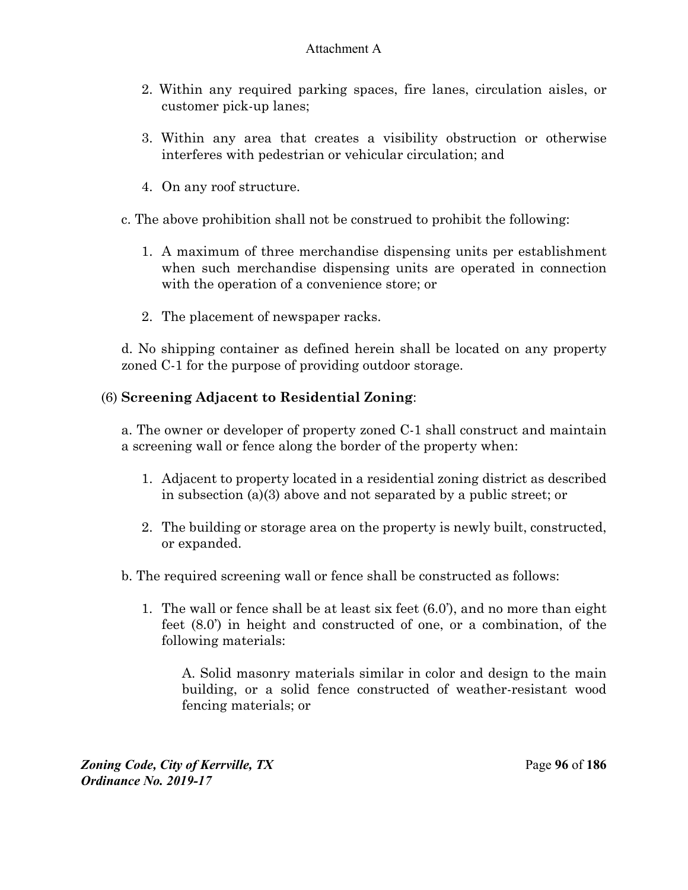- 2. Within any required parking spaces, fire lanes, circulation aisles, or customer pick-up lanes;
- 3. Within any area that creates a visibility obstruction or otherwise interferes with pedestrian or vehicular circulation; and
- 4. On any roof structure.
- c. The above prohibition shall not be construed to prohibit the following:
	- 1. A maximum of three merchandise dispensing units per establishment when such merchandise dispensing units are operated in connection with the operation of a convenience store; or
	- 2. The placement of newspaper racks.

d. No shipping container as defined herein shall be located on any property zoned C-1 for the purpose of providing outdoor storage.

## (6) **Screening Adjacent to Residential Zoning**:

a. The owner or developer of property zoned C-1 shall construct and maintain a screening wall or fence along the border of the property when:

- 1. Adjacent to property located in a residential zoning district as described in subsection (a)(3) above and not separated by a public street; or
- 2. The building or storage area on the property is newly built, constructed, or expanded.
- b. The required screening wall or fence shall be constructed as follows:
	- 1. The wall or fence shall be at least six feet (6.0'), and no more than eight feet (8.0') in height and constructed of one, or a combination, of the following materials:

A. Solid masonry materials similar in color and design to the main building, or a solid fence constructed of weather-resistant wood fencing materials; or

*Zoning Code, City of Kerrville, TX*Page **96** of **186**  *Ordinance No. 2019-17*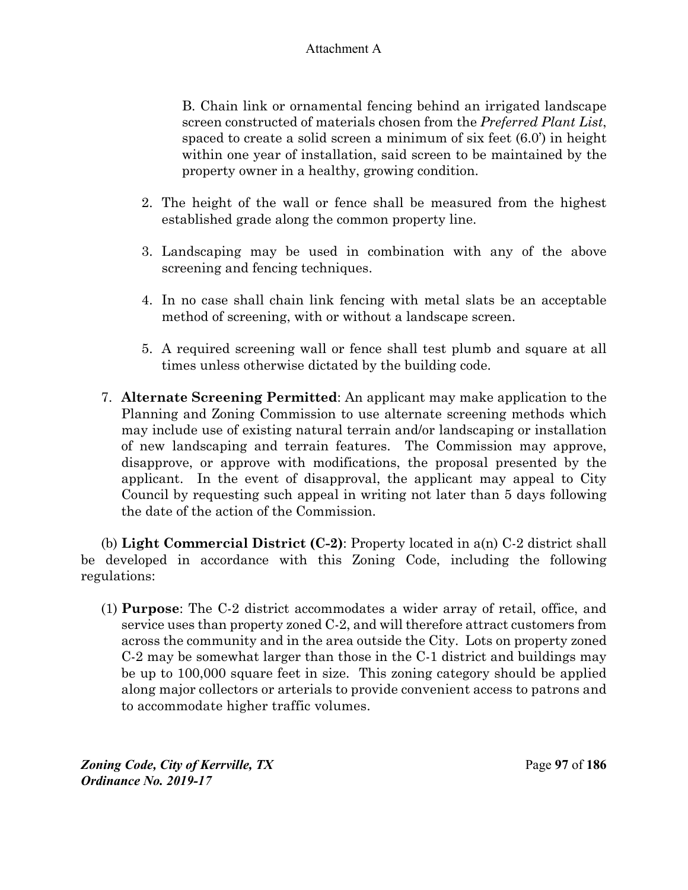B. Chain link or ornamental fencing behind an irrigated landscape screen constructed of materials chosen from the *Preferred Plant List*, spaced to create a solid screen a minimum of six feet (6.0') in height within one year of installation, said screen to be maintained by the property owner in a healthy, growing condition.

- 2. The height of the wall or fence shall be measured from the highest established grade along the common property line.
- 3. Landscaping may be used in combination with any of the above screening and fencing techniques.
- 4. In no case shall chain link fencing with metal slats be an acceptable method of screening, with or without a landscape screen.
- 5. A required screening wall or fence shall test plumb and square at all times unless otherwise dictated by the building code.
- 7. **Alternate Screening Permitted**: An applicant may make application to the Planning and Zoning Commission to use alternate screening methods which may include use of existing natural terrain and/or landscaping or installation of new landscaping and terrain features. The Commission may approve, disapprove, or approve with modifications, the proposal presented by the applicant. In the event of disapproval, the applicant may appeal to City Council by requesting such appeal in writing not later than 5 days following the date of the action of the Commission.

(b) **Light Commercial District (C-2)**: Property located in a(n) C-2 district shall be developed in accordance with this Zoning Code, including the following regulations:

(1) **Purpose**: The C-2 district accommodates a wider array of retail, office, and service uses than property zoned C-2, and will therefore attract customers from across the community and in the area outside the City. Lots on property zoned C-2 may be somewhat larger than those in the C-1 district and buildings may be up to 100,000 square feet in size. This zoning category should be applied along major collectors or arterials to provide convenient access to patrons and to accommodate higher traffic volumes.

*Zoning Code, City of Kerrville, TX*Page **97** of **186**  *Ordinance No. 2019-17*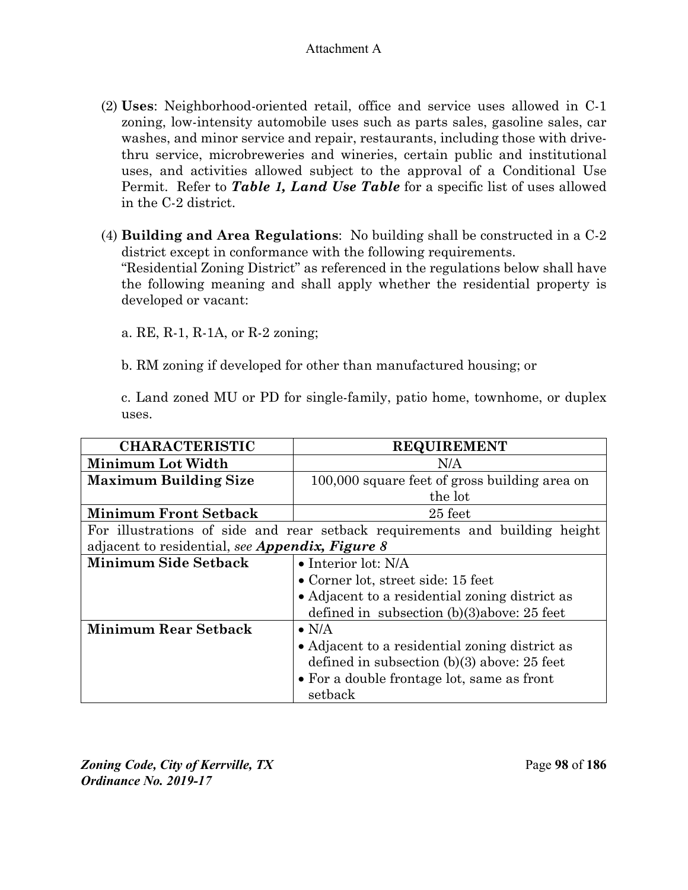- (2) **Uses**: Neighborhood-oriented retail, office and service uses allowed in C-1 zoning, low-intensity automobile uses such as parts sales, gasoline sales, car washes, and minor service and repair, restaurants, including those with drivethru service, microbreweries and wineries, certain public and institutional uses, and activities allowed subject to the approval of a Conditional Use Permit. Refer to *Table 1, Land Use Table* for a specific list of uses allowed in the C-2 district.
- (4) **Building and Area Regulations**: No building shall be constructed in a C-2 district except in conformance with the following requirements. "Residential Zoning District" as referenced in the regulations below shall have the following meaning and shall apply whether the residential property is developed or vacant:

a. RE, R-1, R-1A, or R-2 zoning;

b. RM zoning if developed for other than manufactured housing; or

c. Land zoned MU or PD for single-family, patio home, townhome, or duplex uses.

| <b>CHARACTERISTIC</b>                           | <b>REQUIREMENT</b>                                                          |
|-------------------------------------------------|-----------------------------------------------------------------------------|
| Minimum Lot Width                               | N/A                                                                         |
| <b>Maximum Building Size</b>                    | 100,000 square feet of gross building area on                               |
|                                                 | the lot                                                                     |
| <b>Minimum Front Setback</b>                    | 25 feet                                                                     |
|                                                 | For illustrations of side and rear setback requirements and building height |
| adjacent to residential, see Appendix, Figure 8 |                                                                             |
| <b>Minimum Side Setback</b>                     | • Interior lot: N/A                                                         |
|                                                 | • Corner lot, street side: 15 feet                                          |
|                                                 | • Adjacent to a residential zoning district as                              |
|                                                 | defined in subsection $(b)(3)$ above: 25 feet                               |
| <b>Minimum Rear Setback</b>                     | $\bullet$ N/A                                                               |
|                                                 | • Adjacent to a residential zoning district as                              |
|                                                 | defined in subsection $(b)(3)$ above: 25 feet                               |
|                                                 | • For a double frontage lot, same as front                                  |
|                                                 | setback                                                                     |

*Zoning Code, City of Kerrville, TX*Page **98** of **186**  *Ordinance No. 2019-17*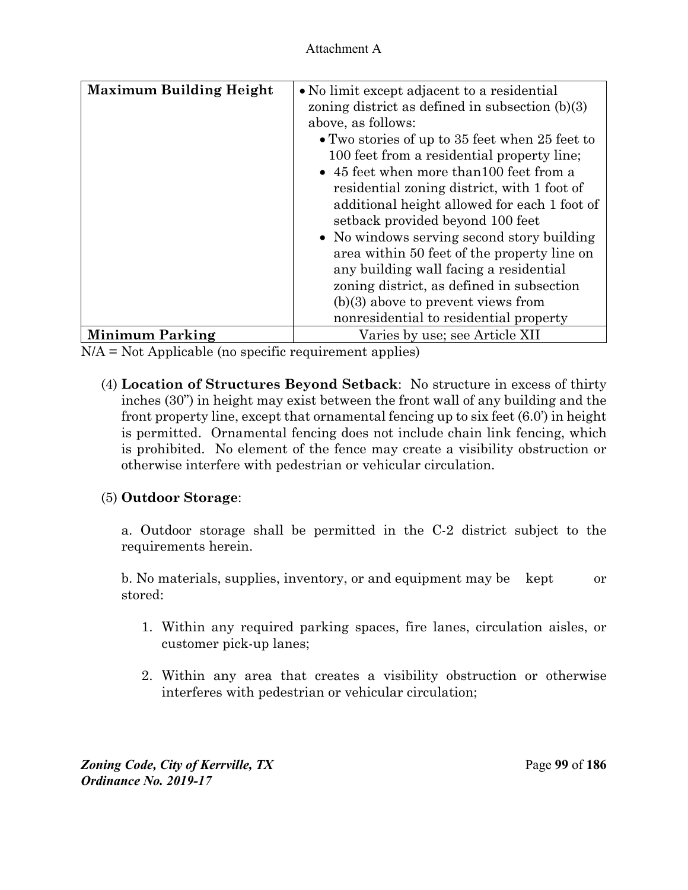| <b>Maximum Building Height</b> | • No limit except adjacent to a residential<br>zoning district as defined in subsection $(b)(3)$<br>above, as follows:<br>$\bullet$ Two stories of up to 35 feet when 25 feet to<br>100 feet from a residential property line;<br>• 45 feet when more than 100 feet from a<br>residential zoning district, with 1 foot of<br>additional height allowed for each 1 foot of<br>setback provided beyond 100 feet<br>• No windows serving second story building<br>area within 50 feet of the property line on<br>any building wall facing a residential<br>zoning district, as defined in subsection<br>$(b)(3)$ above to prevent views from<br>nonresidential to residential property |
|--------------------------------|-------------------------------------------------------------------------------------------------------------------------------------------------------------------------------------------------------------------------------------------------------------------------------------------------------------------------------------------------------------------------------------------------------------------------------------------------------------------------------------------------------------------------------------------------------------------------------------------------------------------------------------------------------------------------------------|
| <b>Minimum Parking</b>         | Varies by use; see Article XII                                                                                                                                                                                                                                                                                                                                                                                                                                                                                                                                                                                                                                                      |

N/A = Not Applicable (no specific requirement applies)

(4) **Location of Structures Beyond Setback**: No structure in excess of thirty inches (30") in height may exist between the front wall of any building and the front property line, except that ornamental fencing up to six feet (6.0') in height is permitted. Ornamental fencing does not include chain link fencing, which is prohibited. No element of the fence may create a visibility obstruction or otherwise interfere with pedestrian or vehicular circulation.

### (5) **Outdoor Storage**:

a. Outdoor storage shall be permitted in the C-2 district subject to the requirements herein.

b. No materials, supplies, inventory, or and equipment may be kept or stored:

- 1. Within any required parking spaces, fire lanes, circulation aisles, or customer pick-up lanes;
- 2. Within any area that creates a visibility obstruction or otherwise interferes with pedestrian or vehicular circulation;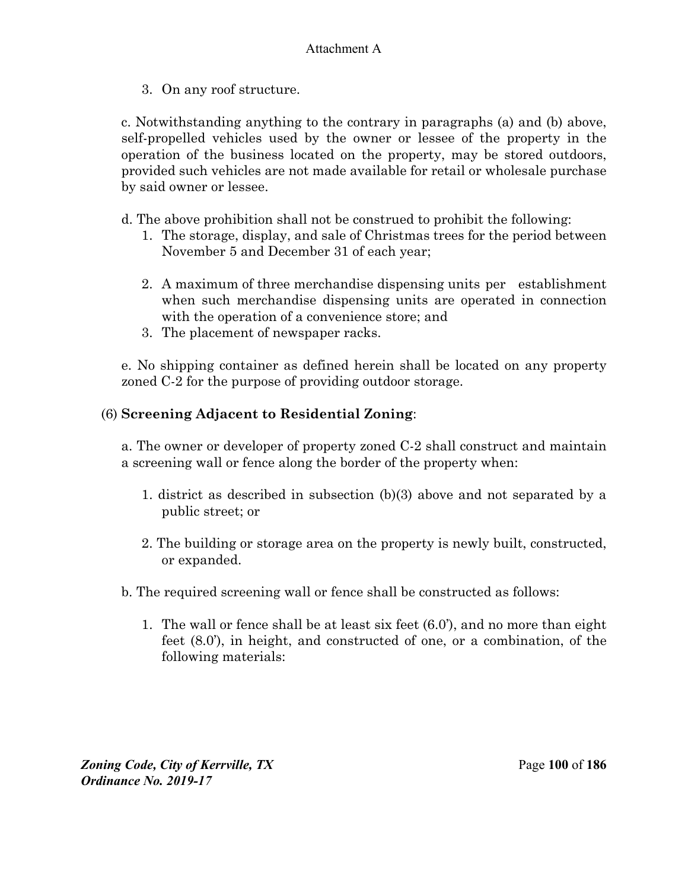3. On any roof structure.

c. Notwithstanding anything to the contrary in paragraphs (a) and (b) above, self-propelled vehicles used by the owner or lessee of the property in the operation of the business located on the property, may be stored outdoors, provided such vehicles are not made available for retail or wholesale purchase by said owner or lessee.

d. The above prohibition shall not be construed to prohibit the following:

- 1. The storage, display, and sale of Christmas trees for the period between November 5 and December 31 of each year;
- 2. A maximum of three merchandise dispensing units per establishment when such merchandise dispensing units are operated in connection with the operation of a convenience store; and
- 3. The placement of newspaper racks.

e. No shipping container as defined herein shall be located on any property zoned C-2 for the purpose of providing outdoor storage.

# (6) **Screening Adjacent to Residential Zoning**:

a. The owner or developer of property zoned C-2 shall construct and maintain a screening wall or fence along the border of the property when:

- 1. district as described in subsection (b)(3) above and not separated by a public street; or
- 2. The building or storage area on the property is newly built, constructed, or expanded.
- b. The required screening wall or fence shall be constructed as follows:
	- 1. The wall or fence shall be at least six feet (6.0'), and no more than eight feet (8.0'), in height, and constructed of one, or a combination, of the following materials: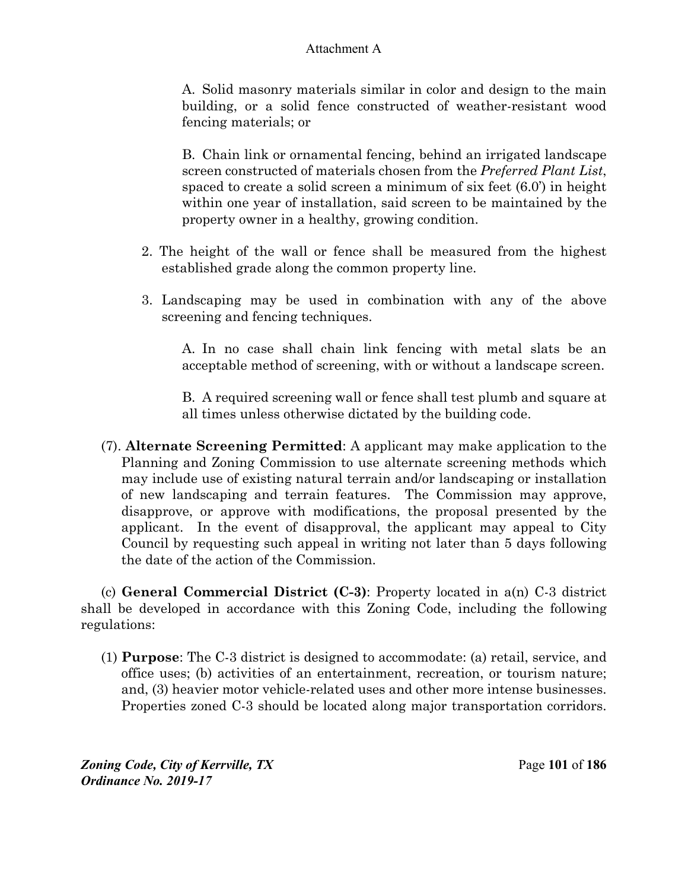A. Solid masonry materials similar in color and design to the main building, or a solid fence constructed of weather-resistant wood fencing materials; or

B. Chain link or ornamental fencing, behind an irrigated landscape screen constructed of materials chosen from the *Preferred Plant List*, spaced to create a solid screen a minimum of six feet (6.0') in height within one year of installation, said screen to be maintained by the property owner in a healthy, growing condition.

- 2. The height of the wall or fence shall be measured from the highest established grade along the common property line.
- 3. Landscaping may be used in combination with any of the above screening and fencing techniques.

A. In no case shall chain link fencing with metal slats be an acceptable method of screening, with or without a landscape screen.

B. A required screening wall or fence shall test plumb and square at all times unless otherwise dictated by the building code.

(7). **Alternate Screening Permitted**: A applicant may make application to the Planning and Zoning Commission to use alternate screening methods which may include use of existing natural terrain and/or landscaping or installation of new landscaping and terrain features. The Commission may approve, disapprove, or approve with modifications, the proposal presented by the applicant. In the event of disapproval, the applicant may appeal to City Council by requesting such appeal in writing not later than 5 days following the date of the action of the Commission.

(c) **General Commercial District (C-3)**: Property located in a(n) C-3 district shall be developed in accordance with this Zoning Code, including the following regulations:

(1) **Purpose**: The C-3 district is designed to accommodate: (a) retail, service, and office uses; (b) activities of an entertainment, recreation, or tourism nature; and, (3) heavier motor vehicle-related uses and other more intense businesses. Properties zoned C-3 should be located along major transportation corridors.

*Zoning Code, City of Kerrville, TX*Page **101** of **186**  *Ordinance No. 2019-17*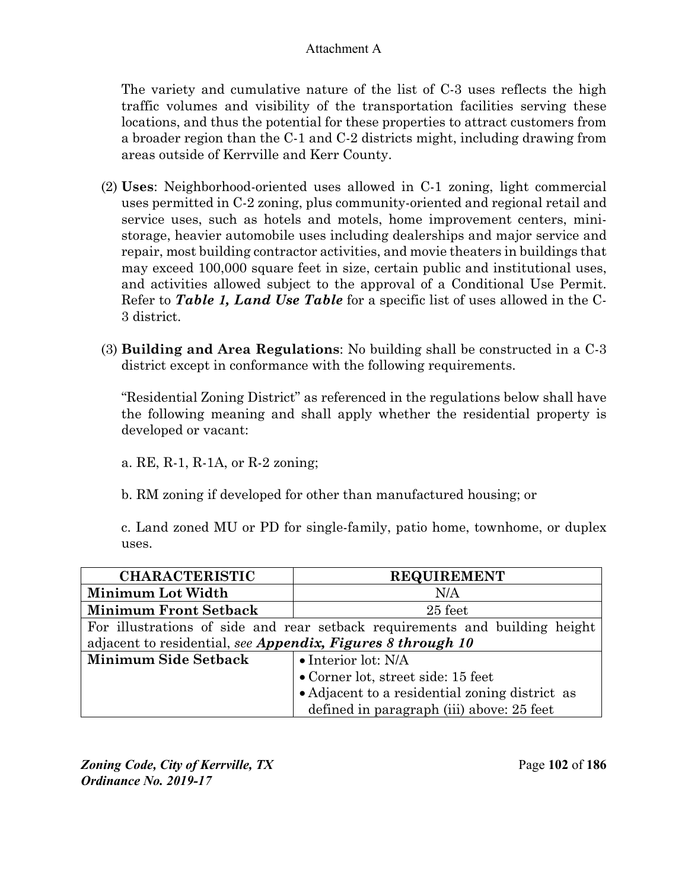The variety and cumulative nature of the list of C-3 uses reflects the high traffic volumes and visibility of the transportation facilities serving these locations, and thus the potential for these properties to attract customers from a broader region than the C-1 and C-2 districts might, including drawing from areas outside of Kerrville and Kerr County.

- (2) **Uses**: Neighborhood-oriented uses allowed in C-1 zoning, light commercial uses permitted in C-2 zoning, plus community-oriented and regional retail and service uses, such as hotels and motels, home improvement centers, ministorage, heavier automobile uses including dealerships and major service and repair, most building contractor activities, and movie theaters in buildings that may exceed 100,000 square feet in size, certain public and institutional uses, and activities allowed subject to the approval of a Conditional Use Permit. Refer to *Table 1, Land Use Table* for a specific list of uses allowed in the C-3 district.
- (3) **Building and Area Regulations**: No building shall be constructed in a C-3 district except in conformance with the following requirements.

"Residential Zoning District" as referenced in the regulations below shall have the following meaning and shall apply whether the residential property is developed or vacant:

a. RE, R-1, R-1A, or R-2 zoning;

b. RM zoning if developed for other than manufactured housing; or

c. Land zoned MU or PD for single-family, patio home, townhome, or duplex uses.

| <b>CHARACTERISTIC</b>                                                       | <b>REQUIREMENT</b>                             |
|-----------------------------------------------------------------------------|------------------------------------------------|
| Minimum Lot Width                                                           | N/A                                            |
| <b>Minimum Front Setback</b>                                                | 25 feet                                        |
| For illustrations of side and rear setback requirements and building height |                                                |
| adjacent to residential, see Appendix, Figures 8 through 10                 |                                                |
| <b>Minimum Side Setback</b>                                                 | $\bullet$ Interior lot: N/A                    |
|                                                                             | • Corner lot, street side: 15 feet             |
|                                                                             | • Adjacent to a residential zoning district as |
|                                                                             | defined in paragraph (iii) above: 25 feet      |

*Zoning Code, City of Kerrville, TX*Page **102** of **186**  *Ordinance No. 2019-17*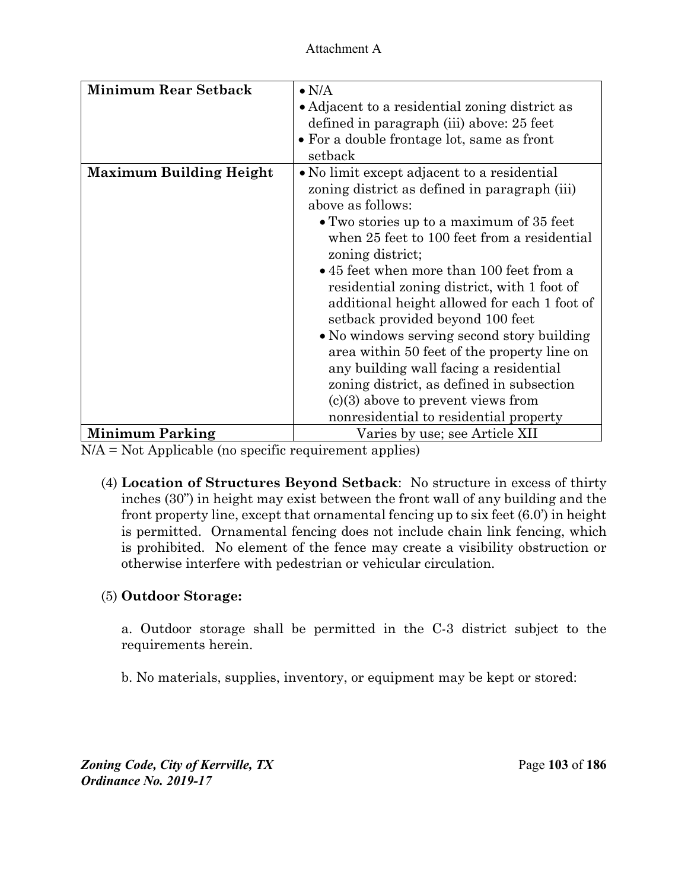| <b>Minimum Rear Setback</b>    | $\bullet$ N/A<br>• Adjacent to a residential zoning district as<br>defined in paragraph (iii) above: 25 feet<br>• For a double frontage lot, same as front<br>setback                                                                                                                                                                                                                                                                                                                                                                                                                                                                                                                 |
|--------------------------------|---------------------------------------------------------------------------------------------------------------------------------------------------------------------------------------------------------------------------------------------------------------------------------------------------------------------------------------------------------------------------------------------------------------------------------------------------------------------------------------------------------------------------------------------------------------------------------------------------------------------------------------------------------------------------------------|
| <b>Maximum Building Height</b> | • No limit except adjacent to a residential<br>zoning district as defined in paragraph (iii)<br>above as follows:<br>• Two stories up to a maximum of 35 feet<br>when 25 feet to 100 feet from a residential<br>zoning district;<br>• 45 feet when more than 100 feet from a<br>residential zoning district, with 1 foot of<br>additional height allowed for each 1 foot of<br>setback provided beyond 100 feet<br>• No windows serving second story building<br>area within 50 feet of the property line on<br>any building wall facing a residential<br>zoning district, as defined in subsection<br>$(c)(3)$ above to prevent views from<br>nonresidential to residential property |
| <b>Minimum Parking</b>         | Varies by use; see Article XII                                                                                                                                                                                                                                                                                                                                                                                                                                                                                                                                                                                                                                                        |

N/A = Not Applicable (no specific requirement applies)

(4) **Location of Structures Beyond Setback**: No structure in excess of thirty inches (30") in height may exist between the front wall of any building and the front property line, except that ornamental fencing up to six feet (6.0') in height is permitted. Ornamental fencing does not include chain link fencing, which is prohibited. No element of the fence may create a visibility obstruction or otherwise interfere with pedestrian or vehicular circulation.

# (5) **Outdoor Storage:**

a. Outdoor storage shall be permitted in the C-3 district subject to the requirements herein.

b. No materials, supplies, inventory, or equipment may be kept or stored:

*Zoning Code, City of Kerrville, TX*Page **103** of **186**  *Ordinance No. 2019-17*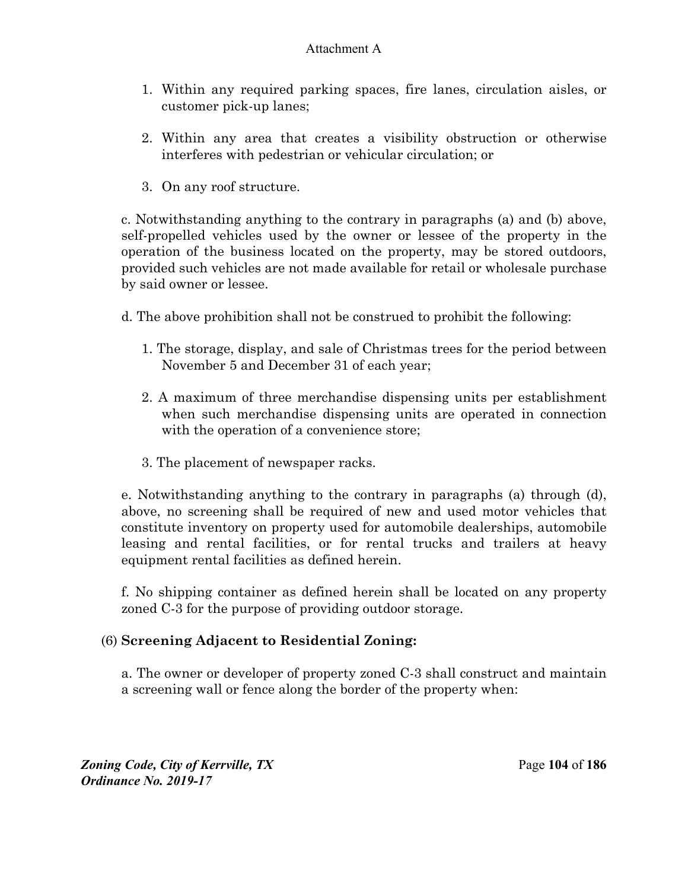- 1. Within any required parking spaces, fire lanes, circulation aisles, or customer pick-up lanes;
- 2. Within any area that creates a visibility obstruction or otherwise interferes with pedestrian or vehicular circulation; or
- 3. On any roof structure.

c. Notwithstanding anything to the contrary in paragraphs (a) and (b) above, self-propelled vehicles used by the owner or lessee of the property in the operation of the business located on the property, may be stored outdoors, provided such vehicles are not made available for retail or wholesale purchase by said owner or lessee.

- d. The above prohibition shall not be construed to prohibit the following:
	- 1. The storage, display, and sale of Christmas trees for the period between November 5 and December 31 of each year;
	- 2. A maximum of three merchandise dispensing units per establishment when such merchandise dispensing units are operated in connection with the operation of a convenience store;
	- 3. The placement of newspaper racks.

e. Notwithstanding anything to the contrary in paragraphs (a) through (d), above, no screening shall be required of new and used motor vehicles that constitute inventory on property used for automobile dealerships, automobile leasing and rental facilities, or for rental trucks and trailers at heavy equipment rental facilities as defined herein.

f. No shipping container as defined herein shall be located on any property zoned C-3 for the purpose of providing outdoor storage.

# (6) **Screening Adjacent to Residential Zoning:**

a. The owner or developer of property zoned C-3 shall construct and maintain a screening wall or fence along the border of the property when:

*Zoning Code, City of Kerrville, TX*Page **104** of **186**  *Ordinance No. 2019-17*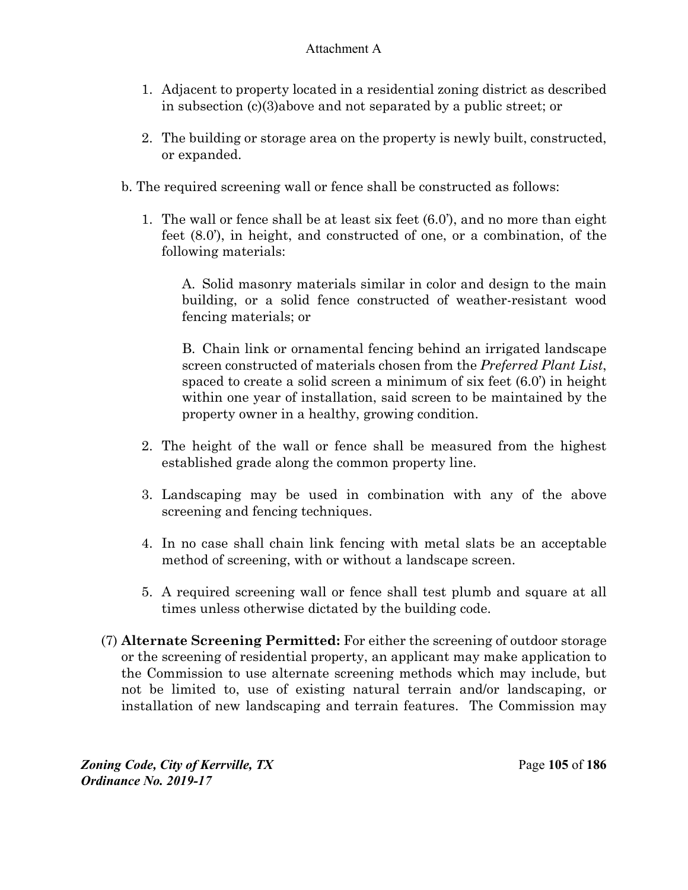- 1. Adjacent to property located in a residential zoning district as described in subsection (c)(3)above and not separated by a public street; or
- 2. The building or storage area on the property is newly built, constructed, or expanded.
- b. The required screening wall or fence shall be constructed as follows:
	- 1. The wall or fence shall be at least six feet (6.0'), and no more than eight feet (8.0'), in height, and constructed of one, or a combination, of the following materials:

A. Solid masonry materials similar in color and design to the main building, or a solid fence constructed of weather-resistant wood fencing materials; or

B. Chain link or ornamental fencing behind an irrigated landscape screen constructed of materials chosen from the *Preferred Plant List*, spaced to create a solid screen a minimum of six feet (6.0') in height within one year of installation, said screen to be maintained by the property owner in a healthy, growing condition.

- 2. The height of the wall or fence shall be measured from the highest established grade along the common property line.
- 3. Landscaping may be used in combination with any of the above screening and fencing techniques.
- 4. In no case shall chain link fencing with metal slats be an acceptable method of screening, with or without a landscape screen.
- 5. A required screening wall or fence shall test plumb and square at all times unless otherwise dictated by the building code.
- (7) **Alternate Screening Permitted:** For either the screening of outdoor storage or the screening of residential property, an applicant may make application to the Commission to use alternate screening methods which may include, but not be limited to, use of existing natural terrain and/or landscaping, or installation of new landscaping and terrain features. The Commission may

*Zoning Code, City of Kerrville, TX*Page **105** of **186**  *Ordinance No. 2019-17*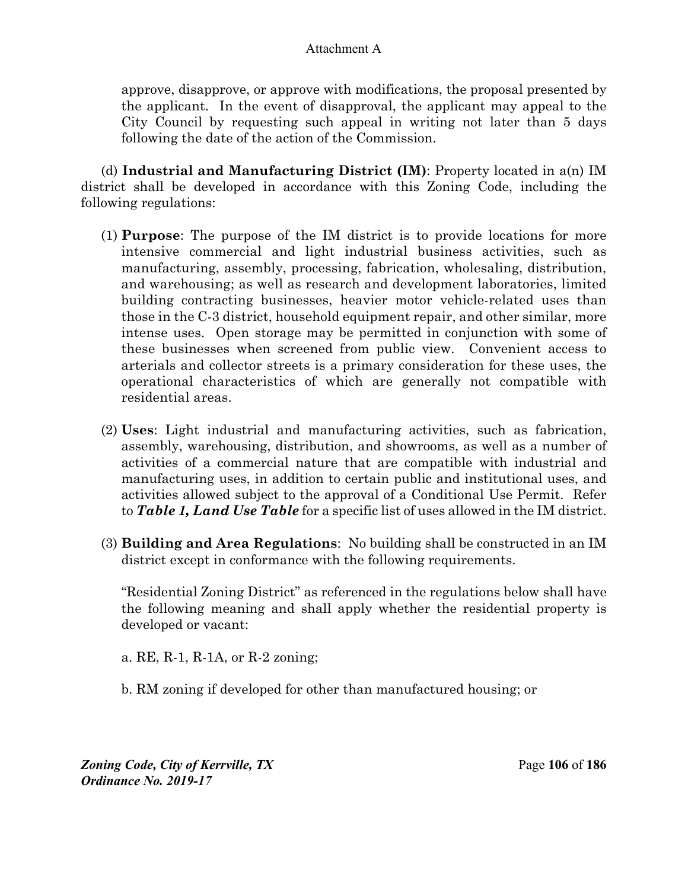approve, disapprove, or approve with modifications, the proposal presented by the applicant. In the event of disapproval, the applicant may appeal to the City Council by requesting such appeal in writing not later than 5 days following the date of the action of the Commission.

(d) **Industrial and Manufacturing District (IM)**: Property located in a(n) IM district shall be developed in accordance with this Zoning Code, including the following regulations:

- (1) **Purpose**: The purpose of the IM district is to provide locations for more intensive commercial and light industrial business activities, such as manufacturing, assembly, processing, fabrication, wholesaling, distribution, and warehousing; as well as research and development laboratories, limited building contracting businesses, heavier motor vehicle-related uses than those in the C-3 district, household equipment repair, and other similar, more intense uses. Open storage may be permitted in conjunction with some of these businesses when screened from public view. Convenient access to arterials and collector streets is a primary consideration for these uses, the operational characteristics of which are generally not compatible with residential areas.
- (2) **Uses**: Light industrial and manufacturing activities, such as fabrication, assembly, warehousing, distribution, and showrooms, as well as a number of activities of a commercial nature that are compatible with industrial and manufacturing uses, in addition to certain public and institutional uses, and activities allowed subject to the approval of a Conditional Use Permit. Refer to *Table 1, Land Use Table* for a specific list of uses allowed in the IM district.
- (3) **Building and Area Regulations**: No building shall be constructed in an IM district except in conformance with the following requirements.

 "Residential Zoning District" as referenced in the regulations below shall have the following meaning and shall apply whether the residential property is developed or vacant:

a. RE, R-1, R-1A, or R-2 zoning;

b. RM zoning if developed for other than manufactured housing; or

*Zoning Code, City of Kerrville, TX*Page **106** of **186**  *Ordinance No. 2019-17*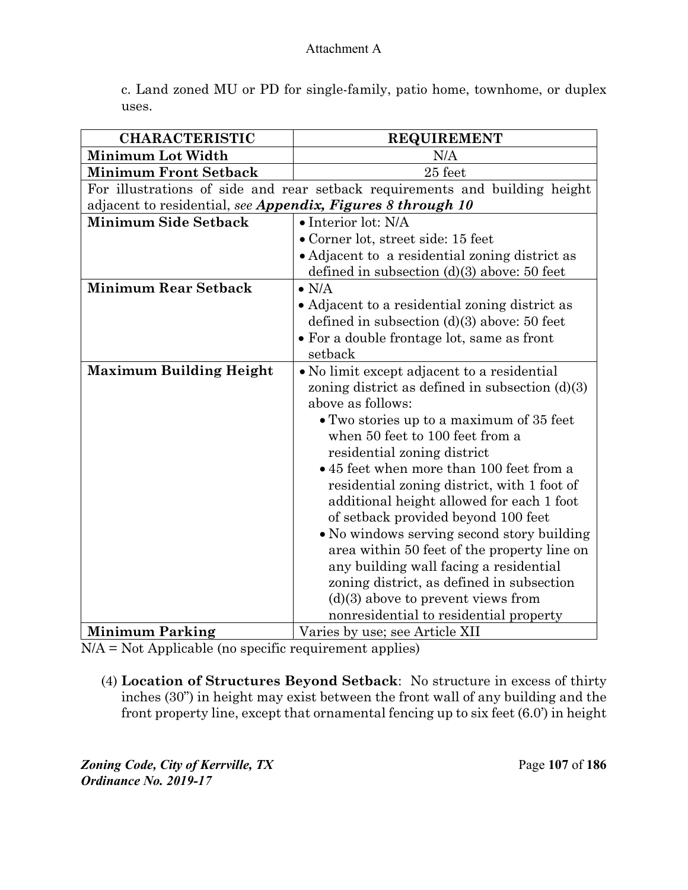c. Land zoned MU or PD for single-family, patio home, townhome, or duplex uses.

| <b>CHARACTERISTIC</b>                                       | <b>REQUIREMENT</b>                                                          |
|-------------------------------------------------------------|-----------------------------------------------------------------------------|
| <b>Minimum Lot Width</b>                                    | N/A                                                                         |
| <b>Minimum Front Setback</b>                                | 25 feet                                                                     |
|                                                             | For illustrations of side and rear setback requirements and building height |
| adjacent to residential, see Appendix, Figures 8 through 10 |                                                                             |
| <b>Minimum Side Setback</b>                                 | $\bullet$ Interior lot: N/A                                                 |
|                                                             | • Corner lot, street side: 15 feet                                          |
|                                                             | • Adjacent to a residential zoning district as                              |
|                                                             | defined in subsection $(d)(3)$ above: 50 feet                               |
| <b>Minimum Rear Setback</b>                                 | $\bullet$ N/A                                                               |
|                                                             | • Adjacent to a residential zoning district as                              |
|                                                             | defined in subsection $(d)(3)$ above: 50 feet                               |
|                                                             | • For a double frontage lot, same as front                                  |
|                                                             | setback                                                                     |
| <b>Maximum Building Height</b>                              | • No limit except adjacent to a residential                                 |
|                                                             | zoning district as defined in subsection $(d)(3)$                           |
|                                                             | above as follows:                                                           |
|                                                             | • Two stories up to a maximum of 35 feet                                    |
|                                                             | when 50 feet to 100 feet from a                                             |
|                                                             | residential zoning district                                                 |
|                                                             | • 45 feet when more than 100 feet from a                                    |
|                                                             | residential zoning district, with 1 foot of                                 |
|                                                             | additional height allowed for each 1 foot                                   |
|                                                             | of setback provided beyond 100 feet                                         |
|                                                             | • No windows serving second story building                                  |
|                                                             | area within 50 feet of the property line on                                 |
|                                                             | any building wall facing a residential                                      |
|                                                             | zoning district, as defined in subsection                                   |
|                                                             | $(d)(3)$ above to prevent views from                                        |
|                                                             | nonresidential to residential property                                      |
| <b>Minimum Parking</b>                                      | Varies by use; see Article XII                                              |

 $N/A = Not$  Applicable (no specific requirement applies)

(4) **Location of Structures Beyond Setback**: No structure in excess of thirty inches (30") in height may exist between the front wall of any building and the front property line, except that ornamental fencing up to six feet (6.0') in height

*Zoning Code, City of Kerrville, TX*Page **107** of **186**  *Ordinance No. 2019-17*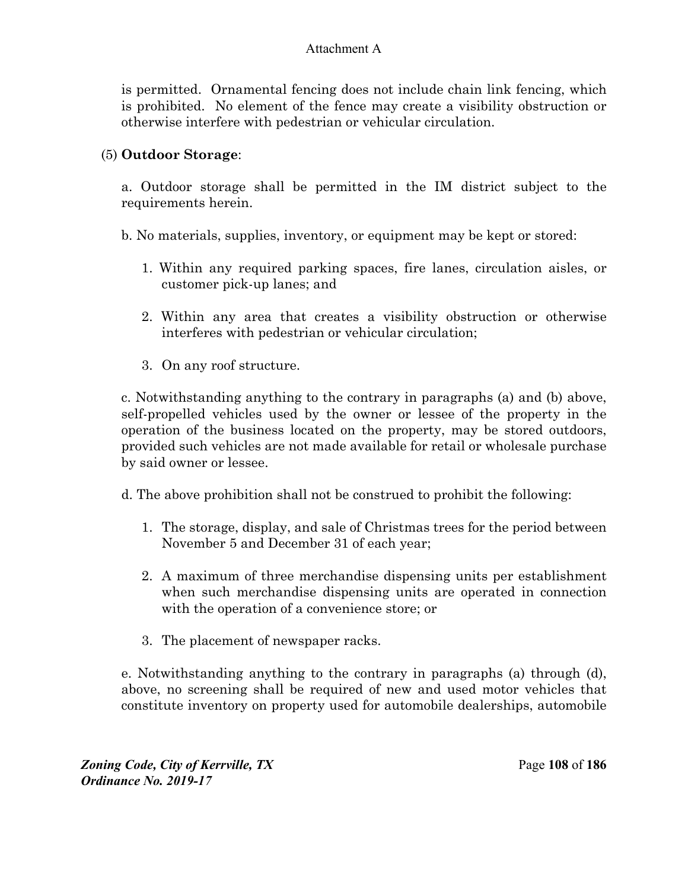is permitted. Ornamental fencing does not include chain link fencing, which is prohibited. No element of the fence may create a visibility obstruction or otherwise interfere with pedestrian or vehicular circulation.

### (5) **Outdoor Storage**:

a. Outdoor storage shall be permitted in the IM district subject to the requirements herein.

b. No materials, supplies, inventory, or equipment may be kept or stored:

- 1. Within any required parking spaces, fire lanes, circulation aisles, or customer pick-up lanes; and
- 2. Within any area that creates a visibility obstruction or otherwise interferes with pedestrian or vehicular circulation;
- 3. On any roof structure.

 c. Notwithstanding anything to the contrary in paragraphs (a) and (b) above, self-propelled vehicles used by the owner or lessee of the property in the operation of the business located on the property, may be stored outdoors, provided such vehicles are not made available for retail or wholesale purchase by said owner or lessee.

d. The above prohibition shall not be construed to prohibit the following:

- 1. The storage, display, and sale of Christmas trees for the period between November 5 and December 31 of each year;
- 2. A maximum of three merchandise dispensing units per establishment when such merchandise dispensing units are operated in connection with the operation of a convenience store; or
- 3. The placement of newspaper racks.

e. Notwithstanding anything to the contrary in paragraphs (a) through (d), above, no screening shall be required of new and used motor vehicles that constitute inventory on property used for automobile dealerships, automobile

*Zoning Code, City of Kerrville, TX*Page **108** of **186**  *Ordinance No. 2019-17*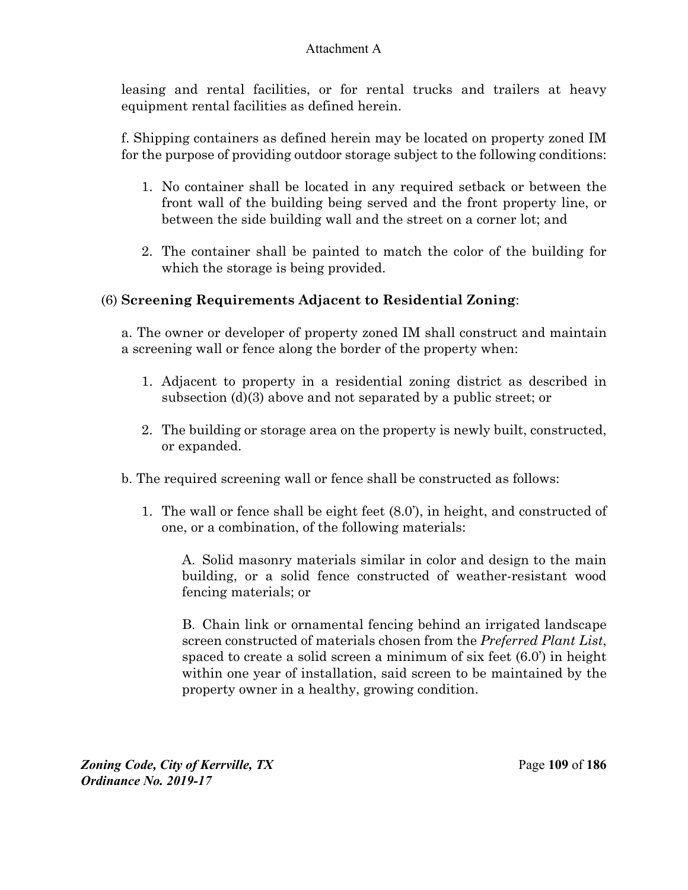leasing and rental facilities, or for rental trucks and trailers at heavy equipment rental facilities as defined herein.

f. Shipping containers as defined herein may be located on property zoned IM for the purpose of providing outdoor storage subject to the following conditions:

- 1. No container shall be located in any required setback or between the front wall of the building being served and the front property line, or between the side building wall and the street on a corner lot; and
- 2. The container shall be painted to match the color of the building for which the storage is being provided.

## (6) **Screening Requirements Adjacent to Residential Zoning**:

a. The owner or developer of property zoned IM shall construct and maintain a screening wall or fence along the border of the property when:

- 1. Adjacent to property in a residential zoning district as described in subsection (d)(3) above and not separated by a public street; or
- 2. The building or storage area on the property is newly built, constructed, or expanded.
- b. The required screening wall or fence shall be constructed as follows:
	- 1. The wall or fence shall be eight feet (8.0'), in height, and constructed of one, or a combination, of the following materials:

A. Solid masonry materials similar in color and design to the main building, or a solid fence constructed of weather-resistant wood fencing materials; or

B. Chain link or ornamental fencing behind an irrigated landscape screen constructed of materials chosen from the *Preferred Plant List*, spaced to create a solid screen a minimum of six feet (6.0') in height within one year of installation, said screen to be maintained by the property owner in a healthy, growing condition.

*Zoning Code, City of Kerrville, TX*Page **109** of **186**  *Ordinance No. 2019-17*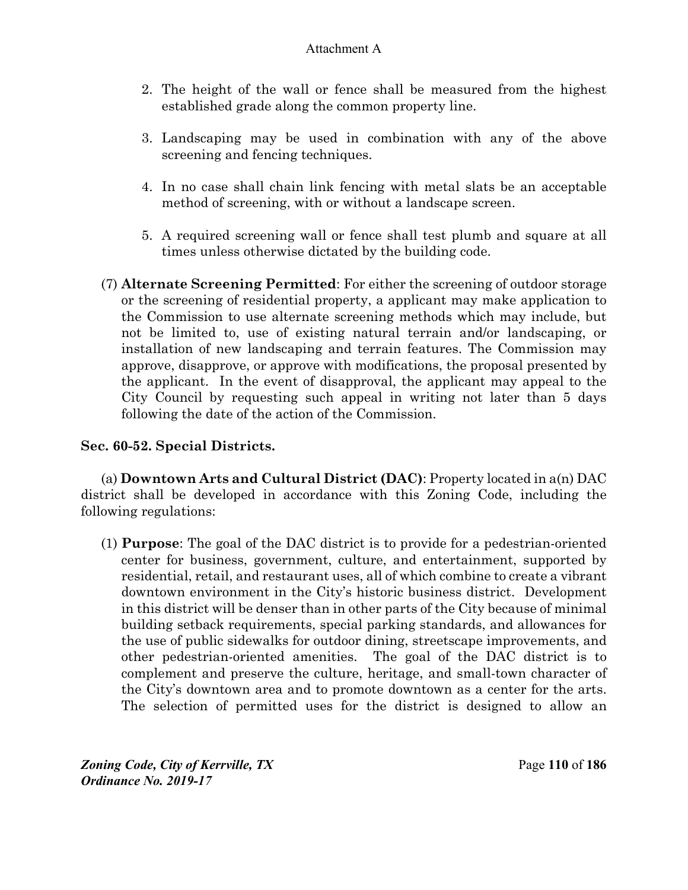- 2. The height of the wall or fence shall be measured from the highest established grade along the common property line.
- 3. Landscaping may be used in combination with any of the above screening and fencing techniques.
- 4. In no case shall chain link fencing with metal slats be an acceptable method of screening, with or without a landscape screen.
- 5. A required screening wall or fence shall test plumb and square at all times unless otherwise dictated by the building code.
- (7) **Alternate Screening Permitted**: For either the screening of outdoor storage or the screening of residential property, a applicant may make application to the Commission to use alternate screening methods which may include, but not be limited to, use of existing natural terrain and/or landscaping, or installation of new landscaping and terrain features. The Commission may approve, disapprove, or approve with modifications, the proposal presented by the applicant. In the event of disapproval, the applicant may appeal to the City Council by requesting such appeal in writing not later than 5 days following the date of the action of the Commission.

### **Sec. 60-52. Special Districts.**

(a) **Downtown Arts and Cultural District (DAC)**: Property located in a(n) DAC district shall be developed in accordance with this Zoning Code, including the following regulations:

(1) **Purpose**: The goal of the DAC district is to provide for a pedestrian-oriented center for business, government, culture, and entertainment, supported by residential, retail, and restaurant uses, all of which combine to create a vibrant downtown environment in the City's historic business district. Development in this district will be denser than in other parts of the City because of minimal building setback requirements, special parking standards, and allowances for the use of public sidewalks for outdoor dining, streetscape improvements, and other pedestrian-oriented amenities. The goal of the DAC district is to complement and preserve the culture, heritage, and small-town character of the City's downtown area and to promote downtown as a center for the arts. The selection of permitted uses for the district is designed to allow an

*Zoning Code, City of Kerrville, TX*Page **110** of **186**  *Ordinance No. 2019-17*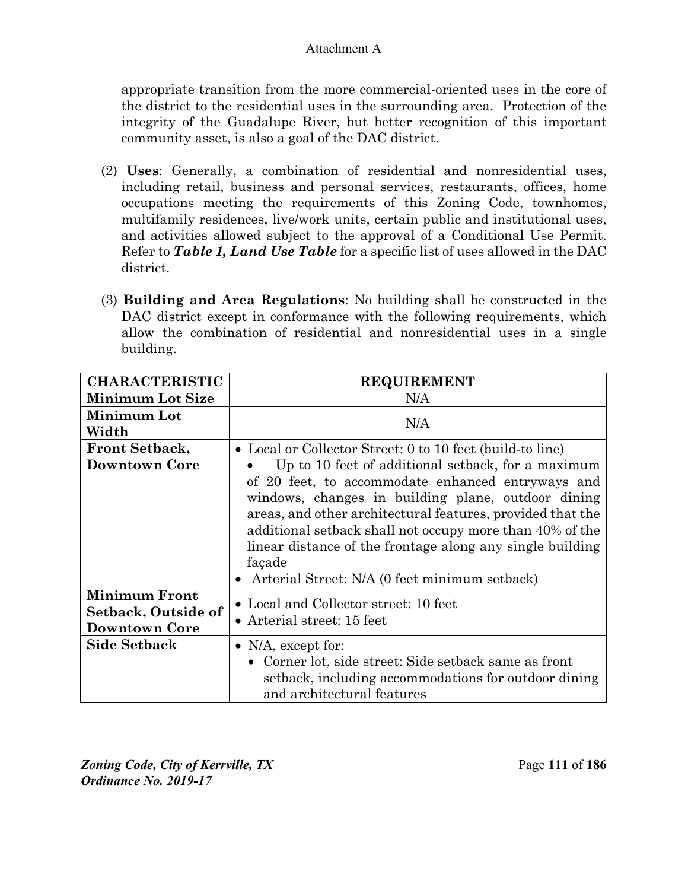appropriate transition from the more commercial-oriented uses in the core of the district to the residential uses in the surrounding area. Protection of the integrity of the Guadalupe River, but better recognition of this important community asset, is also a goal of the DAC district.

- (2) **Uses**: Generally, a combination of residential and nonresidential uses, including retail, business and personal services, restaurants, offices, home occupations meeting the requirements of this Zoning Code, townhomes, multifamily residences, live/work units, certain public and institutional uses, and activities allowed subject to the approval of a Conditional Use Permit. Refer to *Table 1, Land Use Table* for a specific list of uses allowed in the DAC district.
- (3) **Building and Area Regulations**: No building shall be constructed in the DAC district except in conformance with the following requirements, which allow the combination of residential and nonresidential uses in a single building.

| <b>CHARACTERISTIC</b>   | <b>REQUIREMENT</b>                                         |
|-------------------------|------------------------------------------------------------|
| <b>Minimum Lot Size</b> | N/A                                                        |
| Minimum Lot             | N/A                                                        |
| Width                   |                                                            |
| <b>Front Setback,</b>   | • Local or Collector Street: 0 to 10 feet (build-to line)  |
| <b>Downtown Core</b>    | Up to 10 feet of additional setback, for a maximum         |
|                         | of 20 feet, to accommodate enhanced entryways and          |
|                         | windows, changes in building plane, outdoor dining         |
|                         | areas, and other architectural features, provided that the |
|                         | additional setback shall not occupy more than 40% of the   |
|                         | linear distance of the frontage along any single building  |
|                         | façade                                                     |
|                         | Arterial Street: N/A (0 feet minimum setback)              |
| <b>Minimum Front</b>    | • Local and Collector street: 10 feet                      |
| Setback, Outside of     |                                                            |
| <b>Downtown Core</b>    | • Arterial street: $15$ feet                               |
| <b>Side Setback</b>     | • $N/A$ , except for:                                      |
|                         | • Corner lot, side street: Side setback same as front      |
|                         | setback, including accommodations for outdoor dining       |
|                         | and architectural features                                 |

*Zoning Code, City of Kerrville, TX*Page **111** of **186**  *Ordinance No. 2019-17*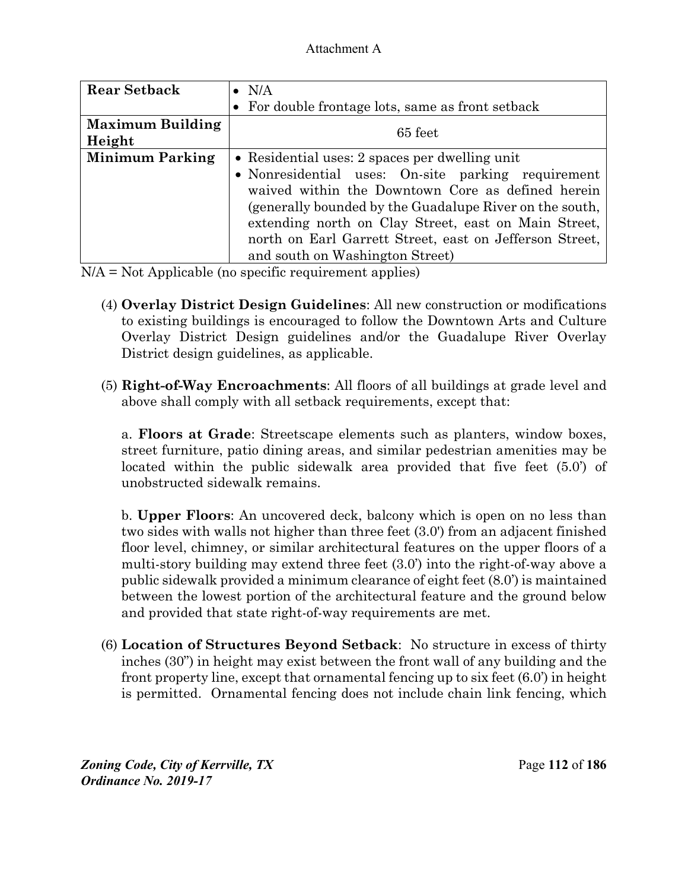| <b>Rear Setback</b>     | $\bullet$ N/A                                           |  |
|-------------------------|---------------------------------------------------------|--|
|                         | • For double frontage lots, same as front setback       |  |
| <b>Maximum Building</b> | 65 feet                                                 |  |
| Height                  |                                                         |  |
| <b>Minimum Parking</b>  | • Residential uses: 2 spaces per dwelling unit          |  |
|                         | • Nonresidential uses: On-site parking requirement      |  |
|                         | waived within the Downtown Core as defined herein       |  |
|                         | (generally bounded by the Guadalupe River on the south, |  |
|                         | extending north on Clay Street, east on Main Street,    |  |
|                         | north on Earl Garrett Street, east on Jefferson Street, |  |
|                         | and south on Washington Street)                         |  |

N/A = Not Applicable (no specific requirement applies)

- (4) **Overlay District Design Guidelines**: All new construction or modifications to existing buildings is encouraged to follow the Downtown Arts and Culture Overlay District Design guidelines and/or the Guadalupe River Overlay District design guidelines, as applicable.
- (5) **Right-of-Way Encroachments**: All floors of all buildings at grade level and above shall comply with all setback requirements, except that:

a. **Floors at Grade**: Streetscape elements such as planters, window boxes, street furniture, patio dining areas, and similar pedestrian amenities may be located within the public sidewalk area provided that five feet (5.0') of unobstructed sidewalk remains.

b. **Upper Floors**: An uncovered deck, balcony which is open on no less than two sides with walls not higher than three feet (3.0') from an adjacent finished floor level, chimney, or similar architectural features on the upper floors of a multi-story building may extend three feet (3.0') into the right-of-way above a public sidewalk provided a minimum clearance of eight feet (8.0') is maintained between the lowest portion of the architectural feature and the ground below and provided that state right-of-way requirements are met.

(6) **Location of Structures Beyond Setback**: No structure in excess of thirty inches (30") in height may exist between the front wall of any building and the front property line, except that ornamental fencing up to six feet (6.0') in height is permitted. Ornamental fencing does not include chain link fencing, which

*Zoning Code, City of Kerrville, TX*Page **112** of **186**  *Ordinance No. 2019-17*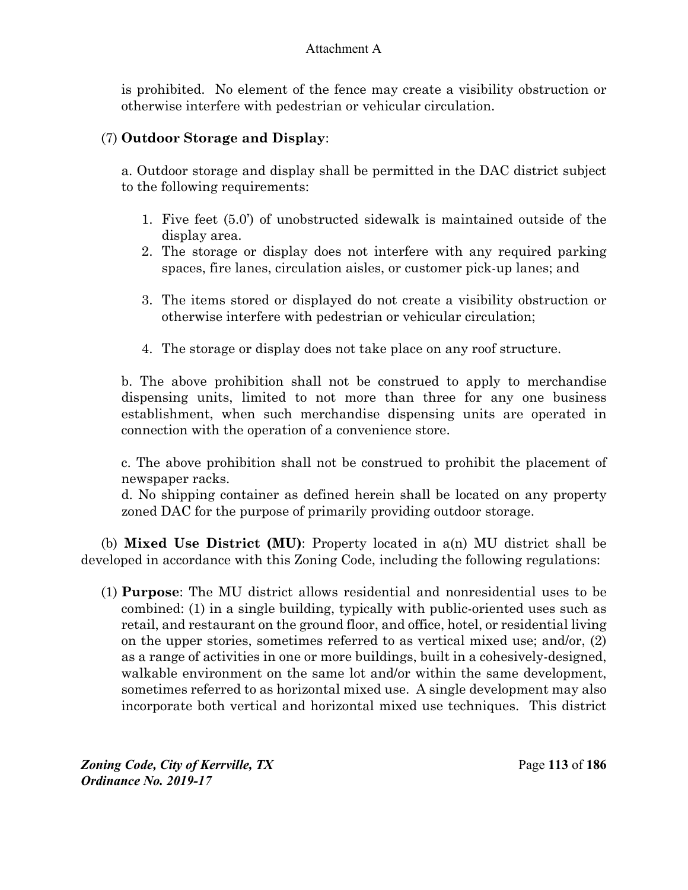is prohibited. No element of the fence may create a visibility obstruction or otherwise interfere with pedestrian or vehicular circulation.

## (7) **Outdoor Storage and Display**:

a. Outdoor storage and display shall be permitted in the DAC district subject to the following requirements:

- 1. Five feet (5.0') of unobstructed sidewalk is maintained outside of the display area.
- 2. The storage or display does not interfere with any required parking spaces, fire lanes, circulation aisles, or customer pick-up lanes; and
- 3. The items stored or displayed do not create a visibility obstruction or otherwise interfere with pedestrian or vehicular circulation;
- 4. The storage or display does not take place on any roof structure.

b. The above prohibition shall not be construed to apply to merchandise dispensing units, limited to not more than three for any one business establishment, when such merchandise dispensing units are operated in connection with the operation of a convenience store.

c. The above prohibition shall not be construed to prohibit the placement of newspaper racks.

d. No shipping container as defined herein shall be located on any property zoned DAC for the purpose of primarily providing outdoor storage.

(b) **Mixed Use District (MU)**: Property located in a(n) MU district shall be developed in accordance with this Zoning Code, including the following regulations:

(1) **Purpose**: The MU district allows residential and nonresidential uses to be combined: (1) in a single building, typically with public-oriented uses such as retail, and restaurant on the ground floor, and office, hotel, or residential living on the upper stories, sometimes referred to as vertical mixed use; and/or, (2) as a range of activities in one or more buildings, built in a cohesively-designed, walkable environment on the same lot and/or within the same development, sometimes referred to as horizontal mixed use. A single development may also incorporate both vertical and horizontal mixed use techniques. This district

*Zoning Code, City of Kerrville, TX*Page **113** of **186**  *Ordinance No. 2019-17*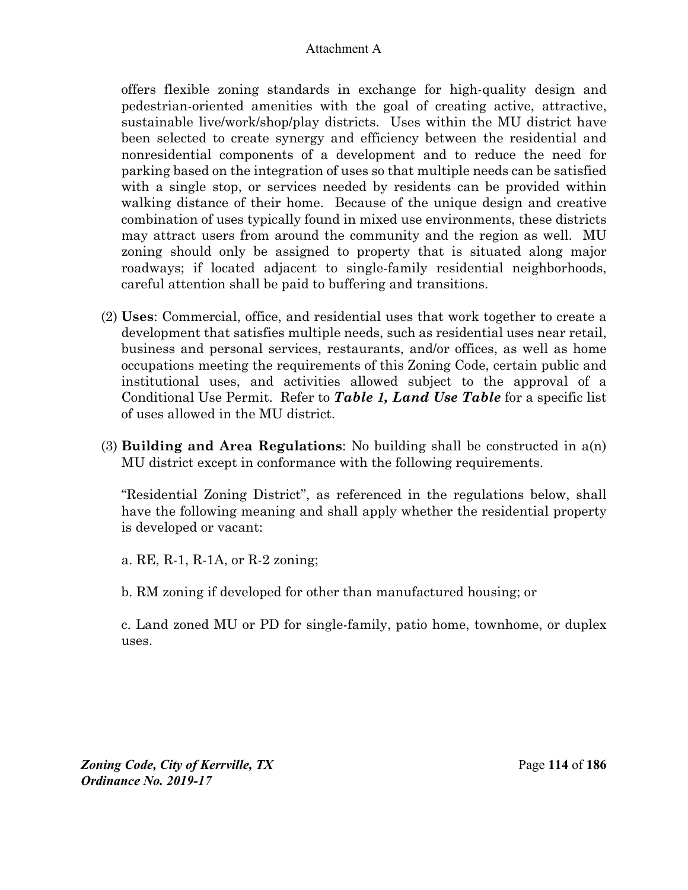offers flexible zoning standards in exchange for high-quality design and pedestrian-oriented amenities with the goal of creating active, attractive, sustainable live/work/shop/play districts. Uses within the MU district have been selected to create synergy and efficiency between the residential and nonresidential components of a development and to reduce the need for parking based on the integration of uses so that multiple needs can be satisfied with a single stop, or services needed by residents can be provided within walking distance of their home. Because of the unique design and creative combination of uses typically found in mixed use environments, these districts may attract users from around the community and the region as well. MU zoning should only be assigned to property that is situated along major roadways; if located adjacent to single-family residential neighborhoods, careful attention shall be paid to buffering and transitions.

- (2) **Uses**: Commercial, office, and residential uses that work together to create a development that satisfies multiple needs, such as residential uses near retail, business and personal services, restaurants, and/or offices, as well as home occupations meeting the requirements of this Zoning Code, certain public and institutional uses, and activities allowed subject to the approval of a Conditional Use Permit. Refer to *Table 1, Land Use Table* for a specific list of uses allowed in the MU district.
- (3) **Building and Area Regulations**: No building shall be constructed in a(n) MU district except in conformance with the following requirements.

"Residential Zoning District", as referenced in the regulations below, shall have the following meaning and shall apply whether the residential property is developed or vacant:

a. RE, R-1, R-1A, or R-2 zoning;

b. RM zoning if developed for other than manufactured housing; or

c. Land zoned MU or PD for single-family, patio home, townhome, or duplex uses.

*Zoning Code, City of Kerrville, TX*Page **114** of **186**  *Ordinance No. 2019-17*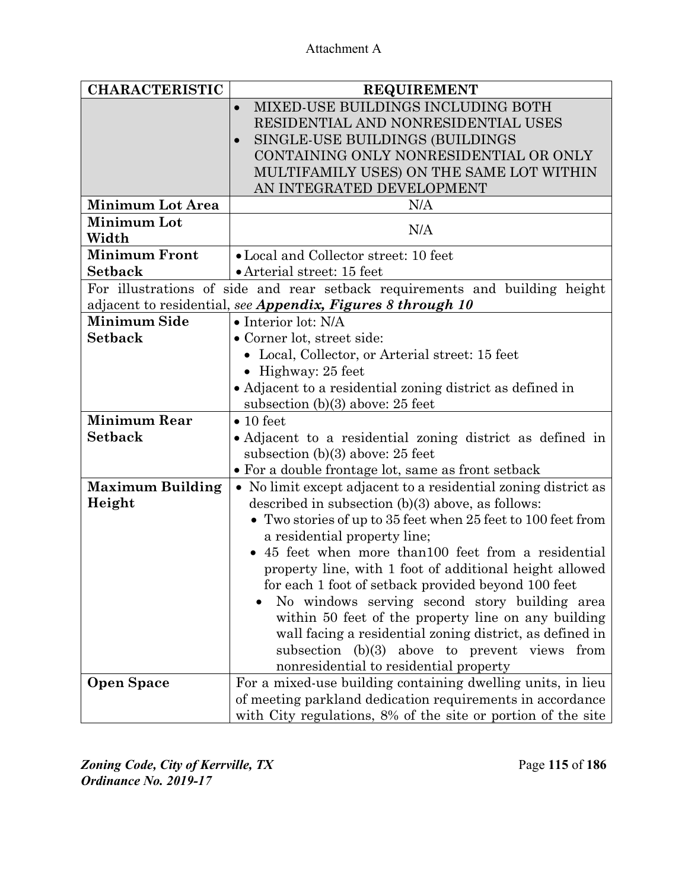| <b>CHARACTERISTIC</b>   | <b>REQUIREMENT</b>                                                          |  |
|-------------------------|-----------------------------------------------------------------------------|--|
|                         | MIXED-USE BUILDINGS INCLUDING BOTH<br>$\bullet$                             |  |
|                         | RESIDENTIAL AND NONRESIDENTIAL USES                                         |  |
|                         | SINGLE-USE BUILDINGS (BUILDINGS                                             |  |
|                         | CONTAINING ONLY NONRESIDENTIAL OR ONLY                                      |  |
|                         | MULTIFAMILY USES) ON THE SAME LOT WITHIN                                    |  |
|                         | AN INTEGRATED DEVELOPMENT                                                   |  |
| <b>Minimum Lot Area</b> | N/A                                                                         |  |
| <b>Minimum Lot</b>      | N/A                                                                         |  |
| Width                   |                                                                             |  |
| <b>Minimum Front</b>    | • Local and Collector street: 10 feet                                       |  |
| <b>Setback</b>          | • Arterial street: 15 feet                                                  |  |
|                         | For illustrations of side and rear setback requirements and building height |  |
|                         | adjacent to residential, see Appendix, Figures 8 through 10                 |  |
| <b>Minimum Side</b>     | $\bullet$ Interior lot: N/A                                                 |  |
| <b>Setback</b>          | • Corner lot, street side:                                                  |  |
|                         | • Local, Collector, or Arterial street: 15 feet                             |  |
|                         | • Highway: $25$ feet                                                        |  |
|                         | • Adjacent to a residential zoning district as defined in                   |  |
|                         | subsection $(b)(3)$ above: 25 feet                                          |  |
| <b>Minimum Rear</b>     | $\bullet$ 10 feet                                                           |  |
| <b>Setback</b>          | • Adjacent to a residential zoning district as defined in                   |  |
|                         | subsection $(b)(3)$ above: 25 feet                                          |  |
|                         | • For a double frontage lot, same as front setback                          |  |
| <b>Maximum Building</b> | • No limit except adjacent to a residential zoning district as              |  |
| Height                  | described in subsection $(b)(3)$ above, as follows:                         |  |
|                         | • Two stories of up to 35 feet when 25 feet to 100 feet from                |  |
|                         | a residential property line;                                                |  |
|                         | • 45 feet when more than 100 feet from a residential                        |  |
|                         | property line, with 1 foot of additional height allowed                     |  |
|                         | for each 1 foot of setback provided beyond 100 feet                         |  |
|                         | No windows serving second story building area                               |  |
|                         | within 50 feet of the property line on any building                         |  |
|                         | wall facing a residential zoning district, as defined in                    |  |
|                         | subsection $(b)(3)$ above to prevent views<br>from                          |  |
|                         | nonresidential to residential property                                      |  |
| <b>Open Space</b>       | For a mixed-use building containing dwelling units, in lieu                 |  |
|                         | of meeting parkland dedication requirements in accordance                   |  |
|                         | with City regulations, 8% of the site or portion of the site                |  |

*Zoning Code, City of Kerrville, TX*Page **115** of **186**  *Ordinance No. 2019-17*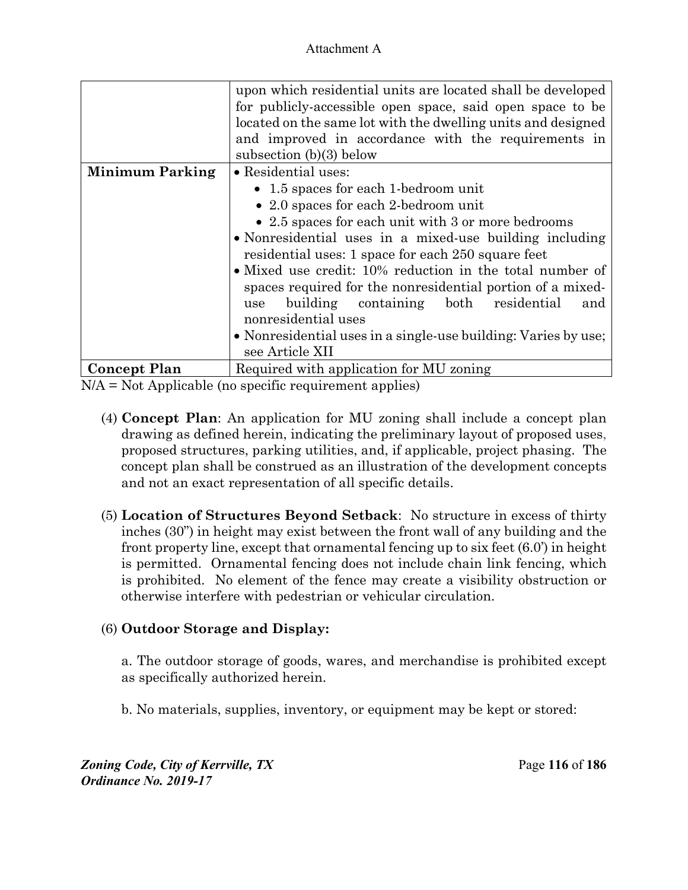|                        | upon which residential units are located shall be developed    |  |
|------------------------|----------------------------------------------------------------|--|
|                        | for publicly-accessible open space, said open space to be      |  |
|                        | located on the same lot with the dwelling units and designed   |  |
|                        | and improved in accordance with the requirements in            |  |
|                        | subsection $(b)(3)$ below                                      |  |
| <b>Minimum Parking</b> | • Residential uses:                                            |  |
|                        | • 1.5 spaces for each 1-bedroom unit                           |  |
|                        | • 2.0 spaces for each 2-bedroom unit                           |  |
|                        | • 2.5 spaces for each unit with 3 or more bedrooms             |  |
|                        | • Nonresidential uses in a mixed-use building including        |  |
|                        | residential uses: 1 space for each 250 square feet             |  |
|                        | • Mixed use credit: 10% reduction in the total number of       |  |
|                        | spaces required for the nonresidential portion of a mixed-     |  |
|                        | building containing both residential<br>and<br>use             |  |
|                        | nonresidential uses                                            |  |
|                        | • Nonresidential uses in a single-use building: Varies by use; |  |
|                        | see Article XII                                                |  |
| <b>Concept Plan</b>    | Required with application for MU zoning                        |  |

 $N/A = Not Applicable (no specific requirement applies)$ 

- (4) **Concept Plan**: An application for MU zoning shall include a concept plan drawing as defined herein, indicating the preliminary layout of proposed uses, proposed structures, parking utilities, and, if applicable, project phasing. The concept plan shall be construed as an illustration of the development concepts and not an exact representation of all specific details.
- (5) **Location of Structures Beyond Setback**: No structure in excess of thirty inches (30") in height may exist between the front wall of any building and the front property line, except that ornamental fencing up to six feet (6.0') in height is permitted. Ornamental fencing does not include chain link fencing, which is prohibited. No element of the fence may create a visibility obstruction or otherwise interfere with pedestrian or vehicular circulation.

# (6) **Outdoor Storage and Display:**

a. The outdoor storage of goods, wares, and merchandise is prohibited except as specifically authorized herein.

b. No materials, supplies, inventory, or equipment may be kept or stored:

*Zoning Code, City of Kerrville, TX*Page **116** of **186**  *Ordinance No. 2019-17*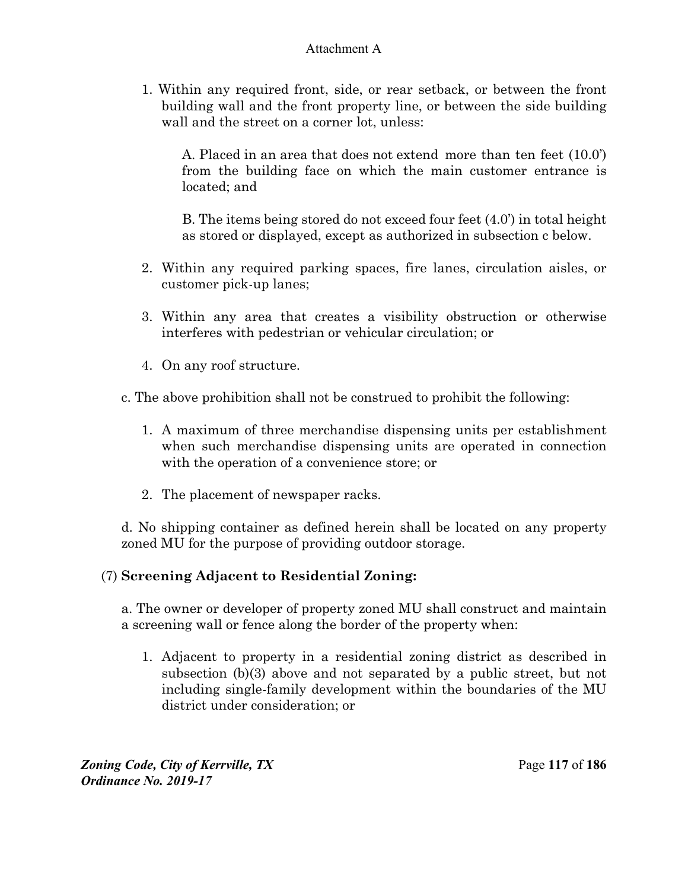1. Within any required front, side, or rear setback, or between the front building wall and the front property line, or between the side building wall and the street on a corner lot, unless:

A. Placed in an area that does not extend more than ten feet (10.0') from the building face on which the main customer entrance is located; and

B. The items being stored do not exceed four feet (4.0') in total height as stored or displayed, except as authorized in subsection c below.

- 2. Within any required parking spaces, fire lanes, circulation aisles, or customer pick-up lanes;
- 3. Within any area that creates a visibility obstruction or otherwise interferes with pedestrian or vehicular circulation; or
- 4. On any roof structure.
- c. The above prohibition shall not be construed to prohibit the following:
	- 1. A maximum of three merchandise dispensing units per establishment when such merchandise dispensing units are operated in connection with the operation of a convenience store; or
	- 2. The placement of newspaper racks.

d. No shipping container as defined herein shall be located on any property zoned MU for the purpose of providing outdoor storage.

## (7) **Screening Adjacent to Residential Zoning:**

a. The owner or developer of property zoned MU shall construct and maintain a screening wall or fence along the border of the property when:

1. Adjacent to property in a residential zoning district as described in subsection (b)(3) above and not separated by a public street, but not including single-family development within the boundaries of the MU district under consideration; or

*Zoning Code, City of Kerrville, TX*Page **117** of **186**  *Ordinance No. 2019-17*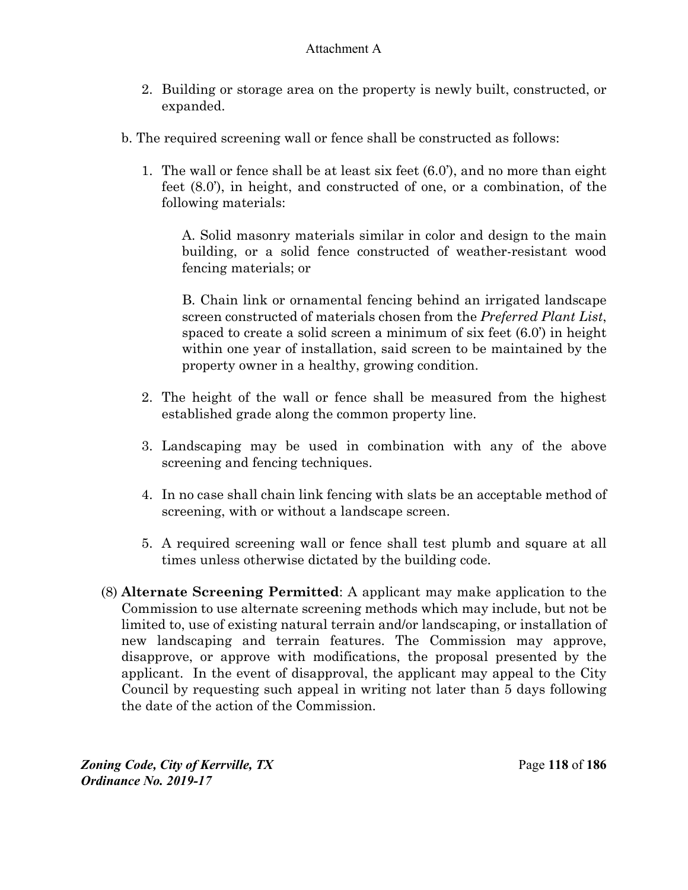- 2. Building or storage area on the property is newly built, constructed, or expanded.
- b. The required screening wall or fence shall be constructed as follows:
	- 1. The wall or fence shall be at least six feet (6.0'), and no more than eight feet (8.0'), in height, and constructed of one, or a combination, of the following materials:

A. Solid masonry materials similar in color and design to the main building, or a solid fence constructed of weather-resistant wood fencing materials; or

B. Chain link or ornamental fencing behind an irrigated landscape screen constructed of materials chosen from the *Preferred Plant List*, spaced to create a solid screen a minimum of six feet (6.0') in height within one year of installation, said screen to be maintained by the property owner in a healthy, growing condition.

- 2. The height of the wall or fence shall be measured from the highest established grade along the common property line.
- 3. Landscaping may be used in combination with any of the above screening and fencing techniques.
- 4. In no case shall chain link fencing with slats be an acceptable method of screening, with or without a landscape screen.
- 5. A required screening wall or fence shall test plumb and square at all times unless otherwise dictated by the building code.
- (8) **Alternate Screening Permitted**: A applicant may make application to the Commission to use alternate screening methods which may include, but not be limited to, use of existing natural terrain and/or landscaping, or installation of new landscaping and terrain features. The Commission may approve, disapprove, or approve with modifications, the proposal presented by the applicant. In the event of disapproval, the applicant may appeal to the City Council by requesting such appeal in writing not later than 5 days following the date of the action of the Commission.

*Zoning Code, City of Kerrville, TX*Page **118** of **186**  *Ordinance No. 2019-17*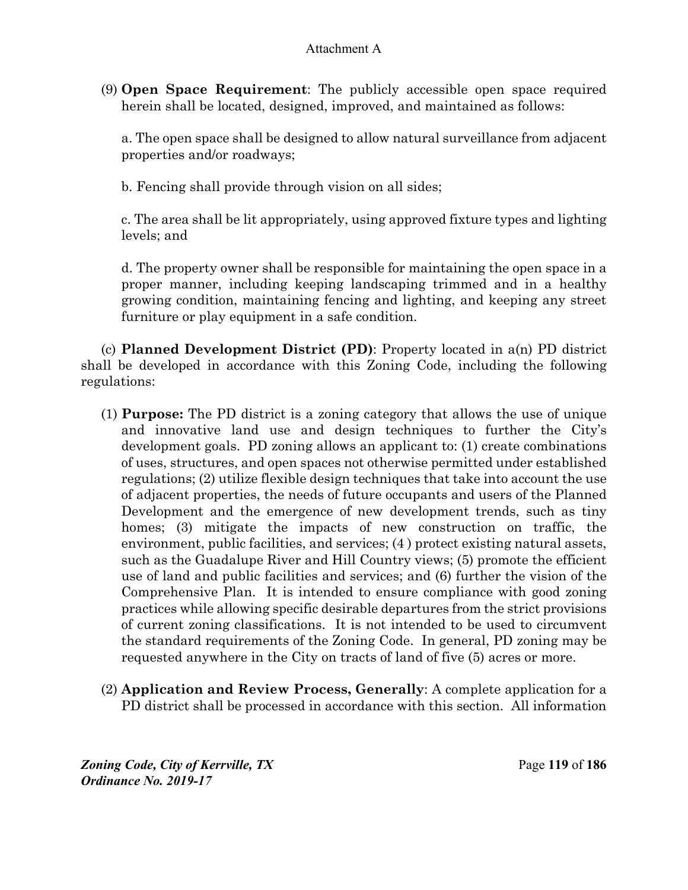(9) **Open Space Requirement**: The publicly accessible open space required herein shall be located, designed, improved, and maintained as follows:

a. The open space shall be designed to allow natural surveillance from adjacent properties and/or roadways;

b. Fencing shall provide through vision on all sides;

c. The area shall be lit appropriately, using approved fixture types and lighting levels; and

d. The property owner shall be responsible for maintaining the open space in a proper manner, including keeping landscaping trimmed and in a healthy growing condition, maintaining fencing and lighting, and keeping any street furniture or play equipment in a safe condition.

(c) **Planned Development District (PD)**: Property located in a(n) PD district shall be developed in accordance with this Zoning Code, including the following regulations:

- (1) **Purpose:** The PD district is a zoning category that allows the use of unique and innovative land use and design techniques to further the City's development goals. PD zoning allows an applicant to: (1) create combinations of uses, structures, and open spaces not otherwise permitted under established regulations; (2) utilize flexible design techniques that take into account the use of adjacent properties, the needs of future occupants and users of the Planned Development and the emergence of new development trends, such as tiny homes; (3) mitigate the impacts of new construction on traffic, the environment, public facilities, and services; (4 ) protect existing natural assets, such as the Guadalupe River and Hill Country views; (5) promote the efficient use of land and public facilities and services; and (6) further the vision of the Comprehensive Plan. It is intended to ensure compliance with good zoning practices while allowing specific desirable departures from the strict provisions of current zoning classifications. It is not intended to be used to circumvent the standard requirements of the Zoning Code. In general, PD zoning may be requested anywhere in the City on tracts of land of five (5) acres or more.
- (2) **Application and Review Process, Generally**: A complete application for a PD district shall be processed in accordance with this section. All information

*Zoning Code, City of Kerrville, TX*Page **119** of **186**  *Ordinance No. 2019-17*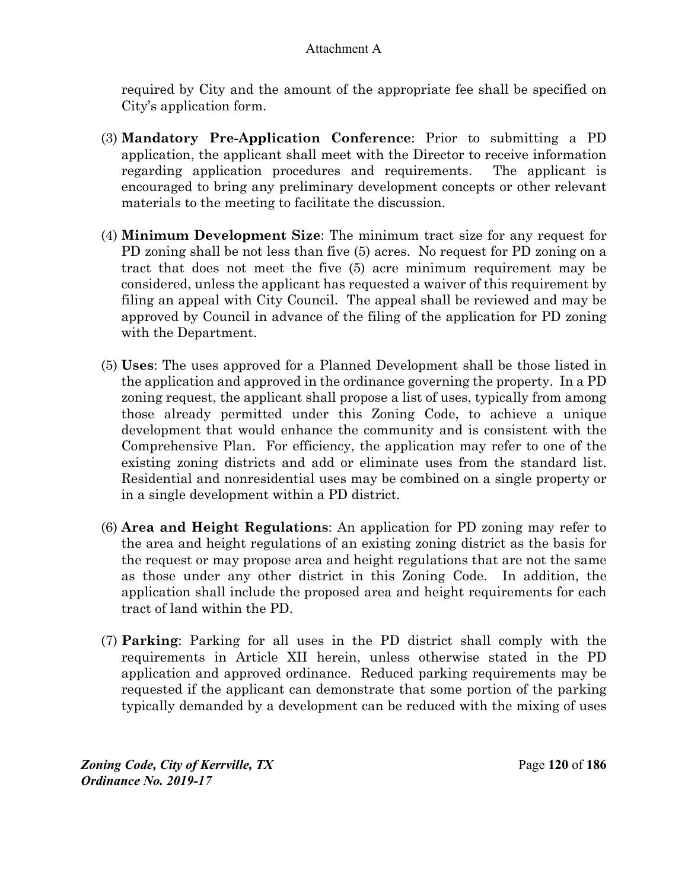required by City and the amount of the appropriate fee shall be specified on City's application form.

- (3) **Mandatory Pre-Application Conference**: Prior to submitting a PD application, the applicant shall meet with the Director to receive information regarding application procedures and requirements. The applicant is encouraged to bring any preliminary development concepts or other relevant materials to the meeting to facilitate the discussion.
- (4) **Minimum Development Size**: The minimum tract size for any request for PD zoning shall be not less than five (5) acres. No request for PD zoning on a tract that does not meet the five (5) acre minimum requirement may be considered, unless the applicant has requested a waiver of this requirement by filing an appeal with City Council. The appeal shall be reviewed and may be approved by Council in advance of the filing of the application for PD zoning with the Department.
- (5) **Uses**: The uses approved for a Planned Development shall be those listed in the application and approved in the ordinance governing the property. In a PD zoning request, the applicant shall propose a list of uses, typically from among those already permitted under this Zoning Code, to achieve a unique development that would enhance the community and is consistent with the Comprehensive Plan. For efficiency, the application may refer to one of the existing zoning districts and add or eliminate uses from the standard list. Residential and nonresidential uses may be combined on a single property or in a single development within a PD district.
- (6) **Area and Height Regulations**: An application for PD zoning may refer to the area and height regulations of an existing zoning district as the basis for the request or may propose area and height regulations that are not the same as those under any other district in this Zoning Code. In addition, the application shall include the proposed area and height requirements for each tract of land within the PD.
- (7) **Parking**: Parking for all uses in the PD district shall comply with the requirements in Article XII herein, unless otherwise stated in the PD application and approved ordinance. Reduced parking requirements may be requested if the applicant can demonstrate that some portion of the parking typically demanded by a development can be reduced with the mixing of uses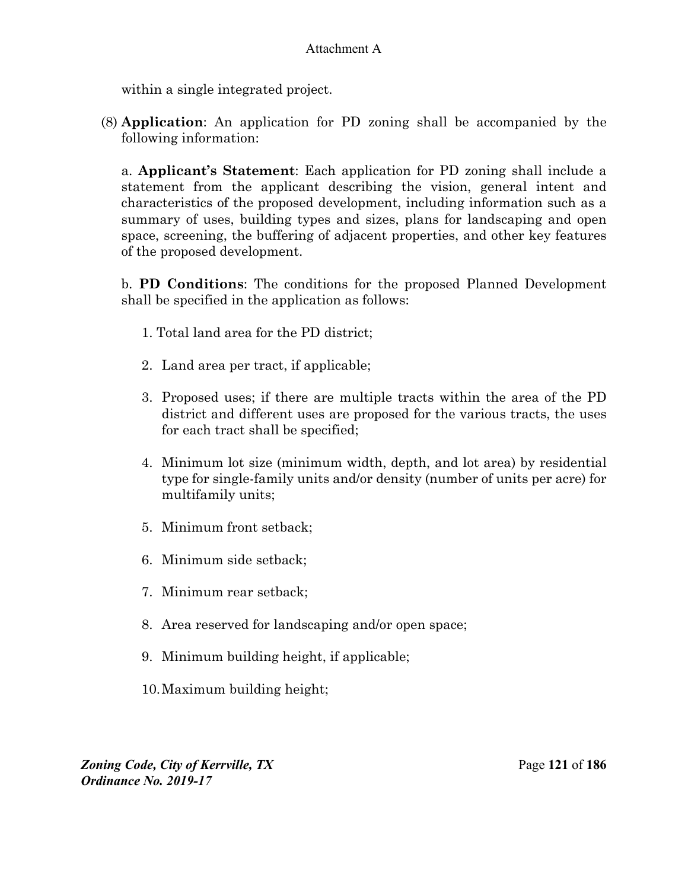within a single integrated project.

(8) **Application**: An application for PD zoning shall be accompanied by the following information:

a. **Applicant's Statement**: Each application for PD zoning shall include a statement from the applicant describing the vision, general intent and characteristics of the proposed development, including information such as a summary of uses, building types and sizes, plans for landscaping and open space, screening, the buffering of adjacent properties, and other key features of the proposed development.

b. **PD Conditions**: The conditions for the proposed Planned Development shall be specified in the application as follows:

- 1. Total land area for the PD district;
- 2. Land area per tract, if applicable;
- 3. Proposed uses; if there are multiple tracts within the area of the PD district and different uses are proposed for the various tracts, the uses for each tract shall be specified;
- 4. Minimum lot size (minimum width, depth, and lot area) by residential type for single-family units and/or density (number of units per acre) for multifamily units;
- 5. Minimum front setback;
- 6. Minimum side setback;
- 7. Minimum rear setback;
- 8. Area reserved for landscaping and/or open space;
- 9. Minimum building height, if applicable;
- 10. Maximum building height;

*Zoning Code, City of Kerrville, TX*Page **121** of **186**  *Ordinance No. 2019-17*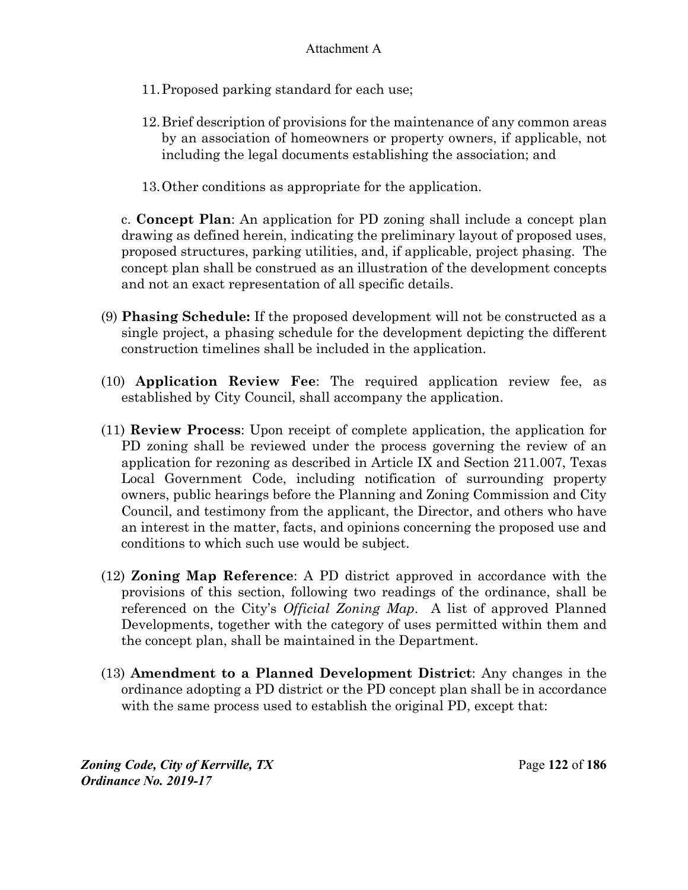- 11. Proposed parking standard for each use;
- 12. Brief description of provisions for the maintenance of any common areas by an association of homeowners or property owners, if applicable, not including the legal documents establishing the association; and
- 13. Other conditions as appropriate for the application.

c. **Concept Plan**: An application for PD zoning shall include a concept plan drawing as defined herein, indicating the preliminary layout of proposed uses, proposed structures, parking utilities, and, if applicable, project phasing. The concept plan shall be construed as an illustration of the development concepts and not an exact representation of all specific details.

- (9) **Phasing Schedule:** If the proposed development will not be constructed as a single project, a phasing schedule for the development depicting the different construction timelines shall be included in the application.
- (10) **Application Review Fee**: The required application review fee, as established by City Council, shall accompany the application.
- (11) **Review Process**: Upon receipt of complete application, the application for PD zoning shall be reviewed under the process governing the review of an application for rezoning as described in Article IX and Section 211.007, Texas Local Government Code, including notification of surrounding property owners, public hearings before the Planning and Zoning Commission and City Council, and testimony from the applicant, the Director, and others who have an interest in the matter, facts, and opinions concerning the proposed use and conditions to which such use would be subject.
- (12) **Zoning Map Reference**: A PD district approved in accordance with the provisions of this section, following two readings of the ordinance, shall be referenced on the City's *Official Zoning Map*. A list of approved Planned Developments, together with the category of uses permitted within them and the concept plan, shall be maintained in the Department.
- (13) **Amendment to a Planned Development District**: Any changes in the ordinance adopting a PD district or the PD concept plan shall be in accordance with the same process used to establish the original PD, except that:

*Zoning Code, City of Kerrville, TX*Page **122** of **186**  *Ordinance No. 2019-17*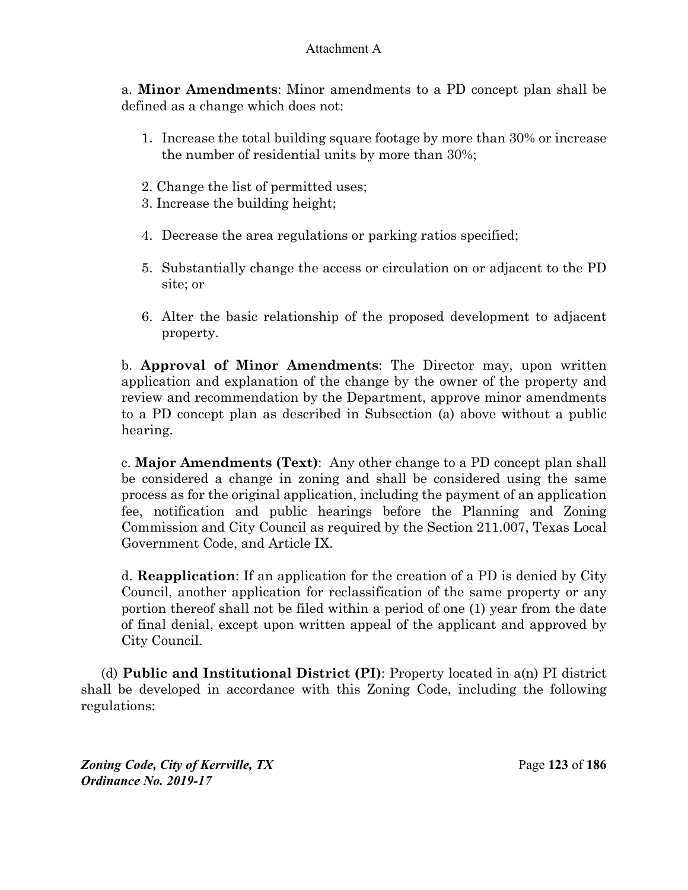a. **Minor Amendments**: Minor amendments to a PD concept plan shall be defined as a change which does not:

- 1. Increase the total building square footage by more than 30% or increase the number of residential units by more than 30%;
- 2. Change the list of permitted uses;
- 3. Increase the building height;
- 4. Decrease the area regulations or parking ratios specified;
- 5. Substantially change the access or circulation on or adjacent to the PD site; or
- 6. Alter the basic relationship of the proposed development to adjacent property.

b. **Approval of Minor Amendments**: The Director may, upon written application and explanation of the change by the owner of the property and review and recommendation by the Department, approve minor amendments to a PD concept plan as described in Subsection (a) above without a public hearing.

c. **Major Amendments (Text)**: Any other change to a PD concept plan shall be considered a change in zoning and shall be considered using the same process as for the original application, including the payment of an application fee, notification and public hearings before the Planning and Zoning Commission and City Council as required by the Section 211.007, Texas Local Government Code, and Article IX.

d. **Reapplication**: If an application for the creation of a PD is denied by City Council, another application for reclassification of the same property or any portion thereof shall not be filed within a period of one (1) year from the date of final denial, except upon written appeal of the applicant and approved by City Council.

(d) **Public and Institutional District (PI)**: Property located in a(n) PI district shall be developed in accordance with this Zoning Code, including the following regulations:

*Zoning Code, City of Kerrville, TX*Page **123** of **186**  *Ordinance No. 2019-17*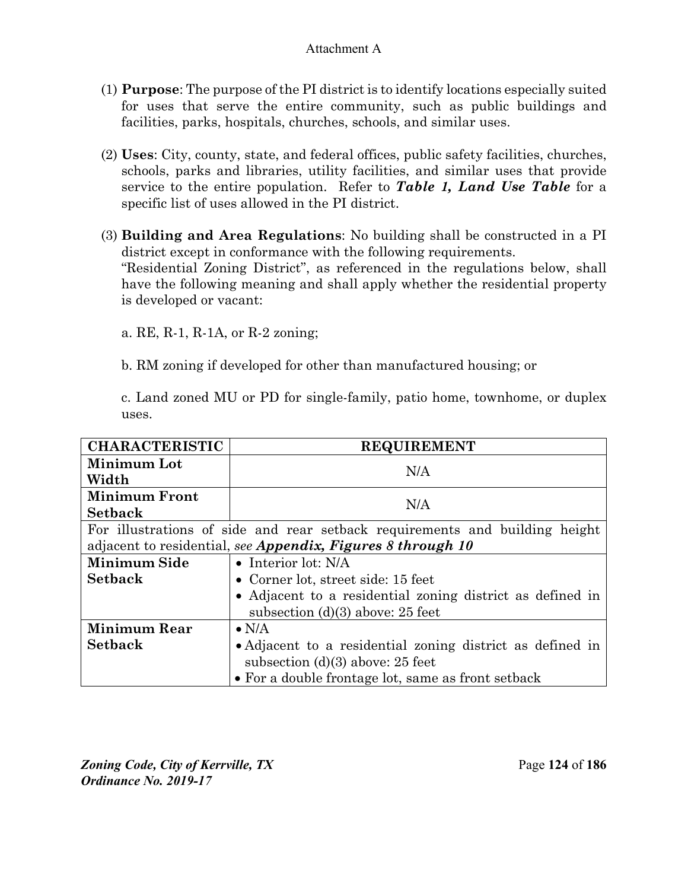- (1) **Purpose**: The purpose of the PI district is to identify locations especially suited for uses that serve the entire community, such as public buildings and facilities, parks, hospitals, churches, schools, and similar uses.
- (2) **Uses**: City, county, state, and federal offices, public safety facilities, churches, schools, parks and libraries, utility facilities, and similar uses that provide service to the entire population. Refer to *Table 1, Land Use Table* for a specific list of uses allowed in the PI district.
- (3) **Building and Area Regulations**: No building shall be constructed in a PI district except in conformance with the following requirements. "Residential Zoning District", as referenced in the regulations below, shall have the following meaning and shall apply whether the residential property is developed or vacant:

a. RE, R-1, R-1A, or R-2 zoning;

b. RM zoning if developed for other than manufactured housing; or

c. Land zoned MU or PD for single-family, patio home, townhome, or duplex uses.

| <b>CHARACTERISTIC</b> | <b>REQUIREMENT</b>                                                          |  |
|-----------------------|-----------------------------------------------------------------------------|--|
| Minimum Lot           | N/A                                                                         |  |
| Width                 |                                                                             |  |
| <b>Minimum Front</b>  | N/A                                                                         |  |
| <b>Setback</b>        |                                                                             |  |
|                       | For illustrations of side and rear setback requirements and building height |  |
|                       | adjacent to residential, see Appendix, Figures 8 through 10                 |  |
| <b>Minimum Side</b>   | $\bullet$ Interior lot: N/A                                                 |  |
| <b>Setback</b>        | • Corner lot, street side: $15$ feet                                        |  |
|                       | • Adjacent to a residential zoning district as defined in                   |  |
|                       | subsection $(d)(3)$ above: 25 feet                                          |  |
| <b>Minimum Rear</b>   | $\bullet$ N/A                                                               |  |
| <b>Setback</b>        | • Adjacent to a residential zoning district as defined in                   |  |
|                       | subsection $(d)(3)$ above: 25 feet                                          |  |
|                       | • For a double frontage lot, same as front setback                          |  |

*Zoning Code, City of Kerrville, TX*Page **124** of **186**  *Ordinance No. 2019-17*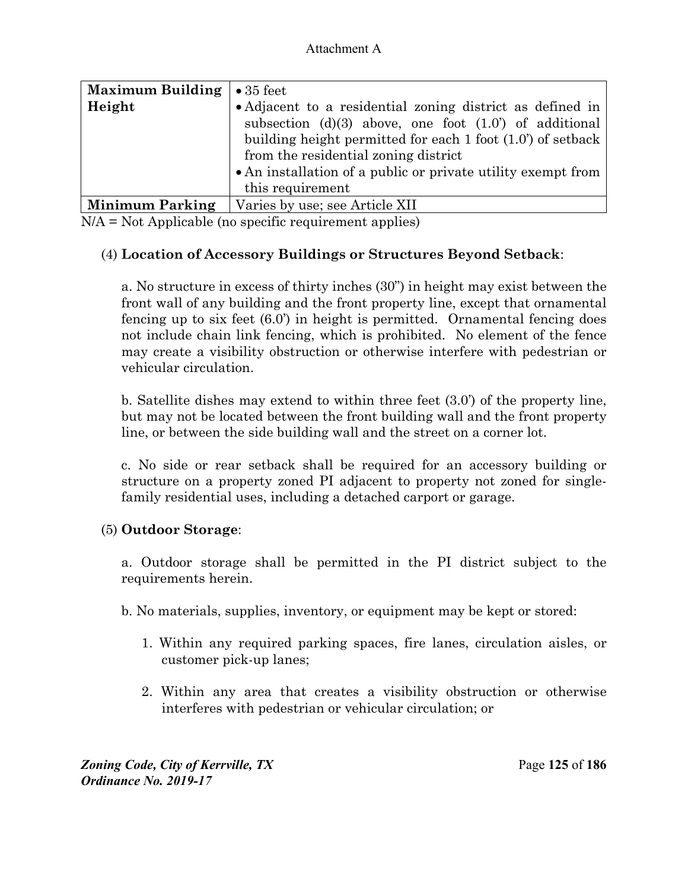| Maximum Building $\cdot$ 35 feet |                                                                         |
|----------------------------------|-------------------------------------------------------------------------|
| Height                           | • Adjacent to a residential zoning district as defined in               |
|                                  | subsection (d)(3) above, one foot $(1.0^{\circ})$ of additional         |
|                                  | building height permitted for each $1$ foot $(1.0^{\prime})$ of setback |
|                                  | from the residential zoning district                                    |
|                                  | • An installation of a public or private utility exempt from            |
|                                  | this requirement                                                        |
| <b>Minimum Parking</b>           | Varies by use; see Article XII                                          |

N/A = Not Applicable (no specific requirement applies)

## (4) **Location of Accessory Buildings or Structures Beyond Setback**:

a. No structure in excess of thirty inches (30") in height may exist between the front wall of any building and the front property line, except that ornamental fencing up to six feet (6.0') in height is permitted. Ornamental fencing does not include chain link fencing, which is prohibited. No element of the fence may create a visibility obstruction or otherwise interfere with pedestrian or vehicular circulation.

b. Satellite dishes may extend to within three feet (3.0') of the property line, but may not be located between the front building wall and the front property line, or between the side building wall and the street on a corner lot.

c. No side or rear setback shall be required for an accessory building or structure on a property zoned PI adjacent to property not zoned for singlefamily residential uses, including a detached carport or garage.

## (5) **Outdoor Storage**:

a. Outdoor storage shall be permitted in the PI district subject to the requirements herein.

b. No materials, supplies, inventory, or equipment may be kept or stored:

- 1. Within any required parking spaces, fire lanes, circulation aisles, or customer pick-up lanes;
- 2. Within any area that creates a visibility obstruction or otherwise interferes with pedestrian or vehicular circulation; or

*Zoning Code, City of Kerrville, TX*Page **125** of **186**  *Ordinance No. 2019-17*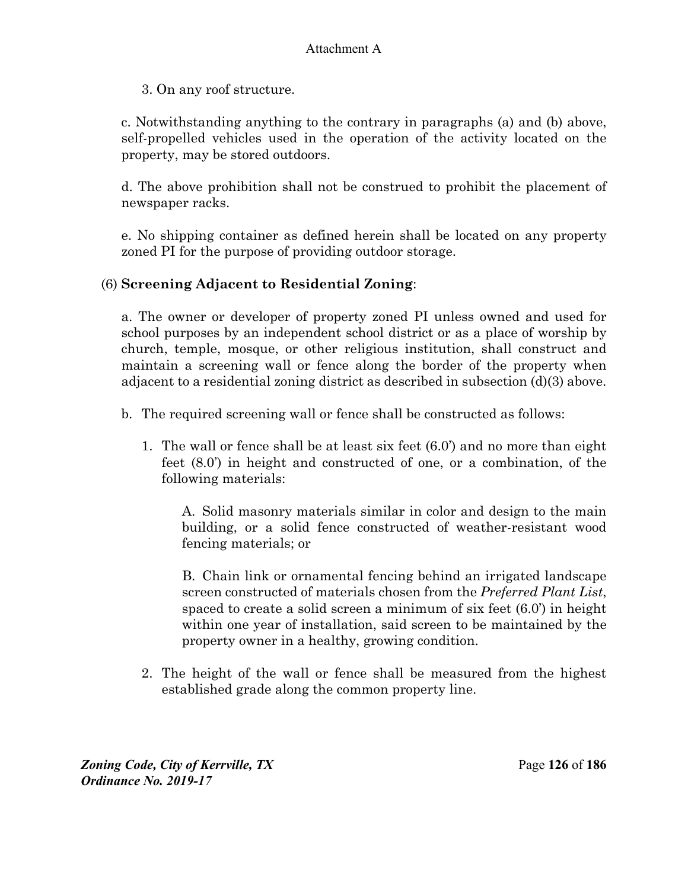3. On any roof structure.

c. Notwithstanding anything to the contrary in paragraphs (a) and (b) above, self-propelled vehicles used in the operation of the activity located on the property, may be stored outdoors.

d. The above prohibition shall not be construed to prohibit the placement of newspaper racks.

e. No shipping container as defined herein shall be located on any property zoned PI for the purpose of providing outdoor storage.

## (6) **Screening Adjacent to Residential Zoning**:

a. The owner or developer of property zoned PI unless owned and used for school purposes by an independent school district or as a place of worship by church, temple, mosque, or other religious institution, shall construct and maintain a screening wall or fence along the border of the property when adjacent to a residential zoning district as described in subsection (d)(3) above.

- b. The required screening wall or fence shall be constructed as follows:
	- 1. The wall or fence shall be at least six feet (6.0') and no more than eight feet (8.0') in height and constructed of one, or a combination, of the following materials:

A. Solid masonry materials similar in color and design to the main building, or a solid fence constructed of weather-resistant wood fencing materials; or

B. Chain link or ornamental fencing behind an irrigated landscape screen constructed of materials chosen from the *Preferred Plant List*, spaced to create a solid screen a minimum of six feet (6.0') in height within one year of installation, said screen to be maintained by the property owner in a healthy, growing condition.

2. The height of the wall or fence shall be measured from the highest established grade along the common property line.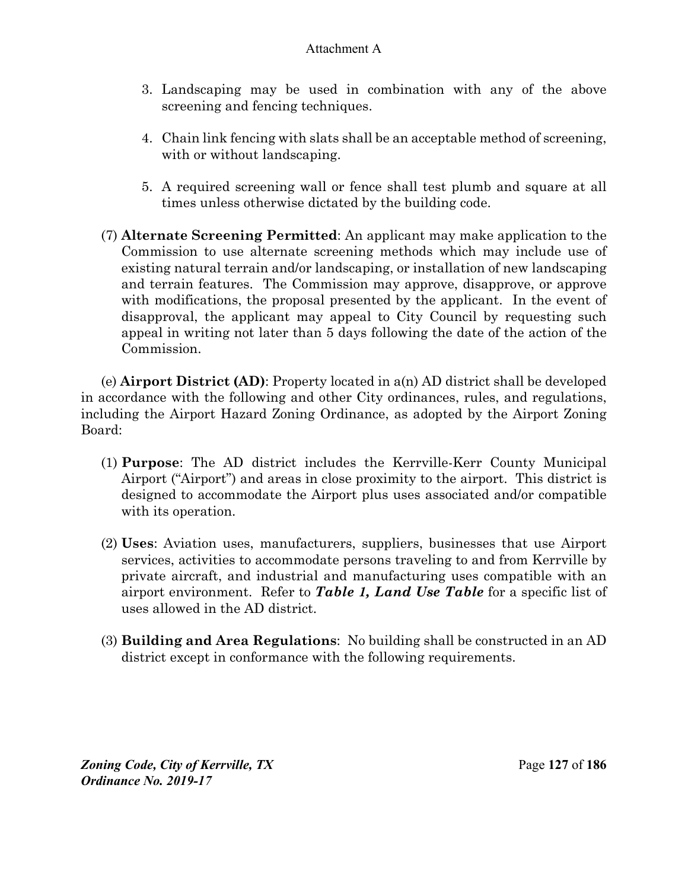- 3. Landscaping may be used in combination with any of the above screening and fencing techniques.
- 4. Chain link fencing with slats shall be an acceptable method of screening, with or without landscaping.
- 5. A required screening wall or fence shall test plumb and square at all times unless otherwise dictated by the building code.
- (7) **Alternate Screening Permitted**: An applicant may make application to the Commission to use alternate screening methods which may include use of existing natural terrain and/or landscaping, or installation of new landscaping and terrain features. The Commission may approve, disapprove, or approve with modifications, the proposal presented by the applicant. In the event of disapproval, the applicant may appeal to City Council by requesting such appeal in writing not later than 5 days following the date of the action of the Commission.

(e) **Airport District (AD)**: Property located in a(n) AD district shall be developed in accordance with the following and other City ordinances, rules, and regulations, including the Airport Hazard Zoning Ordinance, as adopted by the Airport Zoning Board:

- (1) **Purpose**: The AD district includes the Kerrville-Kerr County Municipal Airport ("Airport") and areas in close proximity to the airport. This district is designed to accommodate the Airport plus uses associated and/or compatible with its operation.
- (2) **Uses**: Aviation uses, manufacturers, suppliers, businesses that use Airport services, activities to accommodate persons traveling to and from Kerrville by private aircraft, and industrial and manufacturing uses compatible with an airport environment. Refer to *Table 1, Land Use Table* for a specific list of uses allowed in the AD district.
- (3) **Building and Area Regulations**: No building shall be constructed in an AD district except in conformance with the following requirements.

*Zoning Code, City of Kerrville, TX*Page **127** of **186**  *Ordinance No. 2019-17*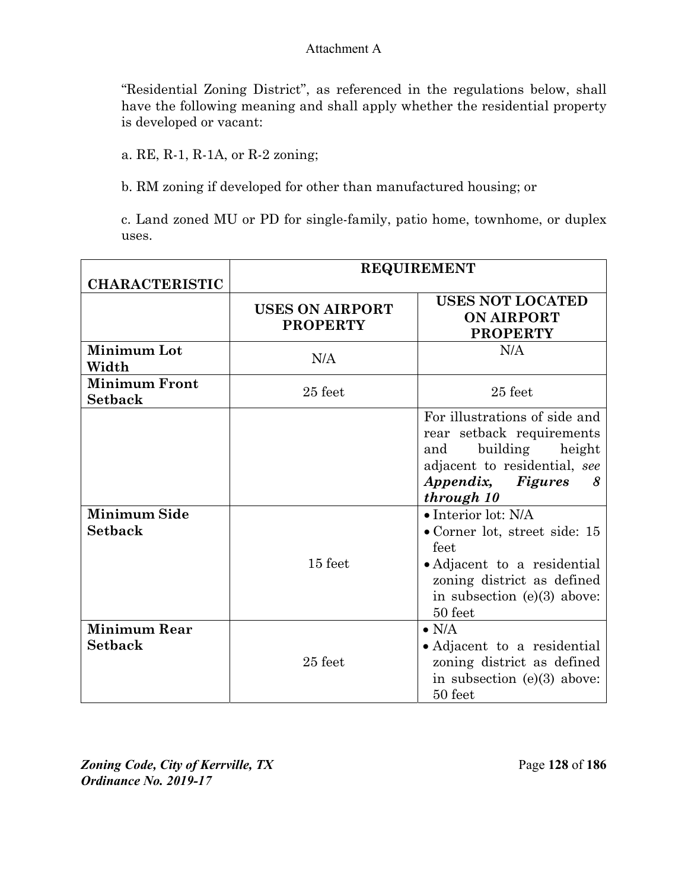"Residential Zoning District", as referenced in the regulations below, shall have the following meaning and shall apply whether the residential property is developed or vacant:

a. RE, R-1, R-1A, or R-2 zoning;

b. RM zoning if developed for other than manufactured housing; or

c. Land zoned MU or PD for single-family, patio home, townhome, or duplex uses.

|                                        |                                           | <b>REQUIREMENT</b>                                                                                                                                                            |
|----------------------------------------|-------------------------------------------|-------------------------------------------------------------------------------------------------------------------------------------------------------------------------------|
| <b>CHARACTERISTIC</b>                  | <b>USES ON AIRPORT</b><br><b>PROPERTY</b> | <b>USES NOT LOCATED</b><br><b>ON AIRPORT</b><br><b>PROPERTY</b>                                                                                                               |
| <b>Minimum Lot</b><br>Width            | N/A                                       | N/A                                                                                                                                                                           |
| <b>Minimum Front</b><br><b>Setback</b> | 25 feet                                   | $25$ feet                                                                                                                                                                     |
|                                        |                                           | For illustrations of side and<br>rear setback requirements<br>building<br>height<br>and<br>adjacent to residential, see<br>Appendix, Figures<br>8<br>through 10               |
| <b>Minimum Side</b><br><b>Setback</b>  | 15 feet                                   | $\bullet$ Interior lot: N/A<br>• Corner lot, street side: 15<br>feet<br>• Adjacent to a residential<br>zoning district as defined<br>in subsection $(e)(3)$ above:<br>50 feet |
| <b>Minimum Rear</b><br><b>Setback</b>  | $25$ feet                                 | $\bullet$ N/A<br>• Adjacent to a residential<br>zoning district as defined<br>in subsection $(e)(3)$ above:<br>50 feet                                                        |

*Zoning Code, City of Kerrville, TX*Page **128** of **186**  *Ordinance No. 2019-17*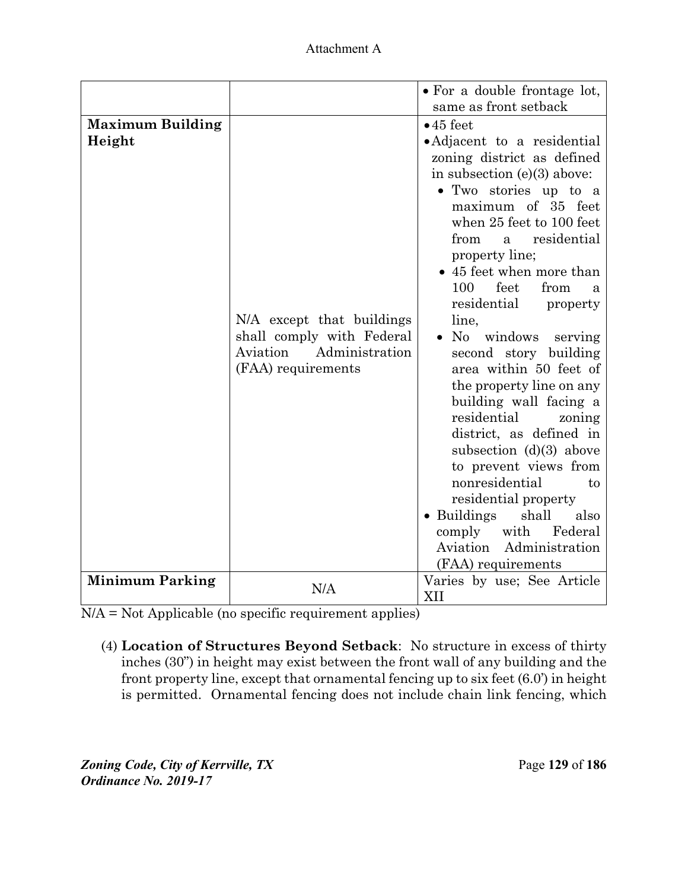| Attachment A |
|--------------|
|--------------|

|                                   |                                                                                                            | • For a double frontage lot,<br>same as front setback                                                                                                                                                                                                                                                                                                                                                                                                                                                                                                                                                                                                                                                                                            |
|-----------------------------------|------------------------------------------------------------------------------------------------------------|--------------------------------------------------------------------------------------------------------------------------------------------------------------------------------------------------------------------------------------------------------------------------------------------------------------------------------------------------------------------------------------------------------------------------------------------------------------------------------------------------------------------------------------------------------------------------------------------------------------------------------------------------------------------------------------------------------------------------------------------------|
| <b>Maximum Building</b><br>Height | N/A except that buildings<br>shall comply with Federal<br>Aviation<br>Administration<br>(FAA) requirements | $\bullet$ 45 feet<br>• Adjacent to a residential<br>zoning district as defined<br>in subsection $(e)(3)$ above:<br>• Two stories up to a<br>maximum of 35 feet<br>when 25 feet to 100 feet<br>residential<br>from<br>a<br>property line;<br>• 45 feet when more than<br>feet<br>from<br>100<br>я<br>residential<br>property<br>line,<br>• No windows serving<br>second story building<br>area within 50 feet of<br>the property line on any<br>building wall facing a<br>residential<br>zoning<br>district, as defined in<br>subsection $(d)(3)$ above<br>to prevent views from<br>nonresidential<br>to<br>residential property<br>• Buildings<br>shall<br>also<br>comply<br>with<br>Federal<br>Administration<br>Aviation<br>(FAA) requirements |
| <b>Minimum Parking</b>            | N/A                                                                                                        | Varies by use; See Article<br>XII                                                                                                                                                                                                                                                                                                                                                                                                                                                                                                                                                                                                                                                                                                                |

N/A = Not Applicable (no specific requirement applies)

(4) **Location of Structures Beyond Setback**: No structure in excess of thirty inches (30") in height may exist between the front wall of any building and the front property line, except that ornamental fencing up to six feet (6.0') in height is permitted. Ornamental fencing does not include chain link fencing, which

*Zoning Code, City of Kerrville, TX*Page **129** of **186**  *Ordinance No. 2019-17*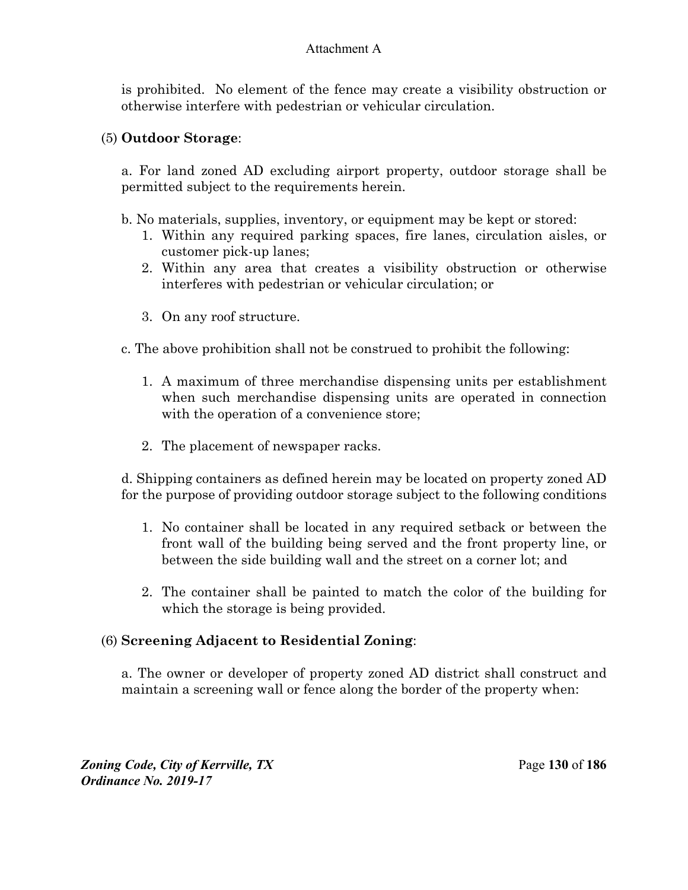is prohibited. No element of the fence may create a visibility obstruction or otherwise interfere with pedestrian or vehicular circulation.

### (5) **Outdoor Storage**:

a. For land zoned AD excluding airport property, outdoor storage shall be permitted subject to the requirements herein.

- b. No materials, supplies, inventory, or equipment may be kept or stored:
	- 1. Within any required parking spaces, fire lanes, circulation aisles, or customer pick-up lanes;
	- 2. Within any area that creates a visibility obstruction or otherwise interferes with pedestrian or vehicular circulation; or
	- 3. On any roof structure.
- c. The above prohibition shall not be construed to prohibit the following:
	- 1. A maximum of three merchandise dispensing units per establishment when such merchandise dispensing units are operated in connection with the operation of a convenience store;
	- 2. The placement of newspaper racks.

d. Shipping containers as defined herein may be located on property zoned AD for the purpose of providing outdoor storage subject to the following conditions

- 1. No container shall be located in any required setback or between the front wall of the building being served and the front property line, or between the side building wall and the street on a corner lot; and
- 2. The container shall be painted to match the color of the building for which the storage is being provided.

## (6) **Screening Adjacent to Residential Zoning**:

a. The owner or developer of property zoned AD district shall construct and maintain a screening wall or fence along the border of the property when: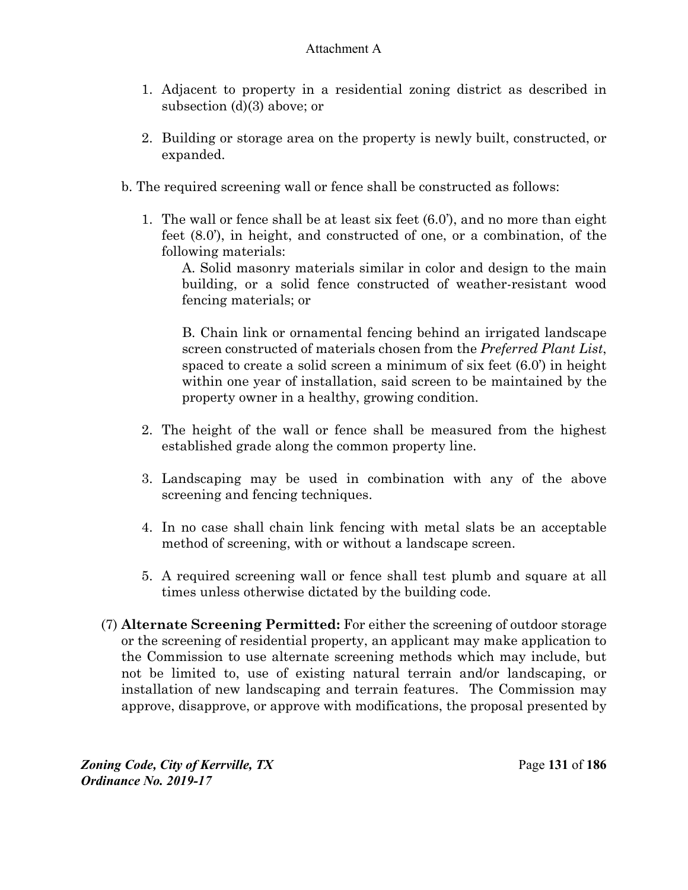- 1. Adjacent to property in a residential zoning district as described in subsection (d)(3) above; or
- 2. Building or storage area on the property is newly built, constructed, or expanded.
- b. The required screening wall or fence shall be constructed as follows:
	- 1. The wall or fence shall be at least six feet (6.0'), and no more than eight feet (8.0'), in height, and constructed of one, or a combination, of the following materials:

A. Solid masonry materials similar in color and design to the main building, or a solid fence constructed of weather-resistant wood fencing materials; or

B. Chain link or ornamental fencing behind an irrigated landscape screen constructed of materials chosen from the *Preferred Plant List*, spaced to create a solid screen a minimum of six feet (6.0') in height within one year of installation, said screen to be maintained by the property owner in a healthy, growing condition.

- 2. The height of the wall or fence shall be measured from the highest established grade along the common property line.
- 3. Landscaping may be used in combination with any of the above screening and fencing techniques.
- 4. In no case shall chain link fencing with metal slats be an acceptable method of screening, with or without a landscape screen.
- 5. A required screening wall or fence shall test plumb and square at all times unless otherwise dictated by the building code.
- (7) **Alternate Screening Permitted:** For either the screening of outdoor storage or the screening of residential property, an applicant may make application to the Commission to use alternate screening methods which may include, but not be limited to, use of existing natural terrain and/or landscaping, or installation of new landscaping and terrain features. The Commission may approve, disapprove, or approve with modifications, the proposal presented by

*Zoning Code, City of Kerrville, TX*Page **131** of **186**  *Ordinance No. 2019-17*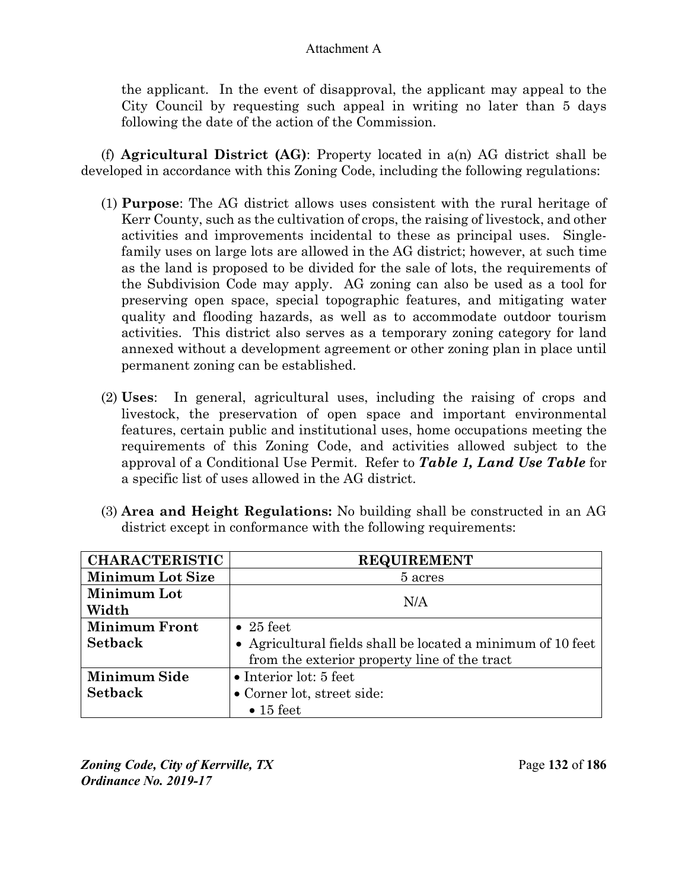the applicant. In the event of disapproval, the applicant may appeal to the City Council by requesting such appeal in writing no later than 5 days following the date of the action of the Commission.

(f) **Agricultural District (AG)**: Property located in a(n) AG district shall be developed in accordance with this Zoning Code, including the following regulations:

- (1) **Purpose**: The AG district allows uses consistent with the rural heritage of Kerr County, such as the cultivation of crops, the raising of livestock, and other activities and improvements incidental to these as principal uses. Singlefamily uses on large lots are allowed in the AG district; however, at such time as the land is proposed to be divided for the sale of lots, the requirements of the Subdivision Code may apply. AG zoning can also be used as a tool for preserving open space, special topographic features, and mitigating water quality and flooding hazards, as well as to accommodate outdoor tourism activities. This district also serves as a temporary zoning category for land annexed without a development agreement or other zoning plan in place until permanent zoning can be established.
- (2) **Uses**: In general, agricultural uses, including the raising of crops and livestock, the preservation of open space and important environmental features, certain public and institutional uses, home occupations meeting the requirements of this Zoning Code, and activities allowed subject to the approval of a Conditional Use Permit. Refer to *Table 1, Land Use Table* for a specific list of uses allowed in the AG district.
- (3) **Area and Height Regulations:** No building shall be constructed in an AG district except in conformance with the following requirements:

| <b>CHARACTERISTIC</b>   | <b>REQUIREMENT</b>                                          |  |
|-------------------------|-------------------------------------------------------------|--|
| <b>Minimum Lot Size</b> | 5 acres                                                     |  |
| Minimum Lot             |                                                             |  |
| Width                   | N/A                                                         |  |
| <b>Minimum Front</b>    | $\bullet$ 25 feet                                           |  |
| <b>Setback</b>          | • Agricultural fields shall be located a minimum of 10 feet |  |
|                         | from the exterior property line of the tract                |  |
| Minimum Side            | $\bullet$ Interior lot: 5 feet                              |  |
| <b>Setback</b>          | • Corner lot, street side:                                  |  |
|                         | $\bullet$ 15 feet                                           |  |

*Zoning Code, City of Kerrville, TX*Page **132** of **186**  *Ordinance No. 2019-17*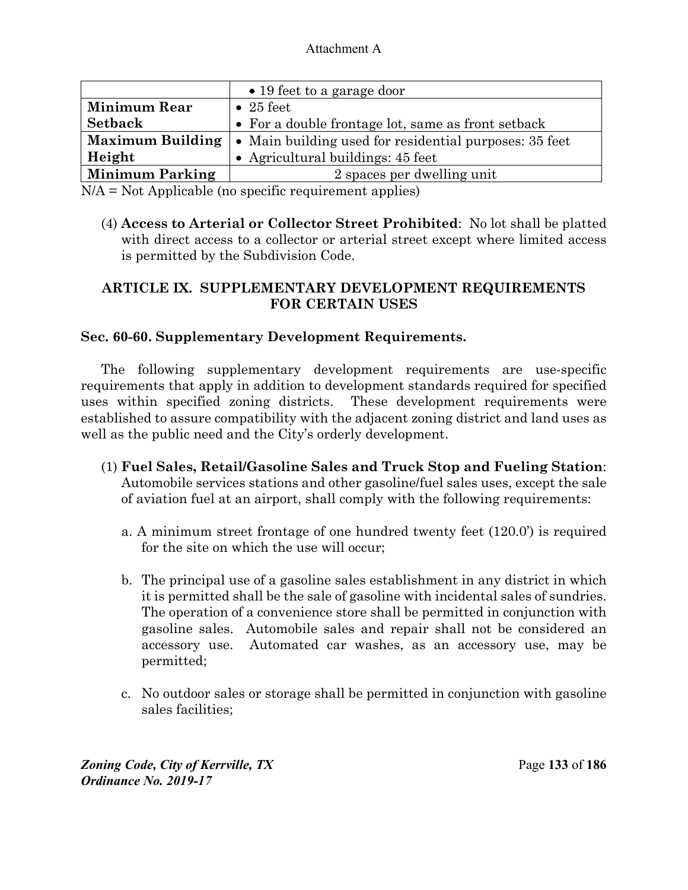|                         | $\bullet$ 19 feet to a garage door                             |
|-------------------------|----------------------------------------------------------------|
| <b>Minimum Rear</b>     | $\bullet$ 25 feet                                              |
| <b>Setback</b>          | • For a double frontage lot, same as front setback             |
| <b>Maximum Building</b> | $\bullet$ Main building used for residential purposes: 35 feet |
| Height                  | • Agricultural buildings: $45$ feet                            |
| <b>Minimum Parking</b>  | 2 spaces per dwelling unit                                     |

N/A = Not Applicable (no specific requirement applies)

(4) **Access to Arterial or Collector Street Prohibited**: No lot shall be platted with direct access to a collector or arterial street except where limited access is permitted by the Subdivision Code.

## **ARTICLE IX. SUPPLEMENTARY DEVELOPMENT REQUIREMENTS FOR CERTAIN USES**

## **Sec. 60-60. Supplementary Development Requirements.**

The following supplementary development requirements are use-specific requirements that apply in addition to development standards required for specified uses within specified zoning districts. These development requirements were established to assure compatibility with the adjacent zoning district and land uses as well as the public need and the City's orderly development.

- (1) **Fuel Sales, Retail/Gasoline Sales and Truck Stop and Fueling Station**: Automobile services stations and other gasoline/fuel sales uses, except the sale of aviation fuel at an airport, shall comply with the following requirements:
	- a. A minimum street frontage of one hundred twenty feet (120.0') is required for the site on which the use will occur;
	- b. The principal use of a gasoline sales establishment in any district in which it is permitted shall be the sale of gasoline with incidental sales of sundries. The operation of a convenience store shall be permitted in conjunction with gasoline sales. Automobile sales and repair shall not be considered an accessory use. Automated car washes, as an accessory use, may be permitted;
	- c. No outdoor sales or storage shall be permitted in conjunction with gasoline sales facilities;

*Zoning Code, City of Kerrville, TX*Page **133** of **186**  *Ordinance No. 2019-17*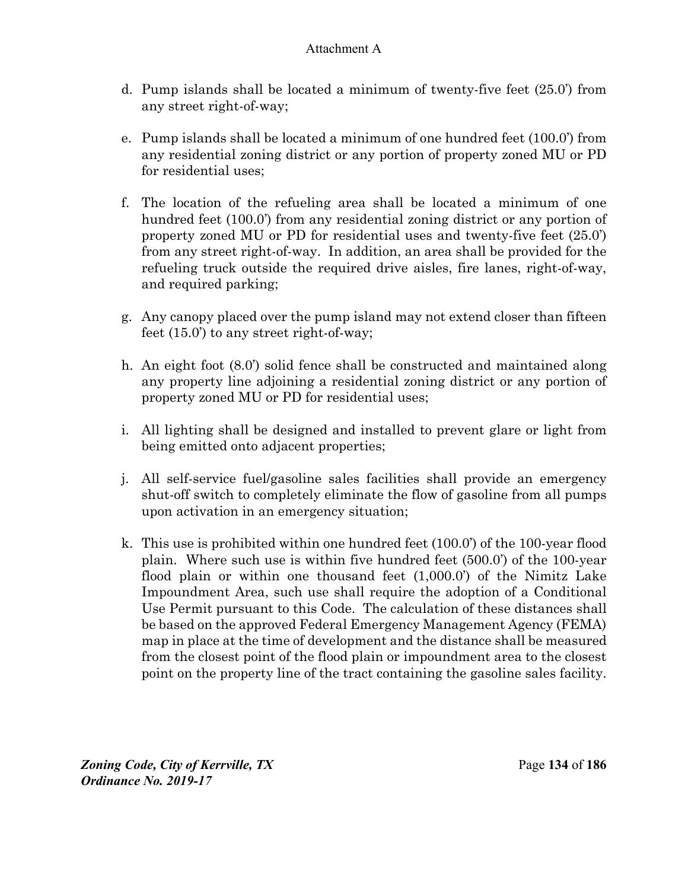- d. Pump islands shall be located a minimum of twenty-five feet (25.0') from any street right-of-way;
- e. Pump islands shall be located a minimum of one hundred feet (100.0') from any residential zoning district or any portion of property zoned MU or PD for residential uses;
- f. The location of the refueling area shall be located a minimum of one hundred feet (100.0') from any residential zoning district or any portion of property zoned MU or PD for residential uses and twenty-five feet (25.0') from any street right-of-way. In addition, an area shall be provided for the refueling truck outside the required drive aisles, fire lanes, right-of-way, and required parking;
- g. Any canopy placed over the pump island may not extend closer than fifteen feet (15.0') to any street right-of-way;
- h. An eight foot (8.0') solid fence shall be constructed and maintained along any property line adjoining a residential zoning district or any portion of property zoned MU or PD for residential uses;
- i. All lighting shall be designed and installed to prevent glare or light from being emitted onto adjacent properties;
- j. All self-service fuel/gasoline sales facilities shall provide an emergency shut-off switch to completely eliminate the flow of gasoline from all pumps upon activation in an emergency situation;
- k. This use is prohibited within one hundred feet (100.0') of the 100-year flood plain. Where such use is within five hundred feet (500.0') of the 100-year flood plain or within one thousand feet (1,000.0') of the Nimitz Lake Impoundment Area, such use shall require the adoption of a Conditional Use Permit pursuant to this Code. The calculation of these distances shall be based on the approved Federal Emergency Management Agency (FEMA) map in place at the time of development and the distance shall be measured from the closest point of the flood plain or impoundment area to the closest point on the property line of the tract containing the gasoline sales facility.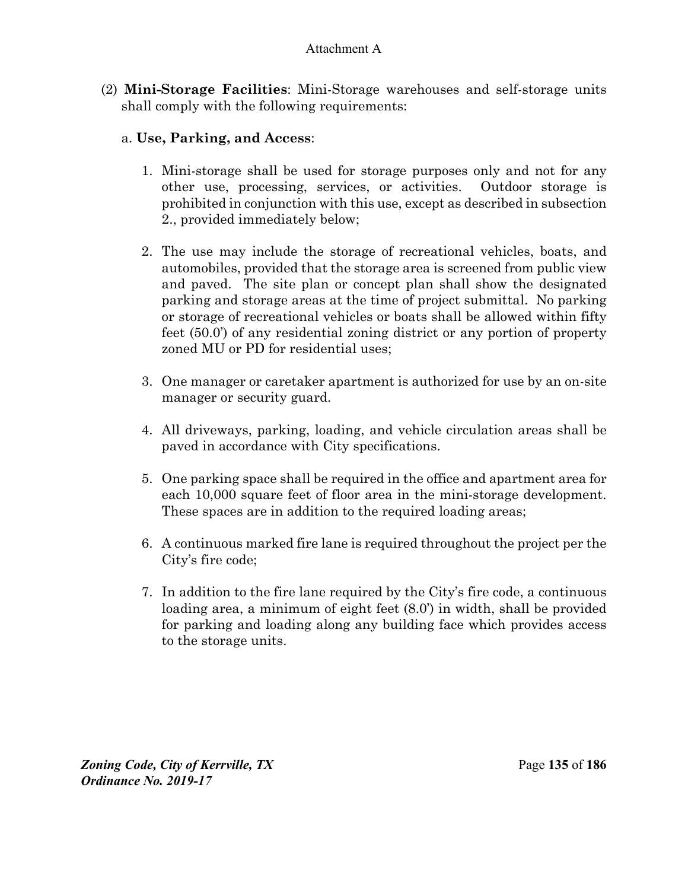(2) **Mini-Storage Facilities**: Mini-Storage warehouses and self-storage units shall comply with the following requirements:

## a. **Use, Parking, and Access**:

- 1. Mini-storage shall be used for storage purposes only and not for any other use, processing, services, or activities. Outdoor storage is prohibited in conjunction with this use, except as described in subsection 2., provided immediately below;
- 2. The use may include the storage of recreational vehicles, boats, and automobiles, provided that the storage area is screened from public view and paved. The site plan or concept plan shall show the designated parking and storage areas at the time of project submittal. No parking or storage of recreational vehicles or boats shall be allowed within fifty feet (50.0') of any residential zoning district or any portion of property zoned MU or PD for residential uses;
- 3. One manager or caretaker apartment is authorized for use by an on-site manager or security guard.
- 4. All driveways, parking, loading, and vehicle circulation areas shall be paved in accordance with City specifications.
- 5. One parking space shall be required in the office and apartment area for each 10,000 square feet of floor area in the mini-storage development. These spaces are in addition to the required loading areas;
- 6. A continuous marked fire lane is required throughout the project per the City's fire code;
- 7. In addition to the fire lane required by the City's fire code, a continuous loading area, a minimum of eight feet (8.0') in width, shall be provided for parking and loading along any building face which provides access to the storage units.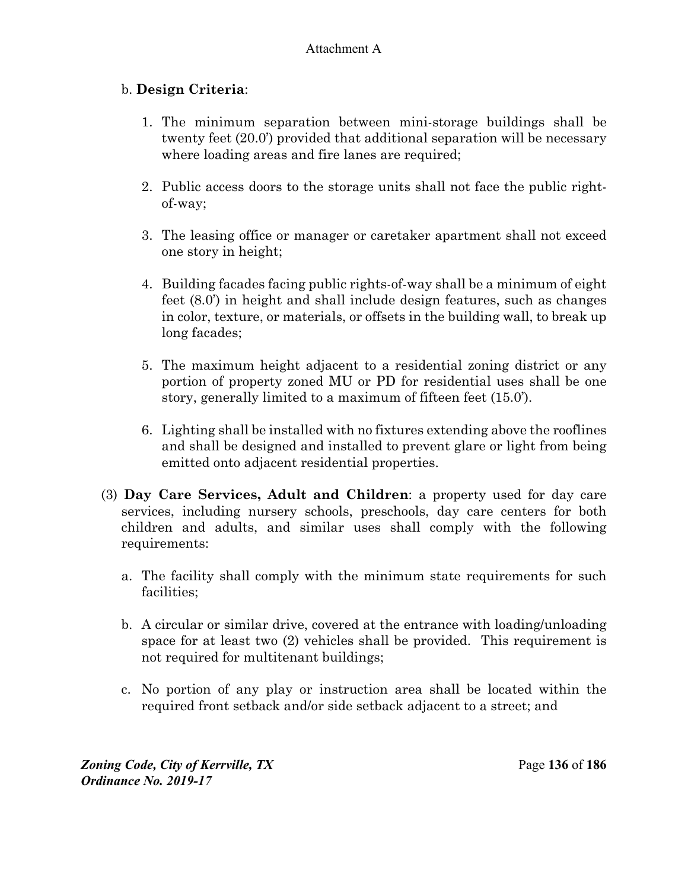# b. **Design Criteria**:

- 1. The minimum separation between mini-storage buildings shall be twenty feet (20.0') provided that additional separation will be necessary where loading areas and fire lanes are required;
- 2. Public access doors to the storage units shall not face the public rightof-way;
- 3. The leasing office or manager or caretaker apartment shall not exceed one story in height;
- 4. Building facades facing public rights-of-way shall be a minimum of eight feet (8.0') in height and shall include design features, such as changes in color, texture, or materials, or offsets in the building wall, to break up long facades;
- 5. The maximum height adjacent to a residential zoning district or any portion of property zoned MU or PD for residential uses shall be one story, generally limited to a maximum of fifteen feet (15.0').
- 6. Lighting shall be installed with no fixtures extending above the rooflines and shall be designed and installed to prevent glare or light from being emitted onto adjacent residential properties.
- (3) **Day Care Services, Adult and Children**: a property used for day care services, including nursery schools, preschools, day care centers for both children and adults, and similar uses shall comply with the following requirements:
	- a. The facility shall comply with the minimum state requirements for such facilities;
	- b. A circular or similar drive, covered at the entrance with loading/unloading space for at least two (2) vehicles shall be provided. This requirement is not required for multitenant buildings;
	- c. No portion of any play or instruction area shall be located within the required front setback and/or side setback adjacent to a street; and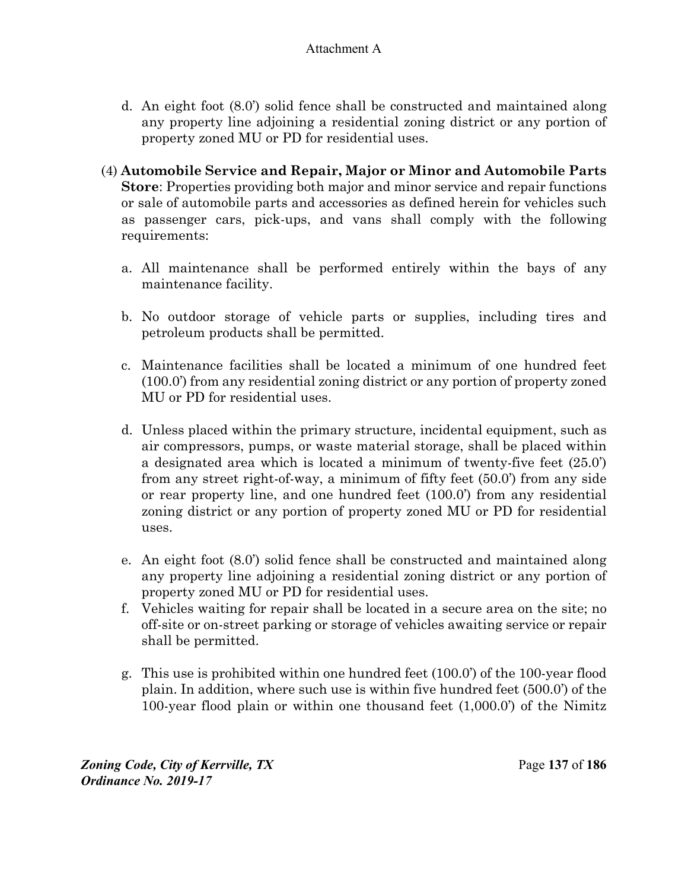- d. An eight foot (8.0') solid fence shall be constructed and maintained along any property line adjoining a residential zoning district or any portion of property zoned MU or PD for residential uses.
- (4) **Automobile Service and Repair, Major or Minor and Automobile Parts Store**: Properties providing both major and minor service and repair functions or sale of automobile parts and accessories as defined herein for vehicles such as passenger cars, pick-ups, and vans shall comply with the following requirements:
	- a. All maintenance shall be performed entirely within the bays of any maintenance facility.
	- b. No outdoor storage of vehicle parts or supplies, including tires and petroleum products shall be permitted.
	- c. Maintenance facilities shall be located a minimum of one hundred feet (100.0') from any residential zoning district or any portion of property zoned MU or PD for residential uses.
	- d. Unless placed within the primary structure, incidental equipment, such as air compressors, pumps, or waste material storage, shall be placed within a designated area which is located a minimum of twenty-five feet (25.0') from any street right-of-way, a minimum of fifty feet (50.0') from any side or rear property line, and one hundred feet (100.0') from any residential zoning district or any portion of property zoned MU or PD for residential uses.
	- e. An eight foot (8.0') solid fence shall be constructed and maintained along any property line adjoining a residential zoning district or any portion of property zoned MU or PD for residential uses.
	- f. Vehicles waiting for repair shall be located in a secure area on the site; no off-site or on-street parking or storage of vehicles awaiting service or repair shall be permitted.
	- g. This use is prohibited within one hundred feet (100.0') of the 100-year flood plain. In addition, where such use is within five hundred feet (500.0') of the 100-year flood plain or within one thousand feet (1,000.0') of the Nimitz

*Zoning Code, City of Kerrville, TX*Page **137** of **186**  *Ordinance No. 2019-17*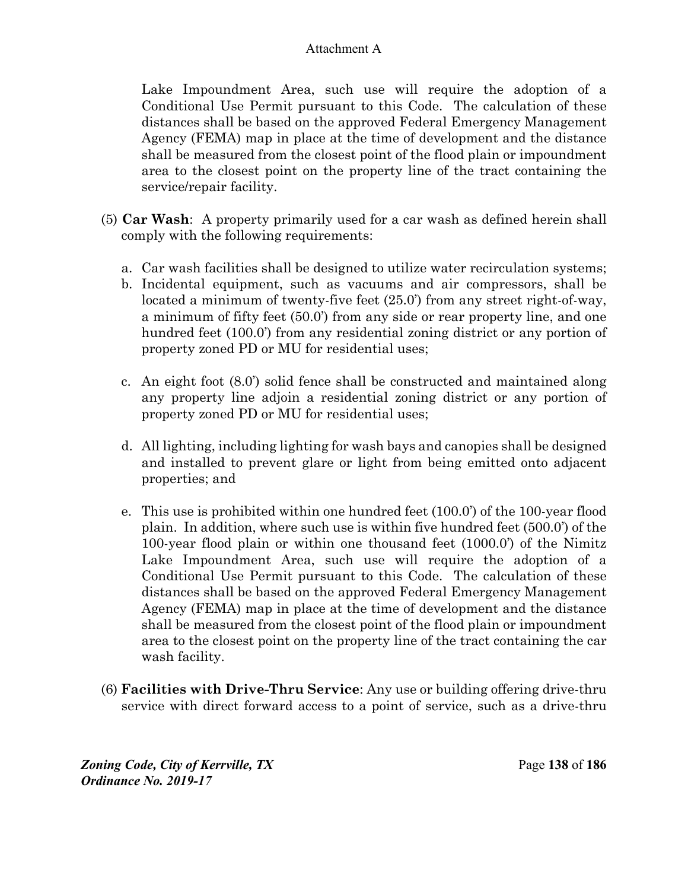Lake Impoundment Area, such use will require the adoption of a Conditional Use Permit pursuant to this Code. The calculation of these distances shall be based on the approved Federal Emergency Management Agency (FEMA) map in place at the time of development and the distance shall be measured from the closest point of the flood plain or impoundment area to the closest point on the property line of the tract containing the service/repair facility.

- (5) **Car Wash**:A property primarily used for a car wash as defined herein shall comply with the following requirements:
	- a. Car wash facilities shall be designed to utilize water recirculation systems;
	- b. Incidental equipment, such as vacuums and air compressors, shall be located a minimum of twenty-five feet (25.0') from any street right-of-way, a minimum of fifty feet (50.0') from any side or rear property line, and one hundred feet (100.0') from any residential zoning district or any portion of property zoned PD or MU for residential uses;
	- c. An eight foot (8.0') solid fence shall be constructed and maintained along any property line adjoin a residential zoning district or any portion of property zoned PD or MU for residential uses;
	- d. All lighting, including lighting for wash bays and canopies shall be designed and installed to prevent glare or light from being emitted onto adjacent properties; and
	- e. This use is prohibited within one hundred feet (100.0') of the 100-year flood plain. In addition, where such use is within five hundred feet (500.0') of the 100-year flood plain or within one thousand feet (1000.0') of the Nimitz Lake Impoundment Area, such use will require the adoption of a Conditional Use Permit pursuant to this Code. The calculation of these distances shall be based on the approved Federal Emergency Management Agency (FEMA) map in place at the time of development and the distance shall be measured from the closest point of the flood plain or impoundment area to the closest point on the property line of the tract containing the car wash facility.
- (6) **Facilities with Drive-Thru Service**: Any use or building offering drive-thru service with direct forward access to a point of service, such as a drive-thru

*Zoning Code, City of Kerrville, TX*Page **138** of **186**  *Ordinance No. 2019-17*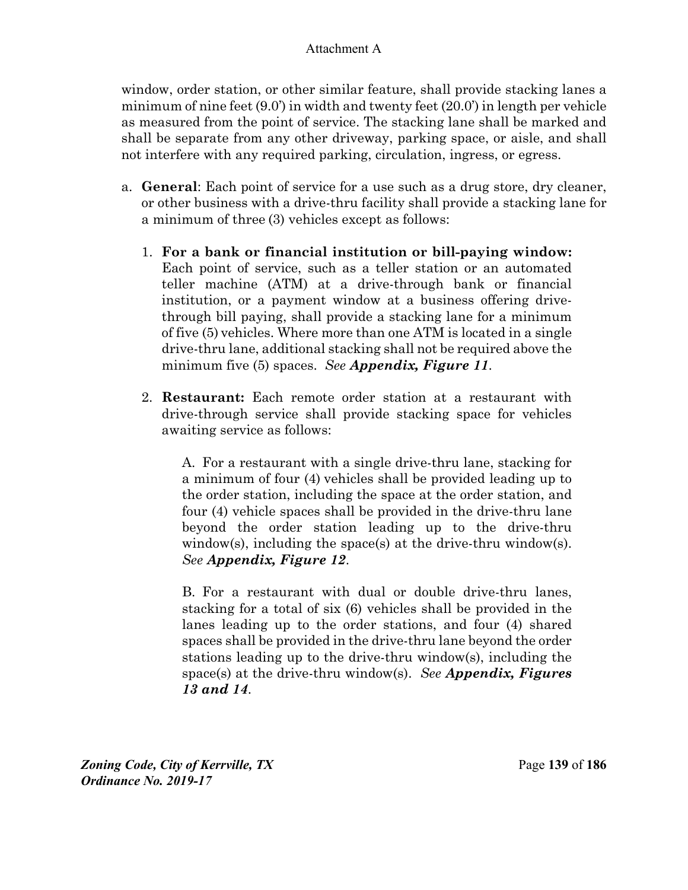window, order station, or other similar feature, shall provide stacking lanes a minimum of nine feet (9.0') in width and twenty feet (20.0') in length per vehicle as measured from the point of service. The stacking lane shall be marked and shall be separate from any other driveway, parking space, or aisle, and shall not interfere with any required parking, circulation, ingress, or egress.

- a. **General**: Each point of service for a use such as a drug store, dry cleaner, or other business with a drive-thru facility shall provide a stacking lane for a minimum of three (3) vehicles except as follows:
	- 1. **For a bank or financial institution or bill-paying window:**  Each point of service, such as a teller station or an automated teller machine (ATM) at a drive-through bank or financial institution, or a payment window at a business offering drivethrough bill paying, shall provide a stacking lane for a minimum of five (5) vehicles. Where more than one ATM is located in a single drive-thru lane, additional stacking shall not be required above the minimum five (5) spaces. *See Appendix, Figure 11*.
	- 2. **Restaurant:** Each remote order station at a restaurant with drive-through service shall provide stacking space for vehicles awaiting service as follows:

A. For a restaurant with a single drive-thru lane, stacking for a minimum of four (4) vehicles shall be provided leading up to the order station, including the space at the order station, and four (4) vehicle spaces shall be provided in the drive-thru lane beyond the order station leading up to the drive-thru window(s), including the space(s) at the drive-thru window(s). *See Appendix, Figure 12*.

B. For a restaurant with dual or double drive-thru lanes, stacking for a total of six (6) vehicles shall be provided in the lanes leading up to the order stations, and four (4) shared spaces shall be provided in the drive-thru lane beyond the order stations leading up to the drive-thru window(s), including the space(s) at the drive-thru window(s). *See Appendix, Figures 13 and 14*.

*Zoning Code, City of Kerrville, TX*Page **139** of **186**  *Ordinance No. 2019-17*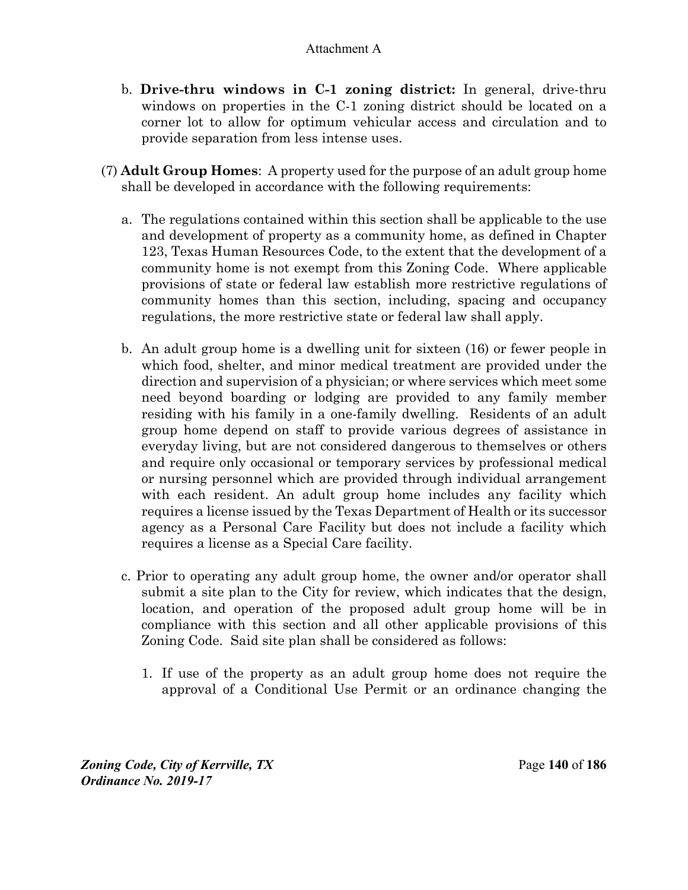- b. **Drive-thru windows in C-1 zoning district:** In general, drive-thru windows on properties in the C-1 zoning district should be located on a corner lot to allow for optimum vehicular access and circulation and to provide separation from less intense uses.
- (7) **Adult Group Homes**: A property used for the purpose of an adult group home shall be developed in accordance with the following requirements:
	- a. The regulations contained within this section shall be applicable to the use and development of property as a community home, as defined in Chapter 123, Texas Human Resources Code, to the extent that the development of a community home is not exempt from this Zoning Code. Where applicable provisions of state or federal law establish more restrictive regulations of community homes than this section, including, spacing and occupancy regulations, the more restrictive state or federal law shall apply.
	- b. An adult group home is a dwelling unit for sixteen (16) or fewer people in which food, shelter, and minor medical treatment are provided under the direction and supervision of a physician; or where services which meet some need beyond boarding or lodging are provided to any family member residing with his family in a one-family dwelling. Residents of an adult group home depend on staff to provide various degrees of assistance in everyday living, but are not considered dangerous to themselves or others and require only occasional or temporary services by professional medical or nursing personnel which are provided through individual arrangement with each resident. An adult group home includes any facility which requires a license issued by the Texas Department of Health or its successor agency as a Personal Care Facility but does not include a facility which requires a license as a Special Care facility.
	- c. Prior to operating any adult group home, the owner and/or operator shall submit a site plan to the City for review, which indicates that the design, location, and operation of the proposed adult group home will be in compliance with this section and all other applicable provisions of this Zoning Code. Said site plan shall be considered as follows:
		- 1. If use of the property as an adult group home does not require the approval of a Conditional Use Permit or an ordinance changing the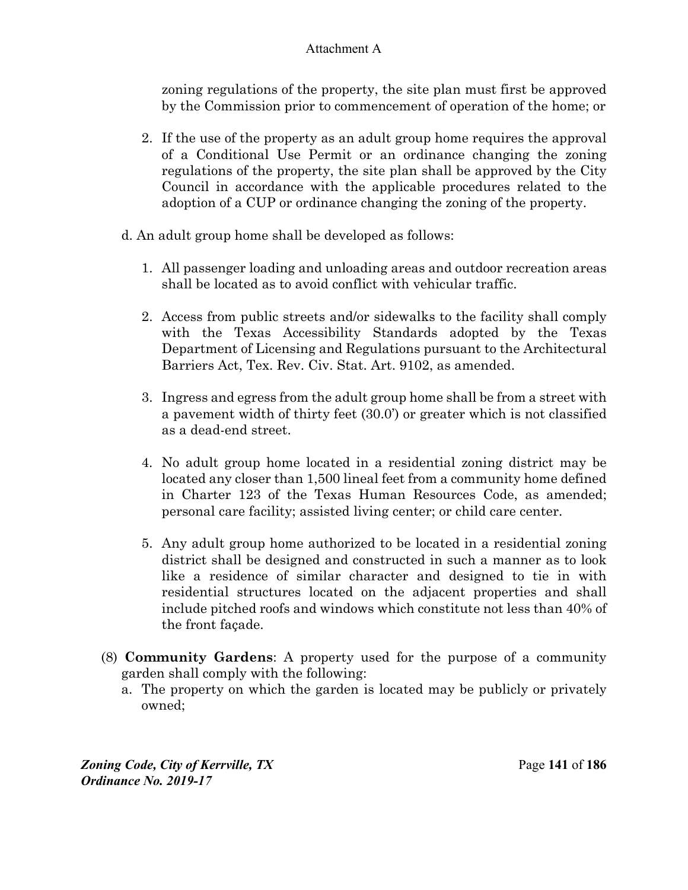zoning regulations of the property, the site plan must first be approved by the Commission prior to commencement of operation of the home; or

- 2. If the use of the property as an adult group home requires the approval of a Conditional Use Permit or an ordinance changing the zoning regulations of the property, the site plan shall be approved by the City Council in accordance with the applicable procedures related to the adoption of a CUP or ordinance changing the zoning of the property.
- d. An adult group home shall be developed as follows:
	- 1. All passenger loading and unloading areas and outdoor recreation areas shall be located as to avoid conflict with vehicular traffic.
	- 2. Access from public streets and/or sidewalks to the facility shall comply with the Texas Accessibility Standards adopted by the Texas Department of Licensing and Regulations pursuant to the Architectural Barriers Act, Tex. Rev. Civ. Stat. Art. 9102, as amended.
	- 3. Ingress and egress from the adult group home shall be from a street with a pavement width of thirty feet (30.0') or greater which is not classified as a dead-end street.
	- 4. No adult group home located in a residential zoning district may be located any closer than 1,500 lineal feet from a community home defined in Charter 123 of the Texas Human Resources Code, as amended; personal care facility; assisted living center; or child care center.
	- 5. Any adult group home authorized to be located in a residential zoning district shall be designed and constructed in such a manner as to look like a residence of similar character and designed to tie in with residential structures located on the adjacent properties and shall include pitched roofs and windows which constitute not less than 40% of the front façade.
- (8) **Community Gardens**: A property used for the purpose of a community garden shall comply with the following:
	- a. The property on which the garden is located may be publicly or privately owned;

*Zoning Code, City of Kerrville, TX*Page **141** of **186**  *Ordinance No. 2019-17*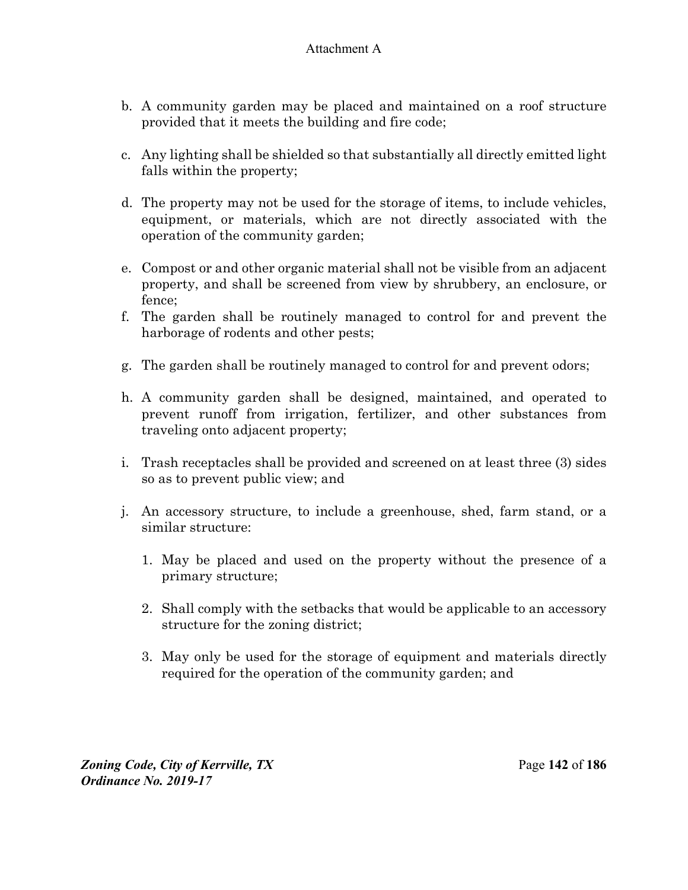- b. A community garden may be placed and maintained on a roof structure provided that it meets the building and fire code;
- c. Any lighting shall be shielded so that substantially all directly emitted light falls within the property;
- d. The property may not be used for the storage of items, to include vehicles, equipment, or materials, which are not directly associated with the operation of the community garden;
- e. Compost or and other organic material shall not be visible from an adjacent property, and shall be screened from view by shrubbery, an enclosure, or fence;
- f. The garden shall be routinely managed to control for and prevent the harborage of rodents and other pests;
- g. The garden shall be routinely managed to control for and prevent odors;
- h. A community garden shall be designed, maintained, and operated to prevent runoff from irrigation, fertilizer, and other substances from traveling onto adjacent property;
- i. Trash receptacles shall be provided and screened on at least three (3) sides so as to prevent public view; and
- j. An accessory structure, to include a greenhouse, shed, farm stand, or a similar structure:
	- 1. May be placed and used on the property without the presence of a primary structure;
	- 2. Shall comply with the setbacks that would be applicable to an accessory structure for the zoning district;
	- 3. May only be used for the storage of equipment and materials directly required for the operation of the community garden; and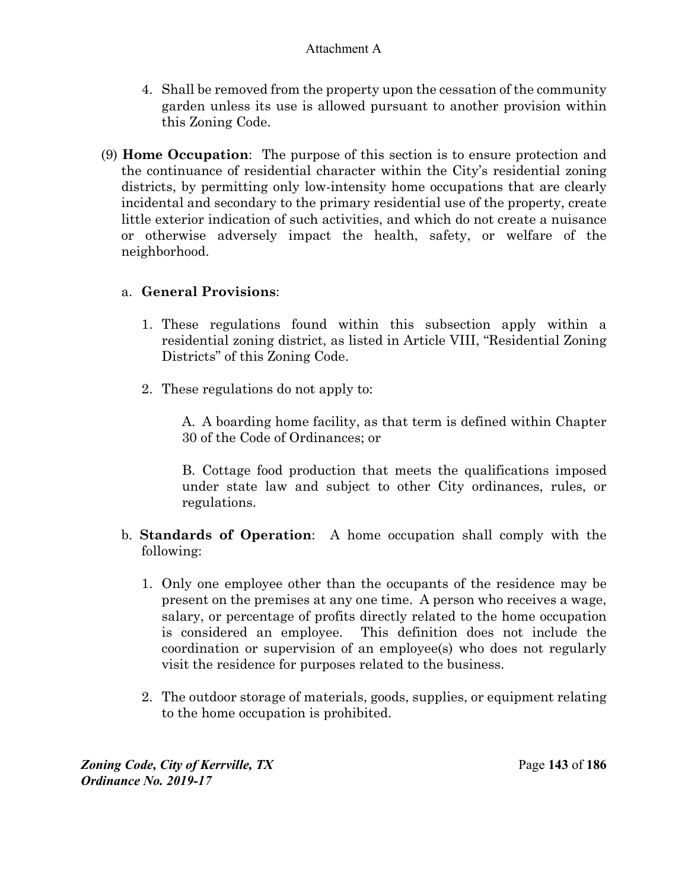- 4. Shall be removed from the property upon the cessation of the community garden unless its use is allowed pursuant to another provision within this Zoning Code.
- (9) **Home Occupation**:The purpose of this section is to ensure protection and the continuance of residential character within the City's residential zoning districts, by permitting only low-intensity home occupations that are clearly incidental and secondary to the primary residential use of the property, create little exterior indication of such activities, and which do not create a nuisance or otherwise adversely impact the health, safety, or welfare of the neighborhood.

## a. **General Provisions**:

- 1. These regulations found within this subsection apply within a residential zoning district, as listed in Article VIII, "Residential Zoning Districts" of this Zoning Code.
- 2. These regulations do not apply to:

A. A boarding home facility, as that term is defined within Chapter 30 of the Code of Ordinances; or

B. Cottage food production that meets the qualifications imposed under state law and subject to other City ordinances, rules, or regulations.

- b. **Standards of Operation**:A home occupation shall comply with the following:
	- 1. Only one employee other than the occupants of the residence may be present on the premises at any one time. A person who receives a wage, salary, or percentage of profits directly related to the home occupation is considered an employee. This definition does not include the coordination or supervision of an employee(s) who does not regularly visit the residence for purposes related to the business.
	- 2. The outdoor storage of materials, goods, supplies, or equipment relating to the home occupation is prohibited.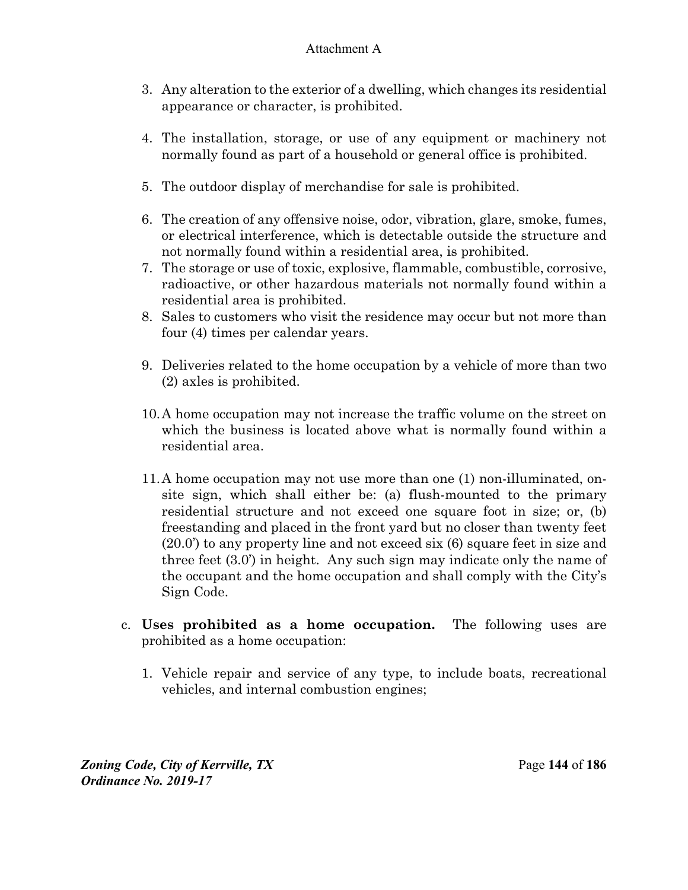- 3. Any alteration to the exterior of a dwelling, which changes its residential appearance or character, is prohibited.
- 4. The installation, storage, or use of any equipment or machinery not normally found as part of a household or general office is prohibited.
- 5. The outdoor display of merchandise for sale is prohibited.
- 6. The creation of any offensive noise, odor, vibration, glare, smoke, fumes, or electrical interference, which is detectable outside the structure and not normally found within a residential area, is prohibited.
- 7. The storage or use of toxic, explosive, flammable, combustible, corrosive, radioactive, or other hazardous materials not normally found within a residential area is prohibited.
- 8. Sales to customers who visit the residence may occur but not more than four (4) times per calendar years.
- 9. Deliveries related to the home occupation by a vehicle of more than two (2) axles is prohibited.
- 10. A home occupation may not increase the traffic volume on the street on which the business is located above what is normally found within a residential area.
- 11. A home occupation may not use more than one (1) non-illuminated, onsite sign, which shall either be: (a) flush-mounted to the primary residential structure and not exceed one square foot in size; or, (b) freestanding and placed in the front yard but no closer than twenty feet (20.0') to any property line and not exceed six (6) square feet in size and three feet (3.0') in height. Any such sign may indicate only the name of the occupant and the home occupation and shall comply with the City's Sign Code.
- c. **Uses prohibited as a home occupation.** The following uses are prohibited as a home occupation:
	- 1. Vehicle repair and service of any type, to include boats, recreational vehicles, and internal combustion engines;

*Zoning Code, City of Kerrville, TX*Page **144** of **186**  *Ordinance No. 2019-17*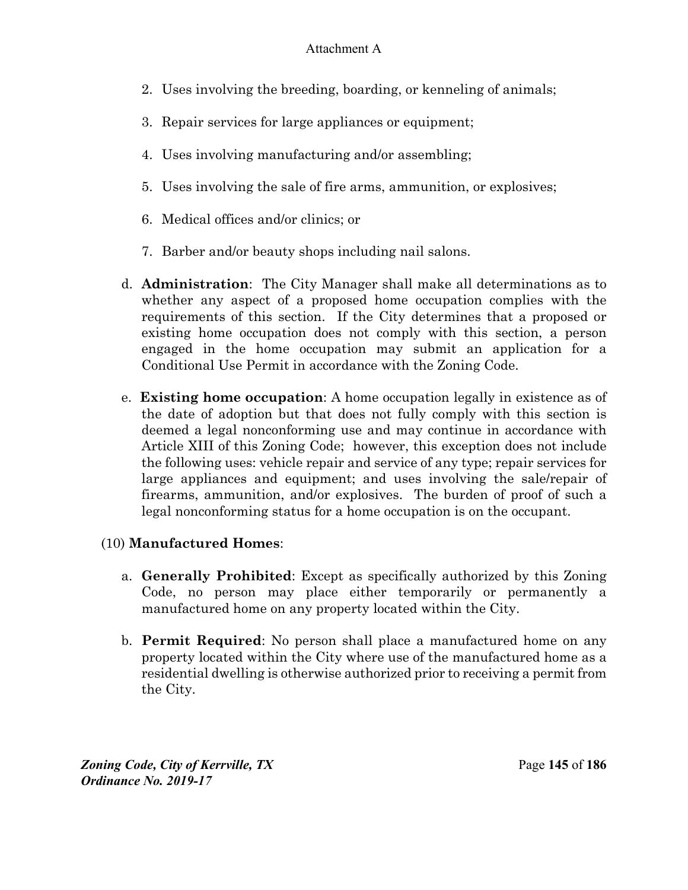- 2. Uses involving the breeding, boarding, or kenneling of animals;
- 3. Repair services for large appliances or equipment;
- 4. Uses involving manufacturing and/or assembling;
- 5. Uses involving the sale of fire arms, ammunition, or explosives;
- 6. Medical offices and/or clinics; or
- 7. Barber and/or beauty shops including nail salons.
- d. **Administration**:The City Manager shall make all determinations as to whether any aspect of a proposed home occupation complies with the requirements of this section. If the City determines that a proposed or existing home occupation does not comply with this section, a person engaged in the home occupation may submit an application for a Conditional Use Permit in accordance with the Zoning Code.
- e. **Existing home occupation**: A home occupation legally in existence as of the date of adoption but that does not fully comply with this section is deemed a legal nonconforming use and may continue in accordance with Article XIII of this Zoning Code; however, this exception does not include the following uses: vehicle repair and service of any type; repair services for large appliances and equipment; and uses involving the sale/repair of firearms, ammunition, and/or explosives. The burden of proof of such a legal nonconforming status for a home occupation is on the occupant.

# (10) **Manufactured Homes**:

- a. **Generally Prohibited**: Except as specifically authorized by this Zoning Code, no person may place either temporarily or permanently a manufactured home on any property located within the City.
- b. **Permit Required**: No person shall place a manufactured home on any property located within the City where use of the manufactured home as a residential dwelling is otherwise authorized prior to receiving a permit from the City.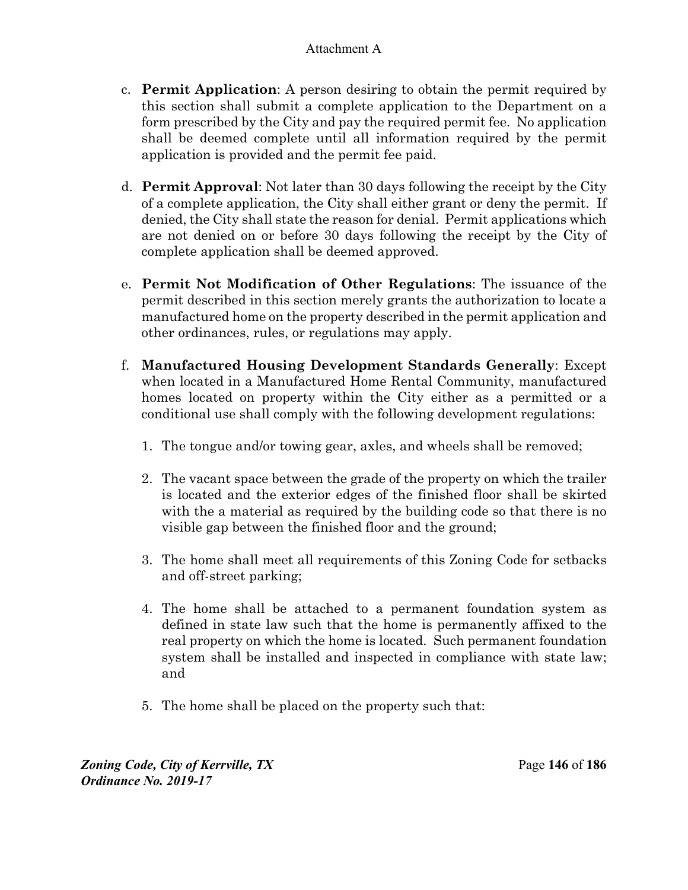- c. **Permit Application**: A person desiring to obtain the permit required by this section shall submit a complete application to the Department on a form prescribed by the City and pay the required permit fee. No application shall be deemed complete until all information required by the permit application is provided and the permit fee paid.
- d. **Permit Approval**: Not later than 30 days following the receipt by the City of a complete application, the City shall either grant or deny the permit. If denied, the City shall state the reason for denial. Permit applications which are not denied on or before 30 days following the receipt by the City of complete application shall be deemed approved.
- e. **Permit Not Modification of Other Regulations**: The issuance of the permit described in this section merely grants the authorization to locate a manufactured home on the property described in the permit application and other ordinances, rules, or regulations may apply.
- f. **Manufactured Housing Development Standards Generally**: Except when located in a Manufactured Home Rental Community, manufactured homes located on property within the City either as a permitted or a conditional use shall comply with the following development regulations:
	- 1. The tongue and/or towing gear, axles, and wheels shall be removed;
	- 2. The vacant space between the grade of the property on which the trailer is located and the exterior edges of the finished floor shall be skirted with the a material as required by the building code so that there is no visible gap between the finished floor and the ground;
	- 3. The home shall meet all requirements of this Zoning Code for setbacks and off-street parking;
	- 4. The home shall be attached to a permanent foundation system as defined in state law such that the home is permanently affixed to the real property on which the home is located. Such permanent foundation system shall be installed and inspected in compliance with state law; and
	- 5. The home shall be placed on the property such that:

*Zoning Code, City of Kerrville, TX*Page **146** of **186**  *Ordinance No. 2019-17*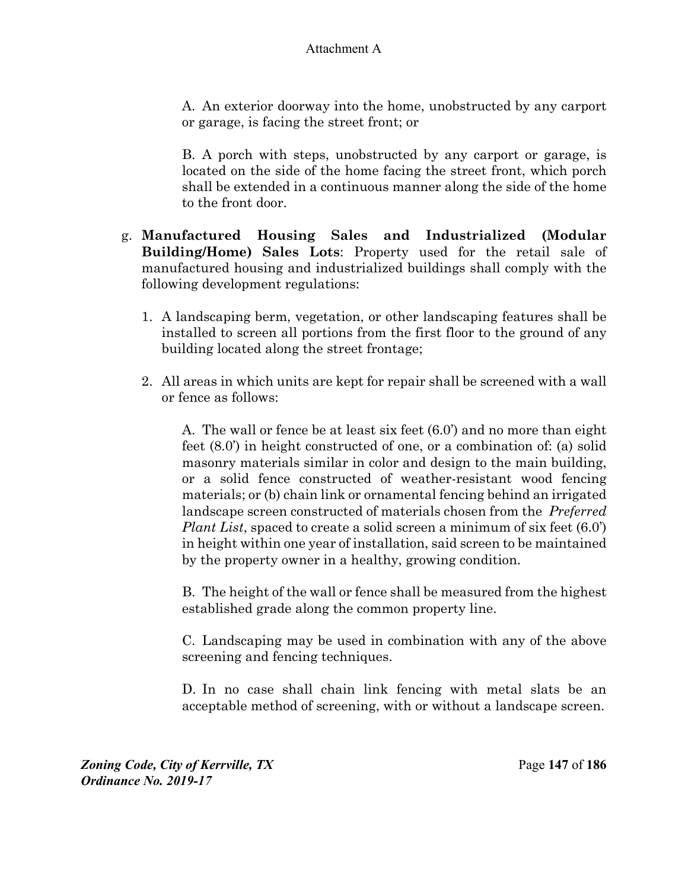A. An exterior doorway into the home, unobstructed by any carport or garage, is facing the street front; or

B. A porch with steps, unobstructed by any carport or garage, is located on the side of the home facing the street front, which porch shall be extended in a continuous manner along the side of the home to the front door.

- g. **Manufactured Housing Sales and Industrialized (Modular Building/Home) Sales Lots**: Property used for the retail sale of manufactured housing and industrialized buildings shall comply with the following development regulations:
	- 1. A landscaping berm, vegetation, or other landscaping features shall be installed to screen all portions from the first floor to the ground of any building located along the street frontage;
	- 2. All areas in which units are kept for repair shall be screened with a wall or fence as follows:

A. The wall or fence be at least six feet (6.0') and no more than eight feet (8.0') in height constructed of one, or a combination of: (a) solid masonry materials similar in color and design to the main building, or a solid fence constructed of weather-resistant wood fencing materials; or (b) chain link or ornamental fencing behind an irrigated landscape screen constructed of materials chosen from the *Preferred Plant List*, spaced to create a solid screen a minimum of six feet (6.0') in height within one year of installation, said screen to be maintained by the property owner in a healthy, growing condition.

B. The height of the wall or fence shall be measured from the highest established grade along the common property line.

C. Landscaping may be used in combination with any of the above screening and fencing techniques.

D. In no case shall chain link fencing with metal slats be an acceptable method of screening, with or without a landscape screen.

*Zoning Code, City of Kerrville, TX*Page **147** of **186**  *Ordinance No. 2019-17*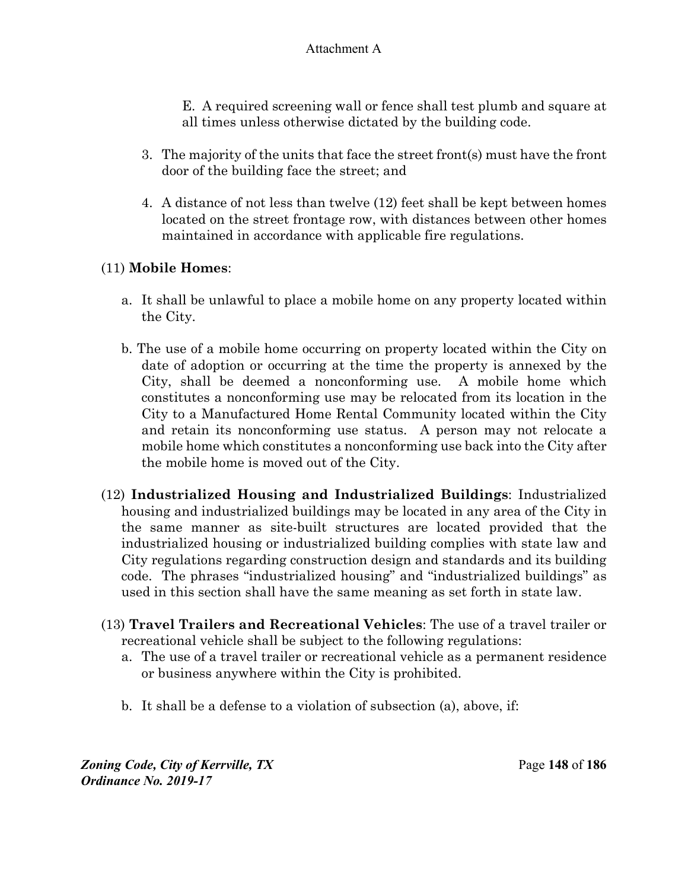E. A required screening wall or fence shall test plumb and square at all times unless otherwise dictated by the building code.

- 3. The majority of the units that face the street front(s) must have the front door of the building face the street; and
- 4. A distance of not less than twelve (12) feet shall be kept between homes located on the street frontage row, with distances between other homes maintained in accordance with applicable fire regulations.

# (11) **Mobile Homes**:

- a. It shall be unlawful to place a mobile home on any property located within the City.
- b. The use of a mobile home occurring on property located within the City on date of adoption or occurring at the time the property is annexed by the City, shall be deemed a nonconforming use. A mobile home which constitutes a nonconforming use may be relocated from its location in the City to a Manufactured Home Rental Community located within the City and retain its nonconforming use status. A person may not relocate a mobile home which constitutes a nonconforming use back into the City after the mobile home is moved out of the City.
- (12) **Industrialized Housing and Industrialized Buildings**: Industrialized housing and industrialized buildings may be located in any area of the City in the same manner as site-built structures are located provided that the industrialized housing or industrialized building complies with state law and City regulations regarding construction design and standards and its building code. The phrases "industrialized housing" and "industrialized buildings" as used in this section shall have the same meaning as set forth in state law.
- (13) **Travel Trailers and Recreational Vehicles**: The use of a travel trailer or recreational vehicle shall be subject to the following regulations:
	- a. The use of a travel trailer or recreational vehicle as a permanent residence or business anywhere within the City is prohibited.
	- b. It shall be a defense to a violation of subsection (a), above, if:

*Zoning Code, City of Kerrville, TX*Page **148** of **186**  *Ordinance No. 2019-17*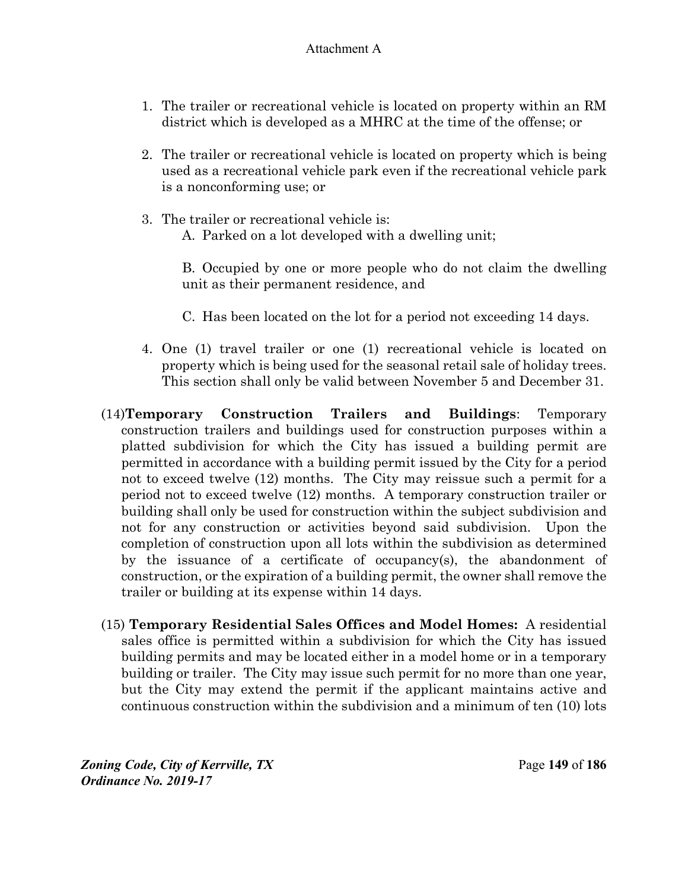- 1. The trailer or recreational vehicle is located on property within an RM district which is developed as a MHRC at the time of the offense; or
- 2. The trailer or recreational vehicle is located on property which is being used as a recreational vehicle park even if the recreational vehicle park is a nonconforming use; or
- 3. The trailer or recreational vehicle is: A. Parked on a lot developed with a dwelling unit;

B. Occupied by one or more people who do not claim the dwelling unit as their permanent residence, and

- C. Has been located on the lot for a period not exceeding 14 days.
- 4. One (1) travel trailer or one (1) recreational vehicle is located on property which is being used for the seasonal retail sale of holiday trees. This section shall only be valid between November 5 and December 31.
- (14)**Temporary Construction Trailers and Buildings**: Temporary construction trailers and buildings used for construction purposes within a platted subdivision for which the City has issued a building permit are permitted in accordance with a building permit issued by the City for a period not to exceed twelve (12) months. The City may reissue such a permit for a period not to exceed twelve (12) months. A temporary construction trailer or building shall only be used for construction within the subject subdivision and not for any construction or activities beyond said subdivision. Upon the completion of construction upon all lots within the subdivision as determined by the issuance of a certificate of occupancy(s), the abandonment of construction, or the expiration of a building permit, the owner shall remove the trailer or building at its expense within 14 days.
- (15) **Temporary Residential Sales Offices and Model Homes:** A residential sales office is permitted within a subdivision for which the City has issued building permits and may be located either in a model home or in a temporary building or trailer. The City may issue such permit for no more than one year, but the City may extend the permit if the applicant maintains active and continuous construction within the subdivision and a minimum of ten (10) lots

*Zoning Code, City of Kerrville, TX*Page **149** of **186**  *Ordinance No. 2019-17*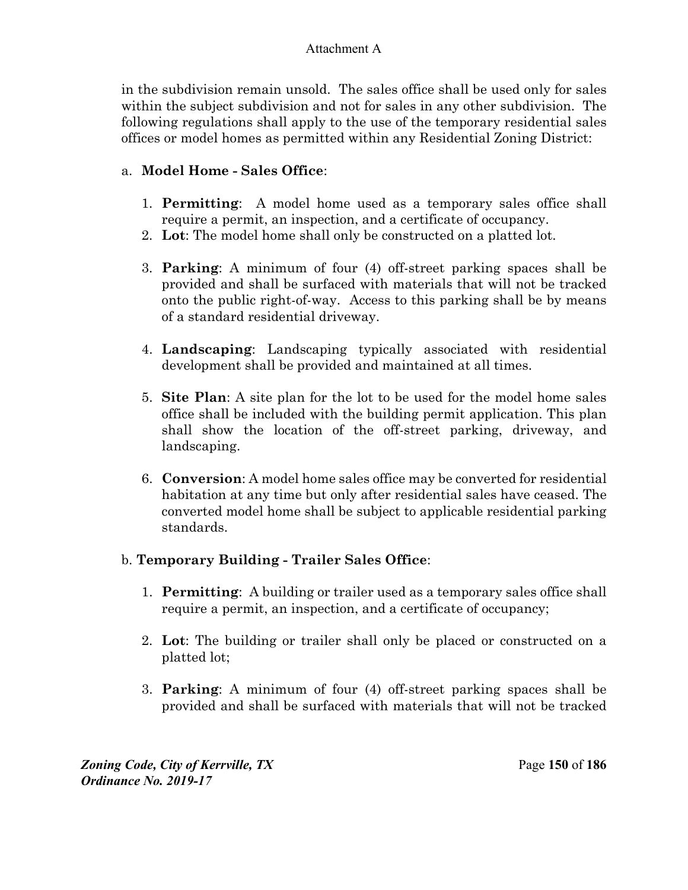in the subdivision remain unsold. The sales office shall be used only for sales within the subject subdivision and not for sales in any other subdivision. The following regulations shall apply to the use of the temporary residential sales offices or model homes as permitted within any Residential Zoning District:

# a. **Model Home - Sales Office**:

- 1. **Permitting**:A model home used as a temporary sales office shall require a permit, an inspection, and a certificate of occupancy.
- 2. **Lot**: The model home shall only be constructed on a platted lot.
- 3. **Parking**: A minimum of four (4) off-street parking spaces shall be provided and shall be surfaced with materials that will not be tracked onto the public right-of-way. Access to this parking shall be by means of a standard residential driveway.
- 4. **Landscaping**: Landscaping typically associated with residential development shall be provided and maintained at all times.
- 5. **Site Plan**: A site plan for the lot to be used for the model home sales office shall be included with the building permit application. This plan shall show the location of the off-street parking, driveway, and landscaping.
- 6. **Conversion**: A model home sales office may be converted for residential habitation at any time but only after residential sales have ceased. The converted model home shall be subject to applicable residential parking standards.

# b. **Temporary Building - Trailer Sales Office**:

- 1. **Permitting**:A building or trailer used as a temporary sales office shall require a permit, an inspection, and a certificate of occupancy;
- 2. **Lot**: The building or trailer shall only be placed or constructed on a platted lot;
- 3. **Parking**: A minimum of four (4) off-street parking spaces shall be provided and shall be surfaced with materials that will not be tracked

*Zoning Code, City of Kerrville, TX*Page **150** of **186**  *Ordinance No. 2019-17*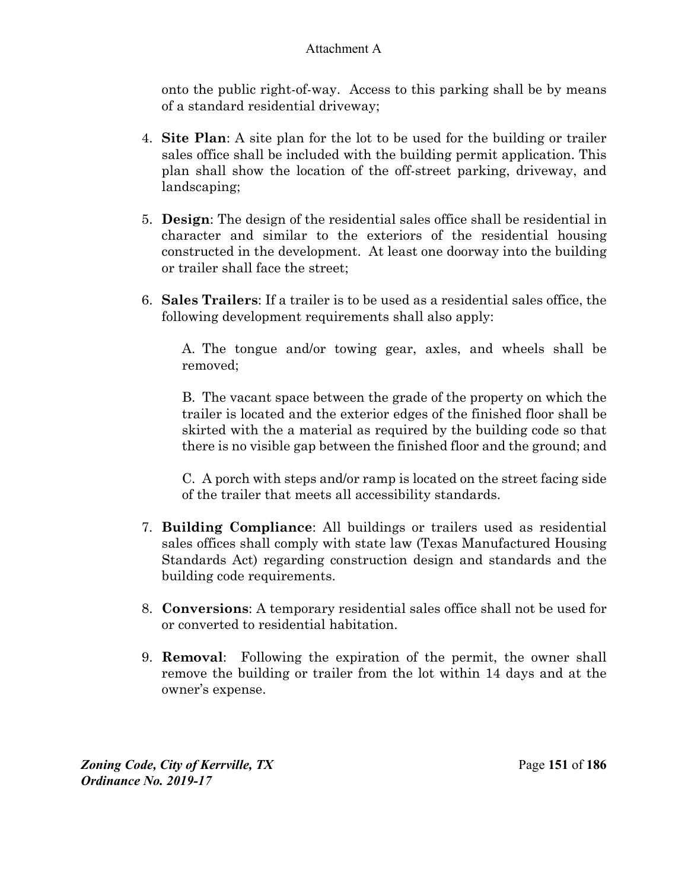onto the public right-of-way. Access to this parking shall be by means of a standard residential driveway;

- 4. **Site Plan**: A site plan for the lot to be used for the building or trailer sales office shall be included with the building permit application. This plan shall show the location of the off-street parking, driveway, and landscaping;
- 5. **Design**: The design of the residential sales office shall be residential in character and similar to the exteriors of the residential housing constructed in the development. At least one doorway into the building or trailer shall face the street;
- 6. **Sales Trailers**: If a trailer is to be used as a residential sales office, the following development requirements shall also apply:

A. The tongue and/or towing gear, axles, and wheels shall be removed;

B. The vacant space between the grade of the property on which the trailer is located and the exterior edges of the finished floor shall be skirted with the a material as required by the building code so that there is no visible gap between the finished floor and the ground; and

C. A porch with steps and/or ramp is located on the street facing side of the trailer that meets all accessibility standards.

- 7. **Building Compliance**: All buildings or trailers used as residential sales offices shall comply with state law (Texas Manufactured Housing Standards Act) regarding construction design and standards and the building code requirements.
- 8. **Conversions**: A temporary residential sales office shall not be used for or converted to residential habitation.
- 9. **Removal**:Following the expiration of the permit, the owner shall remove the building or trailer from the lot within 14 days and at the owner's expense.

*Zoning Code, City of Kerrville, TX*Page **151** of **186**  *Ordinance No. 2019-17*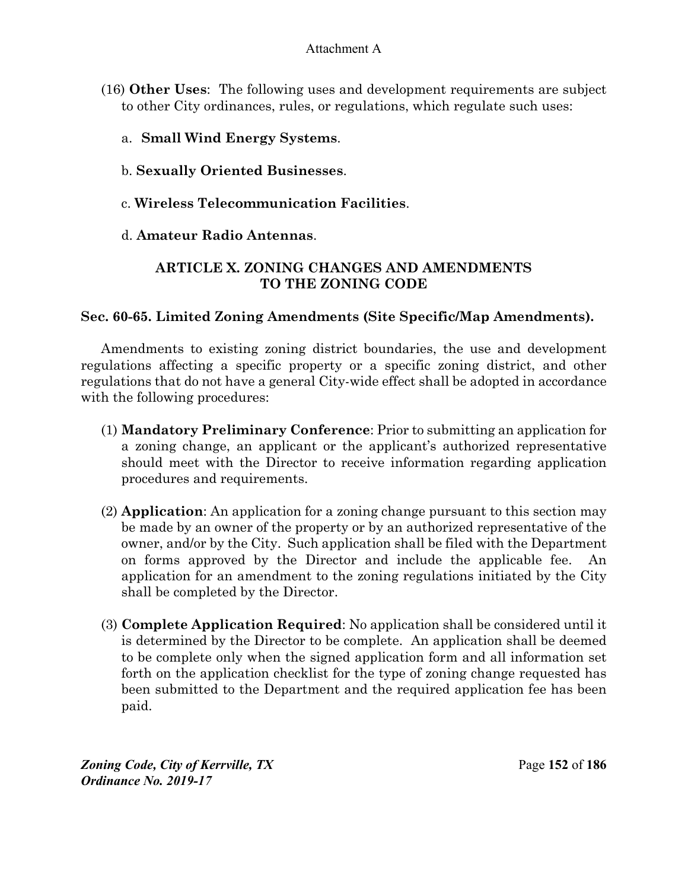- (16) **Other Uses**:The following uses and development requirements are subject to other City ordinances, rules, or regulations, which regulate such uses:
	- a. **Small Wind Energy Systems**.
	- b. **Sexually Oriented Businesses**.
	- c. **Wireless Telecommunication Facilities**.
	- d. **Amateur Radio Antennas**.

# **ARTICLE X. ZONING CHANGES AND AMENDMENTS TO THE ZONING CODE**

## **Sec. 60-65. Limited Zoning Amendments (Site Specific/Map Amendments).**

Amendments to existing zoning district boundaries, the use and development regulations affecting a specific property or a specific zoning district, and other regulations that do not have a general City-wide effect shall be adopted in accordance with the following procedures:

- (1) **Mandatory Preliminary Conference**: Prior to submitting an application for a zoning change, an applicant or the applicant's authorized representative should meet with the Director to receive information regarding application procedures and requirements.
- (2) **Application**: An application for a zoning change pursuant to this section may be made by an owner of the property or by an authorized representative of the owner, and/or by the City. Such application shall be filed with the Department on forms approved by the Director and include the applicable fee. application for an amendment to the zoning regulations initiated by the City shall be completed by the Director.
- (3) **Complete Application Required**: No application shall be considered until it is determined by the Director to be complete. An application shall be deemed to be complete only when the signed application form and all information set forth on the application checklist for the type of zoning change requested has been submitted to the Department and the required application fee has been paid.

*Zoning Code, City of Kerrville, TX*Page **152** of **186**  *Ordinance No. 2019-17*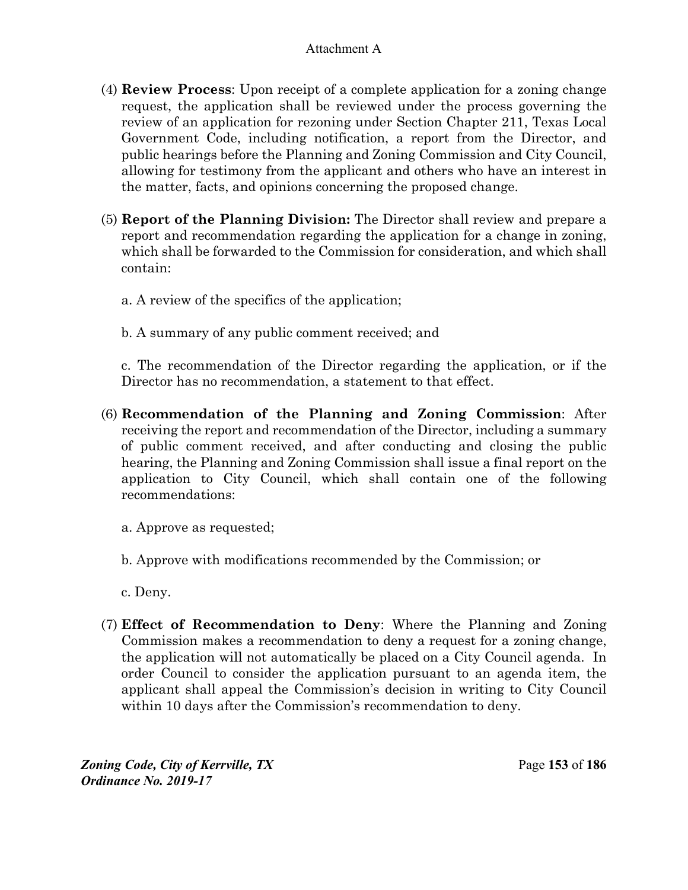- (4) **Review Process**: Upon receipt of a complete application for a zoning change request, the application shall be reviewed under the process governing the review of an application for rezoning under Section Chapter 211, Texas Local Government Code, including notification, a report from the Director, and public hearings before the Planning and Zoning Commission and City Council, allowing for testimony from the applicant and others who have an interest in the matter, facts, and opinions concerning the proposed change.
- (5) **Report of the Planning Division:** The Director shall review and prepare a report and recommendation regarding the application for a change in zoning, which shall be forwarded to the Commission for consideration, and which shall contain:

a. A review of the specifics of the application;

b. A summary of any public comment received; and

c. The recommendation of the Director regarding the application, or if the Director has no recommendation, a statement to that effect.

(6) **Recommendation of the Planning and Zoning Commission**: After receiving the report and recommendation of the Director, including a summary of public comment received, and after conducting and closing the public hearing, the Planning and Zoning Commission shall issue a final report on the application to City Council, which shall contain one of the following recommendations:

a. Approve as requested;

b. Approve with modifications recommended by the Commission; or

c. Deny.

(7) **Effect of Recommendation to Deny**: Where the Planning and Zoning Commission makes a recommendation to deny a request for a zoning change, the application will not automatically be placed on a City Council agenda. In order Council to consider the application pursuant to an agenda item, the applicant shall appeal the Commission's decision in writing to City Council within 10 days after the Commission's recommendation to deny.

*Zoning Code, City of Kerrville, TX*Page **153** of **186**  *Ordinance No. 2019-17*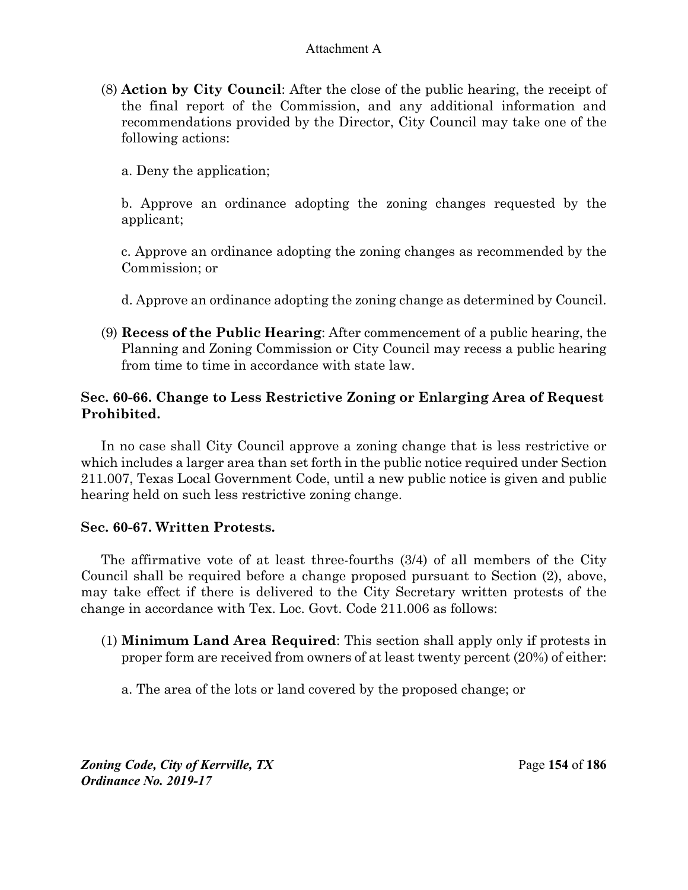(8) **Action by City Council**: After the close of the public hearing, the receipt of the final report of the Commission, and any additional information and recommendations provided by the Director, City Council may take one of the following actions:

a. Deny the application;

b. Approve an ordinance adopting the zoning changes requested by the applicant;

c. Approve an ordinance adopting the zoning changes as recommended by the Commission; or

d. Approve an ordinance adopting the zoning change as determined by Council.

(9) **Recess of the Public Hearing**: After commencement of a public hearing, the Planning and Zoning Commission or City Council may recess a public hearing from time to time in accordance with state law.

## **Sec. 60-66. Change to Less Restrictive Zoning or Enlarging Area of Request Prohibited.**

In no case shall City Council approve a zoning change that is less restrictive or which includes a larger area than set forth in the public notice required under Section 211.007, Texas Local Government Code, until a new public notice is given and public hearing held on such less restrictive zoning change.

## **Sec. 60-67. Written Protests.**

The affirmative vote of at least three-fourths (3/4) of all members of the City Council shall be required before a change proposed pursuant to Section (2), above, may take effect if there is delivered to the City Secretary written protests of the change in accordance with Tex. Loc. Govt. Code 211.006 as follows:

- (1) **Minimum Land Area Required**: This section shall apply only if protests in proper form are received from owners of at least twenty percent (20%) of either:
	- a. The area of the lots or land covered by the proposed change; or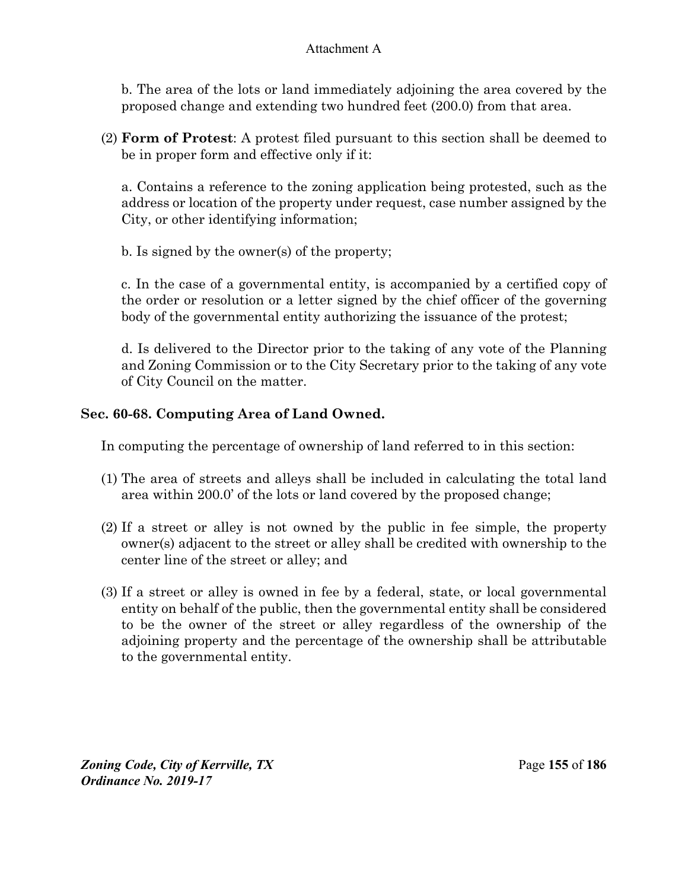b. The area of the lots or land immediately adjoining the area covered by the proposed change and extending two hundred feet (200.0) from that area.

(2) **Form of Protest**: A protest filed pursuant to this section shall be deemed to be in proper form and effective only if it:

a. Contains a reference to the zoning application being protested, such as the address or location of the property under request, case number assigned by the City, or other identifying information;

b. Is signed by the owner(s) of the property;

c. In the case of a governmental entity, is accompanied by a certified copy of the order or resolution or a letter signed by the chief officer of the governing body of the governmental entity authorizing the issuance of the protest;

d. Is delivered to the Director prior to the taking of any vote of the Planning and Zoning Commission or to the City Secretary prior to the taking of any vote of City Council on the matter.

# **Sec. 60-68. Computing Area of Land Owned.**

In computing the percentage of ownership of land referred to in this section:

- (1) The area of streets and alleys shall be included in calculating the total land area within 200.0' of the lots or land covered by the proposed change;
- (2) If a street or alley is not owned by the public in fee simple, the property owner(s) adjacent to the street or alley shall be credited with ownership to the center line of the street or alley; and
- (3) If a street or alley is owned in fee by a federal, state, or local governmental entity on behalf of the public, then the governmental entity shall be considered to be the owner of the street or alley regardless of the ownership of the adjoining property and the percentage of the ownership shall be attributable to the governmental entity.

*Zoning Code, City of Kerrville, TX*Page **155** of **186**  *Ordinance No. 2019-17*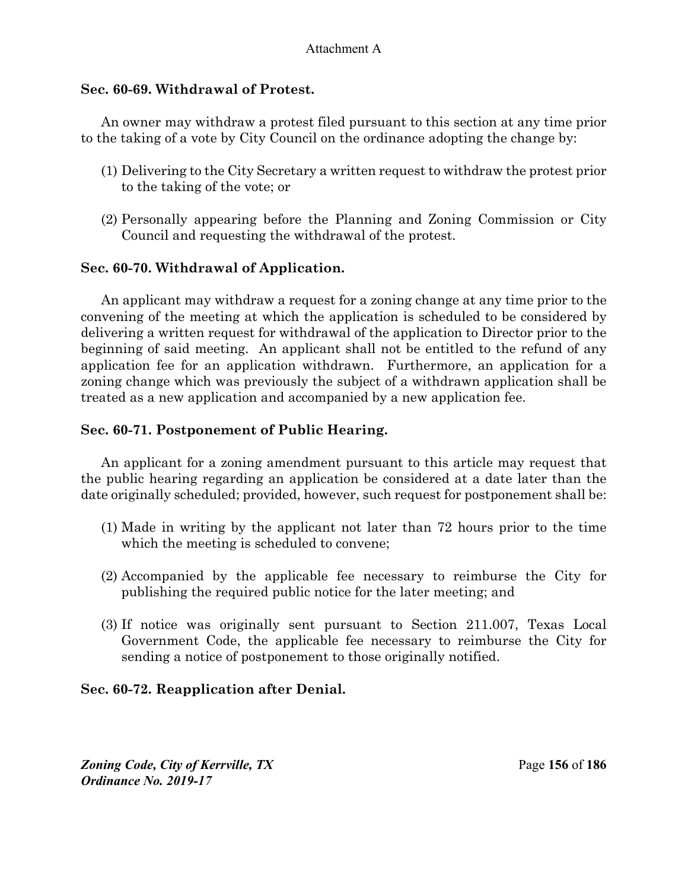# **Sec. 60-69. Withdrawal of Protest.**

An owner may withdraw a protest filed pursuant to this section at any time prior to the taking of a vote by City Council on the ordinance adopting the change by:

- (1) Delivering to the City Secretary a written request to withdraw the protest prior to the taking of the vote; or
- (2) Personally appearing before the Planning and Zoning Commission or City Council and requesting the withdrawal of the protest.

## **Sec. 60-70. Withdrawal of Application.**

An applicant may withdraw a request for a zoning change at any time prior to the convening of the meeting at which the application is scheduled to be considered by delivering a written request for withdrawal of the application to Director prior to the beginning of said meeting. An applicant shall not be entitled to the refund of any application fee for an application withdrawn. Furthermore, an application for a zoning change which was previously the subject of a withdrawn application shall be treated as a new application and accompanied by a new application fee.

## **Sec. 60-71. Postponement of Public Hearing.**

An applicant for a zoning amendment pursuant to this article may request that the public hearing regarding an application be considered at a date later than the date originally scheduled; provided, however, such request for postponement shall be:

- (1) Made in writing by the applicant not later than 72 hours prior to the time which the meeting is scheduled to convene;
- (2) Accompanied by the applicable fee necessary to reimburse the City for publishing the required public notice for the later meeting; and
- (3) If notice was originally sent pursuant to Section 211.007, Texas Local Government Code, the applicable fee necessary to reimburse the City for sending a notice of postponement to those originally notified.

# **Sec. 60-72. Reapplication after Denial.**

*Zoning Code, City of Kerrville, TX*Page **156** of **186**  *Ordinance No. 2019-17*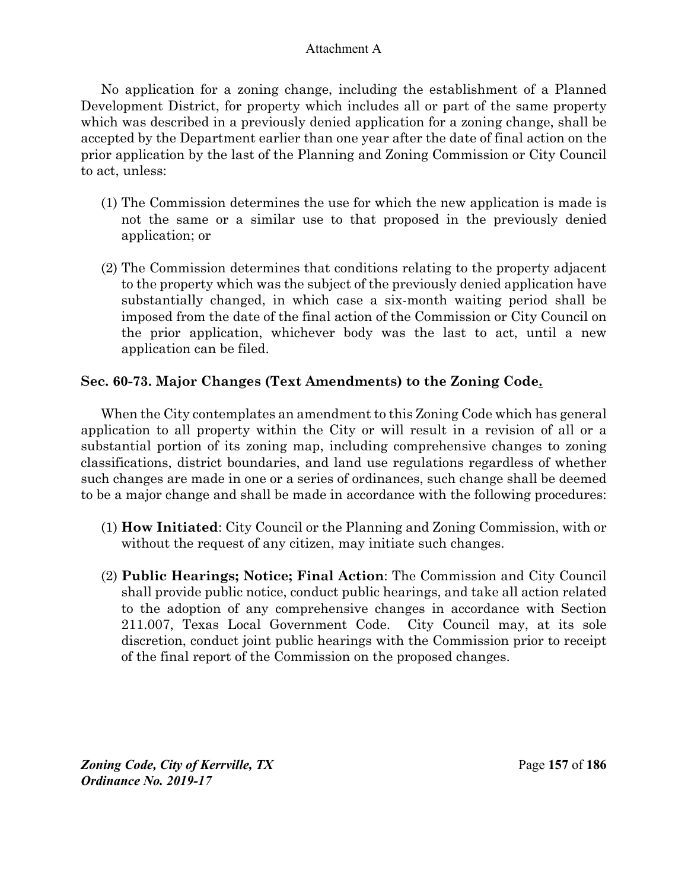No application for a zoning change, including the establishment of a Planned Development District, for property which includes all or part of the same property which was described in a previously denied application for a zoning change, shall be accepted by the Department earlier than one year after the date of final action on the prior application by the last of the Planning and Zoning Commission or City Council to act, unless:

- (1) The Commission determines the use for which the new application is made is not the same or a similar use to that proposed in the previously denied application; or
- (2) The Commission determines that conditions relating to the property adjacent to the property which was the subject of the previously denied application have substantially changed, in which case a six-month waiting period shall be imposed from the date of the final action of the Commission or City Council on the prior application, whichever body was the last to act, until a new application can be filed.

# **Sec. 60-73. Major Changes (Text Amendments) to the Zoning Code.**

When the City contemplates an amendment to this Zoning Code which has general application to all property within the City or will result in a revision of all or a substantial portion of its zoning map, including comprehensive changes to zoning classifications, district boundaries, and land use regulations regardless of whether such changes are made in one or a series of ordinances, such change shall be deemed to be a major change and shall be made in accordance with the following procedures:

- (1) **How Initiated**: City Council or the Planning and Zoning Commission, with or without the request of any citizen, may initiate such changes.
- (2) **Public Hearings; Notice; Final Action**: The Commission and City Council shall provide public notice, conduct public hearings, and take all action related to the adoption of any comprehensive changes in accordance with Section 211.007, Texas Local Government Code. City Council may, at its sole discretion, conduct joint public hearings with the Commission prior to receipt of the final report of the Commission on the proposed changes.

*Zoning Code, City of Kerrville, TX*Page **157** of **186**  *Ordinance No. 2019-17*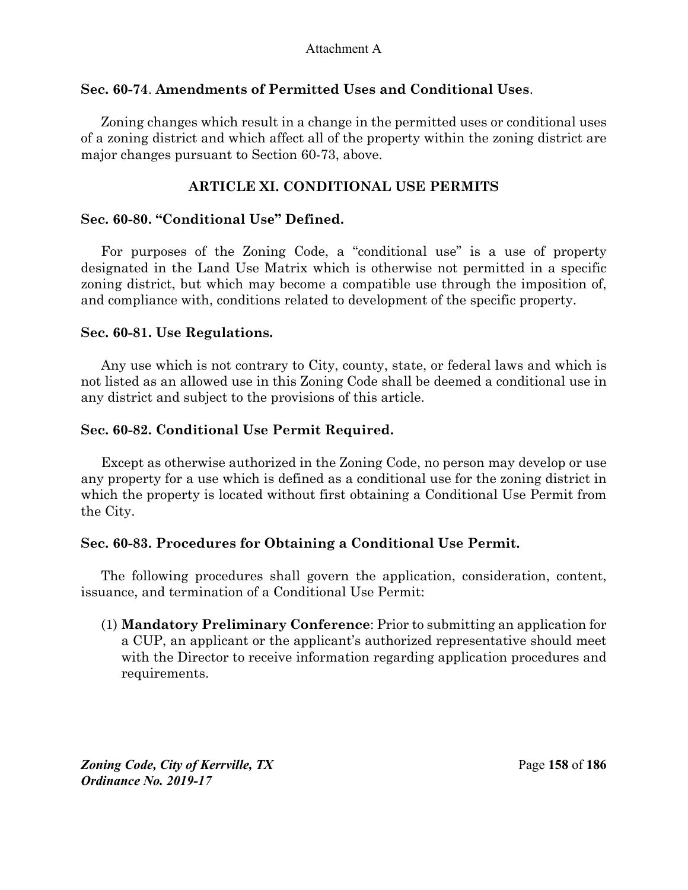## **Sec. 60-74**. **Amendments of Permitted Uses and Conditional Uses**.

Zoning changes which result in a change in the permitted uses or conditional uses of a zoning district and which affect all of the property within the zoning district are major changes pursuant to Section 60-73, above.

## **ARTICLE XI. CONDITIONAL USE PERMITS**

## **Sec. 60-80. "Conditional Use" Defined.**

For purposes of the Zoning Code, a "conditional use" is a use of property designated in the Land Use Matrix which is otherwise not permitted in a specific zoning district, but which may become a compatible use through the imposition of, and compliance with, conditions related to development of the specific property.

## **Sec. 60-81. Use Regulations.**

Any use which is not contrary to City, county, state, or federal laws and which is not listed as an allowed use in this Zoning Code shall be deemed a conditional use in any district and subject to the provisions of this article.

## **Sec. 60-82. Conditional Use Permit Required.**

Except as otherwise authorized in the Zoning Code, no person may develop or use any property for a use which is defined as a conditional use for the zoning district in which the property is located without first obtaining a Conditional Use Permit from the City.

## **Sec. 60-83. Procedures for Obtaining a Conditional Use Permit.**

The following procedures shall govern the application, consideration, content, issuance, and termination of a Conditional Use Permit:

(1) **Mandatory Preliminary Conference**: Prior to submitting an application for a CUP, an applicant or the applicant's authorized representative should meet with the Director to receive information regarding application procedures and requirements.

*Zoning Code, City of Kerrville, TX*Page **158** of **186**  *Ordinance No. 2019-17*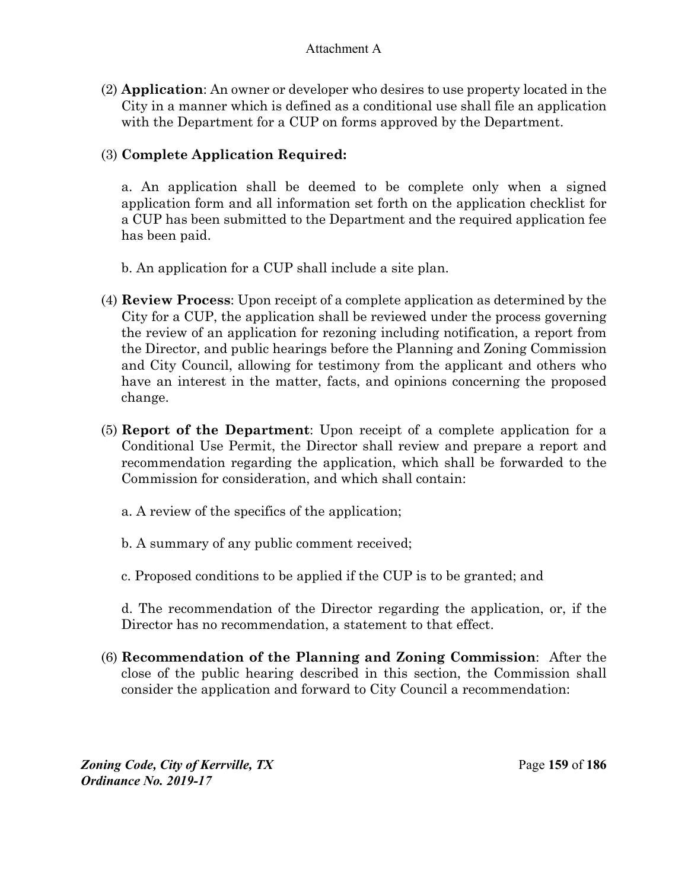(2) **Application**: An owner or developer who desires to use property located in the City in a manner which is defined as a conditional use shall file an application with the Department for a CUP on forms approved by the Department.

# (3) **Complete Application Required:**

a. An application shall be deemed to be complete only when a signed application form and all information set forth on the application checklist for a CUP has been submitted to the Department and the required application fee has been paid.

- b. An application for a CUP shall include a site plan.
- (4) **Review Process**: Upon receipt of a complete application as determined by the City for a CUP, the application shall be reviewed under the process governing the review of an application for rezoning including notification, a report from the Director, and public hearings before the Planning and Zoning Commission and City Council, allowing for testimony from the applicant and others who have an interest in the matter, facts, and opinions concerning the proposed change.
- (5) **Report of the Department**: Upon receipt of a complete application for a Conditional Use Permit, the Director shall review and prepare a report and recommendation regarding the application, which shall be forwarded to the Commission for consideration, and which shall contain:
	- a. A review of the specifics of the application;
	- b. A summary of any public comment received;
	- c. Proposed conditions to be applied if the CUP is to be granted; and

d. The recommendation of the Director regarding the application, or, if the Director has no recommendation, a statement to that effect.

(6) **Recommendation of the Planning and Zoning Commission**: After the close of the public hearing described in this section, the Commission shall consider the application and forward to City Council a recommendation: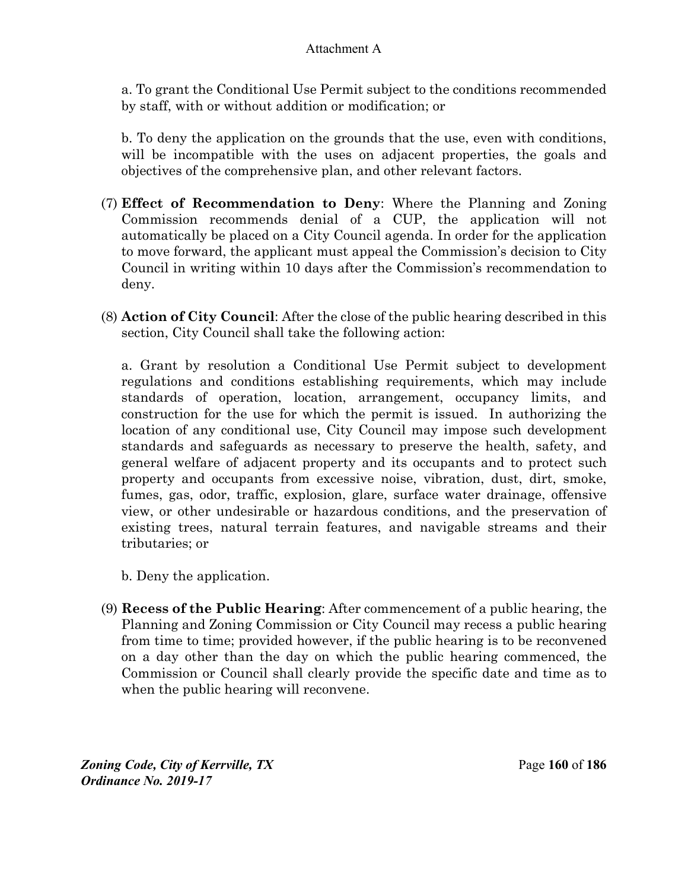a. To grant the Conditional Use Permit subject to the conditions recommended by staff, with or without addition or modification; or

b. To deny the application on the grounds that the use, even with conditions, will be incompatible with the uses on adjacent properties, the goals and objectives of the comprehensive plan, and other relevant factors.

- (7) **Effect of Recommendation to Deny**: Where the Planning and Zoning Commission recommends denial of a CUP, the application will not automatically be placed on a City Council agenda. In order for the application to move forward, the applicant must appeal the Commission's decision to City Council in writing within 10 days after the Commission's recommendation to deny.
- (8) **Action of City Council**: After the close of the public hearing described in this section, City Council shall take the following action:

a. Grant by resolution a Conditional Use Permit subject to development regulations and conditions establishing requirements, which may include standards of operation, location, arrangement, occupancy limits, and construction for the use for which the permit is issued. In authorizing the location of any conditional use, City Council may impose such development standards and safeguards as necessary to preserve the health, safety, and general welfare of adjacent property and its occupants and to protect such property and occupants from excessive noise, vibration, dust, dirt, smoke, fumes, gas, odor, traffic, explosion, glare, surface water drainage, offensive view, or other undesirable or hazardous conditions, and the preservation of existing trees, natural terrain features, and navigable streams and their tributaries; or

- b. Deny the application.
- (9) **Recess of the Public Hearing**: After commencement of a public hearing, the Planning and Zoning Commission or City Council may recess a public hearing from time to time; provided however, if the public hearing is to be reconvened on a day other than the day on which the public hearing commenced, the Commission or Council shall clearly provide the specific date and time as to when the public hearing will reconvene.

*Zoning Code, City of Kerrville, TX*Page **160** of **186**  *Ordinance No. 2019-17*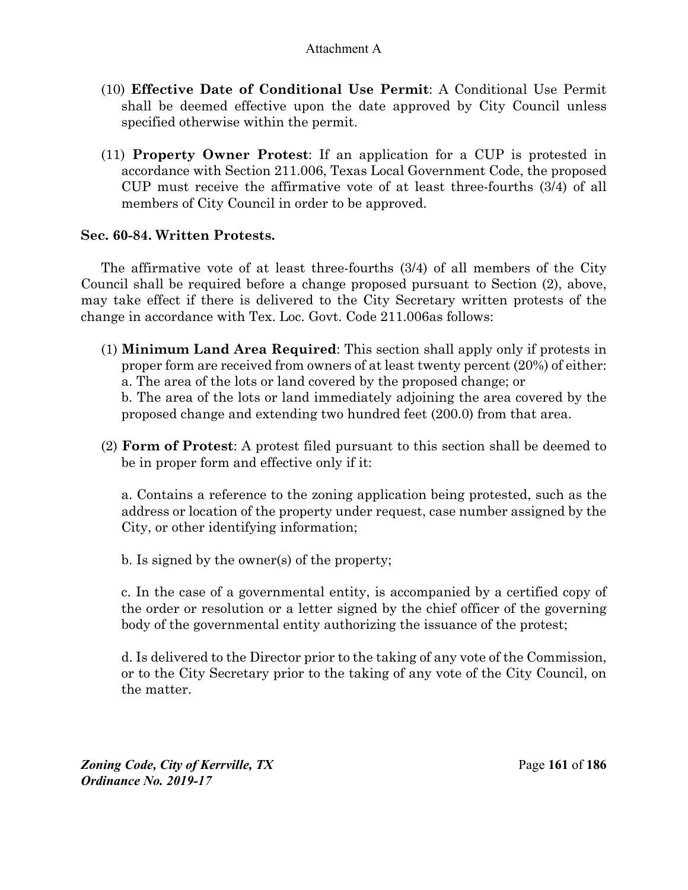- (10) **Effective Date of Conditional Use Permit**: A Conditional Use Permit shall be deemed effective upon the date approved by City Council unless specified otherwise within the permit.
- (11) **Property Owner Protest**: If an application for a CUP is protested in accordance with Section 211.006, Texas Local Government Code, the proposed CUP must receive the affirmative vote of at least three-fourths (3/4) of all members of City Council in order to be approved.

## **Sec. 60-84. Written Protests.**

The affirmative vote of at least three-fourths (3/4) of all members of the City Council shall be required before a change proposed pursuant to Section (2), above, may take effect if there is delivered to the City Secretary written protests of the change in accordance with Tex. Loc. Govt. Code 211.006as follows:

(1) **Minimum Land Area Required**: This section shall apply only if protests in proper form are received from owners of at least twenty percent (20%) of either: a. The area of the lots or land covered by the proposed change; or

b. The area of the lots or land immediately adjoining the area covered by the proposed change and extending two hundred feet (200.0) from that area.

(2) **Form of Protest**: A protest filed pursuant to this section shall be deemed to be in proper form and effective only if it:

a. Contains a reference to the zoning application being protested, such as the address or location of the property under request, case number assigned by the City, or other identifying information;

b. Is signed by the owner(s) of the property;

c. In the case of a governmental entity, is accompanied by a certified copy of the order or resolution or a letter signed by the chief officer of the governing body of the governmental entity authorizing the issuance of the protest;

d. Is delivered to the Director prior to the taking of any vote of the Commission, or to the City Secretary prior to the taking of any vote of the City Council, on the matter.

*Zoning Code, City of Kerrville, TX*Page **161** of **186**  *Ordinance No. 2019-17*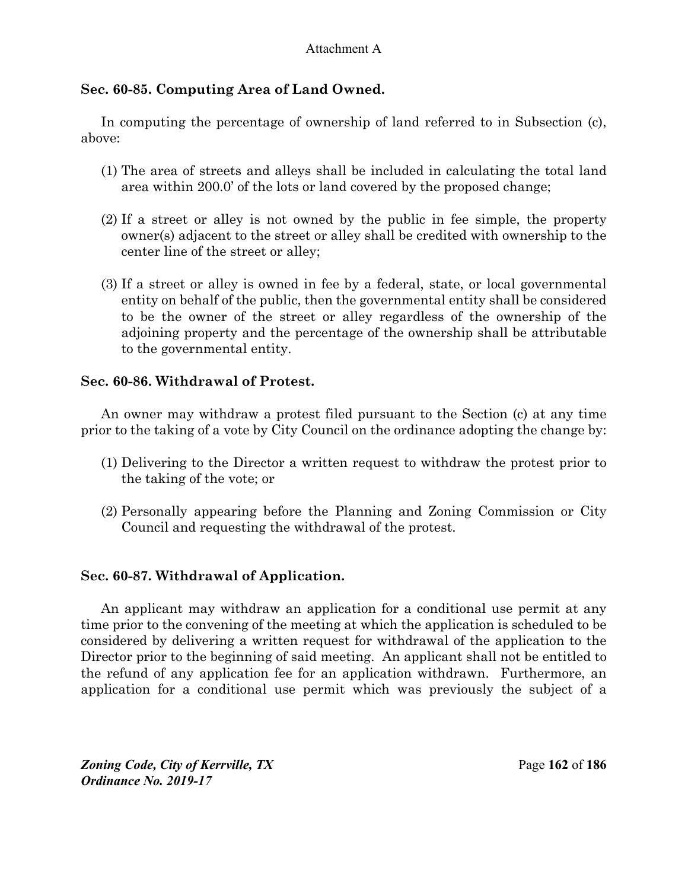# **Sec. 60-85. Computing Area of Land Owned.**

In computing the percentage of ownership of land referred to in Subsection (c), above:

- (1) The area of streets and alleys shall be included in calculating the total land area within 200.0' of the lots or land covered by the proposed change;
- (2) If a street or alley is not owned by the public in fee simple, the property owner(s) adjacent to the street or alley shall be credited with ownership to the center line of the street or alley;
- (3) If a street or alley is owned in fee by a federal, state, or local governmental entity on behalf of the public, then the governmental entity shall be considered to be the owner of the street or alley regardless of the ownership of the adjoining property and the percentage of the ownership shall be attributable to the governmental entity.

# **Sec. 60-86. Withdrawal of Protest.**

An owner may withdraw a protest filed pursuant to the Section (c) at any time prior to the taking of a vote by City Council on the ordinance adopting the change by:

- (1) Delivering to the Director a written request to withdraw the protest prior to the taking of the vote; or
- (2) Personally appearing before the Planning and Zoning Commission or City Council and requesting the withdrawal of the protest.

# **Sec. 60-87. Withdrawal of Application.**

An applicant may withdraw an application for a conditional use permit at any time prior to the convening of the meeting at which the application is scheduled to be considered by delivering a written request for withdrawal of the application to the Director prior to the beginning of said meeting. An applicant shall not be entitled to the refund of any application fee for an application withdrawn. Furthermore, an application for a conditional use permit which was previously the subject of a

*Zoning Code, City of Kerrville, TX*Page **162** of **186**  *Ordinance No. 2019-17*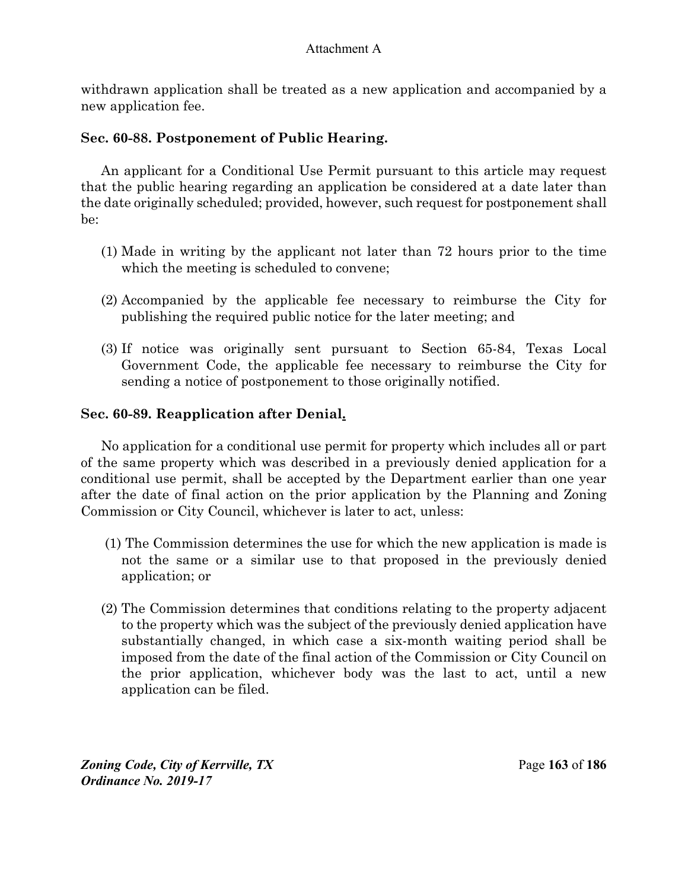withdrawn application shall be treated as a new application and accompanied by a new application fee.

# **Sec. 60-88. Postponement of Public Hearing.**

An applicant for a Conditional Use Permit pursuant to this article may request that the public hearing regarding an application be considered at a date later than the date originally scheduled; provided, however, such request for postponement shall be:

- (1) Made in writing by the applicant not later than 72 hours prior to the time which the meeting is scheduled to convene;
- (2) Accompanied by the applicable fee necessary to reimburse the City for publishing the required public notice for the later meeting; and
- (3) If notice was originally sent pursuant to Section 65-84, Texas Local Government Code, the applicable fee necessary to reimburse the City for sending a notice of postponement to those originally notified.

# **Sec. 60-89. Reapplication after Denial.**

No application for a conditional use permit for property which includes all or part of the same property which was described in a previously denied application for a conditional use permit, shall be accepted by the Department earlier than one year after the date of final action on the prior application by the Planning and Zoning Commission or City Council, whichever is later to act, unless:

- (1) The Commission determines the use for which the new application is made is not the same or a similar use to that proposed in the previously denied application; or
- (2) The Commission determines that conditions relating to the property adjacent to the property which was the subject of the previously denied application have substantially changed, in which case a six-month waiting period shall be imposed from the date of the final action of the Commission or City Council on the prior application, whichever body was the last to act, until a new application can be filed.

*Zoning Code, City of Kerrville, TX*Page **163** of **186**  *Ordinance No. 2019-17*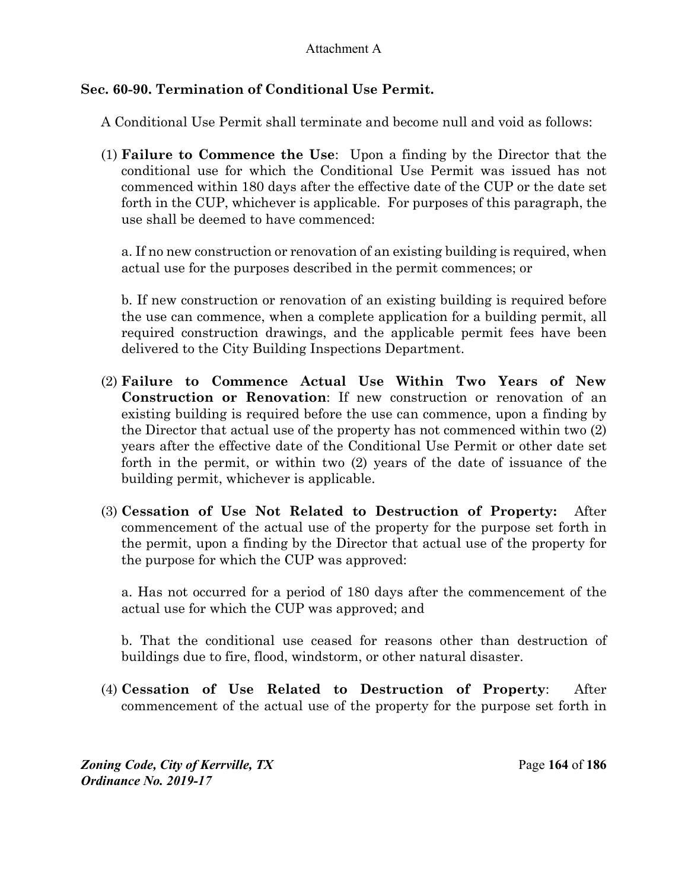# **Sec. 60-90. Termination of Conditional Use Permit.**

A Conditional Use Permit shall terminate and become null and void as follows:

(1) **Failure to Commence the Use**:Upon a finding by the Director that the conditional use for which the Conditional Use Permit was issued has not commenced within 180 days after the effective date of the CUP or the date set forth in the CUP, whichever is applicable. For purposes of this paragraph, the use shall be deemed to have commenced:

a. If no new construction or renovation of an existing building is required, when actual use for the purposes described in the permit commences; or

b. If new construction or renovation of an existing building is required before the use can commence, when a complete application for a building permit, all required construction drawings, and the applicable permit fees have been delivered to the City Building Inspections Department.

- (2) **Failure to Commence Actual Use Within Two Years of New Construction or Renovation**: If new construction or renovation of an existing building is required before the use can commence, upon a finding by the Director that actual use of the property has not commenced within two (2) years after the effective date of the Conditional Use Permit or other date set forth in the permit, or within two (2) years of the date of issuance of the building permit, whichever is applicable.
- (3) **Cessation of Use Not Related to Destruction of Property:** After commencement of the actual use of the property for the purpose set forth in the permit, upon a finding by the Director that actual use of the property for the purpose for which the CUP was approved:

a. Has not occurred for a period of 180 days after the commencement of the actual use for which the CUP was approved; and

b. That the conditional use ceased for reasons other than destruction of buildings due to fire, flood, windstorm, or other natural disaster.

(4) **Cessation of Use Related to Destruction of Property**: After commencement of the actual use of the property for the purpose set forth in

*Zoning Code, City of Kerrville, TX*Page **164** of **186**  *Ordinance No. 2019-17*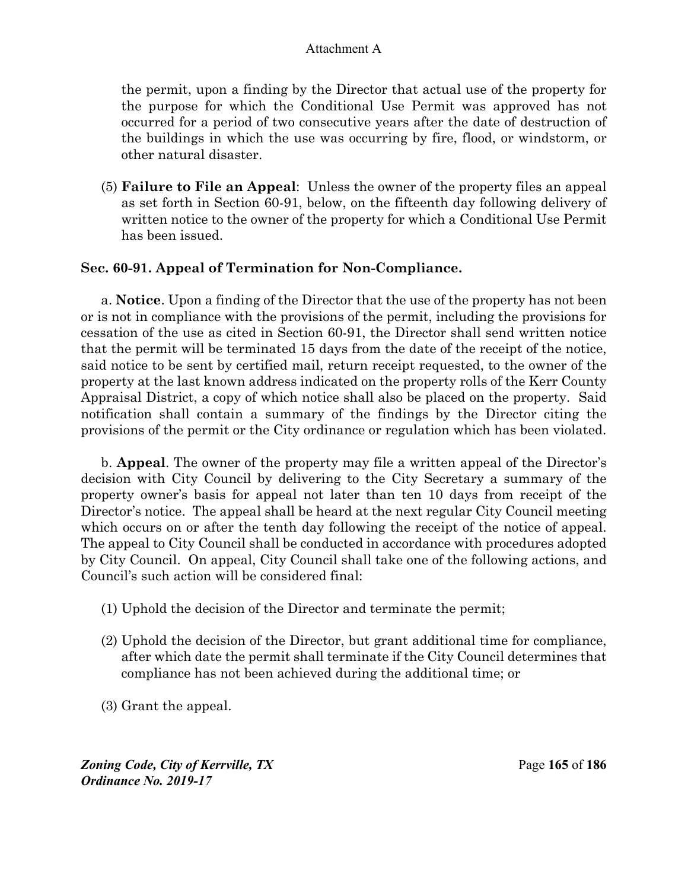the permit, upon a finding by the Director that actual use of the property for the purpose for which the Conditional Use Permit was approved has not occurred for a period of two consecutive years after the date of destruction of the buildings in which the use was occurring by fire, flood, or windstorm, or other natural disaster.

(5) **Failure to File an Appeal**: Unless the owner of the property files an appeal as set forth in Section 60-91, below, on the fifteenth day following delivery of written notice to the owner of the property for which a Conditional Use Permit has been issued.

## **Sec. 60-91. Appeal of Termination for Non-Compliance.**

a. **Notice**. Upon a finding of the Director that the use of the property has not been or is not in compliance with the provisions of the permit, including the provisions for cessation of the use as cited in Section 60-91, the Director shall send written notice that the permit will be terminated 15 days from the date of the receipt of the notice, said notice to be sent by certified mail, return receipt requested, to the owner of the property at the last known address indicated on the property rolls of the Kerr County Appraisal District, a copy of which notice shall also be placed on the property. Said notification shall contain a summary of the findings by the Director citing the provisions of the permit or the City ordinance or regulation which has been violated.

b. **Appeal**. The owner of the property may file a written appeal of the Director's decision with City Council by delivering to the City Secretary a summary of the property owner's basis for appeal not later than ten 10 days from receipt of the Director's notice. The appeal shall be heard at the next regular City Council meeting which occurs on or after the tenth day following the receipt of the notice of appeal. The appeal to City Council shall be conducted in accordance with procedures adopted by City Council. On appeal, City Council shall take one of the following actions, and Council's such action will be considered final:

- (1) Uphold the decision of the Director and terminate the permit;
- (2) Uphold the decision of the Director, but grant additional time for compliance, after which date the permit shall terminate if the City Council determines that compliance has not been achieved during the additional time; or
- (3) Grant the appeal.

*Zoning Code, City of Kerrville, TX*Page **165** of **186**  *Ordinance No. 2019-17*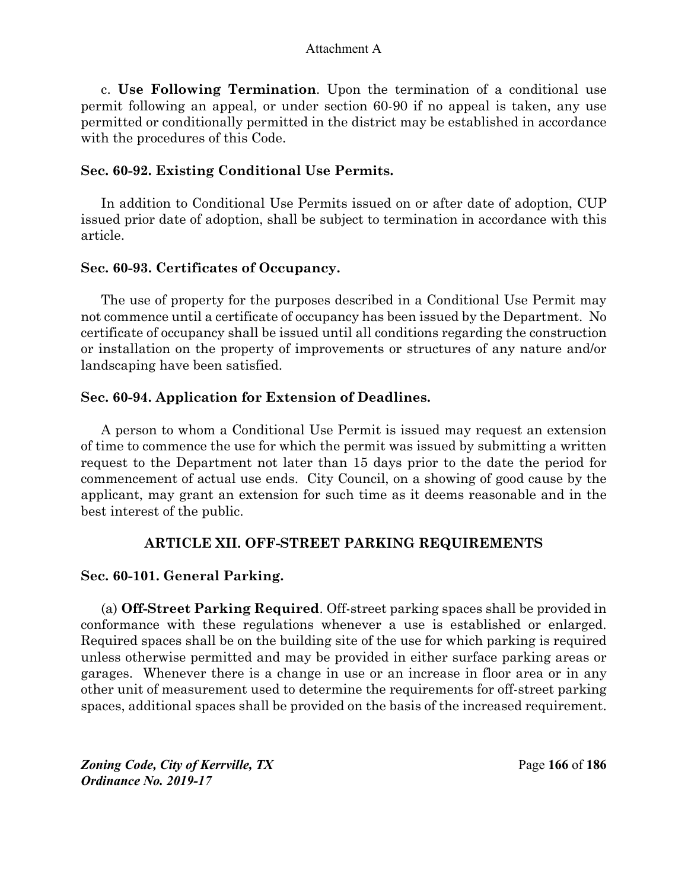c. **Use Following Termination**. Upon the termination of a conditional use permit following an appeal, or under section 60-90 if no appeal is taken, any use permitted or conditionally permitted in the district may be established in accordance with the procedures of this Code.

## **Sec. 60-92. Existing Conditional Use Permits.**

In addition to Conditional Use Permits issued on or after date of adoption, CUP issued prior date of adoption, shall be subject to termination in accordance with this article.

## **Sec. 60-93. Certificates of Occupancy.**

The use of property for the purposes described in a Conditional Use Permit may not commence until a certificate of occupancy has been issued by the Department. No certificate of occupancy shall be issued until all conditions regarding the construction or installation on the property of improvements or structures of any nature and/or landscaping have been satisfied.

# **Sec. 60-94. Application for Extension of Deadlines.**

A person to whom a Conditional Use Permit is issued may request an extension of time to commence the use for which the permit was issued by submitting a written request to the Department not later than 15 days prior to the date the period for commencement of actual use ends. City Council, on a showing of good cause by the applicant, may grant an extension for such time as it deems reasonable and in the best interest of the public.

# **ARTICLE XII. OFF-STREET PARKING REQUIREMENTS**

# **Sec. 60-101. General Parking.**

(a) **Off-Street Parking Required**. Off-street parking spaces shall be provided in conformance with these regulations whenever a use is established or enlarged. Required spaces shall be on the building site of the use for which parking is required unless otherwise permitted and may be provided in either surface parking areas or garages. Whenever there is a change in use or an increase in floor area or in any other unit of measurement used to determine the requirements for off-street parking spaces, additional spaces shall be provided on the basis of the increased requirement.

*Zoning Code, City of Kerrville, TX*Page **166** of **186**  *Ordinance No. 2019-17*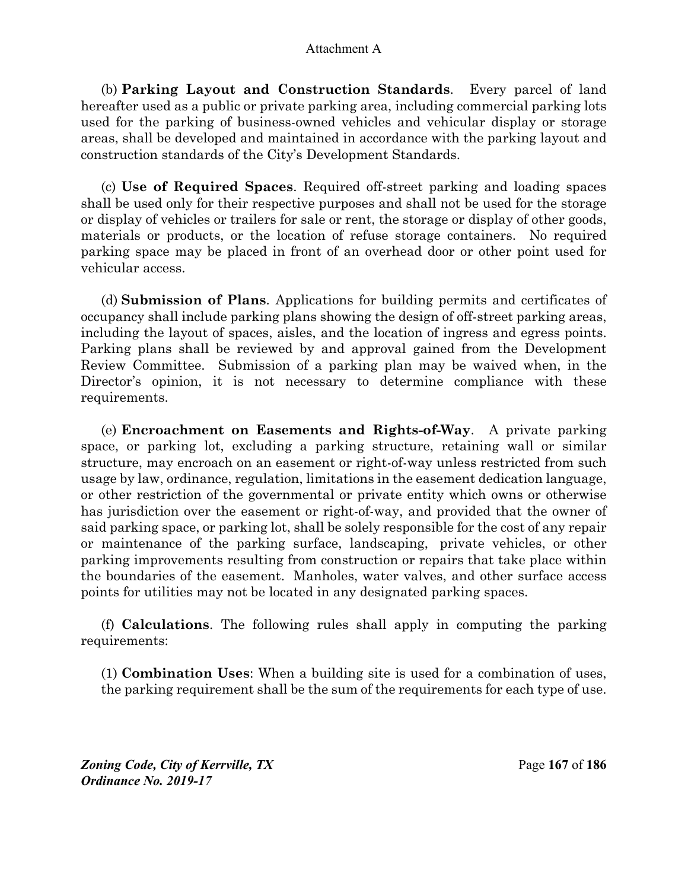(b) **Parking Layout and Construction Standards**.Every parcel of land hereafter used as a public or private parking area, including commercial parking lots used for the parking of business-owned vehicles and vehicular display or storage areas, shall be developed and maintained in accordance with the parking layout and construction standards of the City's Development Standards.

(c) **Use of Required Spaces**. Required off-street parking and loading spaces shall be used only for their respective purposes and shall not be used for the storage or display of vehicles or trailers for sale or rent, the storage or display of other goods, materials or products, or the location of refuse storage containers. No required parking space may be placed in front of an overhead door or other point used for vehicular access.

(d) **Submission of Plans**. Applications for building permits and certificates of occupancy shall include parking plans showing the design of off-street parking areas, including the layout of spaces, aisles, and the location of ingress and egress points. Parking plans shall be reviewed by and approval gained from the Development Review Committee. Submission of a parking plan may be waived when, in the Director's opinion, it is not necessary to determine compliance with these requirements.

(e) **Encroachment on Easements and Rights-of-Way**.A private parking space, or parking lot, excluding a parking structure, retaining wall or similar structure, may encroach on an easement or right-of-way unless restricted from such usage by law, ordinance, regulation, limitations in the easement dedication language, or other restriction of the governmental or private entity which owns or otherwise has jurisdiction over the easement or right-of-way, and provided that the owner of said parking space, or parking lot, shall be solely responsible for the cost of any repair or maintenance of the parking surface, landscaping, private vehicles, or other parking improvements resulting from construction or repairs that take place within the boundaries of the easement. Manholes, water valves, and other surface access points for utilities may not be located in any designated parking spaces.

(f) **Calculations**. The following rules shall apply in computing the parking requirements:

(1) **Combination Uses**: When a building site is used for a combination of uses, the parking requirement shall be the sum of the requirements for each type of use.

*Zoning Code, City of Kerrville, TX*Page **167** of **186**  *Ordinance No. 2019-17*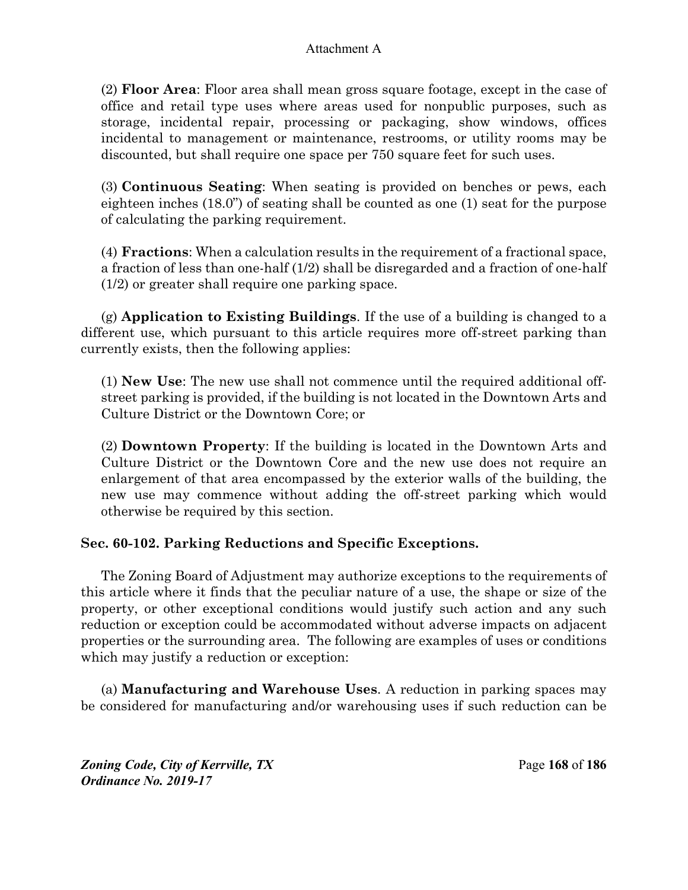(2) **Floor Area**: Floor area shall mean gross square footage, except in the case of office and retail type uses where areas used for nonpublic purposes, such as storage, incidental repair, processing or packaging, show windows, offices incidental to management or maintenance, restrooms, or utility rooms may be discounted, but shall require one space per 750 square feet for such uses.

(3) **Continuous Seating**: When seating is provided on benches or pews, each eighteen inches (18.0") of seating shall be counted as one (1) seat for the purpose of calculating the parking requirement.

(4) **Fractions**: When a calculation results in the requirement of a fractional space, a fraction of less than one-half (1/2) shall be disregarded and a fraction of one-half (1/2) or greater shall require one parking space.

(g) **Application to Existing Buildings**. If the use of a building is changed to a different use, which pursuant to this article requires more off-street parking than currently exists, then the following applies:

(1) **New Use**: The new use shall not commence until the required additional offstreet parking is provided, if the building is not located in the Downtown Arts and Culture District or the Downtown Core; or

(2) **Downtown Property**: If the building is located in the Downtown Arts and Culture District or the Downtown Core and the new use does not require an enlargement of that area encompassed by the exterior walls of the building, the new use may commence without adding the off-street parking which would otherwise be required by this section.

# **Sec. 60-102. Parking Reductions and Specific Exceptions.**

The Zoning Board of Adjustment may authorize exceptions to the requirements of this article where it finds that the peculiar nature of a use, the shape or size of the property, or other exceptional conditions would justify such action and any such reduction or exception could be accommodated without adverse impacts on adjacent properties or the surrounding area. The following are examples of uses or conditions which may justify a reduction or exception:

(a) **Manufacturing and Warehouse Uses**. A reduction in parking spaces may be considered for manufacturing and/or warehousing uses if such reduction can be

*Zoning Code, City of Kerrville, TX*Page **168** of **186**  *Ordinance No. 2019-17*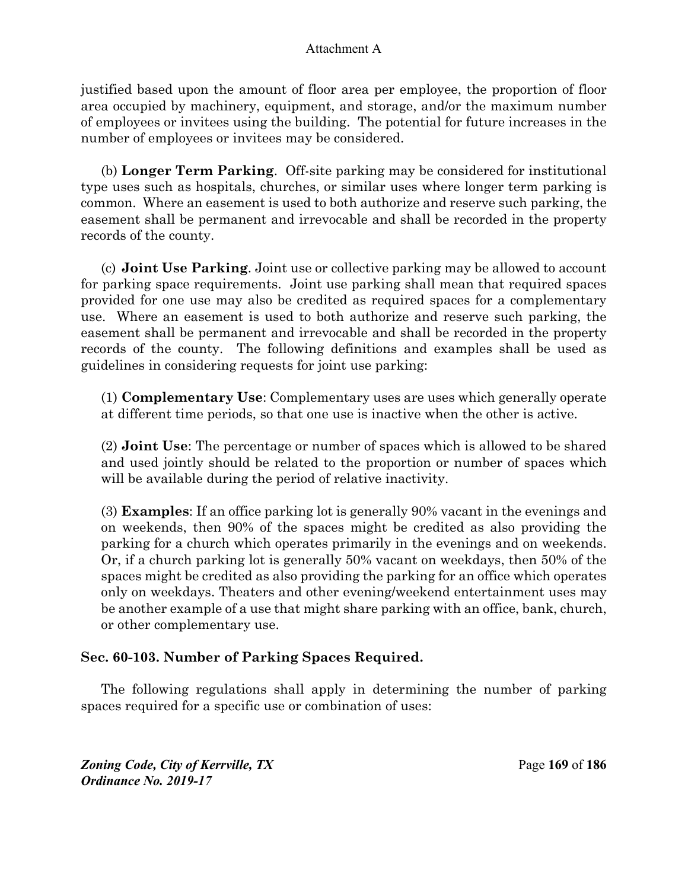justified based upon the amount of floor area per employee, the proportion of floor area occupied by machinery, equipment, and storage, and/or the maximum number of employees or invitees using the building. The potential for future increases in the number of employees or invitees may be considered.

(b) **Longer Term Parking**. Off-site parking may be considered for institutional type uses such as hospitals, churches, or similar uses where longer term parking is common. Where an easement is used to both authorize and reserve such parking, the easement shall be permanent and irrevocable and shall be recorded in the property records of the county.

(c) **Joint Use Parking**. Joint use or collective parking may be allowed to account for parking space requirements. Joint use parking shall mean that required spaces provided for one use may also be credited as required spaces for a complementary use. Where an easement is used to both authorize and reserve such parking, the easement shall be permanent and irrevocable and shall be recorded in the property records of the county. The following definitions and examples shall be used as guidelines in considering requests for joint use parking:

(1) **Complementary Use**: Complementary uses are uses which generally operate at different time periods, so that one use is inactive when the other is active.

(2) **Joint Use**: The percentage or number of spaces which is allowed to be shared and used jointly should be related to the proportion or number of spaces which will be available during the period of relative inactivity.

(3) **Examples**: If an office parking lot is generally 90% vacant in the evenings and on weekends, then 90% of the spaces might be credited as also providing the parking for a church which operates primarily in the evenings and on weekends. Or, if a church parking lot is generally 50% vacant on weekdays, then 50% of the spaces might be credited as also providing the parking for an office which operates only on weekdays. Theaters and other evening/weekend entertainment uses may be another example of a use that might share parking with an office, bank, church, or other complementary use.

# **Sec. 60-103. Number of Parking Spaces Required.**

The following regulations shall apply in determining the number of parking spaces required for a specific use or combination of uses:

*Zoning Code, City of Kerrville, TX*Page **169** of **186**  *Ordinance No. 2019-17*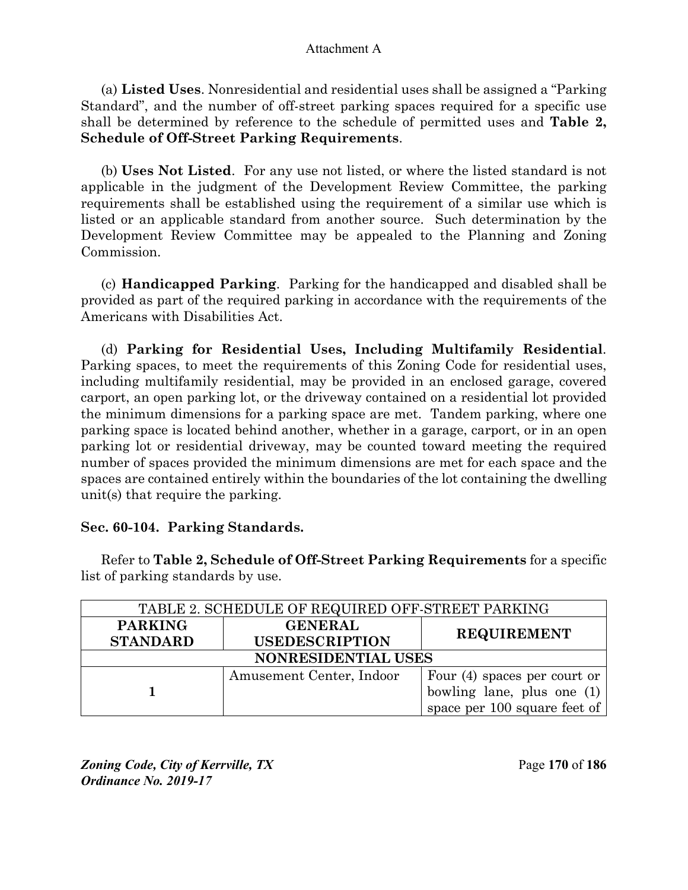(a) **Listed Uses**. Nonresidential and residential uses shall be assigned a "Parking Standard", and the number of off-street parking spaces required for a specific use shall be determined by reference to the schedule of permitted uses and **Table 2, Schedule of Off-Street Parking Requirements**.

(b) **Uses Not Listed**. For any use not listed, or where the listed standard is not applicable in the judgment of the Development Review Committee, the parking requirements shall be established using the requirement of a similar use which is listed or an applicable standard from another source. Such determination by the Development Review Committee may be appealed to the Planning and Zoning Commission.

(c) **Handicapped Parking**.Parking for the handicapped and disabled shall be provided as part of the required parking in accordance with the requirements of the Americans with Disabilities Act.

(d) **Parking for Residential Uses, Including Multifamily Residential**. Parking spaces, to meet the requirements of this Zoning Code for residential uses, including multifamily residential, may be provided in an enclosed garage, covered carport, an open parking lot, or the driveway contained on a residential lot provided the minimum dimensions for a parking space are met. Tandem parking, where one parking space is located behind another, whether in a garage, carport, or in an open parking lot or residential driveway, may be counted toward meeting the required number of spaces provided the minimum dimensions are met for each space and the spaces are contained entirely within the boundaries of the lot containing the dwelling unit(s) that require the parking.

## **Sec. 60-104. Parking Standards.**

Refer to **Table 2, Schedule of Off-Street Parking Requirements** for a specific list of parking standards by use.

| TABLE 2. SCHEDULE OF REQUIRED OFF-STREET PARKING |                          |                                |  |
|--------------------------------------------------|--------------------------|--------------------------------|--|
| <b>PARKING</b>                                   | <b>GENERAL</b>           | <b>REQUIREMENT</b>             |  |
| <b>STANDARD</b>                                  | <b>USEDESCRIPTION</b>    |                                |  |
| NONRESIDENTIAL USES                              |                          |                                |  |
|                                                  | Amusement Center, Indoor | Four $(4)$ spaces per court or |  |
|                                                  |                          | bowling lane, plus one (1)     |  |
|                                                  |                          | space per 100 square feet of   |  |

*Zoning Code, City of Kerrville, TX*Page **170** of **186**  *Ordinance No. 2019-17*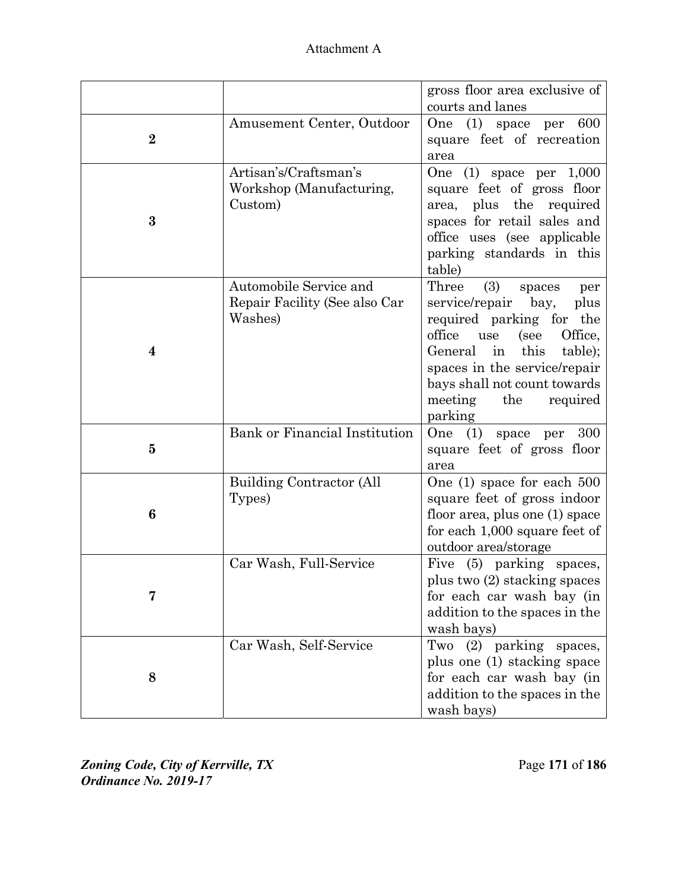| Attachment A |
|--------------|
|--------------|

|          |                               | gross floor area exclusive of    |
|----------|-------------------------------|----------------------------------|
|          |                               | courts and lanes                 |
|          |                               |                                  |
|          | Amusement Center, Outdoor     | 600<br>(1) space per<br>One      |
| $\bf{2}$ |                               | square feet of recreation        |
|          |                               | area                             |
|          | Artisan's/Craftsman's         | $(1)$ space per $1,000$<br>One   |
|          | Workshop (Manufacturing,      | square feet of gross floor       |
|          | Custom)                       | area, plus the required          |
| $\bf{3}$ |                               | spaces for retail sales and      |
|          |                               | office uses (see applicable      |
|          |                               | parking standards in this        |
|          |                               | table)                           |
|          | Automobile Service and        | Three<br>(3)<br>spaces<br>per    |
|          | Repair Facility (See also Car | service/repair bay,<br>plus      |
|          | Washes)                       | required parking for<br>the      |
|          |                               | office<br>Office,<br>use<br>(see |
| 4        |                               | General in this<br>table);       |
|          |                               | spaces in the service/repair     |
|          |                               | bays shall not count towards     |
|          |                               | meeting<br>the<br>required       |
|          |                               | parking                          |
|          | Bank or Financial Institution | One (1) space per<br>300         |
| $\bf{5}$ |                               | square feet of gross floor       |
|          |                               | area                             |
|          | Building Contractor (All      | One $(1)$ space for each $500$   |
|          | Types)                        | square feet of gross indoor      |
| 6        |                               | floor area, plus one (1) space   |
|          |                               | for each 1,000 square feet of    |
|          |                               | outdoor area/storage             |
|          | Car Wash, Full-Service        | Five (5) parking spaces,         |
|          |                               | plus two (2) stacking spaces     |
|          |                               | for each car wash bay (in        |
|          |                               | addition to the spaces in the    |
|          |                               | wash bays)                       |
|          | Car Wash, Self-Service        | (2) parking spaces,<br>Two       |
|          |                               | plus one (1) stacking space      |
| 8        |                               | for each car wash bay (in        |
|          |                               | addition to the spaces in the    |
|          |                               |                                  |
|          |                               | wash bays)                       |

*Zoning Code, City of Kerrville, TX*Page **171** of **186**  *Ordinance No. 2019-17*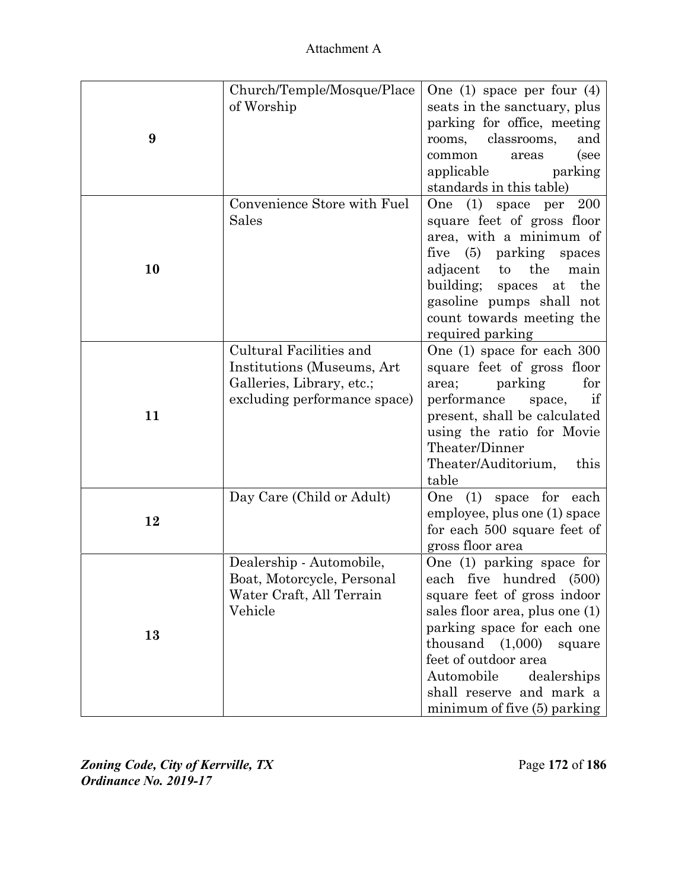| 9  | Church/Temple/Mosque/Place<br>of Worship                                                                           | One (1) space per four $(4)$<br>seats in the sanctuary, plus<br>parking for office, meeting<br>rooms, classrooms,<br>and<br>common<br>(see<br>areas<br>applicable<br>parking<br>standards in this table)                                                                                            |
|----|--------------------------------------------------------------------------------------------------------------------|-----------------------------------------------------------------------------------------------------------------------------------------------------------------------------------------------------------------------------------------------------------------------------------------------------|
| 10 | Convenience Store with Fuel<br>Sales                                                                               | One (1) space per<br>- 200<br>square feet of gross floor<br>area, with a minimum of<br>five (5) parking spaces<br>adjacent<br>the<br>$\mathbf{t}$<br>main<br>building; spaces at the<br>gasoline pumps shall not<br>count towards meeting the<br>required parking                                   |
| 11 | Cultural Facilities and<br>Institutions (Museums, Art<br>Galleries, Library, etc.;<br>excluding performance space) | One (1) space for each 300<br>square feet of gross floor<br>parking<br>for<br>area;<br>performance<br>space,<br>if<br>present, shall be calculated<br>using the ratio for Movie<br>Theater/Dinner<br>Theater/Auditorium,<br>this<br>table                                                           |
| 12 | Day Care (Child or Adult)                                                                                          | One $(1)$ space for<br>each<br>employee, plus one (1) space<br>for each 500 square feet of<br>gross floor area                                                                                                                                                                                      |
| 13 | Dealership - Automobile,<br>Boat, Motorcycle, Personal<br>Water Craft, All Terrain<br>Vehicle                      | One (1) parking space for<br>each five hundred (500)<br>square feet of gross indoor<br>sales floor area, plus one (1)<br>parking space for each one<br>thousand $(1,000)$<br>square<br>feet of outdoor area<br>Automobile<br>dealerships<br>shall reserve and mark a<br>minimum of five (5) parking |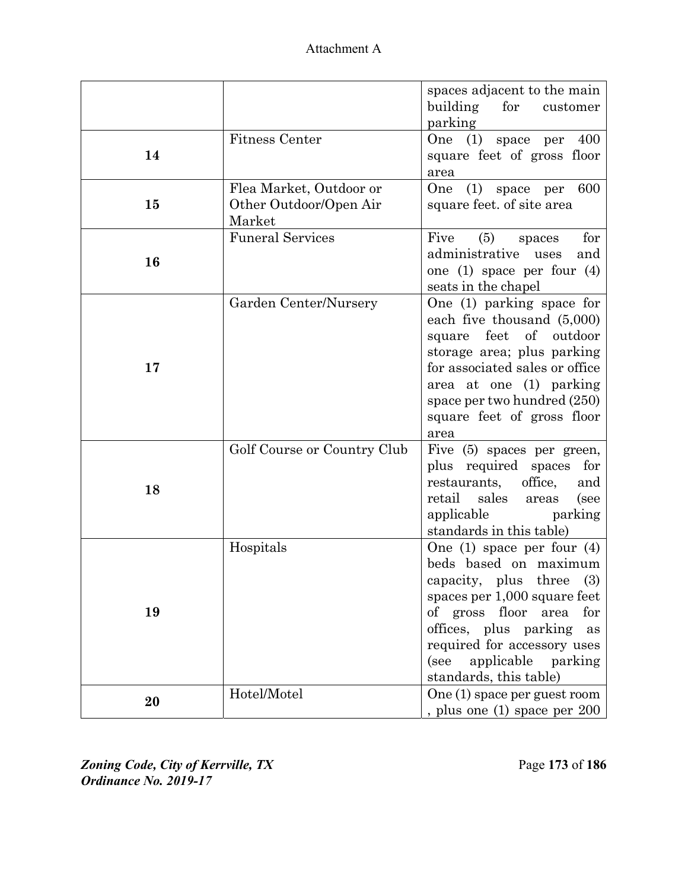| Attachment A |
|--------------|
|--------------|

|    |                                                             | spaces adjacent to the main<br>building<br>for<br>customer<br>parking                                                                                                                                                                                                      |
|----|-------------------------------------------------------------|----------------------------------------------------------------------------------------------------------------------------------------------------------------------------------------------------------------------------------------------------------------------------|
| 14 | <b>Fitness Center</b>                                       | One (1) space per<br>400<br>square feet of gross floor<br>area                                                                                                                                                                                                             |
| 15 | Flea Market, Outdoor or<br>Other Outdoor/Open Air<br>Market | One<br>(1) space per<br>600<br>square feet. of site area                                                                                                                                                                                                                   |
| 16 | <b>Funeral Services</b>                                     | (5)<br>Five<br>for<br>spaces<br>administrative<br>uses<br>and<br>one $(1)$ space per four $(4)$<br>seats in the chapel                                                                                                                                                     |
| 17 | Garden Center/Nursery                                       | One (1) parking space for<br>each five thousand (5,000)<br>feet<br>$\sigma f$<br>outdoor<br>square<br>storage area; plus parking<br>for associated sales or office<br>area at one (1) parking<br>space per two hundred (250)<br>square feet of gross floor<br>area         |
| 18 | Golf Course or Country Club                                 | Five (5) spaces per green,<br>plus required spaces<br>for<br>office,<br>restaurants,<br>and<br>retail<br>sales<br>(see<br>areas<br>applicable<br>parking<br>standards in this table)                                                                                       |
| 19 | Hospitals                                                   | One $(1)$ space per four $(4)$<br>beds based on maximum<br>capacity, plus three (3)<br>spaces per 1,000 square feet<br>of gross floor<br>area<br>for<br>offices, plus parking<br>as<br>required for accessory uses<br>applicable parking<br>(see<br>standards, this table) |
| 20 | Hotel/Motel                                                 | One (1) space per guest room<br>, plus one (1) space per 200                                                                                                                                                                                                               |

*Zoning Code, City of Kerrville, TX* $\qquad \qquad$  **Page 173 of 186** *Ordinance No. 2019-17*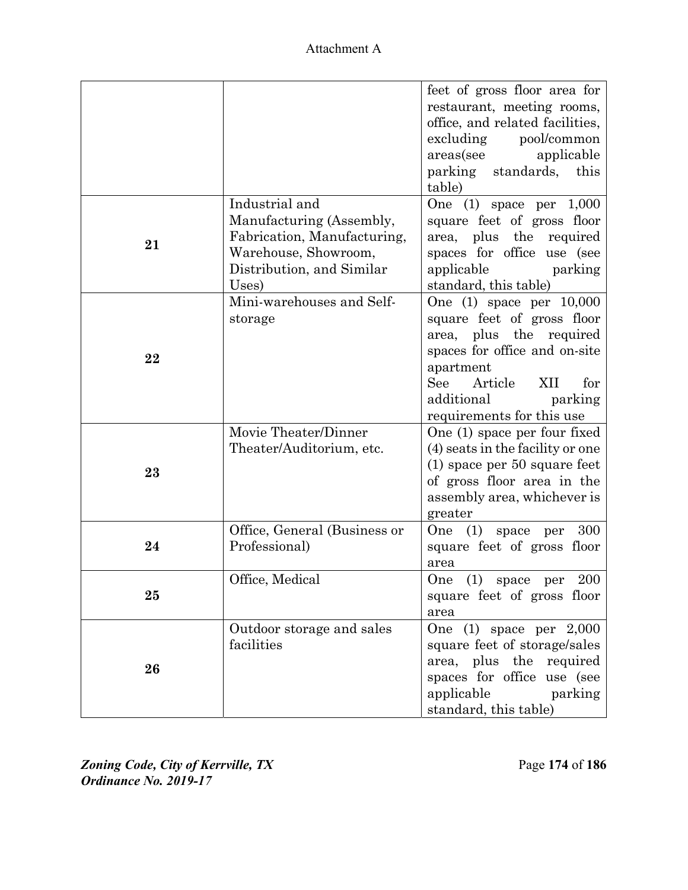| Attachment A |
|--------------|
|--------------|

|    |                                                                                                                                         | feet of gross floor area for<br>restaurant, meeting rooms,<br>office, and related facilities,<br>excluding pool/common<br>areas(see<br>applicable<br>parking standards, this<br>table)                                    |
|----|-----------------------------------------------------------------------------------------------------------------------------------------|---------------------------------------------------------------------------------------------------------------------------------------------------------------------------------------------------------------------------|
| 21 | Industrial and<br>Manufacturing (Assembly,<br>Fabrication, Manufacturing,<br>Warehouse, Showroom,<br>Distribution, and Similar<br>Uses) | One $(1)$ space per $1,000$<br>square feet of gross floor<br>area, plus the required<br>spaces for office use (see<br>applicable parking<br>standard, this table)                                                         |
| 22 | Mini-warehouses and Self-<br>storage                                                                                                    | One $(1)$ space per $10,000$<br>square feet of gross floor<br>area, plus the required<br>spaces for office and on-site<br>apartment<br>See<br>Article<br>XII<br>for<br>additional<br>parking<br>requirements for this use |
| 23 | Movie Theater/Dinner<br>Theater/Auditorium, etc.                                                                                        | One (1) space per four fixed<br>(4) seats in the facility or one<br>$(1)$ space per 50 square feet<br>of gross floor area in the<br>assembly area, whichever is<br>greater                                                |
| 24 | Office, General (Business or<br>Professional)                                                                                           | 300<br>One (1) space per<br>square feet of gross floor<br>area                                                                                                                                                            |
| 25 | Office, Medical                                                                                                                         | One (1) space per 200<br>square feet of gross floor<br>area                                                                                                                                                               |
| 26 | Outdoor storage and sales<br>facilities                                                                                                 | One $(1)$ space per $2,000$<br>square feet of storage/sales<br>area, plus the required<br>spaces for office use (see<br>applicable<br>parking<br>standard, this table)                                                    |

*Zoning Code, City of Kerrville, TX*Page **174** of **186**  *Ordinance No. 2019-17*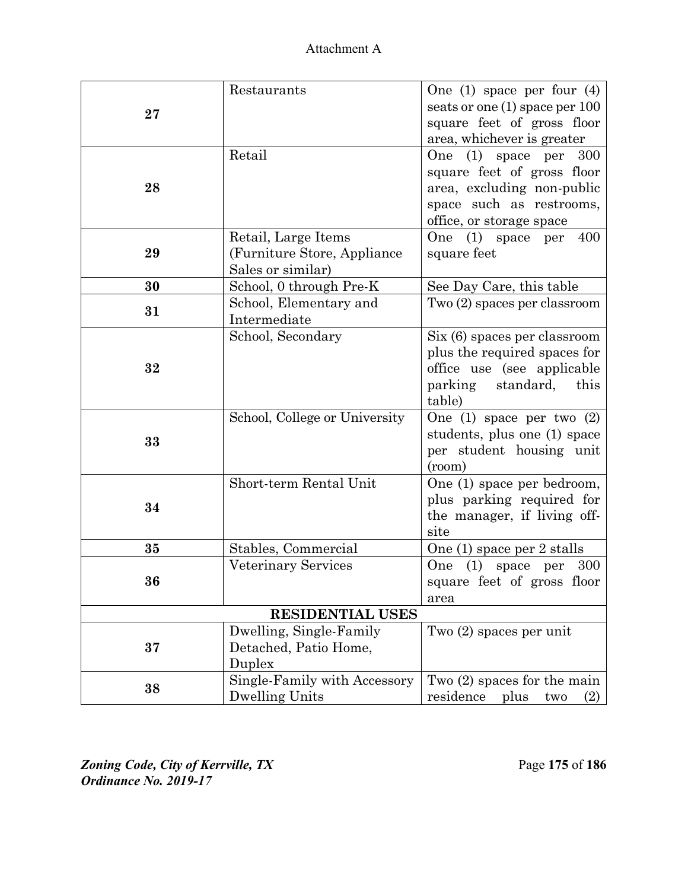|    | Restaurants                   |                                    |
|----|-------------------------------|------------------------------------|
|    |                               | One $(1)$ space per four $(4)$     |
| 27 |                               | seats or one (1) space per 100     |
|    |                               | square feet of gross floor         |
|    |                               | area, whichever is greater         |
|    | Retail                        | One<br>$(1)$ space per<br>300      |
|    |                               | square feet of gross floor         |
| 28 |                               | area, excluding non-public         |
|    |                               | space such as restrooms,           |
|    |                               | office, or storage space           |
|    | Retail, Large Items           | One (1) space per<br>400           |
| 29 | (Furniture Store, Appliance)  | square feet                        |
|    | Sales or similar)             |                                    |
| 30 | School, 0 through Pre-K       | See Day Care, this table           |
| 31 | School, Elementary and        | Two (2) spaces per classroom       |
|    | Intermediate                  |                                    |
|    | School, Secondary             | Six (6) spaces per classroom       |
| 32 |                               | plus the required spaces for       |
|    |                               | office use (see applicable<br>this |
|    |                               | parking<br>standard,<br>table)     |
|    | School, College or University | One $(1)$ space per two $(2)$      |
|    |                               | students, plus one (1) space       |
| 33 |                               | per student housing unit           |
|    |                               | (room)                             |
|    | Short-term Rental Unit        | One (1) space per bedroom,         |
|    |                               | plus parking required for          |
| 34 |                               | the manager, if living off-        |
|    |                               | site                               |
| 35 | Stables, Commercial           | One (1) space per 2 stalls         |
|    | Veterinary Services           | (1)<br>space per<br>300<br>One     |
| 36 |                               | square feet of gross floor         |
|    |                               | area                               |
|    | <b>RESIDENTIAL USES</b>       |                                    |
|    | Dwelling, Single-Family       | Two $(2)$ spaces per unit          |
| 37 | Detached, Patio Home,         |                                    |
|    | Duplex                        |                                    |
| 38 | Single-Family with Accessory  | Two $(2)$ spaces for the main      |
|    | <b>Dwelling Units</b>         | residence<br>plus<br>two<br>(2)    |

*Zoning Code, City of Kerrville, TX*Page **175** of **186**  *Ordinance No. 2019-17*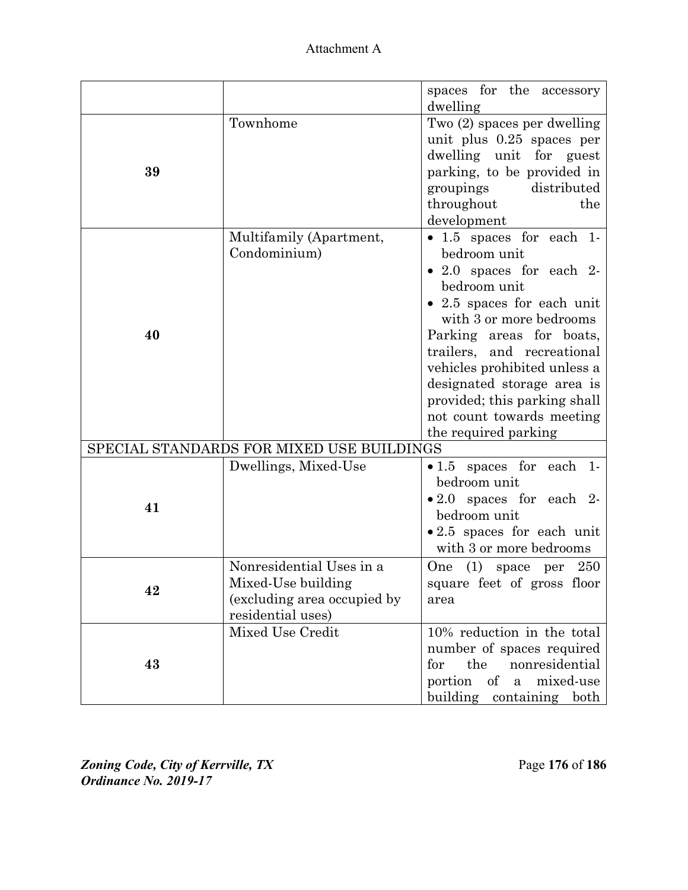Attachment A

|    |                                                                                                    | spaces for the accessory                                                                                                                                                                                                                                                                                                                                           |
|----|----------------------------------------------------------------------------------------------------|--------------------------------------------------------------------------------------------------------------------------------------------------------------------------------------------------------------------------------------------------------------------------------------------------------------------------------------------------------------------|
| 39 | Townhome                                                                                           | dwelling<br>Two (2) spaces per dwelling<br>unit plus 0.25 spaces per<br>dwelling unit for guest<br>parking, to be provided in<br>distributed<br>groupings<br>throughout<br>the<br>development                                                                                                                                                                      |
| 40 | Multifamily (Apartment,<br>Condominium)                                                            | • 1.5 spaces for each 1-<br>bedroom unit<br>$\bullet$ 2.0 spaces for each 2-<br>bedroom unit<br>• 2.5 spaces for each unit<br>with 3 or more bedrooms<br>Parking areas for boats,<br>trailers, and recreational<br>vehicles prohibited unless a<br>designated storage area is<br>provided; this parking shall<br>not count towards meeting<br>the required parking |
|    | SPECIAL STANDARDS FOR MIXED USE BUILDINGS                                                          |                                                                                                                                                                                                                                                                                                                                                                    |
| 41 | Dwellings, Mixed-Use                                                                               | • 1.5 spaces for each 1-<br>bedroom unit<br>$\bullet$ 2.0 spaces for each 2-<br>bedroom unit<br>• 2.5 spaces for each unit<br>with 3 or more bedrooms                                                                                                                                                                                                              |
| 42 | Nonresidential Uses in a<br>Mixed-Use building<br>(excluding area occupied by<br>residential uses) | One<br>(1)<br>space per 250<br>square feet of gross floor<br>area                                                                                                                                                                                                                                                                                                  |
| 43 | Mixed Use Credit                                                                                   | 10% reduction in the total<br>number of spaces required<br>the<br>nonresidential<br>for<br>portion<br>of<br>mixed-use<br>$\mathbf{a}$<br>building<br>containing both                                                                                                                                                                                               |

*Zoning Code, City of Kerrville, TX*Page **176** of **186**  *Ordinance No. 2019-17*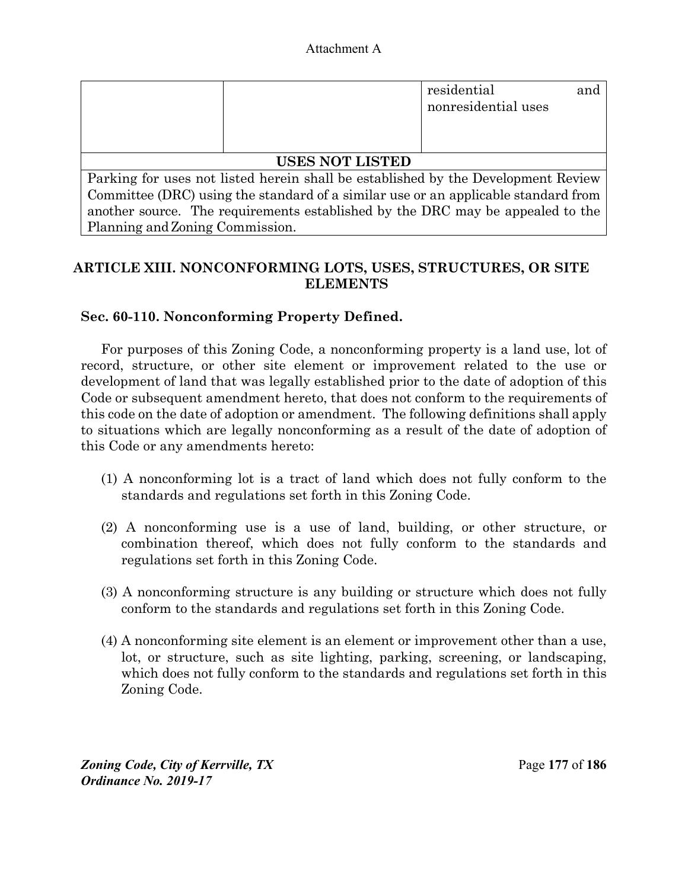|                                                                                    |                                                                                | residential<br>nonresidential uses | and |
|------------------------------------------------------------------------------------|--------------------------------------------------------------------------------|------------------------------------|-----|
|                                                                                    | <b>USES NOT LISTED</b>                                                         |                                    |     |
| Parking for uses not listed herein shall be established by the Development Review  |                                                                                |                                    |     |
| Committee (DRC) using the standard of a similar use or an applicable standard from |                                                                                |                                    |     |
|                                                                                    | another source. The requirements established by the DRC may be appealed to the |                                    |     |
| Planning and Zoning Commission.                                                    |                                                                                |                                    |     |

# **ARTICLE XIII. NONCONFORMING LOTS, USES, STRUCTURES, OR SITE ELEMENTS**

# **Sec. 60-110. Nonconforming Property Defined.**

For purposes of this Zoning Code, a nonconforming property is a land use, lot of record, structure, or other site element or improvement related to the use or development of land that was legally established prior to the date of adoption of this Code or subsequent amendment hereto, that does not conform to the requirements of this code on the date of adoption or amendment. The following definitions shall apply to situations which are legally nonconforming as a result of the date of adoption of this Code or any amendments hereto:

- (1) A nonconforming lot is a tract of land which does not fully conform to the standards and regulations set forth in this Zoning Code.
- (2) A nonconforming use is a use of land, building, or other structure, or combination thereof, which does not fully conform to the standards and regulations set forth in this Zoning Code.
- (3) A nonconforming structure is any building or structure which does not fully conform to the standards and regulations set forth in this Zoning Code.
- (4) A nonconforming site element is an element or improvement other than a use, lot, or structure, such as site lighting, parking, screening, or landscaping, which does not fully conform to the standards and regulations set forth in this Zoning Code.

*Zoning Code, City of Kerrville, TX*Page **177** of **186**  *Ordinance No. 2019-17*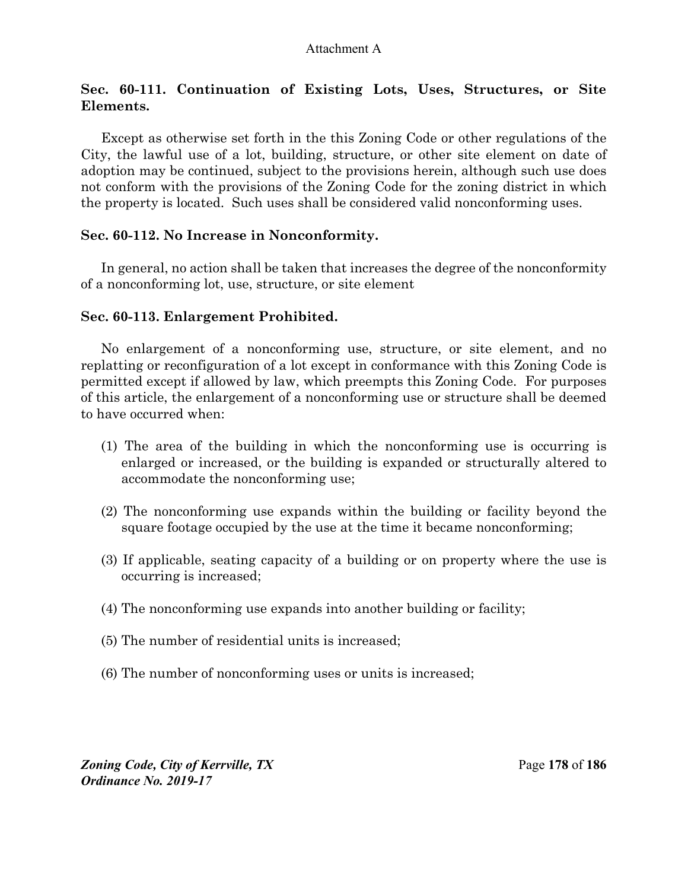# **Sec. 60-111. Continuation of Existing Lots, Uses, Structures, or Site Elements.**

Except as otherwise set forth in the this Zoning Code or other regulations of the City, the lawful use of a lot, building, structure, or other site element on date of adoption may be continued, subject to the provisions herein, although such use does not conform with the provisions of the Zoning Code for the zoning district in which the property is located. Such uses shall be considered valid nonconforming uses.

## **Sec. 60-112. No Increase in Nonconformity.**

In general, no action shall be taken that increases the degree of the nonconformity of a nonconforming lot, use, structure, or site element

## **Sec. 60-113. Enlargement Prohibited.**

No enlargement of a nonconforming use, structure, or site element, and no replatting or reconfiguration of a lot except in conformance with this Zoning Code is permitted except if allowed by law, which preempts this Zoning Code.For purposes of this article, the enlargement of a nonconforming use or structure shall be deemed to have occurred when:

- (1) The area of the building in which the nonconforming use is occurring is enlarged or increased, or the building is expanded or structurally altered to accommodate the nonconforming use;
- (2) The nonconforming use expands within the building or facility beyond the square footage occupied by the use at the time it became nonconforming;
- (3) If applicable, seating capacity of a building or on property where the use is occurring is increased;
- (4) The nonconforming use expands into another building or facility;
- (5) The number of residential units is increased;
- (6) The number of nonconforming uses or units is increased;

*Zoning Code, City of Kerrville, TX*Page **178** of **186**  *Ordinance No. 2019-17*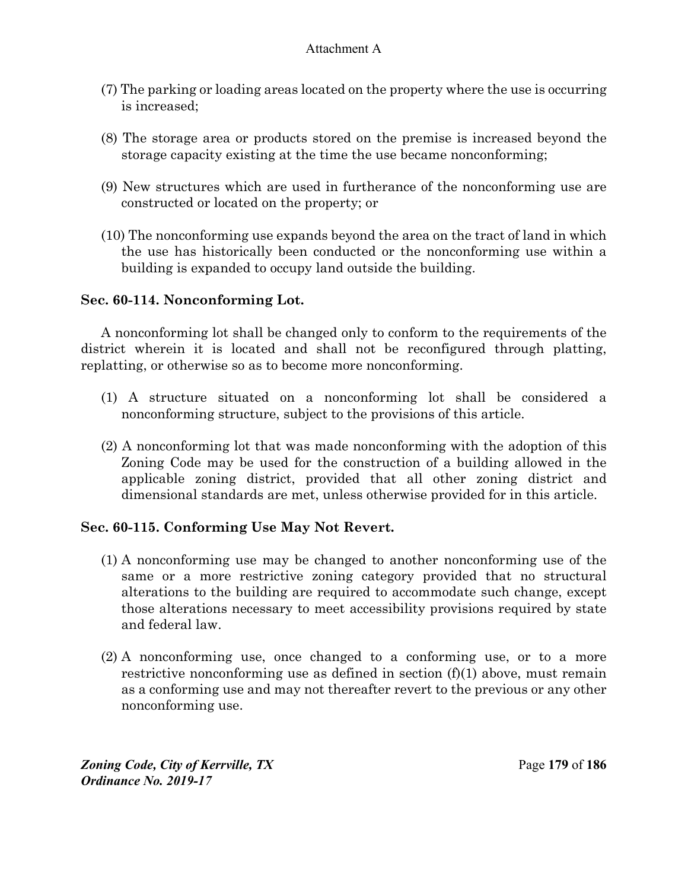- (7) The parking or loading areas located on the property where the use is occurring is increased;
- (8) The storage area or products stored on the premise is increased beyond the storage capacity existing at the time the use became nonconforming;
- (9) New structures which are used in furtherance of the nonconforming use are constructed or located on the property; or
- (10) The nonconforming use expands beyond the area on the tract of land in which the use has historically been conducted or the nonconforming use within a building is expanded to occupy land outside the building.

# **Sec. 60-114. Nonconforming Lot.**

A nonconforming lot shall be changed only to conform to the requirements of the district wherein it is located and shall not be reconfigured through platting, replatting, or otherwise so as to become more nonconforming.

- (1) A structure situated on a nonconforming lot shall be considered a nonconforming structure, subject to the provisions of this article.
- (2) A nonconforming lot that was made nonconforming with the adoption of this Zoning Code may be used for the construction of a building allowed in the applicable zoning district, provided that all other zoning district and dimensional standards are met, unless otherwise provided for in this article.

# **Sec. 60-115. Conforming Use May Not Revert.**

- (1) A nonconforming use may be changed to another nonconforming use of the same or a more restrictive zoning category provided that no structural alterations to the building are required to accommodate such change, except those alterations necessary to meet accessibility provisions required by state and federal law.
- (2) A nonconforming use, once changed to a conforming use, or to a more restrictive nonconforming use as defined in section (f)(1) above, must remain as a conforming use and may not thereafter revert to the previous or any other nonconforming use.

*Zoning Code, City of Kerrville, TX*Page **179** of **186**  *Ordinance No. 2019-17*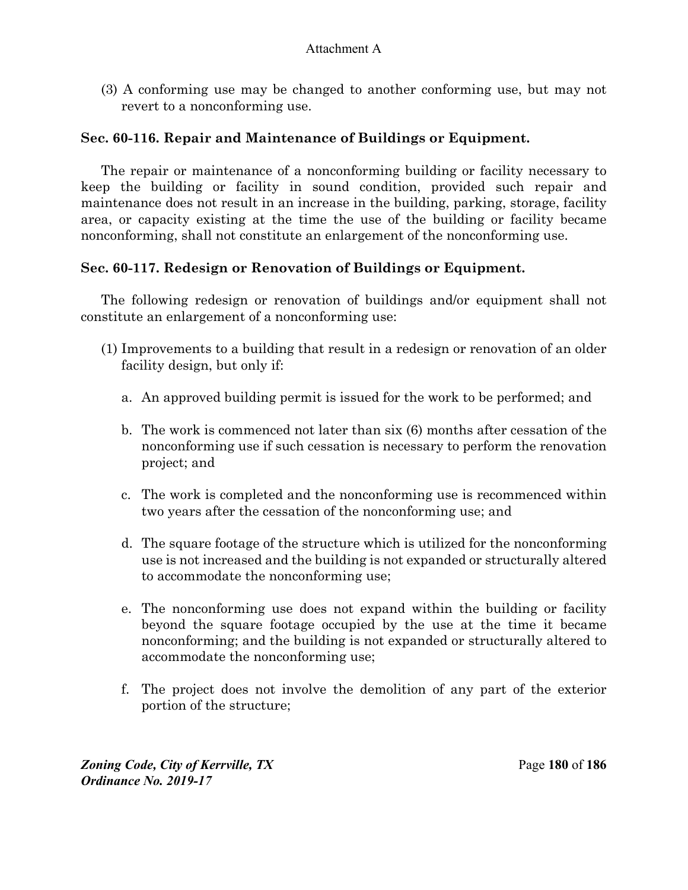(3) A conforming use may be changed to another conforming use, but may not revert to a nonconforming use.

## **Sec. 60-116. Repair and Maintenance of Buildings or Equipment.**

The repair or maintenance of a nonconforming building or facility necessary to keep the building or facility in sound condition, provided such repair and maintenance does not result in an increase in the building, parking, storage, facility area, or capacity existing at the time the use of the building or facility became nonconforming, shall not constitute an enlargement of the nonconforming use.

# **Sec. 60-117. Redesign or Renovation of Buildings or Equipment.**

The following redesign or renovation of buildings and/or equipment shall not constitute an enlargement of a nonconforming use:

- (1) Improvements to a building that result in a redesign or renovation of an older facility design, but only if:
	- a. An approved building permit is issued for the work to be performed; and
	- b. The work is commenced not later than six (6) months after cessation of the nonconforming use if such cessation is necessary to perform the renovation project; and
	- c. The work is completed and the nonconforming use is recommenced within two years after the cessation of the nonconforming use; and
	- d. The square footage of the structure which is utilized for the nonconforming use is not increased and the building is not expanded or structurally altered to accommodate the nonconforming use;
	- e. The nonconforming use does not expand within the building or facility beyond the square footage occupied by the use at the time it became nonconforming; and the building is not expanded or structurally altered to accommodate the nonconforming use;
	- f. The project does not involve the demolition of any part of the exterior portion of the structure;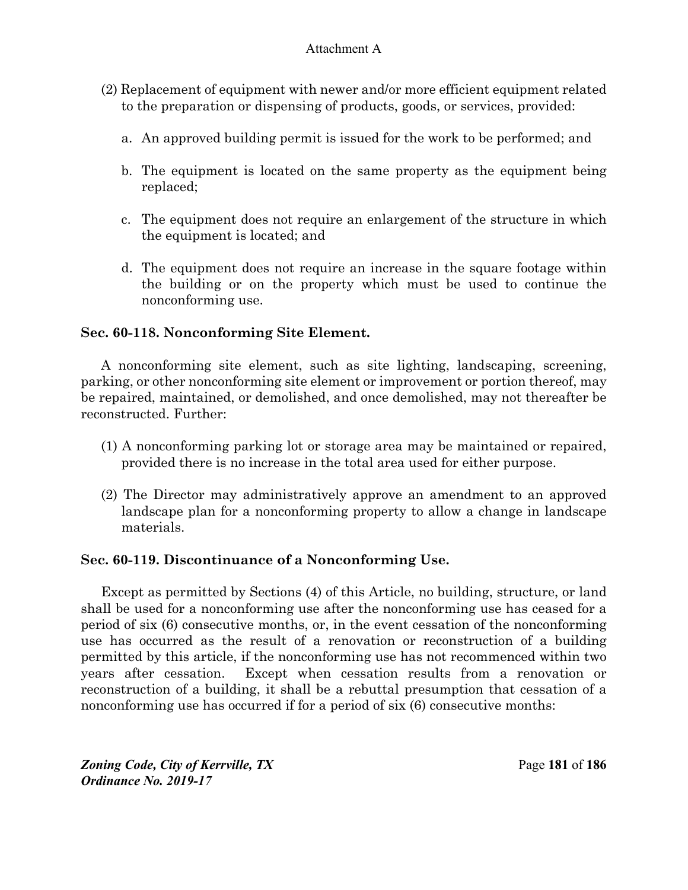- (2) Replacement of equipment with newer and/or more efficient equipment related to the preparation or dispensing of products, goods, or services, provided:
	- a. An approved building permit is issued for the work to be performed; and
	- b. The equipment is located on the same property as the equipment being replaced;
	- c. The equipment does not require an enlargement of the structure in which the equipment is located; and
	- d. The equipment does not require an increase in the square footage within the building or on the property which must be used to continue the nonconforming use.

# **Sec. 60-118. Nonconforming Site Element.**

A nonconforming site element, such as site lighting, landscaping, screening, parking, or other nonconforming site element or improvement or portion thereof, may be repaired, maintained, or demolished, and once demolished, may not thereafter be reconstructed. Further:

- (1) A nonconforming parking lot or storage area may be maintained or repaired, provided there is no increase in the total area used for either purpose.
- (2) The Director may administratively approve an amendment to an approved landscape plan for a nonconforming property to allow a change in landscape materials.

## **Sec. 60-119. Discontinuance of a Nonconforming Use.**

Except as permitted by Sections (4) of this Article, no building, structure, or land shall be used for a nonconforming use after the nonconforming use has ceased for a period of six (6) consecutive months, or, in the event cessation of the nonconforming use has occurred as the result of a renovation or reconstruction of a building permitted by this article, if the nonconforming use has not recommenced within two years after cessation. Except when cessation results from a renovation or reconstruction of a building, it shall be a rebuttal presumption that cessation of a nonconforming use has occurred if for a period of six (6) consecutive months:

*Zoning Code, City of Kerrville, TX*Page **181** of **186**  *Ordinance No. 2019-17*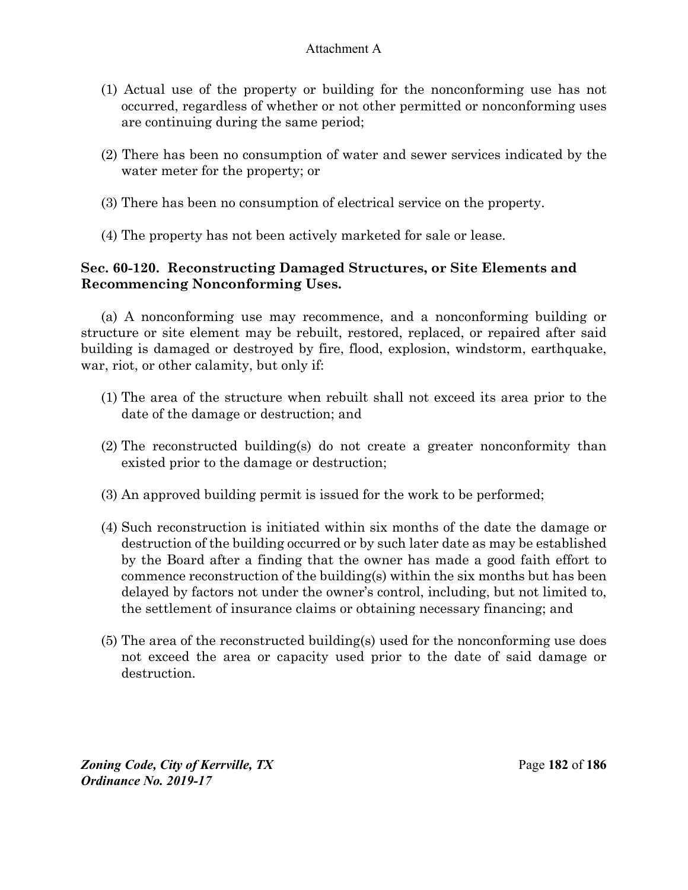- (1) Actual use of the property or building for the nonconforming use has not occurred, regardless of whether or not other permitted or nonconforming uses are continuing during the same period;
- (2) There has been no consumption of water and sewer services indicated by the water meter for the property; or
- (3) There has been no consumption of electrical service on the property.
- (4) The property has not been actively marketed for sale or lease.

# **Sec. 60-120. Reconstructing Damaged Structures, or Site Elements and Recommencing Nonconforming Uses.**

(a) A nonconforming use may recommence, and a nonconforming building or structure or site element may be rebuilt, restored, replaced, or repaired after said building is damaged or destroyed by fire, flood, explosion, windstorm, earthquake, war, riot, or other calamity, but only if:

- (1) The area of the structure when rebuilt shall not exceed its area prior to the date of the damage or destruction; and
- (2) The reconstructed building(s) do not create a greater nonconformity than existed prior to the damage or destruction;
- (3) An approved building permit is issued for the work to be performed;
- (4) Such reconstruction is initiated within six months of the date the damage or destruction of the building occurred or by such later date as may be established by the Board after a finding that the owner has made a good faith effort to commence reconstruction of the building(s) within the six months but has been delayed by factors not under the owner's control, including, but not limited to, the settlement of insurance claims or obtaining necessary financing; and
- (5) The area of the reconstructed building(s) used for the nonconforming use does not exceed the area or capacity used prior to the date of said damage or destruction.

*Zoning Code, City of Kerrville, TX*Page **182** of **186**  *Ordinance No. 2019-17*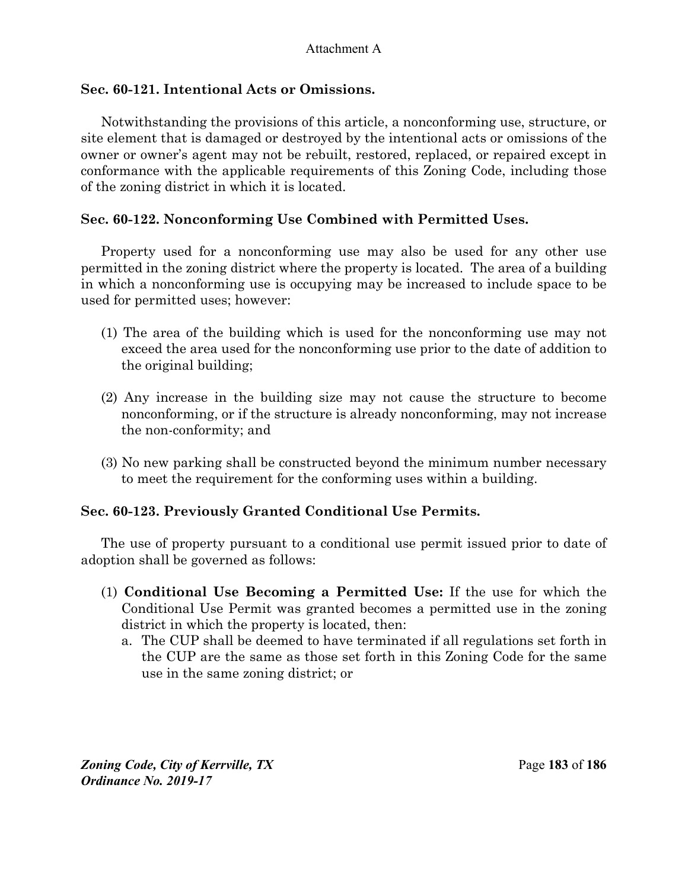# **Sec. 60-121. Intentional Acts or Omissions.**

Notwithstanding the provisions of this article, a nonconforming use, structure, or site element that is damaged or destroyed by the intentional acts or omissions of the owner or owner's agent may not be rebuilt, restored, replaced, or repaired except in conformance with the applicable requirements of this Zoning Code, including those of the zoning district in which it is located.

# **Sec. 60-122. Nonconforming Use Combined with Permitted Uses.**

Property used for a nonconforming use may also be used for any other use permitted in the zoning district where the property is located. The area of a building in which a nonconforming use is occupying may be increased to include space to be used for permitted uses; however:

- (1) The area of the building which is used for the nonconforming use may not exceed the area used for the nonconforming use prior to the date of addition to the original building;
- (2) Any increase in the building size may not cause the structure to become nonconforming, or if the structure is already nonconforming, may not increase the non-conformity; and
- (3) No new parking shall be constructed beyond the minimum number necessary to meet the requirement for the conforming uses within a building.

## **Sec. 60-123. Previously Granted Conditional Use Permits.**

The use of property pursuant to a conditional use permit issued prior to date of adoption shall be governed as follows:

- (1) **Conditional Use Becoming a Permitted Use:** If the use for which the Conditional Use Permit was granted becomes a permitted use in the zoning district in which the property is located, then:
	- a. The CUP shall be deemed to have terminated if all regulations set forth in the CUP are the same as those set forth in this Zoning Code for the same use in the same zoning district; or

*Zoning Code, City of Kerrville, TX*Page **183** of **186**  *Ordinance No. 2019-17*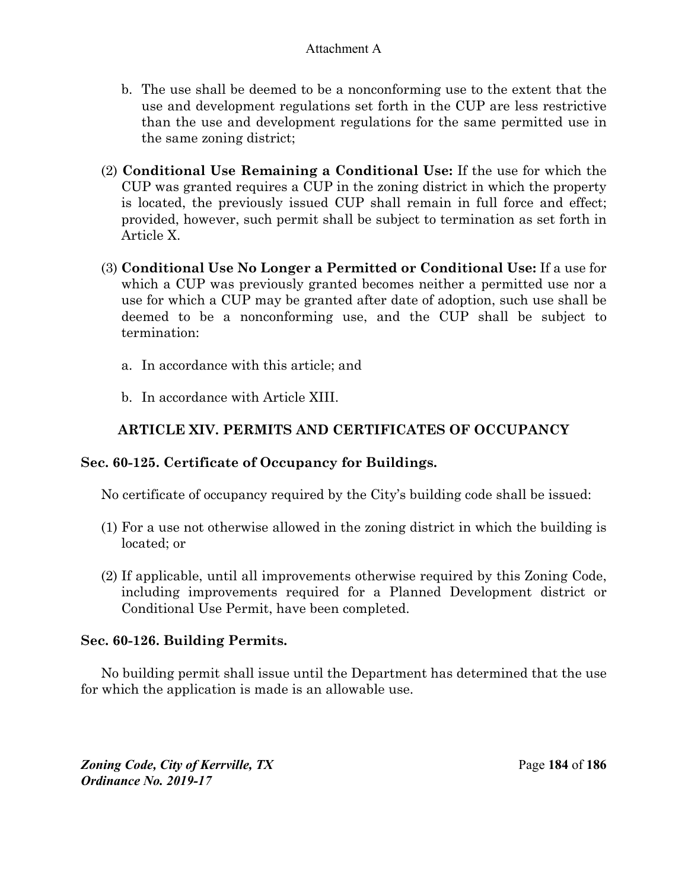- b. The use shall be deemed to be a nonconforming use to the extent that the use and development regulations set forth in the CUP are less restrictive than the use and development regulations for the same permitted use in the same zoning district;
- (2) **Conditional Use Remaining a Conditional Use:** If the use for which the CUP was granted requires a CUP in the zoning district in which the property is located, the previously issued CUP shall remain in full force and effect; provided, however, such permit shall be subject to termination as set forth in Article X.
- (3) **Conditional Use No Longer a Permitted or Conditional Use:** If a use for which a CUP was previously granted becomes neither a permitted use nor a use for which a CUP may be granted after date of adoption, such use shall be deemed to be a nonconforming use, and the CUP shall be subject to termination:
	- a. In accordance with this article; and
	- b. In accordance with Article XIII.

# **ARTICLE XIV. PERMITS AND CERTIFICATES OF OCCUPANCY**

# **Sec. 60-125. Certificate of Occupancy for Buildings.**

No certificate of occupancy required by the City's building code shall be issued:

- (1) For a use not otherwise allowed in the zoning district in which the building is located; or
- (2) If applicable, until all improvements otherwise required by this Zoning Code, including improvements required for a Planned Development district or Conditional Use Permit, have been completed.

# **Sec. 60-126. Building Permits.**

No building permit shall issue until the Department has determined that the use for which the application is made is an allowable use.

*Zoning Code, City of Kerrville, TX*Page **184** of **186**  *Ordinance No. 2019-17*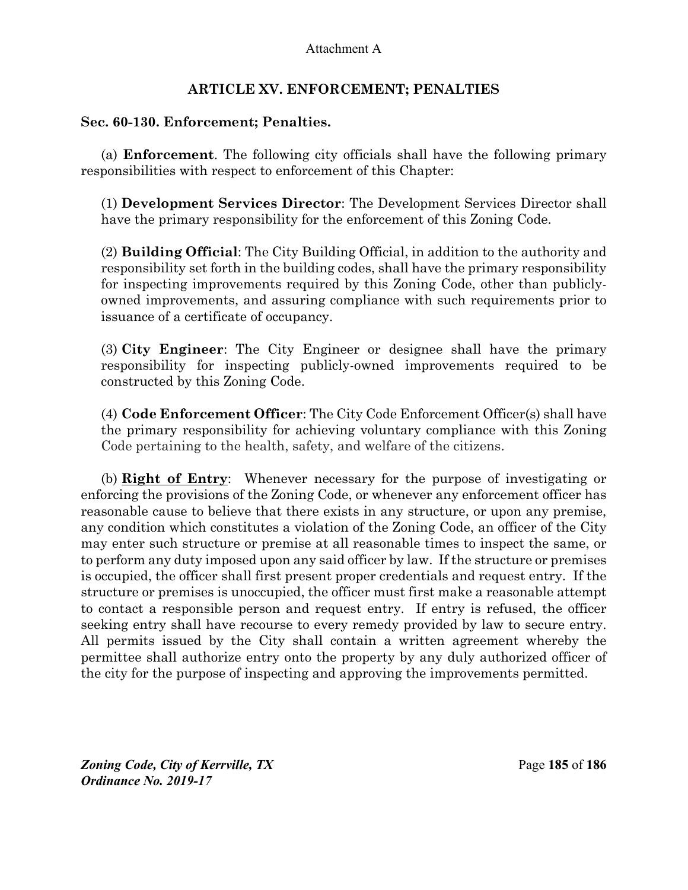# **ARTICLE XV. ENFORCEMENT; PENALTIES**

# **Sec. 60-130. Enforcement; Penalties.**

(a) **Enforcement**. The following city officials shall have the following primary responsibilities with respect to enforcement of this Chapter:

(1) **Development Services Director**: The Development Services Director shall have the primary responsibility for the enforcement of this Zoning Code.

(2) **Building Official**: The City Building Official, in addition to the authority and responsibility set forth in the building codes, shall have the primary responsibility for inspecting improvements required by this Zoning Code, other than publiclyowned improvements, and assuring compliance with such requirements prior to issuance of a certificate of occupancy.

(3) **City Engineer**: The City Engineer or designee shall have the primary responsibility for inspecting publicly-owned improvements required to be constructed by this Zoning Code.

(4) **Code Enforcement Officer**: The City Code Enforcement Officer(s) shall have the primary responsibility for achieving voluntary compliance with this Zoning Code pertaining to the health, safety, and welfare of the citizens.

(b) **Right of Entry**: Whenever necessary for the purpose of investigating or enforcing the provisions of the Zoning Code, or whenever any enforcement officer has reasonable cause to believe that there exists in any structure, or upon any premise, any condition which constitutes a violation of the Zoning Code, an officer of the City may enter such structure or premise at all reasonable times to inspect the same, or to perform any duty imposed upon any said officer by law. If the structure or premises is occupied, the officer shall first present proper credentials and request entry. If the structure or premises is unoccupied, the officer must first make a reasonable attempt to contact a responsible person and request entry. If entry is refused, the officer seeking entry shall have recourse to every remedy provided by law to secure entry. All permits issued by the City shall contain a written agreement whereby the permittee shall authorize entry onto the property by any duly authorized officer of the city for the purpose of inspecting and approving the improvements permitted.

*Zoning Code, City of Kerrville, TX*Page **185** of **186**  *Ordinance No. 2019-17*